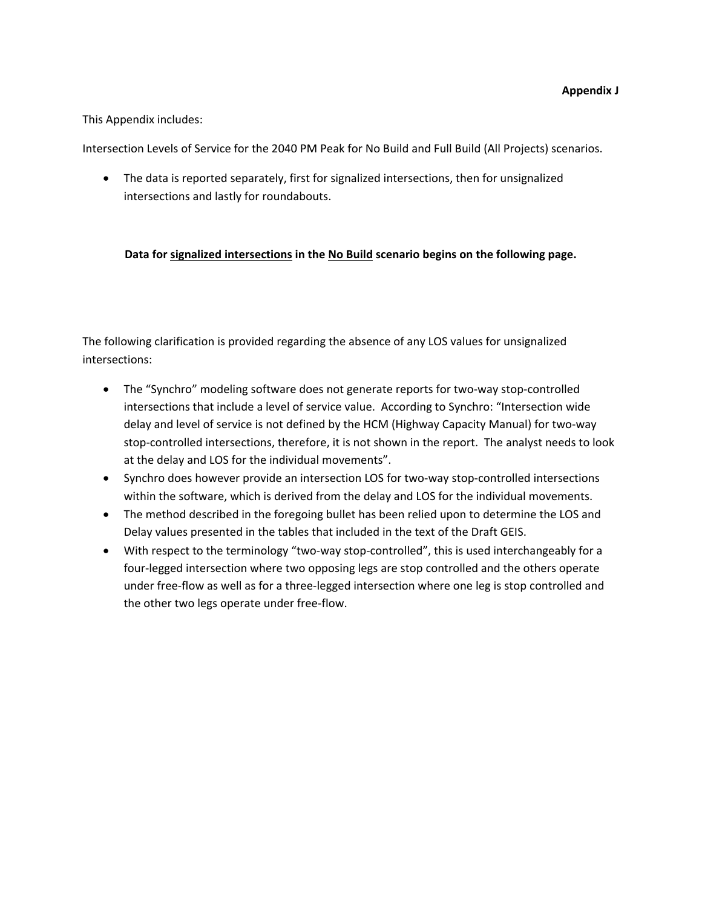### This Appendix includes:

Intersection Levels of Service for the 2040 PM Peak for No Build and Full Build (All Projects) scenarios.

• The data is reported separately, first for signalized intersections, then for unsignalized intersections and lastly for roundabouts.

## **Data for signalized intersections in the No Build scenario begins on the following page.**

The following clarification is provided regarding the absence of any LOS values for unsignalized intersections:

- The "Synchro" modeling software does not generate reports for two-way stop-controlled intersections that include a level of service value. According to Synchro: "Intersection wide delay and level of service is not defined by the HCM (Highway Capacity Manual) for two‐way stop-controlled intersections, therefore, it is not shown in the report. The analyst needs to look at the delay and LOS for the individual movements".
- Synchro does however provide an intersection LOS for two-way stop-controlled intersections within the software, which is derived from the delay and LOS for the individual movements.
- The method described in the foregoing bullet has been relied upon to determine the LOS and Delay values presented in the tables that included in the text of the Draft GEIS.
- With respect to the terminology "two-way stop-controlled", this is used interchangeably for a four‐legged intersection where two opposing legs are stop controlled and the others operate under free‐flow as well as for a three‐legged intersection where one leg is stop controlled and the other two legs operate under free‐flow.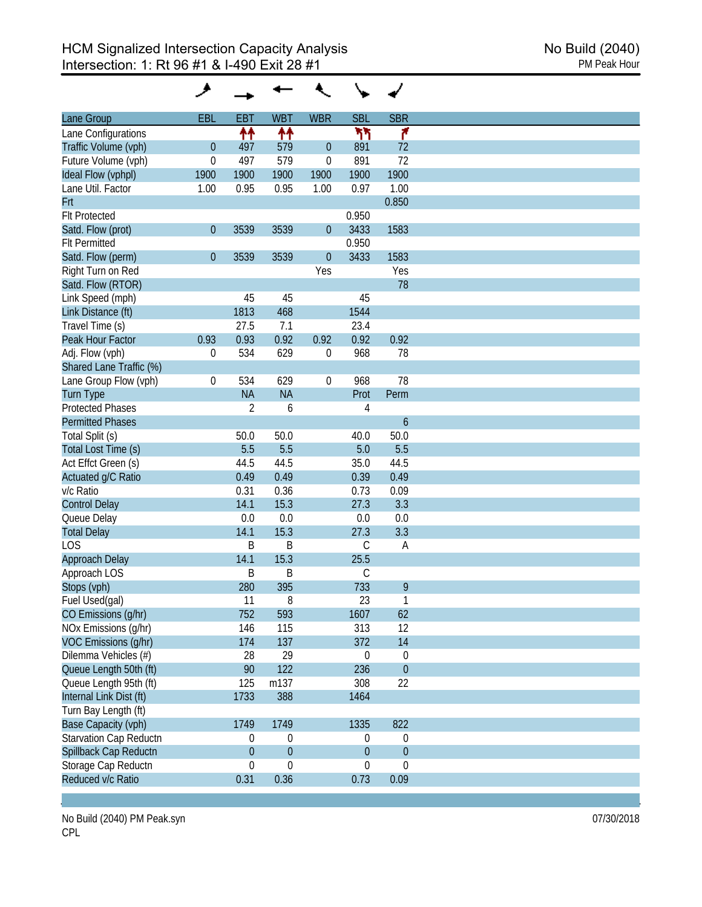|                         | و                |                  |                  |                  |                  |                  |
|-------------------------|------------------|------------------|------------------|------------------|------------------|------------------|
| Lane Group              | EBL              | <b>EBT</b>       | <b>WBT</b>       | <b>WBR</b>       | <b>SBL</b>       | <b>SBR</b>       |
| Lane Configurations     |                  | ↟↟               | 11               |                  | ካካ               | ۴                |
| Traffic Volume (vph)    | $\boldsymbol{0}$ | 497              | 579              | $\theta$         | 891              | 72               |
| Future Volume (vph)     | $\boldsymbol{0}$ | 497              | 579              | $\mathbf 0$      | 891              | 72               |
| Ideal Flow (vphpl)      | 1900             | 1900             | 1900             | 1900             | 1900             | 1900             |
| Lane Util. Factor       | 1.00             | 0.95             | 0.95             | 1.00             | 0.97             | 1.00             |
| Frt                     |                  |                  |                  |                  |                  | 0.850            |
| <b>Flt Protected</b>    |                  |                  |                  |                  | 0.950            |                  |
| Satd. Flow (prot)       | $\boldsymbol{0}$ | 3539             | 3539             | $\theta$         | 3433             | 1583             |
| <b>Flt Permitted</b>    |                  |                  |                  |                  | 0.950            |                  |
| Satd. Flow (perm)       | $\boldsymbol{0}$ | 3539             | 3539             | $\theta$         | 3433             | 1583             |
| Right Turn on Red       |                  |                  |                  | Yes              |                  | Yes              |
| Satd. Flow (RTOR)       |                  |                  |                  |                  |                  | 78               |
| Link Speed (mph)        |                  | 45               | 45               |                  | 45               |                  |
| Link Distance (ft)      |                  | 1813             | 468              |                  | 1544             |                  |
| Travel Time (s)         |                  | 27.5             | 7.1              |                  | 23.4             |                  |
| Peak Hour Factor        | 0.93             | 0.93             | 0.92             | 0.92             | 0.92             | 0.92             |
|                         |                  |                  | 629              |                  | 968              |                  |
| Adj. Flow (vph)         | 0                | 534              |                  | 0                |                  | 78               |
| Shared Lane Traffic (%) |                  |                  |                  |                  |                  |                  |
| Lane Group Flow (vph)   | $\boldsymbol{0}$ | 534              | 629              | $\boldsymbol{0}$ | 968              | 78               |
| <b>Turn Type</b>        |                  | <b>NA</b>        | <b>NA</b>        |                  | Prot             | Perm             |
| <b>Protected Phases</b> |                  | 2                | 6                |                  | 4                |                  |
| <b>Permitted Phases</b> |                  |                  |                  |                  |                  | $\boldsymbol{6}$ |
| Total Split (s)         |                  | 50.0             | 50.0             |                  | 40.0             | 50.0             |
| Total Lost Time (s)     |                  | 5.5              | 5.5              |                  | 5.0              | 5.5              |
| Act Effct Green (s)     |                  | 44.5             | 44.5             |                  | 35.0             | 44.5             |
| Actuated g/C Ratio      |                  | 0.49             | 0.49             |                  | 0.39             | 0.49             |
| v/c Ratio               |                  | 0.31             | 0.36             |                  | 0.73             | 0.09             |
| <b>Control Delay</b>    |                  | 14.1             | 15.3             |                  | 27.3             | 3.3              |
| Queue Delay             |                  | 0.0              | 0.0              |                  | 0.0              | 0.0              |
| <b>Total Delay</b>      |                  | 14.1             | 15.3             |                  | 27.3             | 3.3              |
| <b>LOS</b>              |                  | B                | B                |                  | $\mathsf C$      | A                |
| Approach Delay          |                  | 14.1             | 15.3             |                  | 25.5             |                  |
| Approach LOS            |                  | B                | B                |                  | С                |                  |
| Stops (vph)             |                  | 280              | 395              |                  | 733              | 9                |
| Fuel Used(gal)          |                  | 11               | 8                |                  | 23               | $\mathbf{1}$     |
| CO Emissions (g/hr)     |                  | 752              | 593              |                  | 1607             | 62               |
| NOx Emissions (g/hr)    |                  | 146              | 115              |                  | 313              | 12               |
| VOC Emissions (g/hr)    |                  | 174              | 137              |                  | 372              | 14               |
| Dilemma Vehicles (#)    |                  | 28               | 29               |                  | $\boldsymbol{0}$ | 0                |
| Queue Length 50th (ft)  |                  | 90               | 122              |                  | 236              | $\boldsymbol{0}$ |
| Queue Length 95th (ft)  |                  | 125              | m137             |                  | 308              | 22               |
| Internal Link Dist (ft) |                  | 1733             | 388              |                  | 1464             |                  |
| Turn Bay Length (ft)    |                  |                  |                  |                  |                  |                  |
| Base Capacity (vph)     |                  | 1749             | 1749             |                  | 1335             | 822              |
| Starvation Cap Reductn  |                  | $\mathbf 0$      | 0                |                  | $\boldsymbol{0}$ | $\boldsymbol{0}$ |
| Spillback Cap Reductn   |                  | $\boldsymbol{0}$ | $\overline{0}$   |                  | $\boldsymbol{0}$ | $\boldsymbol{0}$ |
|                         |                  |                  |                  |                  |                  |                  |
| Storage Cap Reductn     |                  | 0                | $\boldsymbol{0}$ |                  | $\boldsymbol{0}$ | $\boldsymbol{0}$ |
| Reduced v/c Ratio       |                  | 0.31             | 0.36             |                  | 0.73             | 0.09             |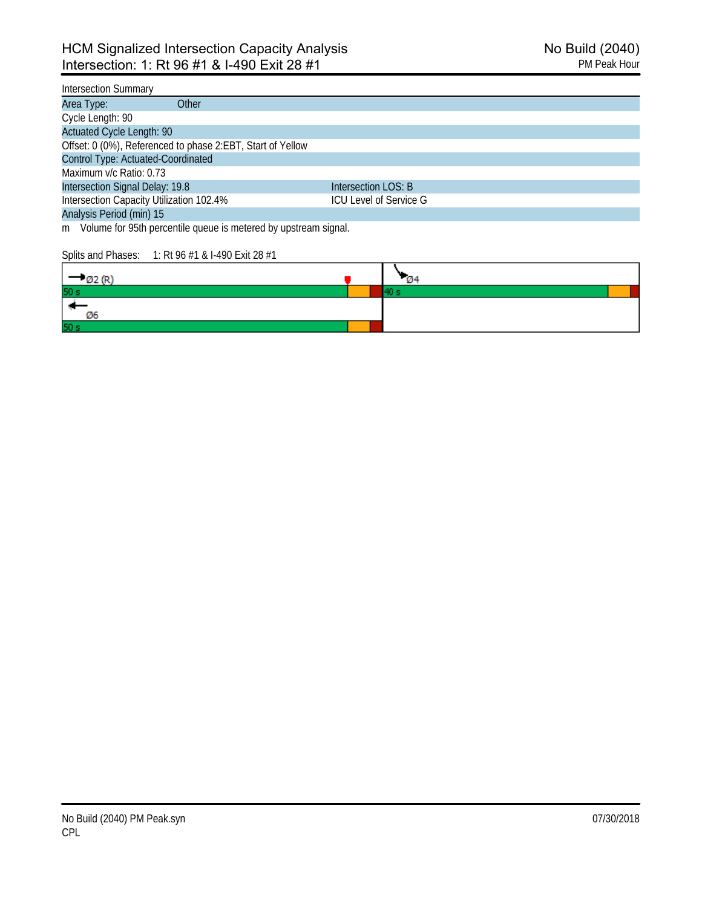## Intersection Summary

| Other<br>Area Type:                                        |                        |
|------------------------------------------------------------|------------------------|
| Cycle Length: 90                                           |                        |
| <b>Actuated Cycle Length: 90</b>                           |                        |
| Offset: 0 (0%), Referenced to phase 2:EBT, Start of Yellow |                        |
| Control Type: Actuated-Coordinated                         |                        |
| Maximum v/c Ratio: 0.73                                    |                        |
| Intersection Signal Delay: 19.8                            | Intersection LOS: B    |
| Intersection Capacity Utilization 102.4%                   | ICU Level of Service G |
| Analysis Period (min) 15                                   |                        |

m Volume for 95th percentile queue is metered by upstream signal.

#### Splits and Phases: 1: Rt 96 #1 & I-490 Exit 28 #1

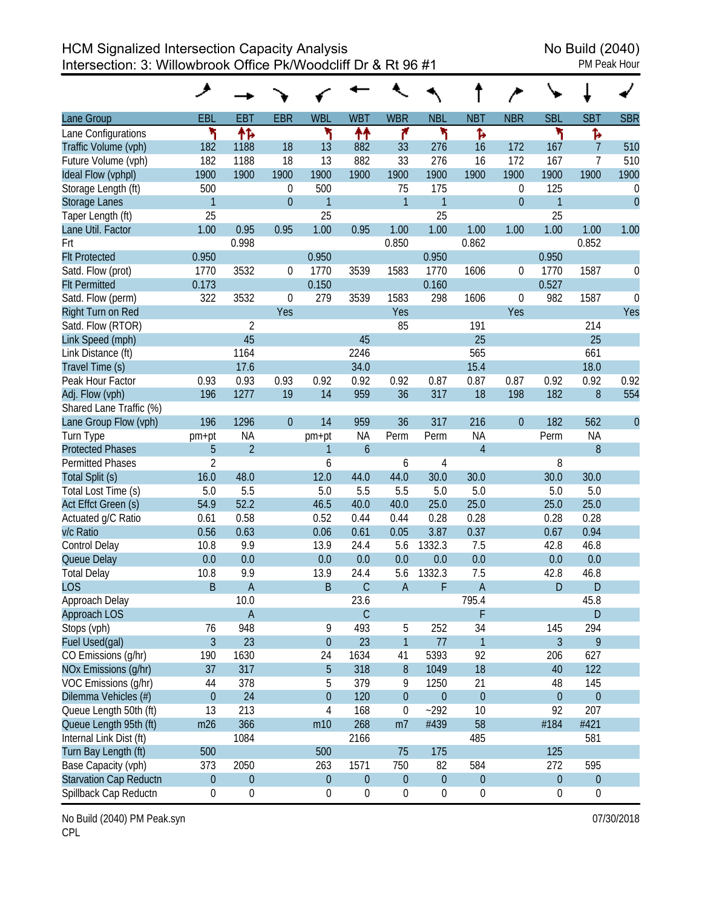HCM Signalized Intersection Capacity Analysis<br>Intersection: 3: Willowbrook Office Pk/Woodcliff Dr & Rt 96 #1 Intersection: 3: Willowbrook Office Pk/Woodcliff Dr & Rt 96 #1

|                          | ↗                |                  |                  |                  |                  |                  |                  |                  |                  |                  |                  |                |
|--------------------------|------------------|------------------|------------------|------------------|------------------|------------------|------------------|------------------|------------------|------------------|------------------|----------------|
| Lane Group               | EBL              | <b>EBT</b>       | <b>EBR</b>       | <b>WBL</b>       | <b>WBT</b>       | <b>WBR</b>       | <b>NBL</b>       | <b>NBT</b>       | <b>NBR</b>       | <b>SBL</b>       | <b>SBT</b>       | <b>SBR</b>     |
| Lane Configurations      | ۲                | 怍                |                  | ۲                | ↟↟               | ۴                | ۲                | Ъ                |                  | ۲                | ħ                |                |
| Traffic Volume (vph)     | 182              | 1188             | 18               | 13               | 882              | 33               | 276              | 16               | 172              | 167              | $\overline{7}$   | 510            |
| Future Volume (vph)      | 182              | 1188             | 18               | 13               | 882              | 33               | 276              | 16               | 172              | 167              | 7                | 510            |
| Ideal Flow (vphpl)       | 1900             | 1900             | 1900             | 1900             | 1900             | 1900             | 1900             | 1900             | 1900             | 1900             | 1900             | 1900           |
| Storage Length (ft)      | 500              |                  | $\boldsymbol{0}$ | 500              |                  | 75               | 175              |                  | 0                | 125              |                  | 0              |
| <b>Storage Lanes</b>     | $\mathbf{1}$     |                  | $\overline{0}$   | $\overline{1}$   |                  | $\overline{1}$   | $\mathbf{1}$     |                  | $\boldsymbol{0}$ | $\mathbf{1}$     |                  | $\overline{0}$ |
| Taper Length (ft)        | 25               |                  |                  | 25               |                  |                  | 25               |                  |                  | 25               |                  |                |
| Lane Util. Factor        | 1.00             | 0.95             | 0.95             | 1.00             | 0.95             | 1.00             | 1.00             | 1.00             | 1.00             | 1.00             | 1.00             | 1.00           |
| Frt                      |                  | 0.998            |                  |                  |                  | 0.850            |                  | 0.862            |                  |                  | 0.852            |                |
| <b>Flt Protected</b>     | 0.950            |                  |                  | 0.950            |                  |                  | 0.950            |                  |                  | 0.950            |                  |                |
| Satd. Flow (prot)        | 1770             | 3532             | $\mathbf 0$      | 1770             | 3539             | 1583             | 1770             | 1606             | 0                | 1770             | 1587             | 0              |
| <b>Flt Permitted</b>     | 0.173            |                  |                  | 0.150            |                  |                  | 0.160            |                  |                  | 0.527            |                  |                |
| Satd. Flow (perm)        | 322              | 3532             | $\theta$         | 279              | 3539             | 1583             | 298              | 1606             | 0                | 982              | 1587             | $\theta$       |
| <b>Right Turn on Red</b> |                  |                  | Yes              |                  |                  | Yes              |                  |                  | Yes              |                  |                  | Yes            |
| Satd. Flow (RTOR)        |                  | 2                |                  |                  |                  | 85               |                  | 191              |                  |                  | 214              |                |
| Link Speed (mph)         |                  | 45               |                  |                  | 45               |                  |                  | 25               |                  |                  | 25               |                |
| Link Distance (ft)       |                  | 1164             |                  |                  | 2246             |                  |                  | 565              |                  |                  | 661              |                |
| Travel Time (s)          |                  | 17.6             |                  |                  | 34.0             |                  |                  | 15.4             |                  |                  | 18.0             |                |
| Peak Hour Factor         | 0.93             | 0.93             | 0.93             | 0.92             | 0.92             | 0.92             | 0.87             | 0.87             | 0.87             | 0.92             | 0.92             | 0.92           |
| Adj. Flow (vph)          | 196              | 1277             | 19               | 14               | 959              | 36               | 317              | 18               | 198              | 182              | 8                | 554            |
| Shared Lane Traffic (%)  |                  |                  |                  |                  |                  |                  |                  |                  |                  |                  |                  |                |
| Lane Group Flow (vph)    | 196              | 1296             | $\overline{0}$   | 14               | 959              | 36               | 317              | 216              | $\overline{0}$   | 182              | 562              | $\mathbf{0}$   |
| Turn Type                | pm+pt            | ΝA               |                  | pm+pt            | <b>NA</b>        | Perm             | Perm             | <b>NA</b>        |                  | Perm             | <b>NA</b>        |                |
| <b>Protected Phases</b>  | 5                | $\overline{2}$   |                  | 1                | $\overline{6}$   |                  |                  | $\overline{4}$   |                  |                  | 8                |                |
| <b>Permitted Phases</b>  | $\overline{2}$   |                  |                  | 6                |                  | 6                | 4                |                  |                  | 8                |                  |                |
| Total Split (s)          | 16.0             | 48.0             |                  | 12.0             | 44.0             | 44.0             | 30.0             | 30.0             |                  | 30.0             | 30.0             |                |
| Total Lost Time (s)      | 5.0              | 5.5              |                  | 5.0              | 5.5              | 5.5              | 5.0              | 5.0              |                  | 5.0              | 5.0              |                |
| Act Effct Green (s)      | 54.9             | 52.2             |                  | 46.5             | 40.0             | 40.0             | 25.0             | 25.0             |                  | 25.0             | 25.0             |                |
| Actuated g/C Ratio       | 0.61             | 0.58             |                  | 0.52             | 0.44             | 0.44             | 0.28             | 0.28             |                  | 0.28             | 0.28             |                |
| v/c Ratio                | 0.56             | 0.63             |                  | 0.06             | 0.61             | 0.05             | 3.87             | 0.37             |                  | 0.67             | 0.94             |                |
| Control Delay            | 10.8             | 9.9              |                  | 13.9             | 24.4             | 5.6              | 1332.3           | 7.5              |                  | 42.8             | 46.8             |                |
| Queue Delay              | 0.0              | 0.0              |                  | 0.0              | 0.0              | 0.0              | 0.0              | 0.0              |                  | 0.0              | 0.0              |                |
| <b>Total Delay</b>       | 10.8             | 9.9              |                  | 13.9             | 24.4             | 5.6              | 1332.3           | 7.5              |                  | 42.8             | 46.8             |                |
| <b>LOS</b>               | B                | $\overline{A}$   |                  | B                | $\mathsf C$      | $\overline{A}$   | F                | $\mathsf{A}$     |                  | D                | D                |                |
| Approach Delay           |                  | 10.0             |                  |                  | 23.6             |                  |                  | 795.4            |                  |                  | 45.8             |                |
| Approach LOS             |                  | $\mathsf{A}$     |                  |                  | $\mathsf{C}$     |                  |                  | F                |                  |                  | D                |                |
| Stops (vph)              | 76               | 948              |                  | 9                | 493              | 5                | 252              | 34               |                  | 145              | 294              |                |
| Fuel Used(gal)           | $\overline{3}$   | 23               |                  | $\boldsymbol{0}$ | 23               | $\mathbf{1}$     | 77               | $\mathbf{1}$     |                  | $\overline{3}$   | 9                |                |
| CO Emissions (g/hr)      | 190              | 1630             |                  | 24               | 1634             | 41               | 5393             | 92               |                  | 206              | 627              |                |
| NOx Emissions (g/hr)     | 37               | 317              |                  | 5                | 318              | 8                | 1049             | 18               |                  | 40               | 122              |                |
| VOC Emissions (q/hr)     | 44               | 378              |                  | 5                | 379              | 9                | 1250             | 21               |                  | 48               | 145              |                |
| Dilemma Vehicles (#)     | $\theta$         | 24               |                  | $\boldsymbol{0}$ | 120              | $\pmb{0}$        | $\theta$         | $\theta$         |                  | $\boldsymbol{0}$ | $\boldsymbol{0}$ |                |
| Queue Length 50th (ft)   | 13               | 213              |                  | 4                | 168              | 0                | $-292$           | 10               |                  | 92               | 207              |                |
| Queue Length 95th (ft)   | m26              | 366              |                  | m10              | 268              | m <sub>7</sub>   | #439             | 58               |                  | #184             | #421             |                |
| Internal Link Dist (ft)  |                  | 1084             |                  |                  | 2166             |                  |                  | 485              |                  |                  | 581              |                |
| Turn Bay Length (ft)     | 500              |                  |                  | 500              |                  | 75               | 175              |                  |                  | 125              |                  |                |
| Base Capacity (vph)      | 373              | 2050             |                  | 263              | 1571             | 750              | 82               | 584              |                  | 272              | 595              |                |
| Starvation Cap Reductn   | $\boldsymbol{0}$ | $\boldsymbol{0}$ |                  | $\boldsymbol{0}$ | $\mathbf 0$      | $\pmb{0}$        | $\boldsymbol{0}$ | $\boldsymbol{0}$ |                  | $\mathbf 0$      | 0                |                |
| Spillback Cap Reductn    | 0                | $\boldsymbol{0}$ |                  | $\boldsymbol{0}$ | $\boldsymbol{0}$ | $\boldsymbol{0}$ | $\boldsymbol{0}$ | $\boldsymbol{0}$ |                  | $\boldsymbol{0}$ | $\boldsymbol{0}$ |                |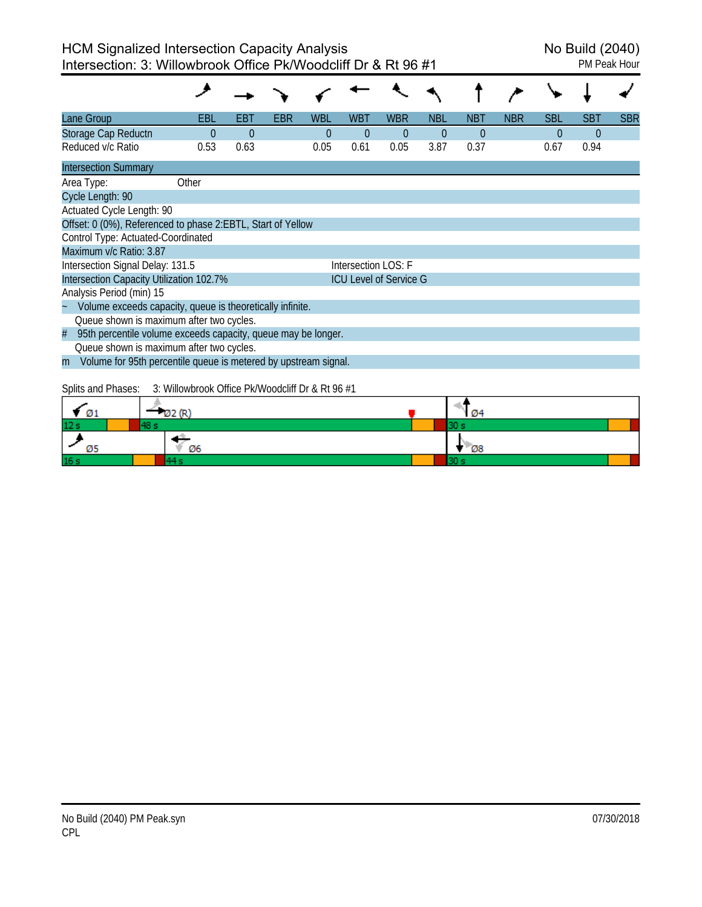| ane Group                                                            | EBL                                              | EBT      | EBR | <b>WBL</b> | WBT                 | <b>WBR</b>                    | <b>NBL</b>     | <b>NBT</b> | <b>NBR</b> | <b>SBL</b> | <b>SBT</b> | <b>SBR</b> |
|----------------------------------------------------------------------|--------------------------------------------------|----------|-----|------------|---------------------|-------------------------------|----------------|------------|------------|------------|------------|------------|
| Storage Cap Reductn                                                  | 0                                                | $\Omega$ |     | $\Omega$   | $\theta$            | $\Omega$                      | $\overline{0}$ | $\Omega$   |            | $\theta$   | $\Omega$   |            |
| Reduced v/c Ratio                                                    | 0.53                                             | 0.63     |     | 0.05       | 0.61                | 0.05                          | 3.87           | 0.37       |            | 0.67       | 0.94       |            |
| <b>Intersection Summary</b>                                          |                                                  |          |     |            |                     |                               |                |            |            |            |            |            |
| Area Type:                                                           | Other                                            |          |     |            |                     |                               |                |            |            |            |            |            |
| Cycle Length: 90                                                     |                                                  |          |     |            |                     |                               |                |            |            |            |            |            |
| Actuated Cycle Length: 90                                            |                                                  |          |     |            |                     |                               |                |            |            |            |            |            |
| Offset: 0 (0%), Referenced to phase 2:EBTL, Start of Yellow          |                                                  |          |     |            |                     |                               |                |            |            |            |            |            |
| Control Type: Actuated-Coordinated                                   |                                                  |          |     |            |                     |                               |                |            |            |            |            |            |
| Maximum v/c Ratio: 3.87                                              |                                                  |          |     |            |                     |                               |                |            |            |            |            |            |
| Intersection Signal Delay: 131.5                                     |                                                  |          |     |            | Intersection LOS: F |                               |                |            |            |            |            |            |
| Intersection Capacity Utilization 102.7%                             |                                                  |          |     |            |                     | <b>ICU Level of Service G</b> |                |            |            |            |            |            |
| Analysis Period (min) 15                                             |                                                  |          |     |            |                     |                               |                |            |            |            |            |            |
| Volume exceeds capacity, queue is theoretically infinite.            |                                                  |          |     |            |                     |                               |                |            |            |            |            |            |
| Queue shown is maximum after two cycles.                             |                                                  |          |     |            |                     |                               |                |            |            |            |            |            |
| 95th percentile volume exceeds capacity, queue may be longer.<br>#   |                                                  |          |     |            |                     |                               |                |            |            |            |            |            |
| Queue shown is maximum after two cycles.                             |                                                  |          |     |            |                     |                               |                |            |            |            |            |            |
| Volume for 95th percentile queue is metered by upstream signal.<br>m |                                                  |          |     |            |                     |                               |                |            |            |            |            |            |
|                                                                      |                                                  |          |     |            |                     |                               |                |            |            |            |            |            |
| Splits and Phases:                                                   | 3: Willowbrook Office Pk/Woodcliff Dr & Rt 96 #1 |          |     |            |                     |                               |                |            |            |            |            |            |
| Ø1                                                                   | 122 (R)                                          |          |     |            |                     |                               |                |            |            |            |            |            |
| 48 s                                                                 |                                                  |          |     |            |                     |                               |                | 30 s       |            |            |            |            |

| Ø1     | Ø2 (F | Ø4 |
|--------|-------|----|
| ÷<br>ᅭ |       |    |
| ◚      | Ø6    | Ø8 |
| œ      |       |    |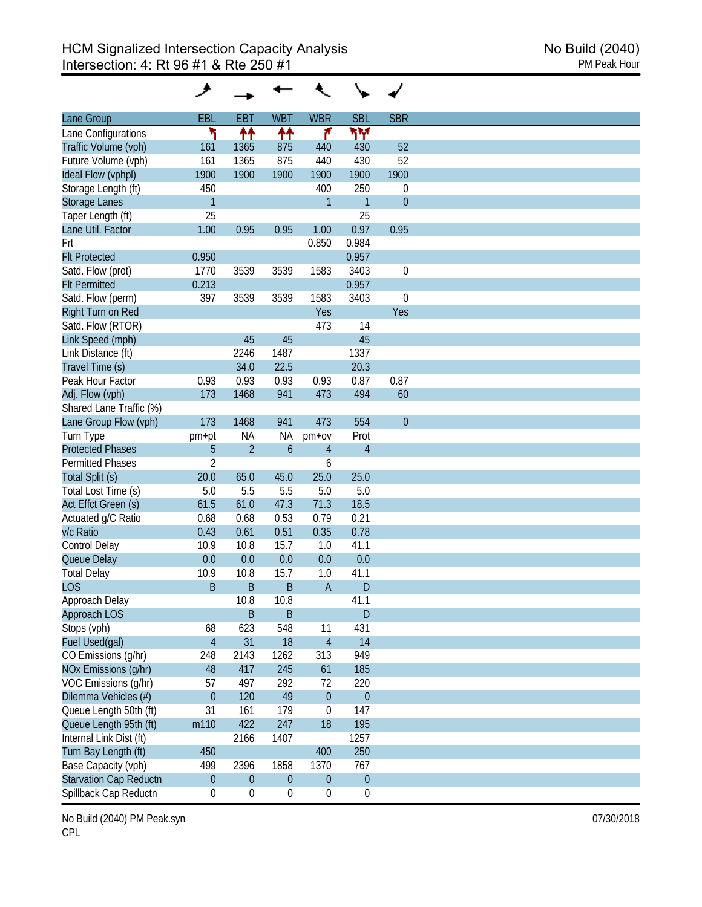| Lane Group                                  | <b>EBL</b>       | <b>EBT</b>       | <b>WBT</b>       | <b>WBR</b>       | <b>SBL</b>       | <b>SBR</b>       |
|---------------------------------------------|------------------|------------------|------------------|------------------|------------------|------------------|
|                                             | ۲                |                  |                  | ۴                | ۳Υ               |                  |
| Lane Configurations<br>Traffic Volume (vph) | 161              | 11<br>1365       | ተተ<br>875        | 440              | 430              | 52               |
|                                             | 161              | 1365             | 875              | 440              | 430              | 52               |
| Future Volume (vph)                         | 1900             | 1900             | 1900             | 1900             | 1900             | 1900             |
| Ideal Flow (vphpl)                          |                  |                  |                  |                  |                  |                  |
| Storage Length (ft)                         | 450              |                  |                  | 400              | 250              | 0                |
| <b>Storage Lanes</b>                        | $\mathbf{1}$     |                  |                  | $\overline{1}$   | $\mathbf{1}$     | $\theta$         |
| Taper Length (ft)                           | 25               |                  |                  |                  | 25               |                  |
| Lane Util. Factor                           | 1.00             | 0.95             | 0.95             | 1.00             | 0.97             | 0.95             |
| Frt                                         |                  |                  |                  | 0.850            | 0.984            |                  |
| <b>Flt Protected</b>                        | 0.950            |                  |                  |                  | 0.957            |                  |
| Satd. Flow (prot)                           | 1770             | 3539             | 3539             | 1583             | 3403             | $\boldsymbol{0}$ |
| <b>Flt Permitted</b>                        | 0.213            |                  |                  |                  | 0.957            |                  |
| Satd. Flow (perm)                           | 397              | 3539             | 3539             | 1583             | 3403             | $\boldsymbol{0}$ |
| Right Turn on Red                           |                  |                  |                  | Yes              |                  | Yes              |
| Satd. Flow (RTOR)                           |                  |                  |                  | 473              | 14               |                  |
| Link Speed (mph)                            |                  | 45               | 45               |                  | 45               |                  |
| Link Distance (ft)                          |                  | 2246             | 1487             |                  | 1337             |                  |
| Travel Time (s)                             |                  | 34.0             | 22.5             |                  | 20.3             |                  |
| Peak Hour Factor                            |                  | 0.93             | 0.93             | 0.93             | 0.87             | 0.87             |
|                                             | 0.93             |                  |                  |                  |                  |                  |
| Adj. Flow (vph)                             | 173              | 1468             | 941              | 473              | 494              | 60               |
| Shared Lane Traffic (%)                     |                  |                  |                  |                  |                  |                  |
| Lane Group Flow (vph)                       | 173              | 1468             | 941              | 473              | 554              | $\overline{0}$   |
| Turn Type                                   | pm+pt            | <b>NA</b>        | <b>NA</b>        | $pm+ov$          | Prot             |                  |
| <b>Protected Phases</b>                     | 5                | $\overline{2}$   | $\mathfrak b$    | $\overline{4}$   | $\overline{4}$   |                  |
| <b>Permitted Phases</b>                     | $\overline{2}$   |                  |                  | 6                |                  |                  |
| Total Split (s)                             | 20.0             | 65.0             | 45.0             | 25.0             | 25.0             |                  |
| Total Lost Time (s)                         | 5.0              | 5.5              | 5.5              | 5.0              | 5.0              |                  |
| Act Effct Green (s)                         | 61.5             | 61.0             | 47.3             | 71.3             | 18.5             |                  |
| Actuated g/C Ratio                          | 0.68             | 0.68             | 0.53             | 0.79             | 0.21             |                  |
| v/c Ratio                                   | 0.43             | 0.61             | 0.51             | 0.35             | 0.78             |                  |
| Control Delay                               | 10.9             | 10.8             | 15.7             | 1.0              | 41.1             |                  |
|                                             | 0.0              | 0.0              | 0.0              | 0.0              | 0.0              |                  |
| Queue Delay                                 |                  |                  |                  |                  |                  |                  |
| <b>Total Delay</b>                          | 10.9             | 10.8             | 15.7             | 1.0              | 41.1             |                  |
| <b>LOS</b>                                  | B                | B                | B                | $\overline{A}$   | D                |                  |
| Approach Delay                              |                  | 10.8             | 10.8             |                  | 41.1             |                  |
| Approach LOS                                |                  | $\mathsf B$      | $\mathsf B$      |                  | $\mathsf D$      |                  |
| Stops (vph)                                 | 68               | 623              | 548              | 11               | 431              |                  |
| Fuel Used(gal)                              | $\overline{4}$   | 31               | 18               | $\overline{4}$   | 14               |                  |
| CO Emissions (g/hr)                         | 248              | 2143             | 1262             | 313              | 949              |                  |
| NOx Emissions (g/hr)                        | 48               | 417              | 245              | 61               | 185              |                  |
| VOC Emissions (g/hr)                        | 57               | 497              | 292              | 72               | 220              |                  |
| Dilemma Vehicles (#)                        | $\theta$         | 120              | 49               | $\boldsymbol{0}$ | $\boldsymbol{0}$ |                  |
| Queue Length 50th (ft)                      | 31               | 161              | 179              | $\boldsymbol{0}$ | 147              |                  |
| Queue Length 95th (ft)                      |                  | 422              | 247              | 18               | 195              |                  |
|                                             | m110             |                  |                  |                  |                  |                  |
| Internal Link Dist (ft)                     |                  | 2166             | 1407             |                  | 1257             |                  |
| Turn Bay Length (ft)                        | 450              |                  |                  | 400              | 250              |                  |
| Base Capacity (vph)                         | 499              | 2396             | 1858             | 1370             | 767              |                  |
| <b>Starvation Cap Reductn</b>               | $\pmb{0}$        | $\boldsymbol{0}$ | $\boldsymbol{0}$ | $\boldsymbol{0}$ | $\boldsymbol{0}$ |                  |
| Spillback Cap Reductn                       | $\boldsymbol{0}$ | $\boldsymbol{0}$ | $\boldsymbol{0}$ | $\boldsymbol{0}$ | $\boldsymbol{0}$ |                  |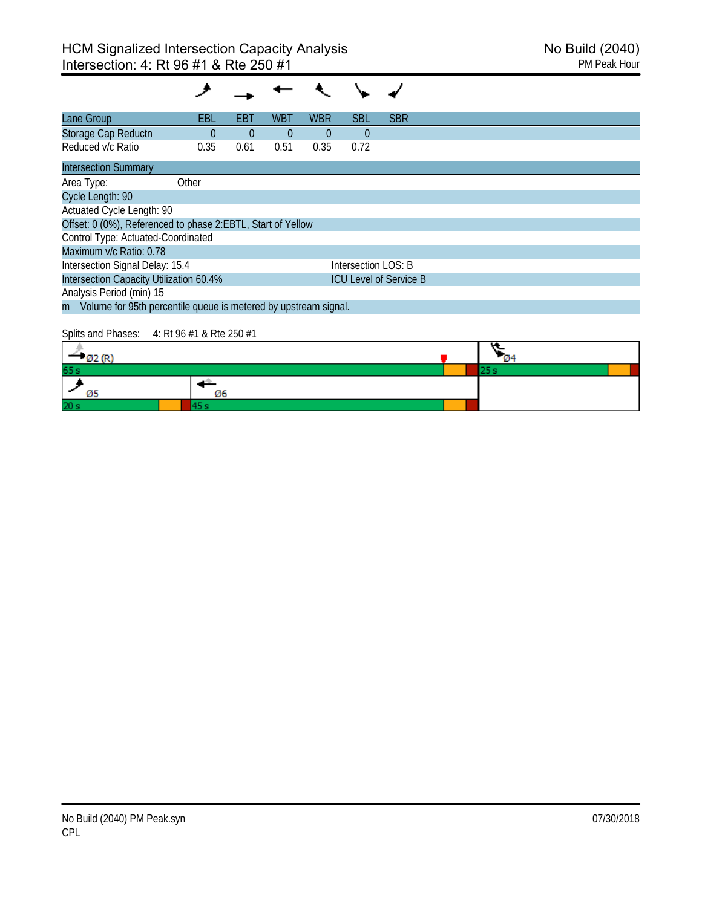| Lane Group                                                        | EBL      | EBT      | <b>WBT</b>     | <b>WBR</b>     | <b>SBL</b>          | <b>SBR</b>                    |  |
|-------------------------------------------------------------------|----------|----------|----------------|----------------|---------------------|-------------------------------|--|
| Storage Cap Reductn                                               | $\Omega$ | $\Omega$ | $\overline{0}$ | $\overline{0}$ | $\theta$            |                               |  |
| Reduced v/c Ratio                                                 | 0.35     | 0.61     | 0.51           | 0.35           | 0.72                |                               |  |
| <b>Intersection Summary</b>                                       |          |          |                |                |                     |                               |  |
| Area Type:                                                        | Other    |          |                |                |                     |                               |  |
| Cycle Length: 90                                                  |          |          |                |                |                     |                               |  |
| Actuated Cycle Length: 90                                         |          |          |                |                |                     |                               |  |
| Offset: 0 (0%), Referenced to phase 2:EBTL, Start of Yellow       |          |          |                |                |                     |                               |  |
| Control Type: Actuated-Coordinated                                |          |          |                |                |                     |                               |  |
| Maximum v/c Ratio: 0.78                                           |          |          |                |                |                     |                               |  |
| Intersection Signal Delay: 15.4                                   |          |          |                |                | Intersection LOS: B |                               |  |
| Intersection Capacity Utilization 60.4%                           |          |          |                |                |                     | <b>ICU Level of Service B</b> |  |
| Analysis Period (min) 15                                          |          |          |                |                |                     |                               |  |
| m Volume for 95th percentile queue is metered by upstream signal. |          |          |                |                |                     |                               |  |
|                                                                   |          |          |                |                |                     |                               |  |

## Splits and Phases: 4: Rt 96 #1 & Rte 250 #1

| 65 s            |    |  |  |
|-----------------|----|--|--|
|                 | Ø6 |  |  |
| 20 <sub>s</sub> |    |  |  |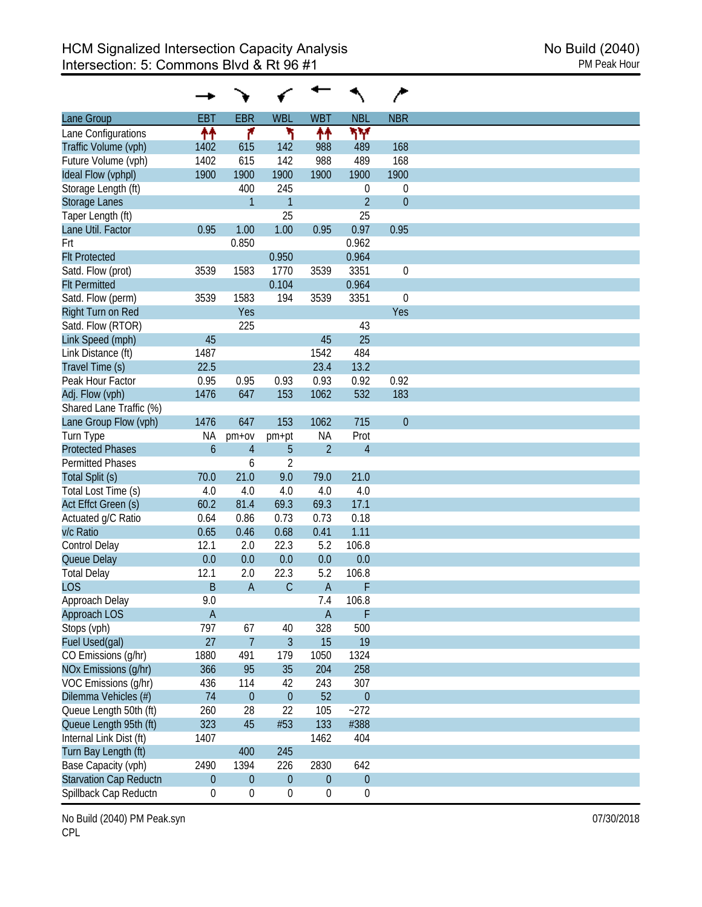| Lane Group                                 | <b>EBT</b>    | <b>EBR</b>       | <b>WBL</b>       | <b>WBT</b>       | <b>NBL</b>       | <b>NBR</b>       |
|--------------------------------------------|---------------|------------------|------------------|------------------|------------------|------------------|
|                                            |               | ۴                | ۲                |                  |                  |                  |
| Lane Configurations                        | ₩             |                  |                  | ↟↟               | ۳Υ               |                  |
| Traffic Volume (vph)                       | 1402          | 615              | 142              | 988              | 489              | 168              |
| Future Volume (vph)                        | 1402          | 615              | 142              | 988              | 489              | 168              |
| Ideal Flow (vphpl)                         | 1900          | 1900             | 1900             | 1900             | 1900             | 1900             |
| Storage Length (ft)                        |               | 400              | 245              |                  | $\boldsymbol{0}$ | $\mathbf 0$      |
| <b>Storage Lanes</b>                       |               | $\mathbf{1}$     | $\mathbf{1}$     |                  | $\overline{2}$   | $\boldsymbol{0}$ |
| Taper Length (ft)                          |               |                  | 25               |                  | 25               |                  |
| Lane Util. Factor                          | 0.95          | 1.00             | 1.00             | 0.95             | 0.97             | 0.95             |
| Frt                                        |               | 0.850            |                  |                  | 0.962            |                  |
| <b>Flt Protected</b>                       |               |                  | 0.950            |                  | 0.964            |                  |
| Satd. Flow (prot)                          | 3539          | 1583             | 1770             | 3539             | 3351             | $\boldsymbol{0}$ |
| <b>Flt Permitted</b>                       |               |                  | 0.104            |                  | 0.964            |                  |
| Satd. Flow (perm)                          | 3539          | 1583             | 194              | 3539             | 3351             | $\mathbf 0$      |
| Right Turn on Red                          |               | Yes              |                  |                  |                  | Yes              |
| Satd. Flow (RTOR)                          |               | 225              |                  |                  | 43               |                  |
| Link Speed (mph)                           | 45            |                  |                  | 45               | 25               |                  |
| Link Distance (ft)                         | 1487          |                  |                  | 1542             | 484              |                  |
| Travel Time (s)                            | 22.5          |                  |                  | 23.4             | 13.2             |                  |
| Peak Hour Factor                           | 0.95          | 0.95             | 0.93             | 0.93             | 0.92             | 0.92             |
|                                            | 1476          | 647              | 153              | 1062             | 532              | 183              |
| Adj. Flow (vph)<br>Shared Lane Traffic (%) |               |                  |                  |                  |                  |                  |
|                                            |               |                  |                  |                  |                  |                  |
| Lane Group Flow (vph)                      | 1476          | 647              | 153              | 1062             | 715              | $\theta$         |
| Turn Type                                  | <b>NA</b>     | $pm+ov$          | pm+pt            | <b>NA</b>        | Prot             |                  |
| <b>Protected Phases</b>                    | $\mathfrak b$ | $\overline{4}$   | 5                | $\overline{2}$   | $\overline{4}$   |                  |
| <b>Permitted Phases</b>                    |               | 6                | $\overline{2}$   |                  |                  |                  |
| Total Split (s)                            | 70.0          | 21.0             | 9.0              | 79.0             | 21.0             |                  |
| Total Lost Time (s)                        | 4.0           | 4.0              | 4.0              | 4.0              | 4.0              |                  |
| Act Effct Green (s)                        | 60.2          | 81.4             | 69.3             | 69.3             | 17.1             |                  |
| Actuated g/C Ratio                         | 0.64          | 0.86             | 0.73             | 0.73             | 0.18             |                  |
| v/c Ratio                                  | 0.65          | 0.46             | 0.68             | 0.41             | 1.11             |                  |
| Control Delay                              | 12.1          | 2.0              | 22.3             | 5.2              | 106.8            |                  |
| Queue Delay                                | 0.0           | 0.0              | 0.0              | 0.0              | 0.0              |                  |
| <b>Total Delay</b>                         | 12.1          | 2.0              | 22.3             | 5.2              | 106.8            |                  |
| <b>LOS</b>                                 | B             | A                | $\mathsf C$      | $\overline{A}$   | F                |                  |
| Approach Delay                             | 9.0           |                  |                  | 7.4              | 106.8            |                  |
|                                            |               |                  |                  |                  | F                |                  |
| Approach LOS                               | $\mathsf A$   |                  |                  | $\overline{A}$   |                  |                  |
| Stops (vph)                                | 797           | 67               | 40               | 328              | 500              |                  |
| Fuel Used(gal)                             | 27            | $\overline{7}$   | $\mathfrak{Z}$   | 15               | 19               |                  |
| CO Emissions (g/hr)                        | 1880          | 491              | 179              | 1050             | 1324             |                  |
| NOx Emissions (g/hr)                       | 366           | 95               | 35               | 204              | 258              |                  |
| VOC Emissions (q/hr)                       | 436           | 114              | 42               | 243              | 307              |                  |
| Dilemma Vehicles (#)                       | 74            | $\boldsymbol{0}$ | $\boldsymbol{0}$ | 52               | $\boldsymbol{0}$ |                  |
| Queue Length 50th (ft)                     | 260           | 28               | 22               | 105              | $-272$           |                  |
| Queue Length 95th (ft)                     | 323           | 45               | #53              | 133              | #388             |                  |
| Internal Link Dist (ft)                    | 1407          |                  |                  | 1462             | 404              |                  |
| Turn Bay Length (ft)                       |               | 400              | 245              |                  |                  |                  |
| Base Capacity (vph)                        | 2490          | 1394             | 226              | 2830             | 642              |                  |
| <b>Starvation Cap Reductn</b>              | $\pmb{0}$     | $\boldsymbol{0}$ | $\boldsymbol{0}$ | $\boldsymbol{0}$ | $\boldsymbol{0}$ |                  |
| Spillback Cap Reductn                      |               |                  |                  |                  |                  |                  |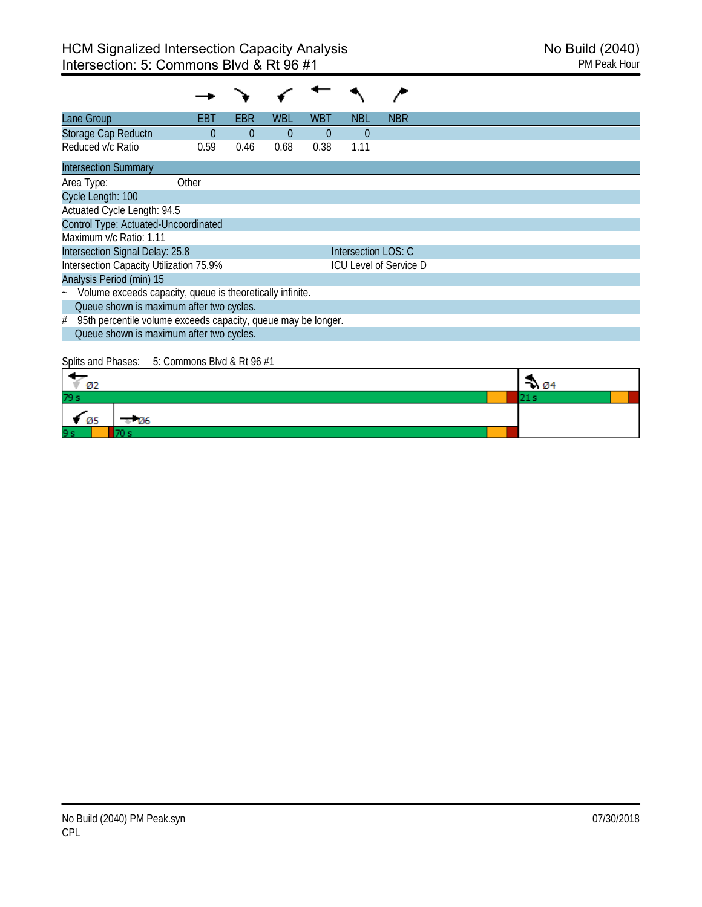| Lane Group                                                          | EBT      | EBR      | WBL      | WBT      | NBL                 | <b>NBR</b>                    |  |
|---------------------------------------------------------------------|----------|----------|----------|----------|---------------------|-------------------------------|--|
| Storage Cap Reductn                                                 | $\Omega$ | $\theta$ | $\theta$ | $\Omega$ | $\Omega$            |                               |  |
| Reduced v/c Ratio                                                   | 0.59     | 0.46     | 0.68     | 0.38     | 1.11                |                               |  |
| <b>Intersection Summary</b>                                         |          |          |          |          |                     |                               |  |
| Area Type:                                                          | Other    |          |          |          |                     |                               |  |
| Cycle Length: 100                                                   |          |          |          |          |                     |                               |  |
| Actuated Cycle Length: 94.5                                         |          |          |          |          |                     |                               |  |
| Control Type: Actuated-Uncoordinated                                |          |          |          |          |                     |                               |  |
| Maximum v/c Ratio: 1.11                                             |          |          |          |          |                     |                               |  |
| Intersection Signal Delay: 25.8                                     |          |          |          |          | Intersection LOS: C |                               |  |
| Intersection Capacity Utilization 75.9%                             |          |          |          |          |                     | <b>ICU Level of Service D</b> |  |
| Analysis Period (min) 15                                            |          |          |          |          |                     |                               |  |
| Volume exceeds capacity, queue is theoretically infinite.<br>$\sim$ |          |          |          |          |                     |                               |  |
| Queue shown is maximum after two cycles.                            |          |          |          |          |                     |                               |  |
| 95th percentile volume exceeds capacity, queue may be longer.<br>#  |          |          |          |          |                     |                               |  |
| Queue shown is maximum after two cycles.                            |          |          |          |          |                     |                               |  |

# Splits and Phases: 5: Commons Blvd & Rt 96 #1

| Ø2                      | $\rightarrow 04$ |  |
|-------------------------|------------------|--|
| 79 s                    |                  |  |
| $\blacksquare$<br>$-06$ |                  |  |
| 9s                      |                  |  |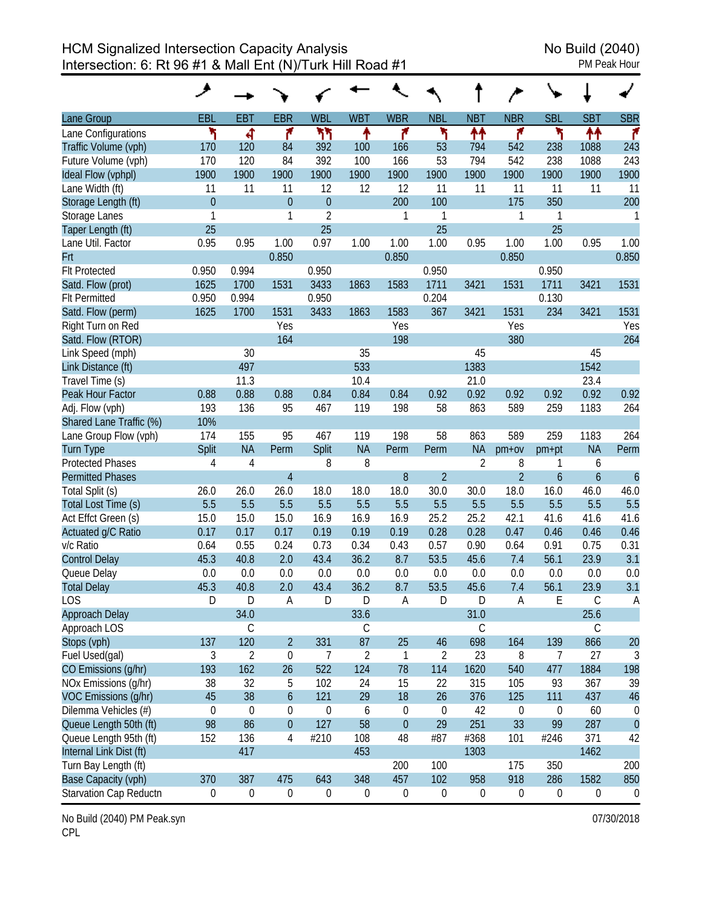HCM Signalized Intersection Capacity Analysis<br>Intersection: 6: Rt 96 #1 & Mall Ent (N)/Turk Hill Road #1 Intersection: 6: Rt 96 #1 & Mall Ent (N)/Turk Hill Road #1

| Lane Group              | EBL              | <b>EBT</b>       | <b>EBR</b>       | <b>WBL</b>       | <b>WBT</b>     | <b>WBR</b>       | <b>NBL</b>       | <b>NBT</b>       | <b>NBR</b>       | <b>SBL</b>       | <b>SBT</b>    | <b>SBR</b>     |
|-------------------------|------------------|------------------|------------------|------------------|----------------|------------------|------------------|------------------|------------------|------------------|---------------|----------------|
| Lane Configurations     | ۲                | ची               | ۴                | ካካ               | ↟              | ۴                | ۲                | ↟↟               | ۴                | ኻ                | ↟↟            | ۴              |
| Traffic Volume (vph)    | 170              | 120              | 84               | 392              | 100            | 166              | 53               | 794              | 542              | 238              | 1088          | 243            |
| Future Volume (vph)     | 170              | 120              | 84               | 392              | 100            | 166              | 53               | 794              | 542              | 238              | 1088          | 243            |
| Ideal Flow (vphpl)      | 1900             | 1900             | 1900             | 1900             | 1900           | 1900             | 1900             | 1900             | 1900             | 1900             | 1900          | 1900           |
| Lane Width (ft)         | 11               | 11               | 11               | 12               | 12             | 12               | 11               | 11               | 11               | 11               | 11            | 11             |
| Storage Length (ft)     | $\mathbf{0}$     |                  | $\overline{0}$   | $\theta$         |                | 200              | 100              |                  | 175              | 350              |               | 200            |
| Storage Lanes           | 1                |                  | 1                | $\overline{2}$   |                | 1                | $\mathbf{1}$     |                  | 1                | 1                |               | 1              |
| Taper Length (ft)       | 25               |                  |                  | 25               |                |                  | 25               |                  |                  | 25               |               |                |
| Lane Util. Factor       | 0.95             | 0.95             | 1.00             | 0.97             | 1.00           | 1.00             | 1.00             | 0.95             | 1.00             | 1.00             | 0.95          | 1.00           |
| Frt                     |                  |                  | 0.850            |                  |                | 0.850            |                  |                  | 0.850            |                  |               | 0.850          |
| <b>Flt Protected</b>    | 0.950            | 0.994            |                  | 0.950            |                |                  | 0.950            |                  |                  | 0.950            |               |                |
| Satd. Flow (prot)       | 1625             | 1700             | 1531             | 3433             | 1863           | 1583             | 1711             | 3421             | 1531             | 1711             | 3421          | 1531           |
| <b>Flt Permitted</b>    | 0.950            | 0.994            |                  | 0.950            |                |                  | 0.204            |                  |                  | 0.130            |               |                |
| Satd. Flow (perm)       | 1625             | 1700             | 1531             | 3433             | 1863           | 1583             | 367              | 3421             | 1531             | 234              | 3421          | 1531           |
| Right Turn on Red       |                  |                  | Yes              |                  |                | Yes              |                  |                  | Yes              |                  |               | Yes            |
| Satd. Flow (RTOR)       |                  |                  | 164              |                  |                | 198              |                  |                  | 380              |                  |               | 264            |
| Link Speed (mph)        |                  | 30               |                  |                  | 35             |                  |                  | 45               |                  |                  | 45            |                |
| Link Distance (ft)      |                  | 497              |                  |                  | 533            |                  |                  | 1383             |                  |                  | 1542          |                |
| Travel Time (s)         |                  | 11.3             |                  |                  | 10.4           |                  |                  | 21.0             |                  |                  | 23.4          |                |
| Peak Hour Factor        | 0.88             | 0.88             | 0.88             | 0.84             | 0.84           | 0.84             | 0.92             | 0.92             | 0.92             | 0.92             | 0.92          | 0.92           |
| Adj. Flow (vph)         | 193              | 136              | 95               | 467              | 119            | 198              | 58               | 863              | 589              | 259              | 1183          | 264            |
| Shared Lane Traffic (%) | 10%              |                  |                  |                  |                |                  |                  |                  |                  |                  |               |                |
| Lane Group Flow (vph)   | 174              | 155              | 95               | 467              | 119            | 198              | 58               | 863              | 589              | 259              | 1183          | 264            |
| <b>Turn Type</b>        | Split            | <b>NA</b>        | Perm             | Split            | <b>NA</b>      | Perm             | Perm             | <b>NA</b>        | $pm+ov$          | pm+pt            | <b>NA</b>     | Perm           |
| <b>Protected Phases</b> | 4                | $\overline{4}$   |                  | 8                | 8              |                  |                  | $\overline{2}$   | 8                | 1                | 6             |                |
| <b>Permitted Phases</b> |                  |                  | $\overline{4}$   |                  |                | $\, 8$           | $\overline{2}$   |                  | $\overline{2}$   | $\boldsymbol{6}$ | $\mathfrak b$ | $\overline{6}$ |
| Total Split (s)         | 26.0             | 26.0             | 26.0             | 18.0             | 18.0           | 18.0             | 30.0             | 30.0             | 18.0             | 16.0             | 46.0          | 46.0           |
| Total Lost Time (s)     | 5.5              | 5.5              | 5.5              | 5.5              | 5.5            | 5.5              | 5.5              | 5.5              | 5.5              | 5.5              | 5.5           | 5.5            |
| Act Effct Green (s)     | 15.0             | 15.0             | 15.0             | 16.9             | 16.9           | 16.9             | 25.2             | 25.2             | 42.1             | 41.6             | 41.6          | 41.6           |
| Actuated g/C Ratio      | 0.17             | 0.17             | 0.17             | 0.19             | 0.19           | 0.19             | 0.28             | 0.28             | 0.47             | 0.46             | 0.46          | 0.46           |
| v/c Ratio               | 0.64             | 0.55             | 0.24             | 0.73             | 0.34           | 0.43             | 0.57             | 0.90             | 0.64             | 0.91             | 0.75          | 0.31           |
| <b>Control Delay</b>    | 45.3             | 40.8             | 2.0              | 43.4             | 36.2           | 8.7              | 53.5             | 45.6             | 7.4              | 56.1             | 23.9          | 3.1            |
| Queue Delay             | 0.0              | 0.0              | 0.0              | 0.0              | 0.0            | 0.0              | 0.0              | 0.0              | 0.0              | 0.0              | 0.0           | 0.0            |
| <b>Total Delay</b>      | 45.3             | 40.8             | 2.0              | 43.4             | 36.2           | 8.7              | 53.5             | 45.6             | 7.4              | 56.1             | 23.9          | 3.1            |
| <b>LOS</b>              | D                | D                | $\mathsf A$      | D                | D              | A                | $\mathsf D$      | D                | $\mathsf A$      | E                | $\mathsf C$   | A              |
| Approach Delay          |                  | 34.0             |                  |                  | 33.6           |                  |                  | 31.0             |                  |                  | 25.6          |                |
| Approach LOS            |                  | $\mathsf C$      |                  |                  | $\mathsf C$    |                  |                  | $\mathsf C$      |                  |                  | $\mathsf C$   |                |
| Stops (vph)             | 137              | 120              | $\overline{2}$   | 331              | 87             | 25               | 46               | 698              | 164              | 139              | 866           | 20             |
| Fuel Used(gal)          | $\sqrt{3}$       | $\overline{2}$   | $\mathbf 0$      | 7                | $\overline{2}$ | $\mathbf{1}$     | $\overline{2}$   | 23               | 8                | 7                | 27            | 3              |
| CO Emissions (g/hr)     | 193              | 162              | 26               | 522              | 124            | 78               | 114              | 1620             | 540              | 477              | 1884          | 198            |
| NOx Emissions (g/hr)    | 38               | 32               | 5                | 102              | 24             | 15               | 22               | 315              | 105              | 93               | 367           | 39             |
| VOC Emissions (g/hr)    | 45               | 38               | $\boldsymbol{6}$ | 121              | 29             | 18               | 26               | 376              | 125              | 111              | 437           | 46             |
| Dilemma Vehicles (#)    | $\boldsymbol{0}$ | 0                | 0                | $\boldsymbol{0}$ | 6              | $\boldsymbol{0}$ | $\boldsymbol{0}$ | 42               | $\boldsymbol{0}$ | $\boldsymbol{0}$ | 60            | $\mathbf 0$    |
| Queue Length 50th (ft)  | 98               | 86               | $\mathbf 0$      | 127              | 58             | $\boldsymbol{0}$ | 29               | 251              | 33               | 99               | 287           | $\overline{0}$ |
| Queue Length 95th (ft)  | 152              | 136              | 4                | #210             | 108            | 48               | #87              | #368             | 101              | #246             | 371           | 42             |
| Internal Link Dist (ft) |                  | 417              |                  |                  | 453            |                  |                  | 1303             |                  |                  | 1462          |                |
| Turn Bay Length (ft)    |                  |                  |                  |                  |                | 200              | 100              |                  | 175              | 350              |               | 200            |
| Base Capacity (vph)     | 370              | 387              | 475              | 643              | 348            | 457              | 102              | 958              | 918              | 286              | 1582          | 850            |
| Starvation Cap Reductn  | $\boldsymbol{0}$ | $\boldsymbol{0}$ | $\boldsymbol{0}$ | $\boldsymbol{0}$ | 0              | $\boldsymbol{0}$ | $\boldsymbol{0}$ | $\boldsymbol{0}$ | 0                | $\boldsymbol{0}$ | $\pmb{0}$     | $\overline{0}$ |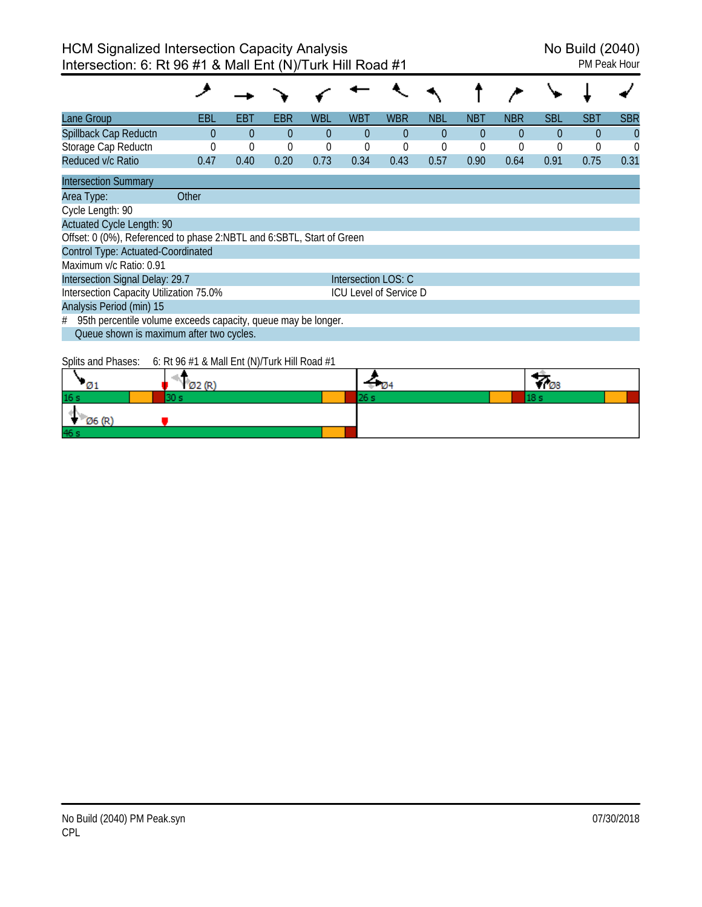| Lane Group                                                            | EBL   | EBT      | EBR      | <b>WBL</b> | WBT                 | <b>WBR</b>                    | <b>NBL</b>  | NBT      | <b>NBR</b> | <b>SBL</b>     | <b>SBT</b> | <b>SBR</b> |
|-----------------------------------------------------------------------|-------|----------|----------|------------|---------------------|-------------------------------|-------------|----------|------------|----------------|------------|------------|
| Spillback Cap Reductn                                                 | 0     | $\Omega$ | $\Omega$ | $\Omega$   | $\Omega$            | $\Omega$                      | $\Omega$    | $\Omega$ | $\Omega$   | $\Omega$       | 0          | $\Omega$   |
| Storage Cap Reductn                                                   |       | $\Omega$ | 0        | 0          | $\theta$            | $\mathbf 0$                   | $\mathbf 0$ | $\theta$ | $\Omega$   | $\overline{0}$ | 0          | 0          |
| Reduced v/c Ratio                                                     | 0.47  | 0.40     | 0.20     | 0.73       | 0.34                | 0.43                          | 0.57        | 0.90     | 0.64       | 0.91           | 0.75       | 0.31       |
| <b>Intersection Summary</b>                                           |       |          |          |            |                     |                               |             |          |            |                |            |            |
| Area Type:                                                            | Other |          |          |            |                     |                               |             |          |            |                |            |            |
| Cycle Length: 90                                                      |       |          |          |            |                     |                               |             |          |            |                |            |            |
| <b>Actuated Cycle Length: 90</b>                                      |       |          |          |            |                     |                               |             |          |            |                |            |            |
| Offset: 0 (0%), Referenced to phase 2:NBTL and 6:SBTL, Start of Green |       |          |          |            |                     |                               |             |          |            |                |            |            |
| Control Type: Actuated-Coordinated                                    |       |          |          |            |                     |                               |             |          |            |                |            |            |
| Maximum v/c Ratio: 0.91                                               |       |          |          |            |                     |                               |             |          |            |                |            |            |
| Intersection Signal Delay: 29.7                                       |       |          |          |            | Intersection LOS: C |                               |             |          |            |                |            |            |
| Intersection Capacity Utilization 75.0%                               |       |          |          |            |                     | <b>ICU Level of Service D</b> |             |          |            |                |            |            |
| Analysis Period (min) 15                                              |       |          |          |            |                     |                               |             |          |            |                |            |            |
| 95th percentile volume exceeds capacity, queue may be longer.<br>#    |       |          |          |            |                     |                               |             |          |            |                |            |            |
| Queue shown is maximum after two cycles.                              |       |          |          |            |                     |                               |             |          |            |                |            |            |
|                                                                       |       |          |          |            |                     |                               |             |          |            |                |            |            |

Splits and Phases: 6: Rt 96 #1 & Mall Ent (N)/Turk Hill Road #1

|                 | ומ/ רגל |  | Юö |
|-----------------|---------|--|----|
| 16 <sub>s</sub> |         |  |    |
| 06 (R           |         |  |    |
| 46 s            |         |  |    |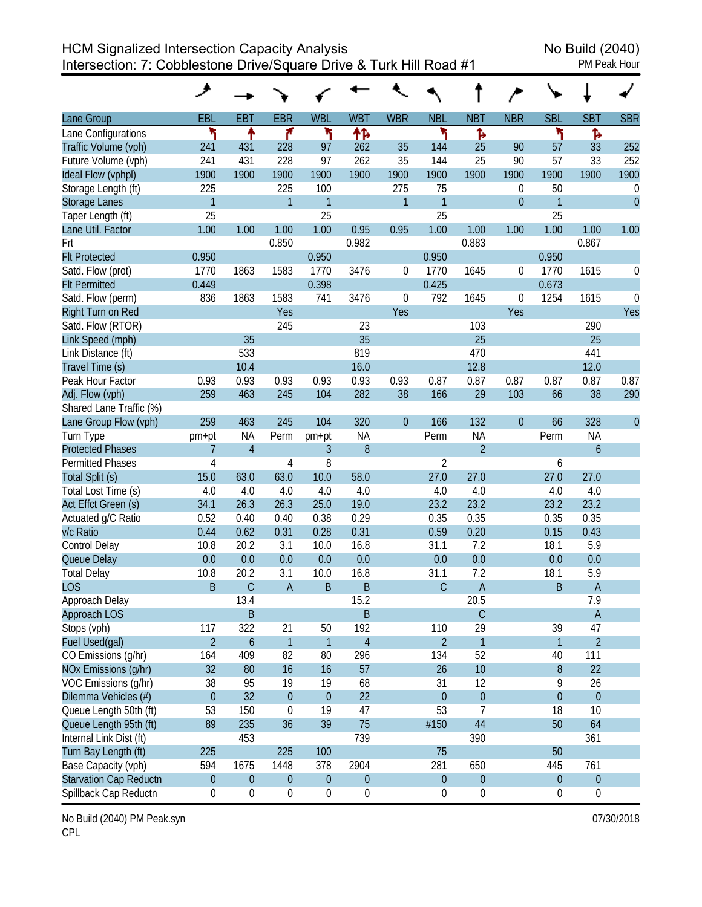HCM Signalized Intersection Capacity Analysis<br>Intersection: 7: Cobblestone Drive/Square Drive & Turk Hill Road #1 Intersection: 7: Cobblestone Drive/Square Drive & Turk Hill Road #1

|                         | ↗                |                  |                  |                  |                  |                  |                  |                  |                  |                  |                  |                  |
|-------------------------|------------------|------------------|------------------|------------------|------------------|------------------|------------------|------------------|------------------|------------------|------------------|------------------|
| Lane Group              | EBL              | <b>EBT</b>       | <b>EBR</b>       | <b>WBL</b>       | <b>WBT</b>       | <b>WBR</b>       | <b>NBL</b>       | <b>NBT</b>       | <b>NBR</b>       | <b>SBL</b>       | <b>SBT</b>       | <b>SBR</b>       |
| Lane Configurations     | ٦                | ↟                | ۴                | ۲                | ተኈ               |                  | ۲                | Ъ                |                  | ۲                | Ъ                |                  |
| Traffic Volume (vph)    | 241              | 431              | 228              | 97               | 262              | 35               | 144              | 25               | 90               | 57               | 33               | 252              |
| Future Volume (vph)     | 241              | 431              | 228              | 97               | 262              | 35               | 144              | 25               | 90               | 57               | 33               | 252              |
| Ideal Flow (vphpl)      | 1900             | 1900             | 1900             | 1900             | 1900             | 1900             | 1900             | 1900             | 1900             | 1900             | 1900             | 1900             |
| Storage Length (ft)     | 225              |                  | 225              | 100              |                  | 275              | 75               |                  | 0                | 50               |                  | $\boldsymbol{0}$ |
| Storage Lanes           | $\mathbf{1}$     |                  | $\mathbf{1}$     | 1                |                  | $\mathbf{1}$     | 1                |                  | $\theta$         | 1                |                  | $\overline{0}$   |
| Taper Length (ft)       | 25               |                  |                  | 25               |                  |                  | 25               |                  |                  | 25               |                  |                  |
| Lane Util. Factor       | 1.00             | 1.00             | 1.00             | 1.00             | 0.95             | 0.95             | 1.00             | 1.00             | 1.00             | 1.00             | 1.00             | 1.00             |
| Frt                     |                  |                  | 0.850            |                  | 0.982            |                  |                  | 0.883            |                  |                  | 0.867            |                  |
| <b>Flt Protected</b>    | 0.950            |                  |                  | 0.950            |                  |                  | 0.950            |                  |                  | 0.950            |                  |                  |
| Satd. Flow (prot)       | 1770             | 1863             | 1583             | 1770             | 3476             | 0                | 1770             | 1645             | 0                | 1770             | 1615             | 0                |
| <b>Flt Permitted</b>    | 0.449            |                  |                  | 0.398            |                  |                  | 0.425            |                  |                  | 0.673            |                  |                  |
| Satd. Flow (perm)       | 836              | 1863             | 1583             | 741              | 3476             | 0                | 792              | 1645             | 0                | 1254             | 1615             | $\theta$         |
| Right Turn on Red       |                  |                  | Yes              |                  |                  | Yes              |                  |                  | Yes              |                  |                  | Yes              |
| Satd. Flow (RTOR)       |                  |                  | 245              |                  | 23               |                  |                  | 103              |                  |                  | 290              |                  |
| Link Speed (mph)        |                  | 35               |                  |                  | 35               |                  |                  | 25               |                  |                  | 25               |                  |
| Link Distance (ft)      |                  | 533              |                  |                  | 819              |                  |                  | 470              |                  |                  | 441              |                  |
| Travel Time (s)         |                  | 10.4             |                  |                  | 16.0             |                  |                  | 12.8             |                  |                  | 12.0             |                  |
| Peak Hour Factor        | 0.93             | 0.93             | 0.93             | 0.93             | 0.93             | 0.93             | 0.87             | 0.87             | 0.87             | 0.87             | 0.87             | 0.87             |
| Adj. Flow (vph)         | 259              | 463              | 245              | 104              | 282              | 38               | 166              | 29               | 103              | 66               | 38               | 290              |
| Shared Lane Traffic (%) |                  |                  |                  |                  |                  |                  |                  |                  |                  |                  |                  |                  |
| Lane Group Flow (vph)   | 259              | 463              | 245              | 104              | 320              | $\boldsymbol{0}$ | 166              | 132              | $\boldsymbol{0}$ | 66               | 328              | $\overline{0}$   |
| Turn Type               | pm+pt            | NA               | Perm             | pm+pt            | <b>NA</b>        |                  | Perm             | <b>NA</b>        |                  | Perm             | <b>NA</b>        |                  |
| <b>Protected Phases</b> | 7                | $\overline{4}$   |                  | 3                | 8                |                  |                  | $\overline{2}$   |                  |                  | 6                |                  |
| <b>Permitted Phases</b> | 4                |                  | 4                | 8                |                  |                  | 2                |                  |                  | 6                |                  |                  |
| Total Split (s)         | 15.0             | 63.0             | 63.0             | 10.0             | 58.0             |                  | 27.0             | 27.0             |                  | 27.0             | 27.0             |                  |
| Total Lost Time (s)     | 4.0              | 4.0              | 4.0              | 4.0              | 4.0              |                  | 4.0              | 4.0              |                  | 4.0              | 4.0              |                  |
| Act Effct Green (s)     | 34.1             | 26.3             | 26.3             | 25.0             | 19.0             |                  | 23.2             | 23.2             |                  | 23.2             | 23.2             |                  |
| Actuated g/C Ratio      | 0.52             | 0.40             | 0.40             | 0.38             | 0.29             |                  | 0.35             | 0.35             |                  | 0.35             | 0.35             |                  |
| v/c Ratio               | 0.44             | 0.62             | 0.31             | 0.28             | 0.31             |                  | 0.59             | 0.20             |                  | 0.15             | 0.43             |                  |
| <b>Control Delay</b>    | 10.8             | 20.2             | 3.1              | 10.0             | 16.8             |                  | 31.1             | 7.2              |                  | 18.1             | 5.9              |                  |
| Queue Delay             | 0.0              | 0.0              | 0.0              | 0.0              | 0.0              |                  | 0.0              | 0.0              |                  | 0.0              | 0.0              |                  |
| <b>Total Delay</b>      | 10.8             | 20.2             | 3.1              | 10.0             | 16.8             |                  | 31.1             | 7.2              |                  | 18.1             | 5.9              |                  |
| <b>LOS</b>              | B                | C                | $\overline{A}$   | B                | B                |                  | С                | A                |                  | B                | A                |                  |
| Approach Delay          |                  | 13.4             |                  |                  | 15.2             |                  |                  | 20.5             |                  |                  | 7.9              |                  |
| Approach LOS            |                  | B                |                  |                  | B                |                  |                  | $\mathsf C$      |                  |                  | $\mathsf A$      |                  |
| Stops (vph)             | 117              | 322              | 21               | 50               | 192              |                  | 110              | 29               |                  | 39               | 47               |                  |
| Fuel Used(gal)          | $\overline{2}$   | $\boldsymbol{6}$ | $\mathbf{1}$     | 1                | $\overline{4}$   |                  | $\overline{2}$   | 1                |                  | 1                | $\overline{2}$   |                  |
| CO Emissions (g/hr)     | 164              | 409              | 82               | 80               | 296              |                  | 134              | 52               |                  | 40               | 111              |                  |
| NOx Emissions (g/hr)    | 32               | 80               | 16               | 16               | 57               |                  | 26               | 10               |                  | 8                | 22               |                  |
| VOC Emissions (g/hr)    | 38               | 95               | 19               | 19               | 68               |                  | 31               | 12               |                  | 9                | 26               |                  |
| Dilemma Vehicles (#)    | $\boldsymbol{0}$ | 32               | $\theta$         | $\theta$         | 22               |                  | $\boldsymbol{0}$ | $\boldsymbol{0}$ |                  | $\boldsymbol{0}$ | $\pmb{0}$        |                  |
| Queue Length 50th (ft)  | 53               | 150              | $\boldsymbol{0}$ | 19               | 47               |                  | 53               | 7                |                  | 18               | 10               |                  |
| Queue Length 95th (ft)  | 89               | 235              | 36               | 39               | 75               |                  | #150             | 44               |                  | 50               | 64               |                  |
| Internal Link Dist (ft) |                  | 453              |                  |                  | 739              |                  |                  | 390              |                  |                  | 361              |                  |
| Turn Bay Length (ft)    | 225              |                  | 225              | 100              |                  |                  | 75               |                  |                  | 50               |                  |                  |
| Base Capacity (vph)     | 594              | 1675             | 1448             | 378              | 2904             |                  | 281              | 650              |                  | 445              | 761              |                  |
| Starvation Cap Reductn  | $\boldsymbol{0}$ | $\boldsymbol{0}$ | $\boldsymbol{0}$ | $\pmb{0}$        | $\boldsymbol{0}$ |                  | $\boldsymbol{0}$ | $\boldsymbol{0}$ |                  | $\boldsymbol{0}$ | $\boldsymbol{0}$ |                  |
| Spillback Cap Reductn   | $\boldsymbol{0}$ | $\boldsymbol{0}$ | $\boldsymbol{0}$ | $\boldsymbol{0}$ | $\boldsymbol{0}$ |                  | $\boldsymbol{0}$ | $\boldsymbol{0}$ |                  | 0                | $\boldsymbol{0}$ |                  |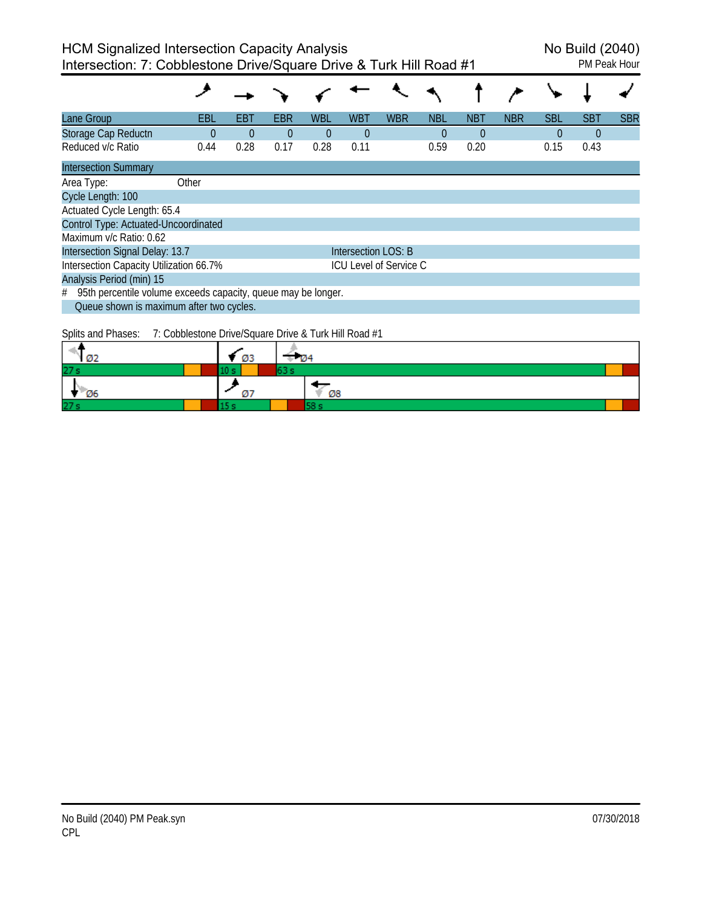| Lane Group                                                      | EBL      | EBT      | EBR            | <b>WBL</b> | <b>WBT</b>          | <b>WBR</b>                    | <b>NBL</b> | <b>NBT</b> | <b>NBR</b> | <b>SBL</b> | <b>SBT</b> | <b>SBR</b> |
|-----------------------------------------------------------------|----------|----------|----------------|------------|---------------------|-------------------------------|------------|------------|------------|------------|------------|------------|
| Storage Cap Reductn                                             | $\Omega$ | $\Omega$ | $\overline{0}$ | $\theta$   | $\overline{0}$      |                               | $\theta$   | 0          |            | $\Omega$   | $\theta$   |            |
| Reduced v/c Ratio                                               | 0.44     | 0.28     | 0.17           | 0.28       | 0.11                |                               | 0.59       | 0.20       |            | 0.15       | 0.43       |            |
| <b>Intersection Summary</b>                                     |          |          |                |            |                     |                               |            |            |            |            |            |            |
| Area Type:                                                      | Other    |          |                |            |                     |                               |            |            |            |            |            |            |
| Cycle Length: 100                                               |          |          |                |            |                     |                               |            |            |            |            |            |            |
| Actuated Cycle Length: 65.4                                     |          |          |                |            |                     |                               |            |            |            |            |            |            |
| Control Type: Actuated-Uncoordinated                            |          |          |                |            |                     |                               |            |            |            |            |            |            |
| Maximum v/c Ratio: 0.62                                         |          |          |                |            |                     |                               |            |            |            |            |            |            |
| Intersection Signal Delay: 13.7                                 |          |          |                |            | Intersection LOS: B |                               |            |            |            |            |            |            |
| Intersection Capacity Utilization 66.7%                         |          |          |                |            |                     | <b>ICU Level of Service C</b> |            |            |            |            |            |            |
| Analysis Period (min) 15                                        |          |          |                |            |                     |                               |            |            |            |            |            |            |
| # 95th percentile volume exceeds capacity, queue may be longer. |          |          |                |            |                     |                               |            |            |            |            |            |            |
| Queue shown is maximum after two cycles.                        |          |          |                |            |                     |                               |            |            |            |            |            |            |

Splits and Phases: 7: Cobblestone Drive/Square Drive & Turk Hill Road #1

|     | ØЗ |    |  |
|-----|----|----|--|
| 27s |    |    |  |
| Ø6  |    | Ø8 |  |
| 27s |    |    |  |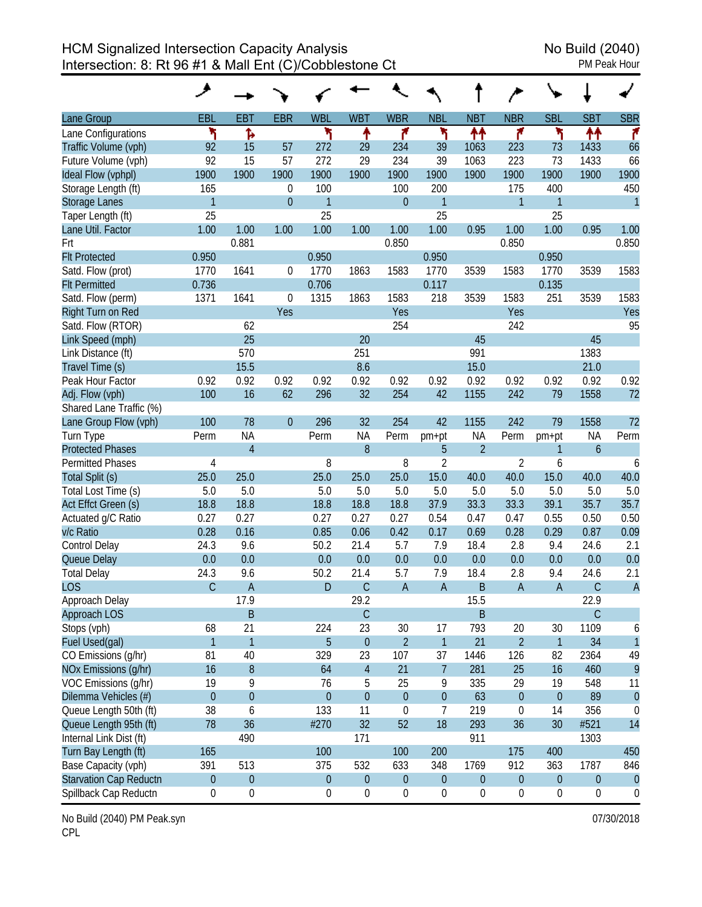|                               | عر               |                  |                  |                  |                  |                  |                  |                  |                  |                  |                  |                  |
|-------------------------------|------------------|------------------|------------------|------------------|------------------|------------------|------------------|------------------|------------------|------------------|------------------|------------------|
| Lane Group                    | <b>EBL</b>       | <b>EBT</b>       | <b>EBR</b>       | <b>WBL</b>       | <b>WBT</b>       | <b>WBR</b>       | <b>NBL</b>       | <b>NBT</b>       | <b>NBR</b>       | <b>SBL</b>       | <b>SBT</b>       | <b>SBR</b>       |
| Lane Configurations           | ۲                | Ъ                |                  | ۲                | ↟                | ۴                | ۲                | ↟↟               | ۴                | ۲                | ↟↟               | ۴                |
| Traffic Volume (vph)          | 92               | 15               | 57               | 272              | 29               | 234              | 39               | 1063             | 223              | 73               | 1433             | 66               |
| Future Volume (vph)           | 92               | 15               | 57               | 272              | 29               | 234              | 39               | 1063             | 223              | 73               | 1433             | 66               |
| Ideal Flow (vphpl)            | 1900             | 1900             | 1900             | 1900             | 1900             | 1900             | 1900             | 1900             | 1900             | 1900             | 1900             | 1900             |
| Storage Length (ft)           | 165              |                  | $\boldsymbol{0}$ | 100              |                  | 100              | 200              |                  | 175              | 400              |                  | 450              |
| <b>Storage Lanes</b>          | $\mathbf{1}$     |                  | $\overline{0}$   | $\mathbf{1}$     |                  | $\overline{0}$   | $\mathbf{1}$     |                  | $\mathbf{1}$     | 1                |                  | $\overline{1}$   |
| Taper Length (ft)             | 25               |                  |                  | 25               |                  |                  | 25               |                  |                  | 25               |                  |                  |
| Lane Util. Factor             | 1.00             | 1.00             | 1.00             | 1.00             | 1.00             | 1.00             | 1.00             | 0.95             | 1.00             | 1.00             | 0.95             | 1.00             |
| Frt                           |                  | 0.881            |                  |                  |                  | 0.850            |                  |                  | 0.850            |                  |                  | 0.850            |
| <b>Flt Protected</b>          | 0.950            |                  |                  | 0.950            |                  |                  | 0.950            |                  |                  | 0.950            |                  |                  |
| Satd. Flow (prot)             | 1770             | 1641             | 0                | 1770             | 1863             | 1583             | 1770             | 3539             | 1583             | 1770             | 3539             | 1583             |
| <b>Flt Permitted</b>          | 0.736            |                  |                  | 0.706            |                  |                  | 0.117            |                  |                  | 0.135            |                  |                  |
| Satd. Flow (perm)             | 1371             | 1641             | $\overline{0}$   | 1315             | 1863             | 1583             | 218              | 3539             | 1583             | 251              | 3539             | 1583             |
| Right Turn on Red             |                  |                  | Yes              |                  |                  | Yes              |                  |                  | Yes              |                  |                  | Yes              |
| Satd. Flow (RTOR)             |                  | 62               |                  |                  |                  | 254              |                  |                  | 242              |                  |                  | 95               |
| Link Speed (mph)              |                  | 25               |                  |                  | 20               |                  |                  | 45               |                  |                  | 45               |                  |
| Link Distance (ft)            |                  | 570              |                  |                  | 251              |                  |                  | 991              |                  |                  | 1383             |                  |
| Travel Time (s)               |                  | 15.5             |                  |                  | 8.6              |                  |                  | 15.0             |                  |                  | 21.0             |                  |
| Peak Hour Factor              | 0.92             | 0.92             | 0.92             | 0.92             | 0.92             | 0.92             | 0.92             | 0.92             | 0.92             | 0.92             | 0.92             | 0.92             |
| Adj. Flow (vph)               | 100              | 16               | 62               | 296              | 32               | 254              | 42               | 1155             | 242              | 79               | 1558             | 72               |
| Shared Lane Traffic (%)       |                  |                  |                  |                  |                  |                  |                  |                  |                  |                  |                  |                  |
| Lane Group Flow (vph)         | 100              | 78               | $\theta$         | 296              | 32               | 254              | 42               | 1155             | 242              | 79               | 1558             | 72               |
| Turn Type                     | Perm             | <b>NA</b>        |                  | Perm             | <b>NA</b>        | Perm             | pm+pt            | <b>NA</b>        | Perm             | pm+pt            | <b>NA</b>        | Perm             |
| <b>Protected Phases</b>       |                  | $\overline{4}$   |                  |                  | 8                |                  | 5                | $\overline{2}$   |                  | 1                | $\mathfrak b$    |                  |
| <b>Permitted Phases</b>       | 4                |                  |                  | 8                |                  | 8                | $\overline{2}$   |                  | 2                | 6                |                  | 6                |
| Total Split (s)               | 25.0             | 25.0             |                  | 25.0             | 25.0             | 25.0             | 15.0             | 40.0             | 40.0             | 15.0             | 40.0             | 40.0             |
| Total Lost Time (s)           | 5.0              | 5.0              |                  | 5.0              | 5.0              | 5.0              | 5.0              | 5.0              | 5.0              | 5.0              | 5.0              | 5.0              |
| Act Effct Green (s)           | 18.8             | 18.8             |                  | 18.8             | 18.8             | 18.8             | 37.9             | 33.3             | 33.3             | 39.1             | 35.7             | 35.7             |
| Actuated g/C Ratio            | 0.27             | 0.27             |                  | 0.27             | 0.27             | 0.27             | 0.54             | 0.47             | 0.47             | 0.55             | 0.50             | 0.50             |
| v/c Ratio                     | 0.28             | 0.16             |                  | 0.85             | 0.06             | 0.42             | 0.17             | 0.69             | 0.28             | 0.29             | 0.87             | 0.09             |
| <b>Control Delay</b>          | 24.3             | 9.6              |                  | 50.2             | 21.4             | 5.7              | 7.9              | 18.4             | 2.8              | 9.4              | 24.6             | 2.1              |
| Queue Delay                   | 0.0              | 0.0              |                  | 0.0              | 0.0              | 0.0              | 0.0              | 0.0              | 0.0              | 0.0              | 0.0              | 0.0              |
| <b>Total Delay</b>            | 24.3             | 9.6              |                  | 50.2             | 21.4             | 5.7              | 7.9              | 18.4             | 2.8              | 9.4              | 24.6             | 2.1              |
| <b>LOS</b>                    | $\mathsf{C}$     | $\overline{A}$   |                  | D                | $\overline{C}$   | $\mathsf{A}$     | $\overline{A}$   | B                | $\overline{A}$   | $\sf A$          | C                | $\overline{A}$   |
| Approach Delay                |                  | 17.9             |                  |                  | 29.2             |                  |                  | 15.5             |                  |                  | 22.9             |                  |
| <b>Approach LOS</b>           |                  | B                |                  |                  | $\mathsf C$      |                  |                  | B                |                  |                  | $\mathsf C$      |                  |
| Stops (vph)                   | 68               | 21               |                  | 224              | 23               | 30               | 17               | 793              | 20               | 30               | 1109             | 6                |
| Fuel Used(gal)                | $\mathbf{1}$     | $\mathbf{1}$     |                  | 5                | $\theta$         | $\overline{2}$   | $\mathbf{1}$     | 21               | $\overline{2}$   | 1                | 34               | $\overline{1}$   |
| CO Emissions (g/hr)           | 81               | 40               |                  | 329              | 23               | 107              | 37               | 1446             | 126              | 82               | 2364             | 49               |
| NOx Emissions (g/hr)          | 16               | $\boldsymbol{8}$ |                  | 64               | $\overline{4}$   | 21               | $\overline{7}$   | 281              | 25               | 16               | 460              | 9                |
| VOC Emissions (g/hr)          | 19               | 9                |                  | 76               | 5                | 25               | 9                | 335              | 29               | 19               | 548              | 11               |
| Dilemma Vehicles (#)          | $\boldsymbol{0}$ | $\mathbf 0$      |                  | $\theta$         | $\overline{0}$   | $\boldsymbol{0}$ | $\boldsymbol{0}$ | 63               | $\theta$         | $\boldsymbol{0}$ | 89               | $\theta$         |
| Queue Length 50th (ft)        | 38               | 6                |                  | 133              | 11               | $\boldsymbol{0}$ | 7                | 219              | 0                | 14               | 356              | 0                |
| Queue Length 95th (ft)        | 78               | 36               |                  | #270             | 32               | 52               | 18               | 293              | 36               | 30               | #521             | 14               |
| Internal Link Dist (ft)       |                  | 490              |                  |                  | 171              |                  |                  | 911              |                  |                  | 1303             |                  |
| Turn Bay Length (ft)          | 165              |                  |                  | 100              |                  | 100              | 200              |                  | 175              | 400              |                  | 450              |
| Base Capacity (vph)           | 391              | 513              |                  | 375              | 532              | 633              | 348              | 1769             | 912              | 363              | 1787             | 846              |
| <b>Starvation Cap Reductn</b> | $\boldsymbol{0}$ | $\boldsymbol{0}$ |                  | $\boldsymbol{0}$ | $\boldsymbol{0}$ | $\boldsymbol{0}$ | $\boldsymbol{0}$ | $\boldsymbol{0}$ | $\boldsymbol{0}$ | $\boldsymbol{0}$ | $\boldsymbol{0}$ | $\theta$         |
| Spillback Cap Reductn         | 0                | $\boldsymbol{0}$ |                  | $\boldsymbol{0}$ | $\boldsymbol{0}$ | 0                | $\boldsymbol{0}$ | $\boldsymbol{0}$ | $\boldsymbol{0}$ | $\boldsymbol{0}$ | $\boldsymbol{0}$ | $\boldsymbol{0}$ |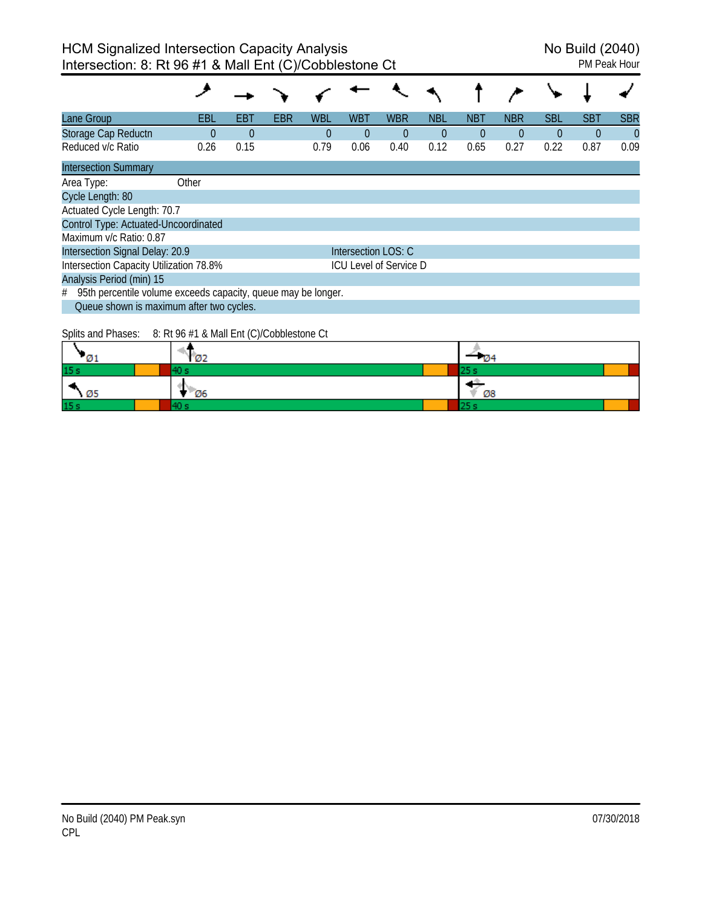| Lane Group                                                         | EBL      | EBT      | <b>EBR</b> | <b>WBL</b> | <b>WBT</b>          | <b>WBR</b>                    | <b>NBL</b> | <b>NBT</b> | <b>NBR</b> | <b>SBL</b> | <b>SBT</b> | <b>SBR</b> |
|--------------------------------------------------------------------|----------|----------|------------|------------|---------------------|-------------------------------|------------|------------|------------|------------|------------|------------|
| Storage Cap Reductn                                                | $\Omega$ | $\theta$ |            | $\Omega$   | $\theta$            | $\theta$                      | $\theta$   | $\Omega$   | $\Omega$   | $\Omega$   | $\Omega$   | $\theta$   |
| Reduced v/c Ratio                                                  | 0.26     | 0.15     |            | 0.79       | 0.06                | 0.40                          | 0.12       | 0.65       | 0.27       | 0.22       | 0.87       | 0.09       |
| <b>Intersection Summary</b>                                        |          |          |            |            |                     |                               |            |            |            |            |            |            |
| Area Type:                                                         | Other    |          |            |            |                     |                               |            |            |            |            |            |            |
| Cycle Length: 80                                                   |          |          |            |            |                     |                               |            |            |            |            |            |            |
| Actuated Cycle Length: 70.7                                        |          |          |            |            |                     |                               |            |            |            |            |            |            |
| Control Type: Actuated-Uncoordinated                               |          |          |            |            |                     |                               |            |            |            |            |            |            |
| Maximum v/c Ratio: 0.87                                            |          |          |            |            |                     |                               |            |            |            |            |            |            |
| Intersection Signal Delay: 20.9                                    |          |          |            |            | Intersection LOS: C |                               |            |            |            |            |            |            |
| Intersection Capacity Utilization 78.8%                            |          |          |            |            |                     | <b>ICU Level of Service D</b> |            |            |            |            |            |            |
| Analysis Period (min) 15                                           |          |          |            |            |                     |                               |            |            |            |            |            |            |
| 95th percentile volume exceeds capacity, queue may be longer.<br># |          |          |            |            |                     |                               |            |            |            |            |            |            |
| Queue shown is maximum after two cycles.                           |          |          |            |            |                     |                               |            |            |            |            |            |            |

Splits and Phases: 8: Rt 96 #1 & Mall Ent (C)/Cobblestone Ct

|           | <b>Ø2</b> | - 124 |
|-----------|-----------|-------|
| 15 s      |           | د ت   |
| ×<br>- Ø5 | Ø6        | Ø8    |
| 15s       |           |       |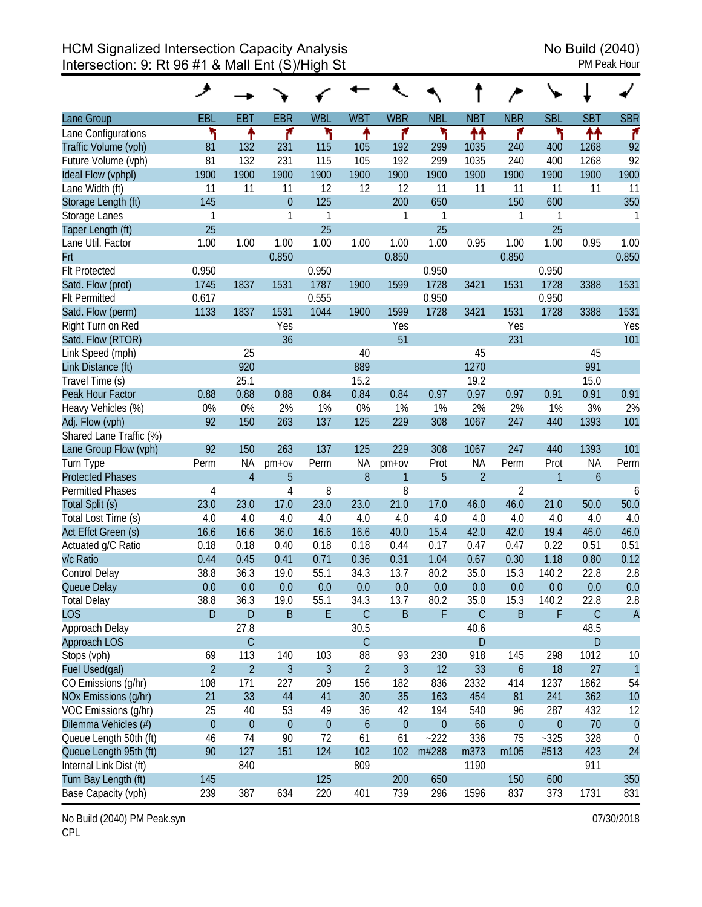|                         | حر             |                |                |                |                  |                |                  |                |                  |                  |                  |                |
|-------------------------|----------------|----------------|----------------|----------------|------------------|----------------|------------------|----------------|------------------|------------------|------------------|----------------|
| Lane Group              | <b>EBL</b>     | <b>EBT</b>     | <b>EBR</b>     | <b>WBL</b>     | <b>WBT</b>       | <b>WBR</b>     | <b>NBL</b>       | <b>NBT</b>     | <b>NBR</b>       | <b>SBL</b>       | <b>SBT</b>       | <b>SBR</b>     |
| Lane Configurations     | ۲              | ↟              | ۴              | ۲              | ↟                | ۴              | ۲                | ተተ             | ۴                | ۲                | ↟↟               | ۴              |
| Traffic Volume (vph)    | 81             | 132            | 231            | 115            | 105              | 192            | 299              | 1035           | 240              | 400              | 1268             | 92             |
| Future Volume (vph)     | 81             | 132            | 231            | 115            | 105              | 192            | 299              | 1035           | 240              | 400              | 1268             | 92             |
| Ideal Flow (vphpl)      | 1900           | 1900           | 1900           | 1900           | 1900             | 1900           | 1900             | 1900           | 1900             | 1900             | 1900             | 1900           |
| Lane Width (ft)         | 11             | 11             | 11             | 12             | 12               | 12             | 11               | 11             | 11               | 11               | 11               | 11             |
| Storage Length (ft)     | 145            |                | $\overline{0}$ | 125            |                  | 200            | 650              |                | 150              | 600              |                  | 350            |
| Storage Lanes           | 1              |                | 1              | $\mathbf{1}$   |                  | 1              | 1                |                | 1                | 1                |                  | 1              |
| Taper Length (ft)       | 25             |                |                | 25             |                  |                | 25               |                |                  | 25               |                  |                |
| Lane Util. Factor       | 1.00           | 1.00           | 1.00           | 1.00           | 1.00             | 1.00           | 1.00             | 0.95           | 1.00             | 1.00             | 0.95             | 1.00           |
| Frt                     |                |                | 0.850          |                |                  | 0.850          |                  |                | 0.850            |                  |                  | 0.850          |
| <b>Flt Protected</b>    | 0.950          |                |                | 0.950          |                  |                | 0.950            |                |                  | 0.950            |                  |                |
| Satd. Flow (prot)       | 1745           | 1837           | 1531           | 1787           | 1900             | 1599           | 1728             | 3421           | 1531             | 1728             | 3388             | 1531           |
| <b>Flt Permitted</b>    | 0.617          |                |                | 0.555          |                  |                | 0.950            |                |                  | 0.950            |                  |                |
| Satd. Flow (perm)       | 1133           | 1837           | 1531           | 1044           | 1900             | 1599           | 1728             | 3421           | 1531             | 1728             | 3388             | 1531           |
| Right Turn on Red       |                |                | Yes            |                |                  | Yes            |                  |                | Yes              |                  |                  | Yes            |
| Satd. Flow (RTOR)       |                |                | 36             |                |                  | 51             |                  |                | 231              |                  |                  | 101            |
| Link Speed (mph)        |                | 25             |                |                | 40               |                |                  | 45             |                  |                  | 45               |                |
| Link Distance (ft)      |                | 920            |                |                | 889              |                |                  | 1270           |                  |                  | 991              |                |
| Travel Time (s)         |                | 25.1           |                |                | 15.2             |                |                  | 19.2           |                  |                  | 15.0             |                |
| Peak Hour Factor        | 0.88           | 0.88           | 0.88           | 0.84           | 0.84             | 0.84           | 0.97             | 0.97           | 0.97             | 0.91             | 0.91             | 0.91           |
| Heavy Vehicles (%)      | 0%             | 0%             | 2%             | 1%             | 0%               | 1%             | 1%               | 2%             | 2%               | 1%               | 3%               | 2%             |
| Adj. Flow (vph)         | 92             | 150            | 263            | 137            | 125              | 229            | 308              | 1067           | 247              | 440              | 1393             | 101            |
| Shared Lane Traffic (%) |                |                |                |                |                  |                |                  |                |                  |                  |                  |                |
| Lane Group Flow (vph)   | 92             | 150            | 263            | 137            | 125              | 229            | 308              | 1067           | 247              | 440              | 1393             | 101            |
| Turn Type               | Perm           | NA             | $pm+ov$        | Perm           | <b>NA</b>        | $pm+ov$        | Prot             | <b>NA</b>      | Perm             | Prot             | <b>NA</b>        | Perm           |
| <b>Protected Phases</b> |                | $\overline{4}$ | 5              |                | 8                | 1              | 5                | $\overline{2}$ |                  | 1                | $\boldsymbol{6}$ |                |
| <b>Permitted Phases</b> | 4              |                | 4              | 8              |                  | 8              |                  |                | $\overline{2}$   |                  |                  | 6              |
| Total Split (s)         | 23.0           | 23.0           | 17.0           | 23.0           | 23.0             | 21.0           | 17.0             | 46.0           | 46.0             | 21.0             | 50.0             | 50.0           |
| Total Lost Time (s)     | 4.0            | 4.0            | 4.0            | 4.0            | 4.0              | 4.0            | 4.0              | 4.0            | 4.0              | 4.0              | 4.0              | 4.0            |
| Act Effct Green (s)     | 16.6           | 16.6           | 36.0           | 16.6           | 16.6             | 40.0           | 15.4             | 42.0           | 42.0             | 19.4             | 46.0             | 46.0           |
| Actuated g/C Ratio      | 0.18           | 0.18           | 0.40           | 0.18           | 0.18             | 0.44           | 0.17             | 0.47           | 0.47             | 0.22             | 0.51             | 0.51           |
| v/c Ratio               | 0.44           | 0.45           | 0.41           | 0.71           | 0.36             | 0.31           | 1.04             | 0.67           | 0.30             | 1.18             | 0.80             | 0.12           |
| Control Delay           | 38.8           | 36.3           | 19.0           | 55.1           | 34.3             | 13.7           | 80.2             | 35.0           | 15.3             | 140.2            | 22.8             | 2.8            |
| Queue Delay             | 0.0            | 0.0            | 0.0            | 0.0            | 0.0              | 0.0            | 0.0              | 0.0            | 0.0              | 0.0              | 0.0              | 0.0            |
| Total Delay             | 38.8           | 36.3           | 19.0           | 55.1           | 34.3             | 13.7           | 80.2             | 35.0           | 15.3             | 140.2            | 22.8             | 2.8            |
| <b>LOS</b>              | D              | $\mathsf{D}$   | $\mathsf B$    | E              | $\mathsf C$      | $\sf B$        | F                | $\mathsf C$    | $\mathsf B$      | F                | C                | $\overline{A}$ |
| Approach Delay          |                | 27.8           |                |                | 30.5             |                |                  | 40.6           |                  |                  | 48.5             |                |
| Approach LOS            |                | $\mathsf C$    |                |                | $\mathsf C$      |                |                  | $\mathsf{D}$   |                  |                  | D                |                |
| Stops (vph)             | 69             | 113            | 140            | 103            | 88               | 93             | 230              | 918            | 145              | 298              | 1012             | 10             |
| Fuel Used(gal)          | $\overline{2}$ | $\overline{2}$ | 3              | $\mathfrak{Z}$ | $\overline{2}$   | $\mathfrak{Z}$ | 12               | 33             | $\boldsymbol{6}$ | 18               | 27               | $\mathbf{1}$   |
| CO Emissions (g/hr)     | 108            | 171            | 227            | 209            | 156              | 182            | 836              | 2332           | 414              | 1237             | 1862             | 54             |
| NOx Emissions (g/hr)    | 21             | 33             | 44             | 41             | 30               | 35             | 163              | 454            | 81               | 241              | 362              | 10             |
| VOC Emissions (g/hr)    | 25             | 40             | 53             | 49             | 36               | 42             | 194              | 540            | 96               | 287              | 432              | 12             |
| Dilemma Vehicles (#)    | $\theta$       | $\mathbf{0}$   | $\theta$       | $\theta$       | $\boldsymbol{6}$ | $\pmb{0}$      | $\boldsymbol{0}$ | 66             | $\boldsymbol{0}$ | $\boldsymbol{0}$ | 70               | $\theta$       |
| Queue Length 50th (ft)  | 46             | 74             | 90             | 72             | 61               | 61             | $-222$           | 336            | 75               | $-325$           | 328              | 0              |
| Queue Length 95th (ft)  | 90             | 127            | 151            | 124            | 102              | 102            | m#288            | m373           | m105             | #513             | 423              | 24             |
| Internal Link Dist (ft) |                | 840            |                |                | 809              |                |                  | 1190           |                  |                  | 911              |                |
| Turn Bay Length (ft)    | 145            |                |                | 125            |                  | 200            | 650              |                | 150              | 600              |                  | 350            |
| Base Capacity (vph)     | 239            | 387            | 634            | 220            | 401              | 739            | 296              | 1596           | 837              | 373              | 1731             | 831            |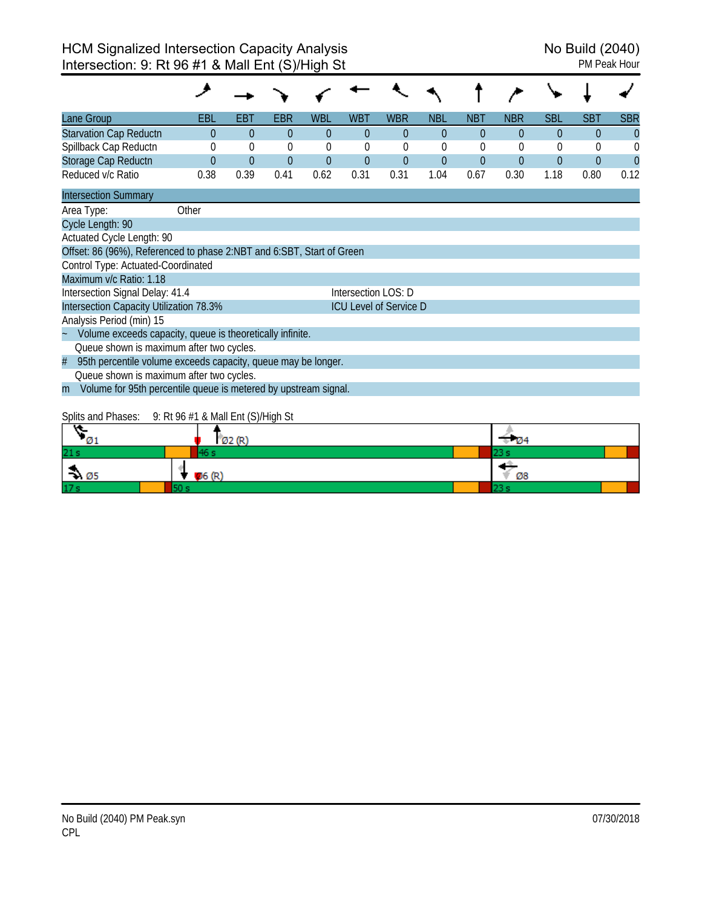| Lane Group                                                            | EBL      | EBT         | EBR            | <b>WBL</b> | WBT                 | <b>WBR</b>                    | <b>NBL</b>     | <b>NBT</b> | <b>NBR</b> | <b>SBL</b> | <b>SBT</b> | <b>SBR</b> |
|-----------------------------------------------------------------------|----------|-------------|----------------|------------|---------------------|-------------------------------|----------------|------------|------------|------------|------------|------------|
| <b>Starvation Cap Reductn</b>                                         | $\Omega$ | $\Omega$    | $\theta$       | $\Omega$   | $\Omega$            | $\theta$                      | $\theta$       | $\Omega$   | $\Omega$   | $\Omega$   | 0          | $\theta$   |
| Spillback Cap Reductn                                                 |          | $\mathbf 0$ | $\overline{0}$ | 0          | $\theta$            | $\theta$                      | 0              | $\theta$   | $\theta$   | 0          | 0          | 0          |
| Storage Cap Reductn                                                   | $\theta$ | $\theta$    | $\theta$       | $\theta$   | $\overline{0}$      | $\overline{0}$                | $\overline{0}$ | $\theta$   | $\theta$   | $\theta$   | $\Omega$   | $\Omega$   |
| Reduced v/c Ratio                                                     | 0.38     | 0.39        | 0.41           | 0.62       | 0.31                | 0.31                          | 1.04           | 0.67       | 0.30       | 1.18       | 0.80       | 0.12       |
| <b>Intersection Summary</b>                                           |          |             |                |            |                     |                               |                |            |            |            |            |            |
| Area Type:                                                            | Other    |             |                |            |                     |                               |                |            |            |            |            |            |
| Cycle Length: 90                                                      |          |             |                |            |                     |                               |                |            |            |            |            |            |
| Actuated Cycle Length: 90                                             |          |             |                |            |                     |                               |                |            |            |            |            |            |
| Offset: 86 (96%), Referenced to phase 2:NBT and 6:SBT, Start of Green |          |             |                |            |                     |                               |                |            |            |            |            |            |
| Control Type: Actuated-Coordinated                                    |          |             |                |            |                     |                               |                |            |            |            |            |            |
| Maximum v/c Ratio: 1.18                                               |          |             |                |            |                     |                               |                |            |            |            |            |            |
| Intersection Signal Delay: 41.4                                       |          |             |                |            | Intersection LOS: D |                               |                |            |            |            |            |            |
| Intersection Capacity Utilization 78.3%                               |          |             |                |            |                     | <b>ICU Level of Service D</b> |                |            |            |            |            |            |
| Analysis Period (min) 15                                              |          |             |                |            |                     |                               |                |            |            |            |            |            |
| Volume exceeds capacity, queue is theoretically infinite.             |          |             |                |            |                     |                               |                |            |            |            |            |            |
| Queue shown is maximum after two cycles.                              |          |             |                |            |                     |                               |                |            |            |            |            |            |
| 95th percentile volume exceeds capacity, queue may be longer.<br>#    |          |             |                |            |                     |                               |                |            |            |            |            |            |
| Queue shown is maximum after two cycles.                              |          |             |                |            |                     |                               |                |            |            |            |            |            |
| Volume for 95th percentile queue is metered by upstream signal.<br>m  |          |             |                |            |                     |                               |                |            |            |            |            |            |

## Splits and Phases: 9: Rt 96 #1 & Mall Ent (S)/High St

| $\sqrt{01}$                 |       | $1$ Ø2 (R) | $\overline{v}$ Ø4 |  |
|-----------------------------|-------|------------|-------------------|--|
| 21s                         |       |            | ه سه              |  |
| $\rightarrow \varnothing$ 5 | 06(R) |            | Ø8                |  |
| 17 <sub>s</sub>             |       |            | . .               |  |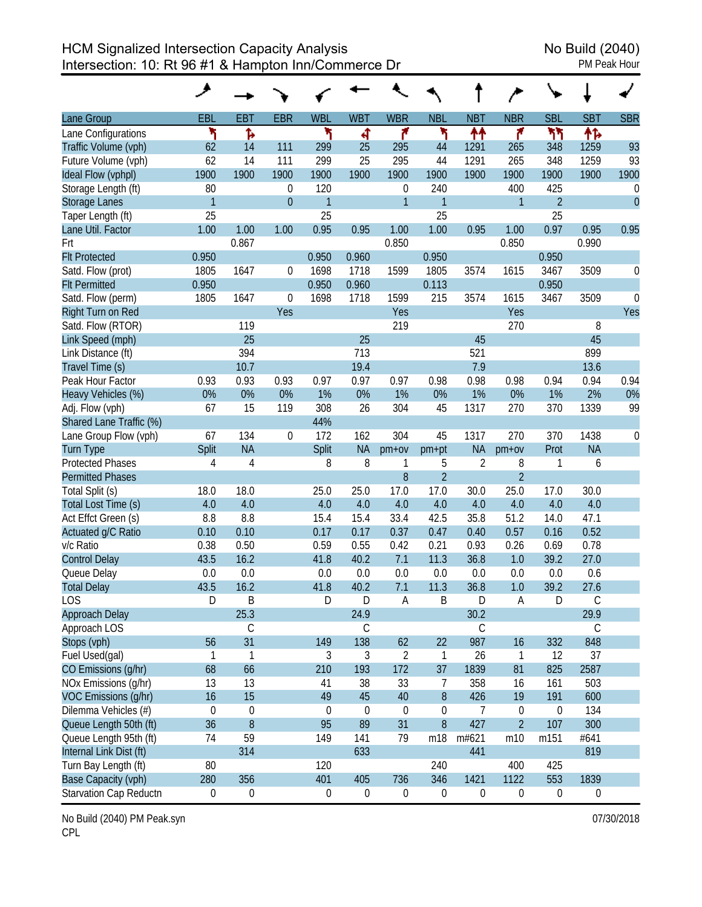HCM Signalized Intersection Capacity Analysis<br>Intersection: 10: Rt 96 #1 & Hampton Inn/Commerce Dr<br>PM Peak Hour Intersection: 10: Rt 96 #1 & Hampton Inn/Commerce Dr

|                         | ۶                |                  |                  |                  |                  |                  |                  |                  |                  |                  |                  |                  |
|-------------------------|------------------|------------------|------------------|------------------|------------------|------------------|------------------|------------------|------------------|------------------|------------------|------------------|
| Lane Group              | <b>EBL</b>       | <b>EBT</b>       | <b>EBR</b>       | <b>WBL</b>       | <b>WBT</b>       | <b>WBR</b>       | <b>NBL</b>       | <b>NBT</b>       | <b>NBR</b>       | <b>SBL</b>       | <b>SBT</b>       | <b>SBR</b>       |
| Lane Configurations     | ۲                | Ъ                |                  | ۲                | 4                | ۴                | ۲                | ↟↟               | ۴                | ካካ               | ቶኈ               |                  |
| Traffic Volume (vph)    | 62               | 14               | 111              | 299              | 25               | 295              | 44               | 1291             | 265              | 348              | 1259             | 93               |
| Future Volume (vph)     | 62               | 14               | 111              | 299              | 25               | 295              | 44               | 1291             | 265              | 348              | 1259             | 93               |
| Ideal Flow (vphpl)      | 1900             | 1900             | 1900             | 1900             | 1900             | 1900             | 1900             | 1900             | 1900             | 1900             | 1900             | 1900             |
| Storage Length (ft)     | 80               |                  | $\boldsymbol{0}$ | 120              |                  | $\boldsymbol{0}$ | 240              |                  | 400              | 425              |                  | $\boldsymbol{0}$ |
| <b>Storage Lanes</b>    | $\mathbf{1}$     |                  | $\overline{0}$   | $\mathbf{1}$     |                  | $\overline{1}$   | $\mathbf{1}$     |                  | $\mathbf{1}$     | $\overline{2}$   |                  | $\overline{0}$   |
| Taper Length (ft)       | 25               |                  |                  | 25               |                  |                  | 25               |                  |                  | 25               |                  |                  |
| Lane Util. Factor       | 1.00             | 1.00             | 1.00             | 0.95             | 0.95             | 1.00             | 1.00             | 0.95             | 1.00             | 0.97             | 0.95             | 0.95             |
| Frt                     |                  | 0.867            |                  |                  |                  | 0.850            |                  |                  | 0.850            |                  | 0.990            |                  |
| <b>Flt Protected</b>    | 0.950            |                  |                  | 0.950            | 0.960            |                  | 0.950            |                  |                  | 0.950            |                  |                  |
| Satd. Flow (prot)       | 1805             | 1647             | $\boldsymbol{0}$ | 1698             | 1718             | 1599             | 1805             | 3574             | 1615             | 3467             | 3509             | 0                |
| <b>Flt Permitted</b>    | 0.950            |                  |                  | 0.950            | 0.960            |                  | 0.113            |                  |                  | 0.950            |                  |                  |
| Satd. Flow (perm)       | 1805             | 1647             | $\boldsymbol{0}$ | 1698             | 1718             | 1599             | 215              | 3574             | 1615             | 3467             | 3509             | $\mathbf 0$      |
| Right Turn on Red       |                  |                  | Yes              |                  |                  | Yes              |                  |                  | Yes              |                  |                  | Yes              |
| Satd. Flow (RTOR)       |                  | 119              |                  |                  |                  | 219              |                  |                  | 270              |                  | 8                |                  |
| Link Speed (mph)        |                  | 25               |                  |                  | 25               |                  |                  | 45               |                  |                  | 45               |                  |
| Link Distance (ft)      |                  | 394              |                  |                  | 713              |                  |                  | 521              |                  |                  | 899              |                  |
| Travel Time (s)         |                  | 10.7             |                  |                  | 19.4             |                  |                  | 7.9              |                  |                  | 13.6             |                  |
| Peak Hour Factor        | 0.93             | 0.93             | 0.93             | 0.97             | 0.97             | 0.97             | 0.98             | 0.98             | 0.98             | 0.94             | 0.94             | 0.94             |
| Heavy Vehicles (%)      | $0\%$            | 0%               | 0%               | 1%               | 0%               | 1%               | 0%               | 1%               | 0%               | 1%               | 2%               | 0%               |
| Adj. Flow (vph)         | 67               | 15               | 119              | 308              | 26               | 304              | 45               | 1317             | 270              | 370              | 1339             | 99               |
| Shared Lane Traffic (%) |                  |                  |                  | 44%              |                  |                  |                  |                  |                  |                  |                  |                  |
| Lane Group Flow (vph)   | 67               | 134              | $\boldsymbol{0}$ | 172              | 162              | 304              | 45               | 1317             | 270              | 370              | 1438             | $\mathbf 0$      |
| <b>Turn Type</b>        | Split            | <b>NA</b>        |                  | Split            | <b>NA</b>        | $pm+ov$          | pm+pt            | <b>NA</b>        | $pm+ov$          | Prot             | <b>NA</b>        |                  |
| <b>Protected Phases</b> | $\overline{4}$   | $\overline{4}$   |                  | 8                | 8                | 1                | 5                | $\overline{2}$   | 8                | 1                | 6                |                  |
| <b>Permitted Phases</b> |                  |                  |                  |                  |                  | $8\,$            | $\overline{2}$   |                  | $\overline{2}$   |                  |                  |                  |
| Total Split (s)         | 18.0             | 18.0             |                  | 25.0             | 25.0             | 17.0             | 17.0             | 30.0             | 25.0             | 17.0             | 30.0             |                  |
| Total Lost Time (s)     | 4.0              | 4.0              |                  | 4.0              | 4.0              | 4.0              | 4.0              | 4.0              | 4.0              | 4.0              | 4.0              |                  |
| Act Effct Green (s)     | 8.8              | 8.8              |                  | 15.4             | 15.4             | 33.4             | 42.5             | 35.8             | 51.2             | 14.0             | 47.1             |                  |
| Actuated g/C Ratio      | 0.10             | 0.10             |                  | 0.17             | 0.17             | 0.37             | 0.47             | 0.40             | 0.57             | 0.16             | 0.52             |                  |
| v/c Ratio               | 0.38             | 0.50             |                  | 0.59             | 0.55             | 0.42             | 0.21             | 0.93             | 0.26             | 0.69             | 0.78             |                  |
| <b>Control Delay</b>    | 43.5             | 16.2             |                  | 41.8             | 40.2             | 7.1              | 11.3             | 36.8             | 1.0              | 39.2             | 27.0             |                  |
| Queue Delay             | 0.0              | 0.0              |                  | 0.0              | 0.0              | 0.0              | 0.0              | 0.0              | 0.0              | 0.0              | 0.6              |                  |
| <b>Total Delay</b>      | 43.5             | 16.2             |                  | 41.8             | 40.2             | 7.1              | 11.3             | 36.8             | 1.0              | 39.2             | 27.6             |                  |
| LOS                     | D                | B                |                  | D                | D                | A                | B                | D                | A                | D                | $\mathsf C$      |                  |
| Approach Delay          |                  | 25.3             |                  |                  | 24.9             |                  |                  | 30.2             |                  |                  | 29.9             |                  |
| Approach LOS            |                  | $\mathsf C$      |                  |                  | $\mathsf C$      |                  |                  | $\mathsf C$      |                  |                  | $\mathsf C$      |                  |
| Stops (vph)             | 56               | 31               |                  | 149              | 138              | 62               | 22               | 987              | 16               | 332              | 848              |                  |
| Fuel Used(gal)          | $\mathbf{1}$     | $\mathbf{1}$     |                  | $\mathfrak{Z}$   | 3                | $\overline{2}$   | $\mathbf{1}$     | 26               | $\mathbf{1}$     | 12               | 37               |                  |
| CO Emissions (g/hr)     | 68               | 66               |                  | 210              | 193              | 172              | 37               | 1839             | 81               | 825              | 2587             |                  |
| NOx Emissions (g/hr)    | 13               | 13               |                  | 41               | 38               | 33               | $\overline{7}$   | 358              | 16               | 161              | 503              |                  |
| VOC Emissions (g/hr)    | 16               | 15               |                  | 49               | 45               | 40               | 8                | 426              | 19               | 191              | 600              |                  |
| Dilemma Vehicles (#)    | $\mathbf 0$      | $\boldsymbol{0}$ |                  | $\boldsymbol{0}$ | $\mathbf 0$      | $\boldsymbol{0}$ | $\mathbf 0$      | $\overline{7}$   | $\boldsymbol{0}$ | $\boldsymbol{0}$ | 134              |                  |
| Queue Length 50th (ft)  | 36               | $\, 8$           |                  | 95               | 89               | 31               | $\boldsymbol{8}$ | 427              | $\overline{2}$   | 107              | 300              |                  |
| Queue Length 95th (ft)  | 74               | 59               |                  | 149              | 141              | 79               | m18              | m#621            | m10              | m151             | #641             |                  |
| Internal Link Dist (ft) |                  | 314              |                  |                  | 633              |                  |                  | 441              |                  |                  | 819              |                  |
| Turn Bay Length (ft)    | 80               |                  |                  | 120              |                  |                  | 240              |                  | 400              | 425              |                  |                  |
| Base Capacity (vph)     | 280              | 356              |                  | 401              | 405              | 736              | 346              | 1421             | 1122             | 553              | 1839             |                  |
| Starvation Cap Reductn  | $\boldsymbol{0}$ | $\boldsymbol{0}$ |                  | $\boldsymbol{0}$ | $\boldsymbol{0}$ | $\boldsymbol{0}$ | $\boldsymbol{0}$ | $\boldsymbol{0}$ | $\boldsymbol{0}$ | $\boldsymbol{0}$ | $\boldsymbol{0}$ |                  |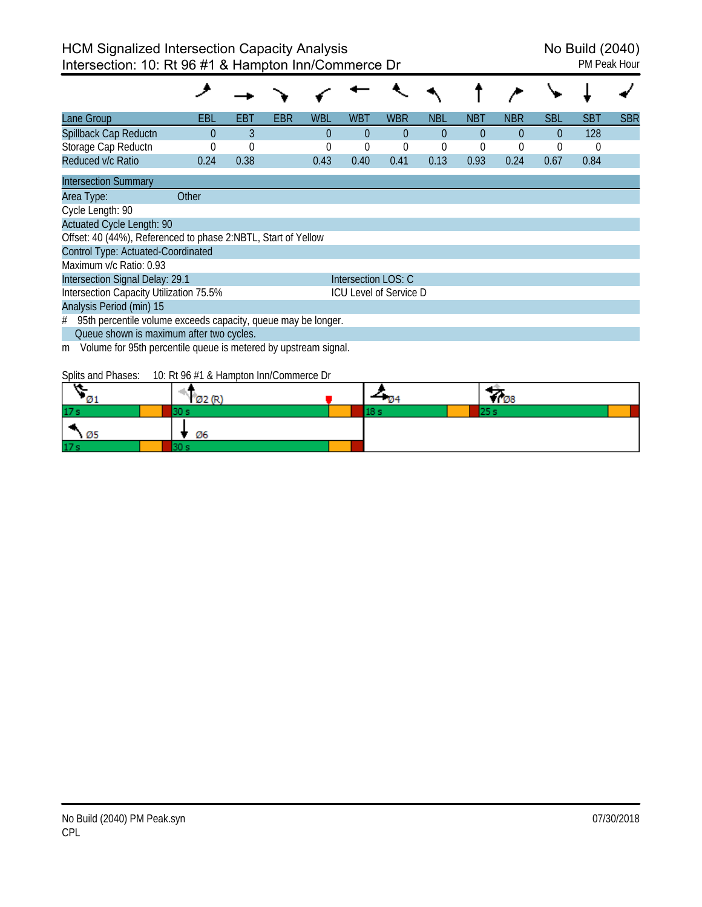| Lane Group                                                           | EBL      | EBT         | EBR | WBL  | WBT                           | <b>WBR</b>  | <b>NBL</b> | NBT            | <b>NBR</b> | <b>SBL</b> | SBT  | <b>SBR</b> |
|----------------------------------------------------------------------|----------|-------------|-----|------|-------------------------------|-------------|------------|----------------|------------|------------|------|------------|
| Spillback Cap Reductn                                                | $\Omega$ | 3           |     | 0    | $\Omega$                      | $\Omega$    | $\theta$   | $\Omega$       | $\theta$   | $\Omega$   | 128  |            |
| Storage Cap Reductn                                                  |          | $\mathbf 0$ |     | 0    | 0                             | $\mathbf 0$ |            | $\overline{0}$ | 0          | 0          | 0    |            |
| Reduced v/c Ratio                                                    | 0.24     | 0.38        |     | 0.43 | 0.40                          | 0.41        | 0.13       | 0.93           | 0.24       | 0.67       | 0.84 |            |
| <b>Intersection Summary</b>                                          |          |             |     |      |                               |             |            |                |            |            |      |            |
| Area Type:                                                           | Other    |             |     |      |                               |             |            |                |            |            |      |            |
| Cycle Length: 90                                                     |          |             |     |      |                               |             |            |                |            |            |      |            |
| <b>Actuated Cycle Length: 90</b>                                     |          |             |     |      |                               |             |            |                |            |            |      |            |
| Offset: 40 (44%), Referenced to phase 2:NBTL, Start of Yellow        |          |             |     |      |                               |             |            |                |            |            |      |            |
| Control Type: Actuated-Coordinated                                   |          |             |     |      |                               |             |            |                |            |            |      |            |
| Maximum y/c Ratio: 0.93                                              |          |             |     |      |                               |             |            |                |            |            |      |            |
| Intersection Signal Delay: 29.1                                      |          |             |     |      | Intersection LOS: C           |             |            |                |            |            |      |            |
| Intersection Capacity Utilization 75.5%                              |          |             |     |      | <b>ICU Level of Service D</b> |             |            |                |            |            |      |            |
| Analysis Period (min) 15                                             |          |             |     |      |                               |             |            |                |            |            |      |            |
| 95th percentile volume exceeds capacity, queue may be longer.<br>#   |          |             |     |      |                               |             |            |                |            |            |      |            |
| Queue shown is maximum after two cycles.                             |          |             |     |      |                               |             |            |                |            |            |      |            |
| Volume for 95th percentile queue is metered by upstream signal.<br>m |          |             |     |      |                               |             |            |                |            |            |      |            |

Splits and Phases: 10: Rt 96 #1 & Hampton Inn/Commerce Dr

| .               | . . |  | ΨO |  |
|-----------------|-----|--|----|--|
| 17:             |     |  |    |  |
|                 | Ø6  |  |    |  |
| 17 <sub>3</sub> |     |  |    |  |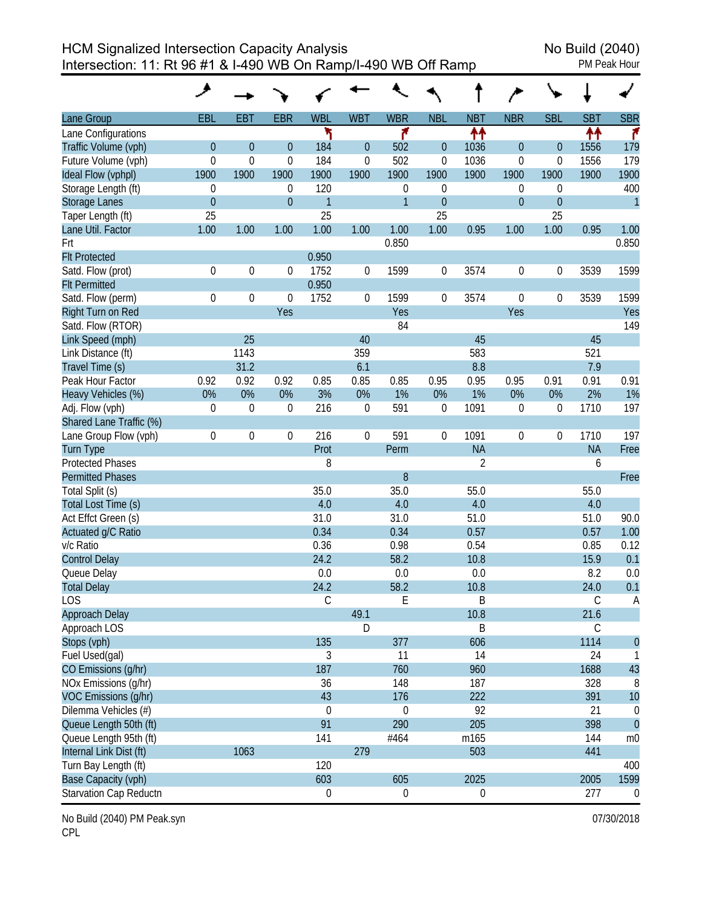HCM Signalized Intersection Capacity Analysis No Build (2040) Intersection: 11: Rt 96 #1 & I-490 WB On Ramp/I-490 WB Off Ramp PM Peak Hour

|                         | ۶                |                  |                  |                  |                  |                  |                |                  |                  |                  |             |                |
|-------------------------|------------------|------------------|------------------|------------------|------------------|------------------|----------------|------------------|------------------|------------------|-------------|----------------|
| Lane Group              | <b>EBL</b>       | <b>EBT</b>       | <b>EBR</b>       | <b>WBL</b>       | <b>WBT</b>       | <b>WBR</b>       | <b>NBL</b>     | <b>NBT</b>       | <b>NBR</b>       | <b>SBL</b>       | <b>SBT</b>  | <b>SBR</b>     |
| Lane Configurations     |                  |                  |                  | ۳                |                  | ۴                |                | ↟↟               |                  |                  | 忭           | ۴              |
| Traffic Volume (vph)    | $\mathbf 0$      | $\mathbf{0}$     | $\overline{0}$   | 184              | $\theta$         | 502              | $\theta$       | 1036             | $\overline{0}$   | $\overline{0}$   | 1556        | 179            |
| Future Volume (vph)     | $\boldsymbol{0}$ | $\mathbf 0$      | $\mathbf 0$      | 184              | $\mathbf 0$      | 502              | 0              | 1036             | 0                | $\boldsymbol{0}$ | 1556        | 179            |
| Ideal Flow (vphpl)      | 1900             | 1900             | 1900             | 1900             | 1900             | 1900             | 1900           | 1900             | 1900             | 1900             | 1900        | 1900           |
| Storage Length (ft)     | 0                |                  | $\boldsymbol{0}$ | 120              |                  | 0                | 0              |                  | 0                | 0                |             | 400            |
| <b>Storage Lanes</b>    | $\overline{0}$   |                  | $\overline{0}$   | $\mathbf{1}$     |                  | $\overline{1}$   | $\overline{0}$ |                  | $\overline{0}$   | $\overline{0}$   |             | $\overline{1}$ |
| Taper Length (ft)       | 25               |                  |                  | 25               |                  |                  | 25             |                  |                  | 25               |             |                |
| Lane Util. Factor       | 1.00             | 1.00             | 1.00             | 1.00             | 1.00             | 1.00             | 1.00           | 0.95             | 1.00             | 1.00             | 0.95        | 1.00           |
| Frt                     |                  |                  |                  |                  |                  | 0.850            |                |                  |                  |                  |             | 0.850          |
| <b>Flt Protected</b>    |                  |                  |                  | 0.950            |                  |                  |                |                  |                  |                  |             |                |
| Satd. Flow (prot)       | $\boldsymbol{0}$ | $\mathbf 0$      | 0                | 1752             | $\boldsymbol{0}$ | 1599             | $\mathbf 0$    | 3574             | $\boldsymbol{0}$ | 0                | 3539        | 1599           |
| <b>Flt Permitted</b>    |                  |                  |                  | 0.950            |                  |                  |                |                  |                  |                  |             |                |
| Satd. Flow (perm)       | $\boldsymbol{0}$ | $\mathbf 0$      | 0                | 1752             | $\boldsymbol{0}$ | 1599             | 0              | 3574             | $\boldsymbol{0}$ | $\boldsymbol{0}$ | 3539        | 1599           |
| Right Turn on Red       |                  |                  | Yes              |                  |                  | Yes              |                |                  | Yes              |                  |             | Yes            |
| Satd. Flow (RTOR)       |                  |                  |                  |                  |                  | 84               |                |                  |                  |                  |             | 149            |
| Link Speed (mph)        |                  | 25               |                  |                  | 40               |                  |                | 45               |                  |                  | 45          |                |
| Link Distance (ft)      |                  | 1143             |                  |                  | 359              |                  |                | 583              |                  |                  | 521         |                |
| Travel Time (s)         |                  | 31.2             |                  |                  | 6.1              |                  |                | 8.8              |                  |                  | 7.9         |                |
| Peak Hour Factor        | 0.92             | 0.92             | 0.92             | 0.85             | 0.85             | 0.85             | 0.95           | 0.95             | 0.95             | 0.91             | 0.91        | 0.91           |
| Heavy Vehicles (%)      | 0%               | 0%               | 0%               | 3%               | 0%               | 1%               | 0%             | 1%               | 0%               | 0%               | 2%          | 1%             |
| Adj. Flow (vph)         | 0                | $\boldsymbol{0}$ | 0                | 216              | $\boldsymbol{0}$ | 591              | 0              | 1091             | 0                | 0                | 1710        | 197            |
| Shared Lane Traffic (%) |                  |                  |                  |                  |                  |                  |                |                  |                  |                  |             |                |
| Lane Group Flow (vph)   | $\boldsymbol{0}$ | $\mathbf 0$      | $\boldsymbol{0}$ | 216              | $\mathbf 0$      | 591              | $\mathbf 0$    | 1091             | $\mathbf 0$      | $\boldsymbol{0}$ | 1710        | 197            |
| <b>Turn Type</b>        |                  |                  |                  | Prot             |                  | Perm             |                | <b>NA</b>        |                  |                  | <b>NA</b>   | Free           |
| <b>Protected Phases</b> |                  |                  |                  | 8                |                  |                  |                | 2                |                  |                  | 6           |                |
| <b>Permitted Phases</b> |                  |                  |                  |                  |                  | 8                |                |                  |                  |                  |             | Free           |
| Total Split (s)         |                  |                  |                  | 35.0             |                  | 35.0             |                | 55.0             |                  |                  | 55.0        |                |
| Total Lost Time (s)     |                  |                  |                  | 4.0              |                  | 4.0              |                | 4.0              |                  |                  | 4.0         |                |
| Act Effct Green (s)     |                  |                  |                  | 31.0             |                  | 31.0             |                | 51.0             |                  |                  | 51.0        | 90.0           |
| Actuated g/C Ratio      |                  |                  |                  | 0.34             |                  | 0.34             |                | 0.57             |                  |                  | 0.57        | 1.00           |
| v/c Ratio               |                  |                  |                  | 0.36             |                  | 0.98             |                | 0.54             |                  |                  | 0.85        | 0.12           |
| <b>Control Delay</b>    |                  |                  |                  | 24.2             |                  | 58.2             |                | 10.8             |                  |                  | 15.9        | 0.1            |
| Queue Delay             |                  |                  |                  | 0.0              |                  | 0.0              |                | 0.0              |                  |                  | 8.2         | 0.0            |
| <b>Total Delay</b>      |                  |                  |                  | 24.2             |                  | 58.2             |                | 10.8             |                  |                  | 24.0        | 0.1            |
| <b>LOS</b>              |                  |                  |                  | $\mathsf C$      |                  | $\mathsf E$      |                | B                |                  |                  | $\mathsf C$ | A              |
| Approach Delay          |                  |                  |                  |                  | 49.1             |                  |                | 10.8             |                  |                  | 21.6        |                |
| Approach LOS            |                  |                  |                  |                  | D                |                  |                | B                |                  |                  | $\mathsf C$ |                |
| Stops (vph)             |                  |                  |                  | 135              |                  | 377              |                | 606              |                  |                  | 1114        | $\overline{0}$ |
| Fuel Used(gal)          |                  |                  |                  | 3                |                  | 11               |                | 14               |                  |                  | 24          | 1              |
| CO Emissions (g/hr)     |                  |                  |                  | 187              |                  | 760              |                | 960              |                  |                  | 1688        | 43             |
| NOx Emissions (g/hr)    |                  |                  |                  | 36               |                  | 148              |                | 187              |                  |                  | 328         | 8              |
| VOC Emissions (g/hr)    |                  |                  |                  | 43               |                  | 176              |                | 222              |                  |                  | 391         | 10             |
| Dilemma Vehicles (#)    |                  |                  |                  | $\boldsymbol{0}$ |                  | 0                |                | 92               |                  |                  | 21          | 0              |
| Queue Length 50th (ft)  |                  |                  |                  | 91               |                  | 290              |                | 205              |                  |                  | 398         | $\overline{0}$ |
| Queue Length 95th (ft)  |                  |                  |                  | 141              |                  | #464             |                | m165             |                  |                  | 144         | m <sub>0</sub> |
| Internal Link Dist (ft) |                  | 1063             |                  |                  | 279              |                  |                | 503              |                  |                  | 441         |                |
| Turn Bay Length (ft)    |                  |                  |                  | 120              |                  |                  |                |                  |                  |                  |             | 400            |
| Base Capacity (vph)     |                  |                  |                  | 603              |                  | 605              |                | 2025             |                  |                  | 2005        | 1599           |
| Starvation Cap Reductn  |                  |                  |                  | $\boldsymbol{0}$ |                  | $\boldsymbol{0}$ |                | $\boldsymbol{0}$ |                  |                  | 277         | $\overline{0}$ |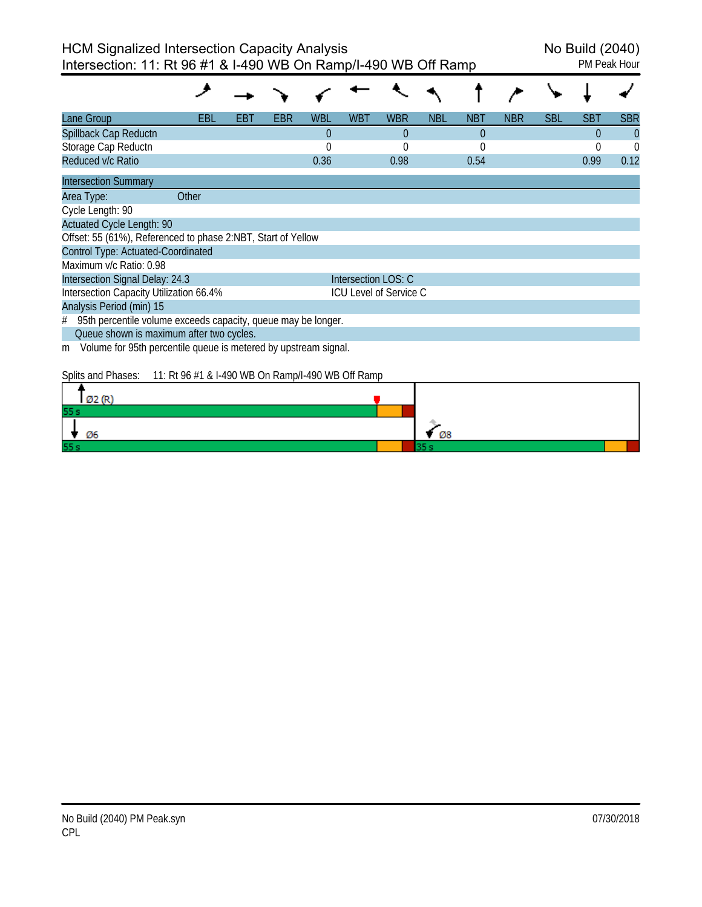| Lane Group                                                           | EBL   | EBT | EBR | WBL         | <b>WBT</b>          | <b>WBR</b>                    | <b>NBL</b> | <b>NBT</b> | <b>NBR</b> | <b>SBL</b> | SBT      | <b>SBR</b>     |
|----------------------------------------------------------------------|-------|-----|-----|-------------|---------------------|-------------------------------|------------|------------|------------|------------|----------|----------------|
| Spillback Cap Reductn                                                |       |     |     | $\theta$    |                     | $\Omega$                      |            | $\theta$   |            |            | $\Omega$ | $\overline{0}$ |
| Storage Cap Reductn                                                  |       |     |     | $\mathbf 0$ |                     | $\Omega$                      |            | $\Omega$   |            |            |          | $\Omega$       |
| Reduced v/c Ratio                                                    |       |     |     | 0.36        |                     | 0.98                          |            | 0.54       |            |            | 0.99     | 0.12           |
| <b>Intersection Summary</b>                                          |       |     |     |             |                     |                               |            |            |            |            |          |                |
| Area Type:                                                           | Other |     |     |             |                     |                               |            |            |            |            |          |                |
| Cycle Length: 90                                                     |       |     |     |             |                     |                               |            |            |            |            |          |                |
| <b>Actuated Cycle Length: 90</b>                                     |       |     |     |             |                     |                               |            |            |            |            |          |                |
| Offset: 55 (61%), Referenced to phase 2:NBT, Start of Yellow         |       |     |     |             |                     |                               |            |            |            |            |          |                |
| Control Type: Actuated-Coordinated                                   |       |     |     |             |                     |                               |            |            |            |            |          |                |
| Maximum v/c Ratio: 0.98                                              |       |     |     |             |                     |                               |            |            |            |            |          |                |
| Intersection Signal Delay: 24.3                                      |       |     |     |             | Intersection LOS: C |                               |            |            |            |            |          |                |
| Intersection Capacity Utilization 66.4%                              |       |     |     |             |                     | <b>ICU Level of Service C</b> |            |            |            |            |          |                |
| Analysis Period (min) 15                                             |       |     |     |             |                     |                               |            |            |            |            |          |                |
| 95th percentile volume exceeds capacity, queue may be longer.<br>#   |       |     |     |             |                     |                               |            |            |            |            |          |                |
| Queue shown is maximum after two cycles.                             |       |     |     |             |                     |                               |            |            |            |            |          |                |
| Volume for 95th percentile queue is metered by upstream signal.<br>m |       |     |     |             |                     |                               |            |            |            |            |          |                |

Splits and Phases: 11: Rt 96 #1 & I-490 WB On Ramp/I-490 WB Off Ramp

| a Arti |    |  |
|--------|----|--|
| 55.    |    |  |
| Ø6     | Ø8 |  |
| 55s    |    |  |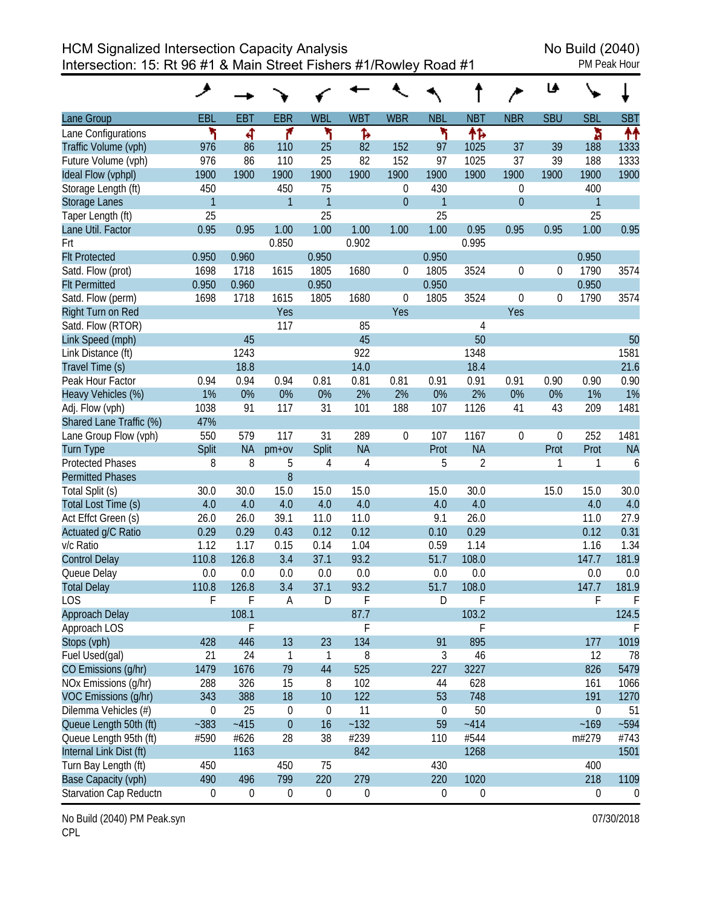HCM Signalized Intersection Capacity Analysis<br>Intersection: 15: Rt 96 #1 & Main Street Fishers #1/Rowley Road #1 Intersection: 15: Rt 96 #1 & Main Street Fishers #1/Rowley Road #1

|                               |                  |                  |                  |                  |                  |                  |                  |                  |                  | ⊌                |                  |                |
|-------------------------------|------------------|------------------|------------------|------------------|------------------|------------------|------------------|------------------|------------------|------------------|------------------|----------------|
| Lane Group                    | EBL              | <b>EBT</b>       | <b>EBR</b>       | <b>WBL</b>       | <b>WBT</b>       | <b>WBR</b>       | <b>NBL</b>       | <b>NBT</b>       | <b>NBR</b>       | <b>SBU</b>       | <b>SBL</b>       | <b>SBT</b>     |
| Lane Configurations           | ۲                | 4                | ۴                | ۲                | Ъ                |                  | ۲                | 怍                |                  |                  | à                | ↟↟             |
| Traffic Volume (vph)          | 976              | 86               | 110              | 25               | 82               | 152              | 97               | 1025             | 37               | 39               | 188              | 1333           |
| Future Volume (vph)           | 976              | 86               | 110              | 25               | 82               | 152              | 97               | 1025             | 37               | 39               | 188              | 1333           |
| Ideal Flow (vphpl)            | 1900             | 1900             | 1900             | 1900             | 1900             | 1900             | 1900             | 1900             | 1900             | 1900             | 1900             | 1900           |
| Storage Length (ft)           | 450              |                  | 450              | 75               |                  | $\mathbf 0$      | 430              |                  | $\boldsymbol{0}$ |                  | 400              |                |
| <b>Storage Lanes</b>          | $\mathbf{1}$     |                  | $\mathbf{1}$     | $\mathbf{1}$     |                  | $\boldsymbol{0}$ | $\overline{1}$   |                  | $\boldsymbol{0}$ |                  | 1                |                |
| Taper Length (ft)             | 25               |                  |                  | 25               |                  |                  | 25               |                  |                  |                  | 25               |                |
| Lane Util. Factor             | 0.95             | 0.95             | 1.00             | 1.00             | 1.00             | 1.00             | 1.00             | 0.95             | 0.95             | 0.95             | 1.00             | 0.95           |
| Frt                           |                  |                  | 0.850            |                  | 0.902            |                  |                  | 0.995            |                  |                  |                  |                |
| <b>Flt Protected</b>          | 0.950            | 0.960            |                  | 0.950            |                  |                  | 0.950            |                  |                  |                  | 0.950            |                |
| Satd. Flow (prot)             | 1698             | 1718             | 1615             | 1805             | 1680             | 0                | 1805             | 3524             | 0                | 0                | 1790             | 3574           |
| <b>Flt Permitted</b>          | 0.950            | 0.960            |                  | 0.950            |                  |                  | 0.950            |                  |                  |                  | 0.950            |                |
| Satd. Flow (perm)             | 1698             | 1718             | 1615             | 1805             | 1680             | $\boldsymbol{0}$ | 1805             | 3524             | 0                | $\boldsymbol{0}$ | 1790             | 3574           |
| Right Turn on Red             |                  |                  | Yes              |                  |                  | Yes              |                  |                  | Yes              |                  |                  |                |
| Satd. Flow (RTOR)             |                  |                  | 117              |                  | 85               |                  |                  | $\overline{4}$   |                  |                  |                  |                |
| Link Speed (mph)              |                  | 45               |                  |                  | 45               |                  |                  | 50               |                  |                  |                  | 50             |
| Link Distance (ft)            |                  | 1243             |                  |                  | 922              |                  |                  | 1348             |                  |                  |                  | 1581           |
| Travel Time (s)               |                  | 18.8             |                  |                  | 14.0             |                  |                  | 18.4             |                  |                  |                  | 21.6           |
| Peak Hour Factor              | 0.94             | 0.94             | 0.94             | 0.81             | 0.81             | 0.81             | 0.91             | 0.91             | 0.91             | 0.90             | 0.90             | 0.90           |
| Heavy Vehicles (%)            | 1%               | 0%               | 0%               | 0%               | 2%               | 2%               | 0%               | 2%               | 0%               | 0%               | 1%               | 1%             |
| Adj. Flow (vph)               | 1038             | 91               | 117              | 31               | 101              | 188              | 107              | 1126             | 41               | 43               | 209              | 1481           |
| Shared Lane Traffic (%)       | 47%              |                  |                  |                  |                  |                  |                  |                  |                  |                  |                  |                |
| Lane Group Flow (vph)         | 550              | 579              | 117              | 31               | 289              | $\boldsymbol{0}$ | 107              | 1167             | 0                | $\boldsymbol{0}$ | 252              | 1481           |
| <b>Turn Type</b>              | Split            | <b>NA</b>        | $pm+ov$          | Split            | <b>NA</b>        |                  | Prot             | <b>NA</b>        |                  | Prot             | Prot             | <b>NA</b>      |
| <b>Protected Phases</b>       | 8                | 8                | 5                | $\sqrt{4}$       | 4                |                  | 5                | $\overline{2}$   |                  | 1                | 1                | 6              |
| <b>Permitted Phases</b>       |                  |                  | 8                |                  |                  |                  |                  |                  |                  |                  |                  |                |
| Total Split (s)               | 30.0             | 30.0             | 15.0             | 15.0             | 15.0             |                  | 15.0             | 30.0             |                  | 15.0             | 15.0             | 30.0           |
| Total Lost Time (s)           | 4.0              | 4.0              | 4.0              | 4.0              | 4.0              |                  | 4.0              | 4.0              |                  |                  | 4.0              | 4.0            |
| Act Effct Green (s)           | 26.0             | 26.0             | 39.1             | 11.0             | 11.0             |                  | 9.1              | 26.0             |                  |                  | 11.0             | 27.9           |
| Actuated g/C Ratio            | 0.29             | 0.29             | 0.43             | 0.12             | 0.12             |                  | 0.10             | 0.29             |                  |                  | 0.12             | 0.31           |
| v/c Ratio                     | 1.12             | 1.17             | 0.15             | 0.14             | 1.04             |                  | 0.59             | 1.14             |                  |                  | 1.16             | 1.34           |
| <b>Control Delay</b>          | 110.8            | 126.8            | 3.4              | 37.1             | 93.2             |                  | 51.7             | 108.0            |                  |                  | 147.7            | 181.9          |
| Queue Delay                   | 0.0              | 0.0              | 0.0              | 0.0              | 0.0              |                  | 0.0              | 0.0              |                  |                  | 0.0              | 0.0            |
| <b>Total Delay</b>            | 110.8            | 126.8            | 3.4              | 37.1             | 93.2             |                  | 51.7             | 108.0            |                  |                  | 147.7            | 181.9          |
| LOS                           | F                | F                | A                | D                | F                |                  | D                | F                |                  |                  | F                | F              |
| Approach Delay                |                  | 108.1            |                  |                  | 87.7             |                  |                  | 103.2            |                  |                  |                  | 124.5          |
| Approach LOS                  |                  | F                |                  |                  | F                |                  |                  | F                |                  |                  |                  | F              |
| Stops (vph)                   | 428              | 446              | 13               | 23               | 134              |                  | 91               | 895              |                  |                  | 177              | 1019           |
| Fuel Used(gal)                | 21               | 24               | $\mathbf{1}$     | $\mathbf{1}$     | 8                |                  | $\mathfrak{Z}$   | 46               |                  |                  | 12               | 78             |
| CO Emissions (g/hr)           | 1479             | 1676             | 79               | 44               | 525              |                  | 227              | 3227             |                  |                  | 826              | 5479           |
| NOx Emissions (q/hr)          | 288              | 326              | 15               | 8                | 102              |                  | 44               | 628              |                  |                  | 161              | 1066           |
| VOC Emissions (g/hr)          | 343              | 388              | 18               | 10               | 122              |                  | 53               | 748              |                  |                  | 191              | 1270           |
| Dilemma Vehicles (#)          | $\mathbf 0$      | 25               | $\boldsymbol{0}$ | $\boldsymbol{0}$ | 11               |                  | $\boldsymbol{0}$ | 50               |                  |                  | $\pmb{0}$        | 51             |
| Queue Length 50th (ft)        | $-383$           | $-415$           | $\theta$         | 16               | $-132$           |                  | 59               | $-414$           |                  |                  | $-169$           | $-594$         |
| Queue Length 95th (ft)        | #590             | #626             | 28               | 38               | #239             |                  | 110              | #544             |                  |                  | m#279            | #743           |
| Internal Link Dist (ft)       |                  | 1163             |                  |                  | 842              |                  |                  | 1268             |                  |                  |                  | 1501           |
| Turn Bay Length (ft)          | 450              |                  | 450              | 75               |                  |                  | 430              |                  |                  |                  | 400              |                |
| Base Capacity (vph)           | 490              | 496              | 799              | 220              | 279              |                  | 220              | 1020             |                  |                  | 218              | 1109           |
| <b>Starvation Cap Reductn</b> | $\boldsymbol{0}$ | $\boldsymbol{0}$ | $\boldsymbol{0}$ | $\boldsymbol{0}$ | $\boldsymbol{0}$ |                  | $\boldsymbol{0}$ | $\boldsymbol{0}$ |                  |                  | $\boldsymbol{0}$ | $\overline{0}$ |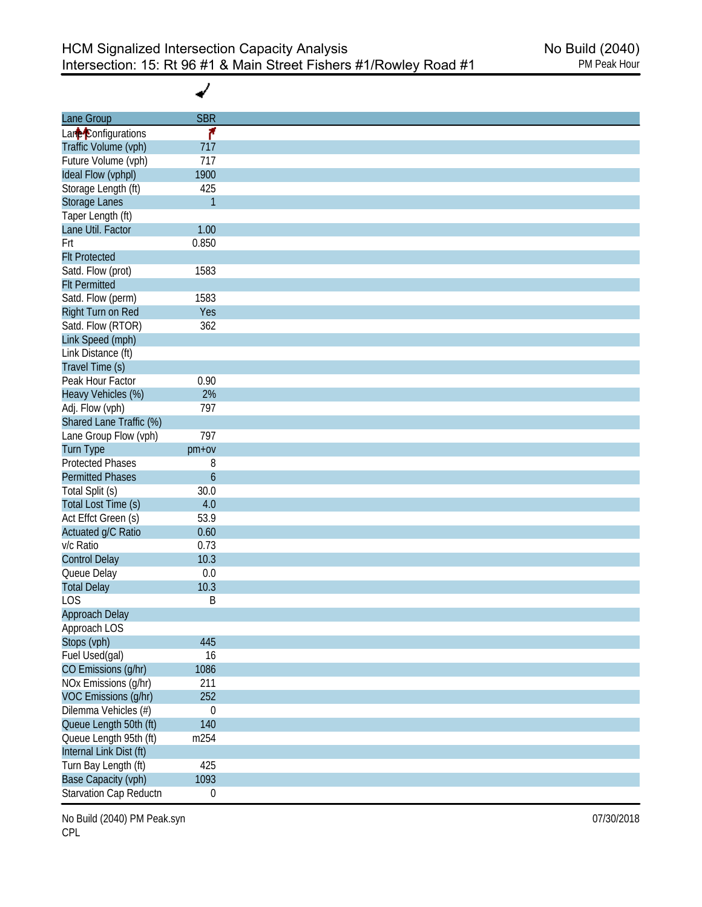✔

| Lane Group              | <b>SBR</b>       |
|-------------------------|------------------|
| Lare Configurations     | ۴                |
| Traffic Volume (vph)    | 717              |
| Future Volume (vph)     | 717              |
| Ideal Flow (vphpl)      | 1900             |
| Storage Length (ft)     | 425              |
| <b>Storage Lanes</b>    | $\mathbf{1}$     |
| Taper Length (ft)       |                  |
| Lane Util. Factor       | 1.00             |
| Frt                     | 0.850            |
| <b>Flt Protected</b>    |                  |
| Satd. Flow (prot)       | 1583             |
| <b>Flt Permitted</b>    |                  |
| Satd. Flow (perm)       | 1583             |
| Right Turn on Red       | Yes              |
| Satd. Flow (RTOR)       | 362              |
| Link Speed (mph)        |                  |
|                         |                  |
| Link Distance (ft)      |                  |
| Travel Time (s)         |                  |
| Peak Hour Factor        | 0.90             |
| Heavy Vehicles (%)      | 2%               |
| Adj. Flow (vph)         | 797              |
| Shared Lane Traffic (%) |                  |
| Lane Group Flow (vph)   | 797              |
| Turn Type               | $pm+ov$          |
| <b>Protected Phases</b> | 8                |
| <b>Permitted Phases</b> | 6                |
| Total Split (s)         | 30.0             |
| Total Lost Time (s)     | 4.0              |
| Act Effct Green (s)     | 53.9             |
| Actuated g/C Ratio      | 0.60             |
| v/c Ratio               | 0.73             |
| <b>Control Delay</b>    | 10.3             |
| Queue Delay             | $0.0\,$          |
| <b>Total Delay</b>      | 10.3             |
| <b>LOS</b>              | Β                |
| Approach Delay          |                  |
| Approach LOS            |                  |
| Stops (vph)             | 445              |
| Fuel Used(gal)          | 16               |
| CO Emissions (g/hr)     | 1086             |
|                         | 211              |
| NOx Emissions (g/hr)    |                  |
| VOC Emissions (g/hr)    | 252              |
| Dilemma Vehicles (#)    | $\boldsymbol{0}$ |
| Queue Length 50th (ft)  | 140              |
| Queue Length 95th (ft)  | m254             |
| Internal Link Dist (ft) |                  |
| Turn Bay Length (ft)    | 425              |
| Base Capacity (vph)     | 1093             |
| Starvation Cap Reductn  | $\boldsymbol{0}$ |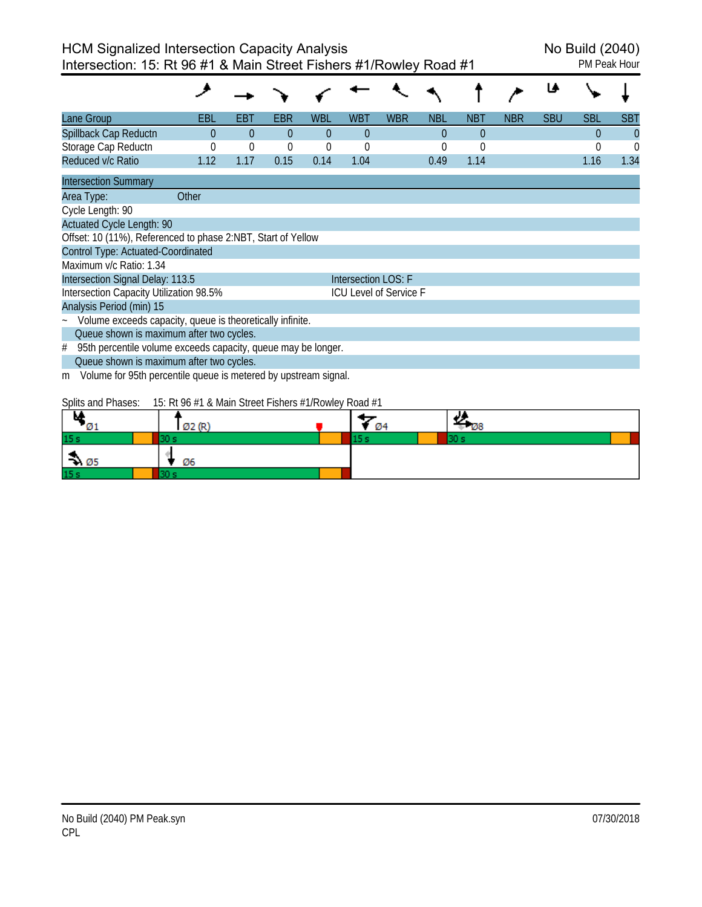| Lane Group                                                           | EBL                                                                                | EBT      | EBR      | WBL      | <b>WBT</b>          | <b>WBR</b>             | <b>NBL</b> | <b>NBT</b> | <b>NBR</b> | <b>SBU</b> | <b>SBL</b> | <b>SBT</b> |
|----------------------------------------------------------------------|------------------------------------------------------------------------------------|----------|----------|----------|---------------------|------------------------|------------|------------|------------|------------|------------|------------|
| Spillback Cap Reductn                                                | $\Omega$                                                                           | $\Omega$ | $\Omega$ | $\Omega$ | $\theta$            |                        | $\theta$   | $\theta$   |            |            | 0          | $\Omega$   |
| Storage Cap Reductn                                                  | 0                                                                                  | $\theta$ | $\theta$ | 0        | 0                   |                        | 0          | $\theta$   |            |            | 0          | 0          |
| Reduced v/c Ratio                                                    | 1.12                                                                               | 1.17     | 0.15     | 0.14     | 1.04                |                        | 0.49       | 1.14       |            |            | 1.16       | 1.34       |
| <b>Intersection Summary</b>                                          |                                                                                    |          |          |          |                     |                        |            |            |            |            |            |            |
| Area Type:                                                           | Other                                                                              |          |          |          |                     |                        |            |            |            |            |            |            |
| Cycle Length: 90                                                     |                                                                                    |          |          |          |                     |                        |            |            |            |            |            |            |
| <b>Actuated Cycle Length: 90</b>                                     |                                                                                    |          |          |          |                     |                        |            |            |            |            |            |            |
| Offset: 10 (11%), Referenced to phase 2:NBT, Start of Yellow         |                                                                                    |          |          |          |                     |                        |            |            |            |            |            |            |
| Control Type: Actuated-Coordinated                                   |                                                                                    |          |          |          |                     |                        |            |            |            |            |            |            |
| Maximum v/c Ratio: 1.34                                              |                                                                                    |          |          |          |                     |                        |            |            |            |            |            |            |
| Intersection Signal Delay: 113.5                                     |                                                                                    |          |          |          | Intersection LOS: F |                        |            |            |            |            |            |            |
| Intersection Capacity Utilization 98.5%                              |                                                                                    |          |          |          |                     | ICU Level of Service F |            |            |            |            |            |            |
| Analysis Period (min) 15                                             |                                                                                    |          |          |          |                     |                        |            |            |            |            |            |            |
| Volume exceeds capacity, queue is theoretically infinite.            |                                                                                    |          |          |          |                     |                        |            |            |            |            |            |            |
| Queue shown is maximum after two cycles.                             |                                                                                    |          |          |          |                     |                        |            |            |            |            |            |            |
| 95th percentile volume exceeds capacity, queue may be longer.<br>#   |                                                                                    |          |          |          |                     |                        |            |            |            |            |            |            |
| Queue shown is maximum after two cycles.                             |                                                                                    |          |          |          |                     |                        |            |            |            |            |            |            |
| Volume for 95th percentile queue is metered by upstream signal.<br>m |                                                                                    |          |          |          |                     |                        |            |            |            |            |            |            |
| Callie and Dhasse                                                    | $1\Gamma$ DLOI $\beta$ 1.0 Meta Chasel Etchical $\beta$ 1.0 color Decal $\beta$ 1. |          |          |          |                     |                        |            |            |            |            |            |            |

Splits and Phases: 15: Rt 96 #1 & Main Street Fishers #1/Rowley Road #1

| м<br>- 01        | Ø2(R) | - 04 | الد<br>ும |
|------------------|-------|------|-----------|
| 15 <sub>s</sub>  |       |      | 20        |
| $\rightarrow$ 05 | Ø6    |      |           |
| 15 <sub>s</sub>  |       |      |           |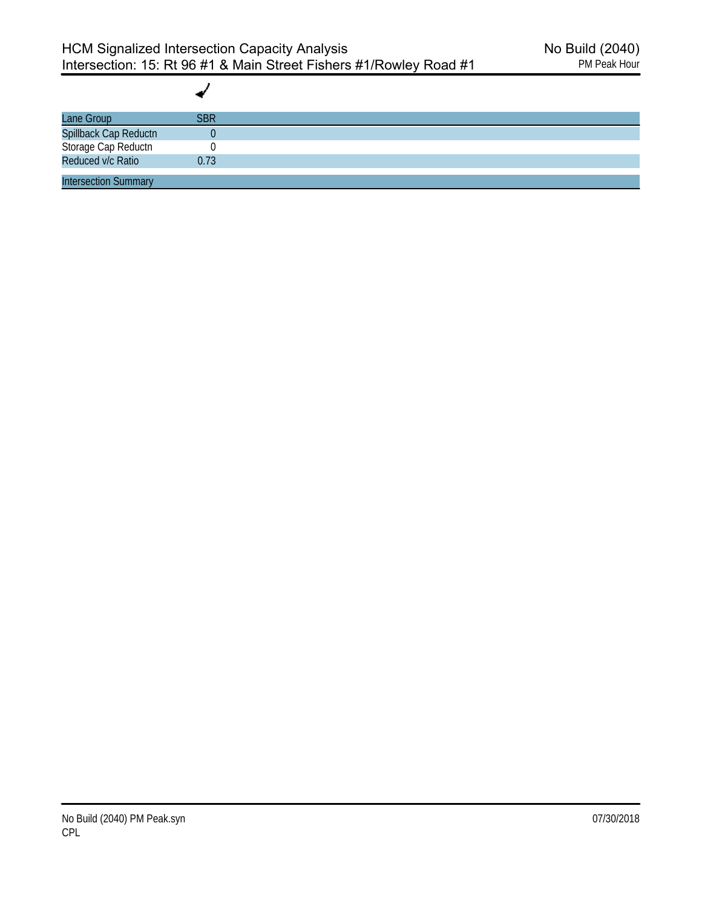| Lane Group                                                        | <b>SBR</b> |  |
|-------------------------------------------------------------------|------------|--|
| Spillback Cap Reductn<br>Storage Cap Reductn<br>Reduced v/c Ratio |            |  |
|                                                                   |            |  |
|                                                                   | 0.73       |  |
| <b>Intersection Summary</b>                                       |            |  |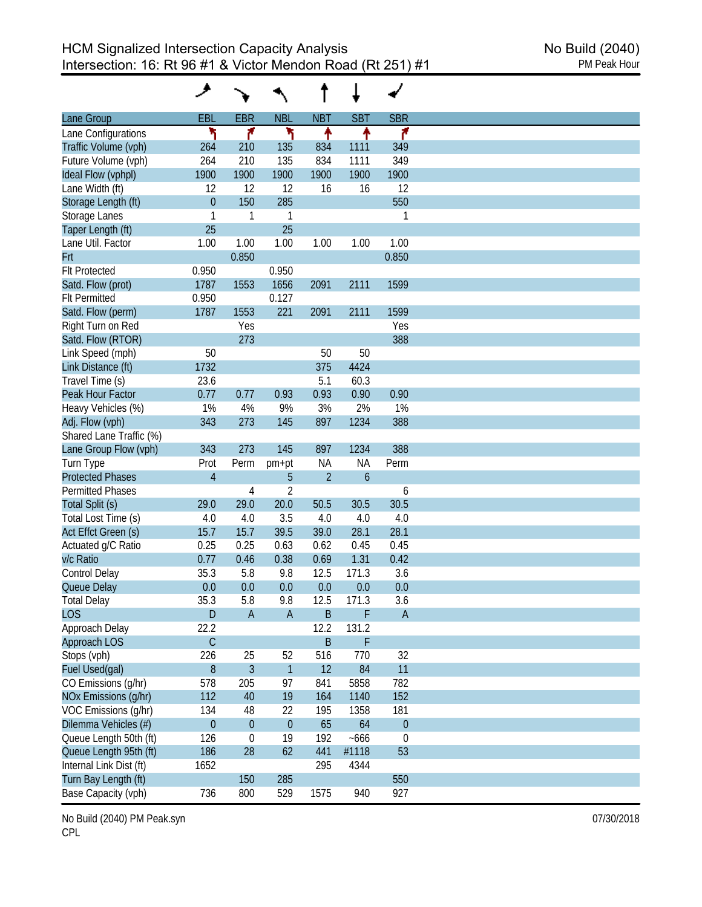| Lane Group              | EBL            | <b>EBR</b>   | <b>NBL</b>     | <b>NBT</b>     | <b>SBT</b>    | <b>SBR</b>       |
|-------------------------|----------------|--------------|----------------|----------------|---------------|------------------|
| Lane Configurations     | ۲              | ۴            | ۲              | ↑              | ↟             | ۴                |
| Traffic Volume (vph)    | 264            | 210          | 135            | 834            | 1111          | 349              |
| Future Volume (vph)     | 264            | 210          | 135            | 834            | 1111          | 349              |
| Ideal Flow (vphpl)      | 1900           | 1900         | 1900           | 1900           | 1900          | 1900             |
| Lane Width (ft)         | 12             | 12           | 12             | 16             | 16            | 12               |
|                         | $\overline{0}$ | 150          | 285            |                |               | 550              |
| Storage Length (ft)     |                |              |                |                |               |                  |
| Storage Lanes           | 1<br>25        | 1            | 1<br>25        |                |               | 1                |
| Taper Length (ft)       |                |              |                |                |               |                  |
| Lane Util. Factor       | 1.00           | 1.00         | 1.00           | 1.00           | 1.00          | 1.00             |
| Frt                     |                | 0.850        |                |                |               | 0.850            |
| <b>Flt Protected</b>    | 0.950          |              | 0.950          |                |               |                  |
| Satd. Flow (prot)       | 1787           | 1553         | 1656           | 2091           | 2111          | 1599             |
| <b>Flt Permitted</b>    | 0.950          |              | 0.127          |                |               |                  |
| Satd. Flow (perm)       | 1787           | 1553         | 221            | 2091           | 2111          | 1599             |
| Right Turn on Red       |                | Yes          |                |                |               | Yes              |
| Satd. Flow (RTOR)       |                | 273          |                |                |               | 388              |
| Link Speed (mph)        | 50             |              |                | 50             | 50            |                  |
| Link Distance (ft)      | 1732           |              |                | 375            | 4424          |                  |
| Travel Time (s)         | 23.6           |              |                | 5.1            | 60.3          |                  |
| Peak Hour Factor        | 0.77           | 0.77         | 0.93           | 0.93           | 0.90          | 0.90             |
| Heavy Vehicles (%)      | 1%             | 4%           | 9%             | 3%             | 2%            | 1%               |
| Adj. Flow (vph)         | 343            | 273          | 145            | 897            | 1234          | 388              |
| Shared Lane Traffic (%) |                |              |                |                |               |                  |
| Lane Group Flow (vph)   | 343            | 273          | 145            | 897            | 1234          | 388              |
| Turn Type               | Prot           | Perm         | pm+pt          | NA             | NA            | Perm             |
| <b>Protected Phases</b> | $\overline{4}$ |              | 5              | $\overline{2}$ | $\mathfrak b$ |                  |
| <b>Permitted Phases</b> |                | 4            | $\overline{2}$ |                |               | 6                |
| Total Split (s)         | 29.0           | 29.0         | 20.0           | 50.5           | 30.5          | 30.5             |
| Total Lost Time (s)     | 4.0            | 4.0          | 3.5            | 4.0            | 4.0           | 4.0              |
| Act Effct Green (s)     | 15.7           | 15.7         | 39.5           | 39.0           | 28.1          | 28.1             |
|                         |                |              |                |                |               |                  |
| Actuated g/C Ratio      | 0.25           | 0.25         | 0.63           | 0.62           | 0.45          | 0.45             |
| v/c Ratio               | 0.77           | 0.46         | 0.38           | 0.69           | 1.31          | 0.42             |
| <b>Control Delay</b>    | 35.3           | 5.8          | 9.8            | 12.5           | 171.3         | 3.6              |
| Queue Delay             | 0.0            | 0.0          | 0.0            | 0.0            | 0.0           | 0.0              |
| <b>Total Delay</b>      | 35.3           | 5.8          | 9.8            | 12.5           | 171.3         | 3.6              |
| <b>LOS</b>              | $\mathsf D$    | $\mathsf A$  | $\mathsf A$    | $\sf B$        | F             | $\mathsf A$      |
| Approach Delay          | 22.2           |              |                | 12.2           | 131.2         |                  |
| Approach LOS            | $\mathsf C$    |              |                | $\sf B$        | F             |                  |
| Stops (vph)             | 226            | 25           | 52             | 516            | 770           | 32               |
| Fuel Used(gal)          | $\, 8$         | 3            | $\mathbf{1}$   | 12             | 84            | 11               |
| CO Emissions (g/hr)     | 578            | 205          | 97             | 841            | 5858          | 782              |
| NOx Emissions (g/hr)    | 112            | 40           | 19             | 164            | 1140          | 152              |
| VOC Emissions (g/hr)    | 134            | 48           | 22             | 195            | 1358          | 181              |
| Dilemma Vehicles (#)    | $\overline{0}$ | $\mathbf{0}$ | $\theta$       | 65             | 64            | $\theta$         |
| Queue Length 50th (ft)  | 126            | 0            | 19             | 192            | $-666$        | $\boldsymbol{0}$ |
| Queue Length 95th (ft)  | 186            | 28           | 62             | 441            | #1118         | 53               |
| Internal Link Dist (ft) | 1652           |              |                | 295            | 4344          |                  |
|                         |                | 150          |                |                |               | 550              |
| Turn Bay Length (ft)    |                |              | 285            |                |               |                  |
| Base Capacity (vph)     | 736            | 800          | 529            | 1575           | 940           | 927              |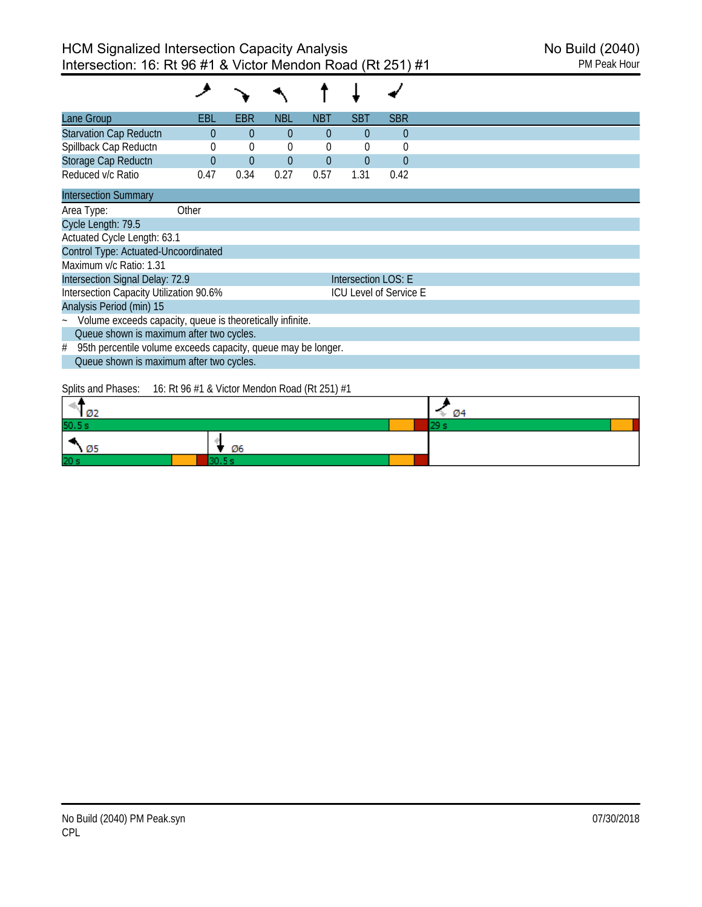| Lane Group                                                         | EBL            | <b>EBR</b> | NBL            | <b>NBT</b> | <b>SBT</b>          | <b>SBR</b>                    |  |
|--------------------------------------------------------------------|----------------|------------|----------------|------------|---------------------|-------------------------------|--|
| <b>Starvation Cap Reductn</b>                                      | $\bf{0}$       | $\theta$   | $\overline{0}$ | $\theta$   | 0                   | $\theta$                      |  |
| Spillback Cap Reductn                                              | 0              | 0          | $\theta$       | $\theta$   | $\Omega$            | $\theta$                      |  |
| Storage Cap Reductn                                                | $\overline{0}$ | $\theta$   | $\overline{0}$ | $\theta$   | $\theta$            | $\theta$                      |  |
| Reduced v/c Ratio                                                  | 0.47           | 0.34       | 0.27           | 0.57       | 1.31                | 0.42                          |  |
| <b>Intersection Summary</b>                                        |                |            |                |            |                     |                               |  |
| Area Type:                                                         | Other          |            |                |            |                     |                               |  |
| Cycle Length: 79.5                                                 |                |            |                |            |                     |                               |  |
| Actuated Cycle Length: 63.1                                        |                |            |                |            |                     |                               |  |
| Control Type: Actuated-Uncoordinated                               |                |            |                |            |                     |                               |  |
| Maximum v/c Ratio: 1.31                                            |                |            |                |            |                     |                               |  |
| Intersection Signal Delay: 72.9                                    |                |            |                |            | Intersection LOS: E |                               |  |
| Intersection Capacity Utilization 90.6%                            |                |            |                |            |                     | <b>ICU Level of Service E</b> |  |
| Analysis Period (min) 15                                           |                |            |                |            |                     |                               |  |
| Volume exceeds capacity, queue is theoretically infinite.          |                |            |                |            |                     |                               |  |
| Queue shown is maximum after two cycles.                           |                |            |                |            |                     |                               |  |
| 95th percentile volume exceeds capacity, queue may be longer.<br># |                |            |                |            |                     |                               |  |
| Queue shown is maximum after two cycles.                           |                |            |                |            |                     |                               |  |
| Splits and Phases: $16:$ Rt 96 #1 & Victor Mendon Road (Rt 251) #1 |                |            |                |            |                     |                               |  |

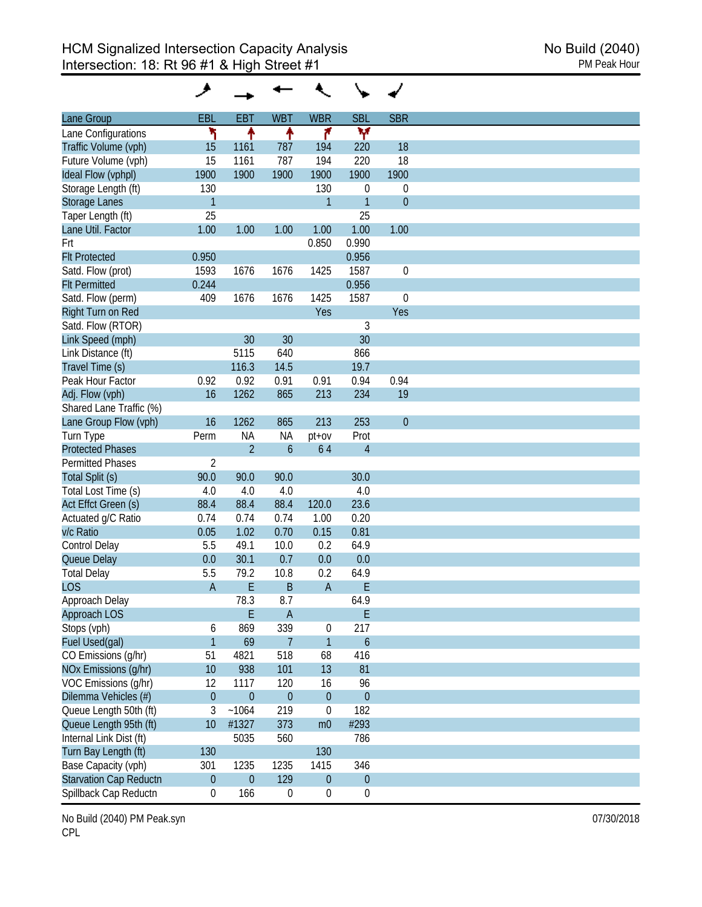| Lane Group                    | <b>EBL</b>       | <b>EBT</b>       | <b>WBT</b>       | <b>WBR</b>       | <b>SBL</b>       | <b>SBR</b>       |
|-------------------------------|------------------|------------------|------------------|------------------|------------------|------------------|
| Lane Configurations           | ۲                | ↟                | ↟                | ۴                | v                |                  |
| Traffic Volume (vph)          | 15               | 1161             | 787              | 194              | 220              | 18               |
| Future Volume (vph)           | 15               | 1161             | 787              | 194              | 220              | 18               |
| Ideal Flow (vphpl)            | 1900             | 1900             | 1900             | 1900             | 1900             | 1900             |
| Storage Length (ft)           | 130              |                  |                  | 130              | $\theta$         | $\boldsymbol{0}$ |
|                               | $\mathbf{1}$     |                  |                  | $\mathbf{1}$     | $\mathbf{1}$     | $\theta$         |
| <b>Storage Lanes</b>          | 25               |                  |                  |                  | 25               |                  |
| Taper Length (ft)             |                  |                  |                  |                  |                  |                  |
| Lane Util. Factor             | 1.00             | 1.00             | 1.00             | 1.00             | 1.00             | 1.00             |
| Frt                           |                  |                  |                  | 0.850            | 0.990            |                  |
| <b>Flt Protected</b>          | 0.950            |                  |                  |                  | 0.956            |                  |
| Satd. Flow (prot)             | 1593             | 1676             | 1676             | 1425             | 1587             | $\mathbf 0$      |
| <b>Flt Permitted</b>          | 0.244            |                  |                  |                  | 0.956            |                  |
| Satd. Flow (perm)             | 409              | 1676             | 1676             | 1425             | 1587             | $\mathbf 0$      |
| Right Turn on Red             |                  |                  |                  | Yes              |                  | Yes              |
| Satd. Flow (RTOR)             |                  |                  |                  |                  | 3                |                  |
| Link Speed (mph)              |                  | 30               | 30               |                  | 30               |                  |
| Link Distance (ft)            |                  | 5115             | 640              |                  | 866              |                  |
| Travel Time (s)               |                  | 116.3            | 14.5             |                  | 19.7             |                  |
| Peak Hour Factor              | 0.92             | 0.92             | 0.91             | 0.91             | 0.94             | 0.94             |
| Adj. Flow (vph)               | 16               | 1262             | 865              | 213              | 234              | 19               |
| Shared Lane Traffic (%)       |                  |                  |                  |                  |                  |                  |
|                               | 16               | 1262             | 865              | 213              | 253              | $\theta$         |
| Lane Group Flow (vph)         |                  |                  |                  |                  |                  |                  |
| Turn Type                     | Perm             | <b>NA</b>        | <b>NA</b>        | $pt$ + $ov$      | Prot             |                  |
| <b>Protected Phases</b>       |                  | $\overline{2}$   | $\mathfrak b$    | 64               | $\overline{4}$   |                  |
| <b>Permitted Phases</b>       | $\overline{2}$   |                  |                  |                  |                  |                  |
| Total Split (s)               | 90.0             | 90.0             | 90.0             |                  | 30.0             |                  |
| Total Lost Time (s)           | 4.0              | 4.0              | 4.0              |                  | 4.0              |                  |
| Act Effct Green (s)           | 88.4             | 88.4             | 88.4             | 120.0            | 23.6             |                  |
| Actuated g/C Ratio            | 0.74             | 0.74             | 0.74             | 1.00             | 0.20             |                  |
| v/c Ratio                     | 0.05             | 1.02             | 0.70             | 0.15             | 0.81             |                  |
| Control Delay                 | 5.5              | 49.1             | 10.0             | 0.2              | 64.9             |                  |
| Queue Delay                   | 0.0              | 30.1             | 0.7              | 0.0              | 0.0              |                  |
| <b>Total Delay</b>            | 5.5              | 79.2             | 10.8             | 0.2              | 64.9             |                  |
| <b>LOS</b>                    | A                | E                | B                | $\overline{A}$   | E                |                  |
| Approach Delay                |                  | 78.3             | 8.7              |                  | 64.9             |                  |
|                               |                  | E                |                  |                  |                  |                  |
| Approach LOS                  |                  |                  | $\overline{A}$   |                  | E                |                  |
| Stops (vph)                   | 6                | 869              | 339              | 0                | 217              |                  |
| Fuel Used(gal)                | $\mathbf{1}$     | 69               | $\overline{7}$   | $\mathbf{1}$     | $\boldsymbol{6}$ |                  |
| CO Emissions (g/hr)           | 51               | 4821             | 518              | 68               | 416              |                  |
| NOx Emissions (g/hr)          | 10               | 938              | 101              | 13               | 81               |                  |
| VOC Emissions (g/hr)          | 12               | 1117             | 120              | 16               | 96               |                  |
| Dilemma Vehicles (#)          | $\boldsymbol{0}$ | $\theta$         | $\theta$         | $\theta$         | $\boldsymbol{0}$ |                  |
| Queue Length 50th (ft)        | 3                | ~1064            | 219              | 0                | 182              |                  |
| Queue Length 95th (ft)        | 10               | #1327            | 373              | m <sub>0</sub>   | #293             |                  |
| Internal Link Dist (ft)       |                  | 5035             | 560              |                  | 786              |                  |
| Turn Bay Length (ft)          | 130              |                  |                  | 130              |                  |                  |
| Base Capacity (vph)           | 301              | 1235             | 1235             | 1415             | 346              |                  |
| <b>Starvation Cap Reductn</b> | $\boldsymbol{0}$ | $\boldsymbol{0}$ | 129              | $\boldsymbol{0}$ | $\boldsymbol{0}$ |                  |
| Spillback Cap Reductn         | $\boldsymbol{0}$ |                  | $\boldsymbol{0}$ |                  |                  |                  |
|                               |                  | 166              |                  | $\boldsymbol{0}$ | 0                |                  |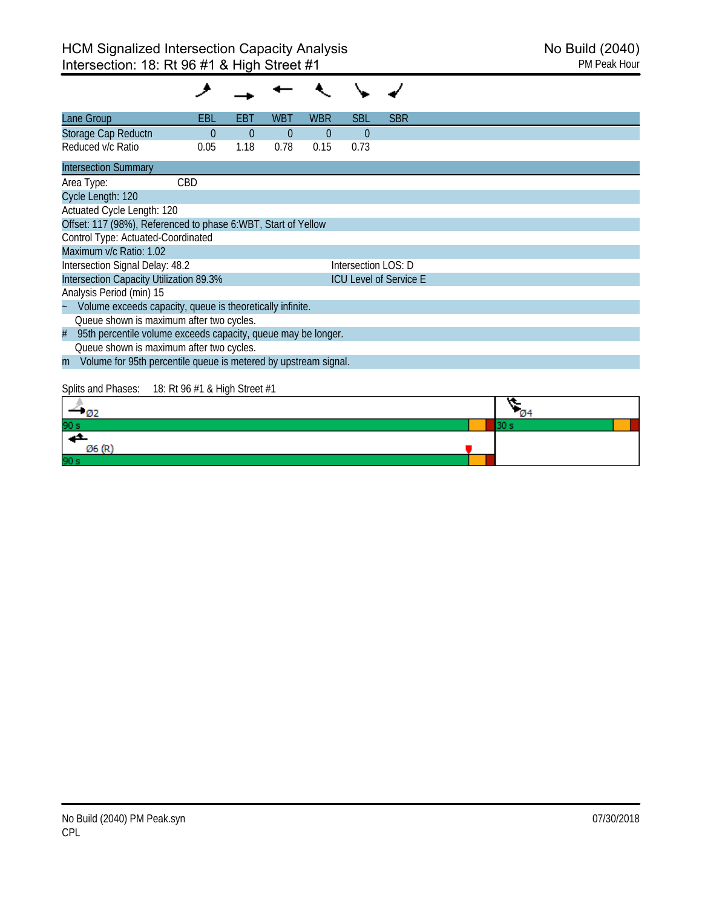| Lane Group                                                           | EBL                           | EBT      | <b>WBT</b>     | <b>WBR</b> | <b>SBL</b>          | <b>SBR</b>                    |      |  |
|----------------------------------------------------------------------|-------------------------------|----------|----------------|------------|---------------------|-------------------------------|------|--|
| Storage Cap Reductn                                                  | $\Omega$                      | $\theta$ | $\overline{0}$ | $\theta$   | $\Omega$            |                               |      |  |
| Reduced v/c Ratio                                                    | 0.05                          | 1.18     | 0.78           | 0.15       | 0.73                |                               |      |  |
| <b>Intersection Summary</b>                                          |                               |          |                |            |                     |                               |      |  |
| Area Type:                                                           | CBD                           |          |                |            |                     |                               |      |  |
| Cycle Length: 120                                                    |                               |          |                |            |                     |                               |      |  |
| Actuated Cycle Length: 120                                           |                               |          |                |            |                     |                               |      |  |
| Offset: 117 (98%), Referenced to phase 6:WBT, Start of Yellow        |                               |          |                |            |                     |                               |      |  |
| Control Type: Actuated-Coordinated                                   |                               |          |                |            |                     |                               |      |  |
| Maximum v/c Ratio: 1.02                                              |                               |          |                |            |                     |                               |      |  |
| Intersection Signal Delay: 48.2                                      |                               |          |                |            | Intersection LOS: D |                               |      |  |
| Intersection Capacity Utilization 89.3%                              |                               |          |                |            |                     | <b>ICU Level of Service E</b> |      |  |
| Analysis Period (min) 15                                             |                               |          |                |            |                     |                               |      |  |
| Volume exceeds capacity, queue is theoretically infinite.            |                               |          |                |            |                     |                               |      |  |
| Queue shown is maximum after two cycles.                             |                               |          |                |            |                     |                               |      |  |
| 95th percentile volume exceeds capacity, queue may be longer.<br>#   |                               |          |                |            |                     |                               |      |  |
| Queue shown is maximum after two cycles.                             |                               |          |                |            |                     |                               |      |  |
| Volume for 95th percentile queue is metered by upstream signal.<br>m |                               |          |                |            |                     |                               |      |  |
|                                                                      |                               |          |                |            |                     |                               |      |  |
| Splits and Phases:                                                   | 18: Rt 96 #1 & High Street #1 |          |                |            |                     |                               |      |  |
| $-02$                                                                |                               |          |                |            |                     |                               |      |  |
|                                                                      |                               |          |                |            |                     |                               | 30 s |  |
|                                                                      |                               |          |                |            |                     |                               |      |  |

 $\emptyset$ 6 (R)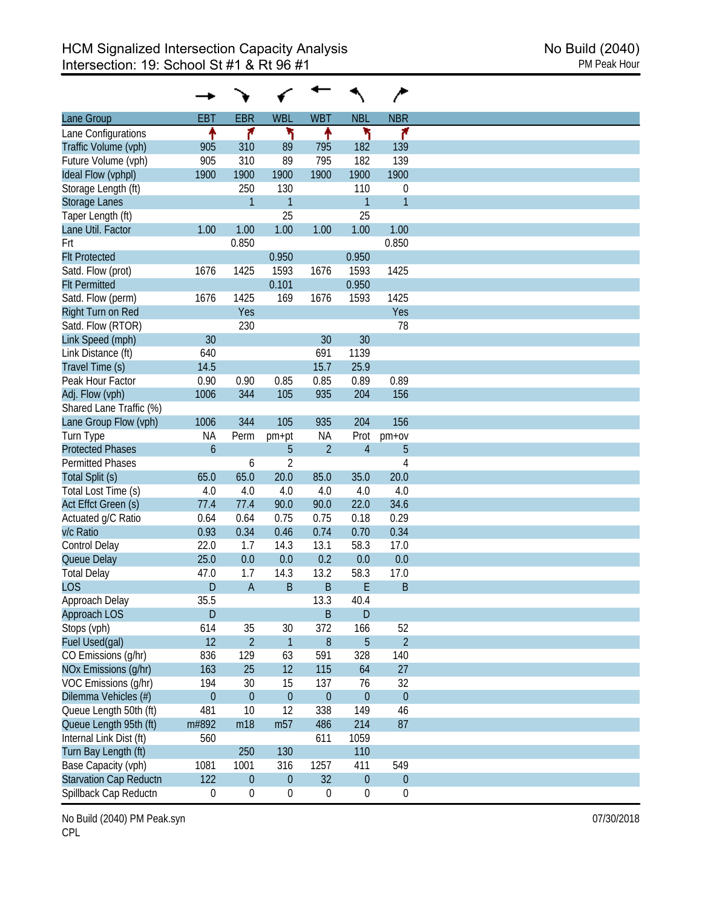| Lane Group                    | <b>EBT</b>       | <b>EBR</b>       | <b>WBL</b>       | <b>WBT</b>       | <b>NBL</b>       | <b>NBR</b>       |
|-------------------------------|------------------|------------------|------------------|------------------|------------------|------------------|
| Lane Configurations           | ٠                | ۴                | ۲                | ↟                | ۲                | ۴                |
| Traffic Volume (vph)          | 905              | 310              | 89               | 795              | 182              | 139              |
| Future Volume (vph)           | 905              | 310              | 89               | 795              | 182              | 139              |
| Ideal Flow (vphpl)            | 1900             | 1900             | 1900             | 1900             | 1900             | 1900             |
| Storage Length (ft)           |                  | 250              | 130              |                  | 110              | 0                |
| <b>Storage Lanes</b>          |                  | $\mathbf{1}$     | $\mathbf{1}$     |                  | $\overline{1}$   | 1                |
| Taper Length (ft)             |                  |                  | 25               |                  | 25               |                  |
| Lane Util. Factor             | 1.00             | 1.00             | 1.00             | 1.00             | 1.00             | 1.00             |
| Frt                           |                  | 0.850            |                  |                  |                  | 0.850            |
| <b>Flt Protected</b>          |                  |                  | 0.950            |                  | 0.950            |                  |
| Satd. Flow (prot)             | 1676             | 1425             | 1593             | 1676             | 1593             | 1425             |
| <b>Flt Permitted</b>          |                  |                  | 0.101            |                  | 0.950            |                  |
| Satd. Flow (perm)             | 1676             | 1425             | 169              | 1676             | 1593             | 1425             |
|                               |                  | Yes              |                  |                  |                  |                  |
| Right Turn on Red             |                  |                  |                  |                  |                  | Yes              |
| Satd. Flow (RTOR)             |                  | 230              |                  |                  |                  | 78               |
| Link Speed (mph)              | 30               |                  |                  | 30               | 30               |                  |
| Link Distance (ft)            | 640              |                  |                  | 691              | 1139             |                  |
| Travel Time (s)               | 14.5             |                  |                  | 15.7             | 25.9             |                  |
| Peak Hour Factor              | 0.90             | 0.90             | 0.85             | 0.85             | 0.89             | 0.89             |
| Adj. Flow (vph)               | 1006             | 344              | 105              | 935              | 204              | 156              |
| Shared Lane Traffic (%)       |                  |                  |                  |                  |                  |                  |
| Lane Group Flow (vph)         | 1006             | 344              | 105              | 935              | 204              | 156              |
| Turn Type                     | <b>NA</b>        | Perm             | pm+pt            | NА               | Prot             | pm+ov            |
| <b>Protected Phases</b>       | $\mathfrak b$    |                  | 5                | $\overline{2}$   | $\overline{4}$   | 5                |
| <b>Permitted Phases</b>       |                  | 6                | $\overline{2}$   |                  |                  | 4                |
| Total Split (s)               | 65.0             | 65.0             | 20.0             | 85.0             | 35.0             | 20.0             |
| Total Lost Time (s)           | 4.0              | 4.0              | 4.0              | 4.0              | 4.0              | 4.0              |
| Act Effct Green (s)           | 77.4             | 77.4             | 90.0             | 90.0             | 22.0             | 34.6             |
| Actuated g/C Ratio            | 0.64             | 0.64             | 0.75             | 0.75             | 0.18             | 0.29             |
| v/c Ratio                     | 0.93             | 0.34             | 0.46             | 0.74             | 0.70             | 0.34             |
| Control Delay                 | 22.0             | 1.7              | 14.3             | 13.1             | 58.3             | 17.0             |
| Queue Delay                   | 25.0             | 0.0              | 0.0              | 0.2              | 0.0              | 0.0              |
| <b>Total Delay</b>            | 47.0             | 1.7              | 14.3             | 13.2             | 58.3             | 17.0             |
| <b>LOS</b>                    | D                | $\mathsf{A}$     | B                | B                | E                | B                |
| Approach Delay                | 35.5             |                  |                  | 13.3             | 40.4             |                  |
| <b>Approach LOS</b>           | D                |                  |                  | B                | D                |                  |
| Stops (vph)                   | 614              | 35               | 30               | 372              | 166              | 52               |
| Fuel Used(gal)                | 12               | $\overline{2}$   | $\mathbf{1}$     | 8                | 5                | $\overline{2}$   |
| CO Emissions (g/hr)           | 836              | 129              | 63               | 591              | 328              | 140              |
| NOx Emissions (g/hr)          | 163              | 25               | 12               | 115              | 64               | 27               |
| VOC Emissions (g/hr)          | 194              | 30               | 15               | 137              | 76               | 32               |
| Dilemma Vehicles (#)          | $\boldsymbol{0}$ | $\mathbf{0}$     | $\boldsymbol{0}$ | $\boldsymbol{0}$ | $\mathbf{0}$     | $\boldsymbol{0}$ |
| Queue Length 50th (ft)        | 481              | 10               | 12               | 338              | 149              | 46               |
| Queue Length 95th (ft)        | m#892            | m18              | m <sub>57</sub>  | 486              | 214              | 87               |
| Internal Link Dist (ft)       | 560              |                  |                  | 611              | 1059             |                  |
| Turn Bay Length (ft)          |                  | 250              | 130              |                  | 110              |                  |
| Base Capacity (vph)           | 1081             | 1001             | 316              | 1257             | 411              | 549              |
| <b>Starvation Cap Reductn</b> | 122              | $\boldsymbol{0}$ | $\boldsymbol{0}$ | 32               | $\boldsymbol{0}$ | $\theta$         |
|                               |                  |                  |                  |                  |                  |                  |
| Spillback Cap Reductn         | 0                | $\boldsymbol{0}$ | $\boldsymbol{0}$ | $\boldsymbol{0}$ | $\boldsymbol{0}$ | $\boldsymbol{0}$ |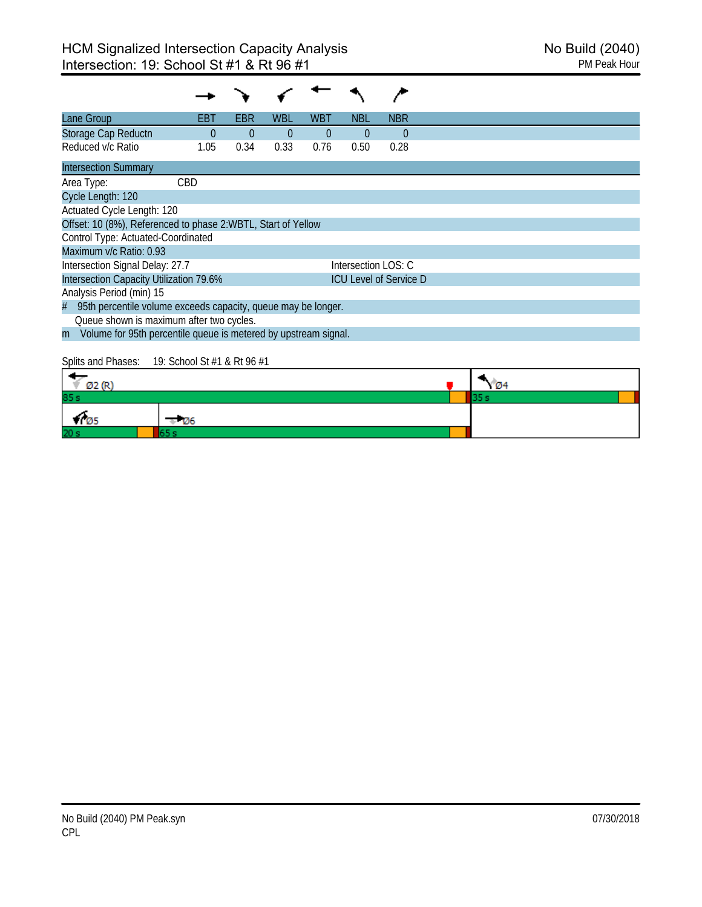| Lane Group                                                           | EBT        | EBR      | WBL      | WBT            | NBL                 | <b>NBR</b>                    |
|----------------------------------------------------------------------|------------|----------|----------|----------------|---------------------|-------------------------------|
| Storage Cap Reductn                                                  | $\Omega$   | $\Omega$ | $\Omega$ | $\overline{0}$ | $\theta$            | $\overline{0}$                |
| Reduced v/c Ratio                                                    | 1.05       | 0.34     | 0.33     | 0.76           | 0.50                | 0.28                          |
| <b>Intersection Summary</b>                                          |            |          |          |                |                     |                               |
| Area Type:                                                           | <b>CBD</b> |          |          |                |                     |                               |
| Cycle Length: 120                                                    |            |          |          |                |                     |                               |
| Actuated Cycle Length: 120                                           |            |          |          |                |                     |                               |
| Offset: 10 (8%), Referenced to phase 2:WBTL, Start of Yellow         |            |          |          |                |                     |                               |
| Control Type: Actuated-Coordinated                                   |            |          |          |                |                     |                               |
| Maximum v/c Ratio: 0.93                                              |            |          |          |                |                     |                               |
| Intersection Signal Delay: 27.7                                      |            |          |          |                | Intersection LOS: C |                               |
| Intersection Capacity Utilization 79.6%                              |            |          |          |                |                     | <b>ICU Level of Service D</b> |
| Analysis Period (min) 15                                             |            |          |          |                |                     |                               |
| 95th percentile volume exceeds capacity, queue may be longer.<br>#   |            |          |          |                |                     |                               |
| Queue shown is maximum after two cycles.                             |            |          |          |                |                     |                               |
| Volume for 95th percentile queue is metered by upstream signal.<br>m |            |          |          |                |                     |                               |
|                                                                      |            |          |          |                |                     |                               |

Splits and Phases: 19: School St #1 & Rt 96 #1

| (22.0)<br><b>DZ</b> |       | Ø4 |  |
|---------------------|-------|----|--|
| 85s                 |       |    |  |
| V 05                | - 126 |    |  |
| 20 <sub>s</sub>     |       |    |  |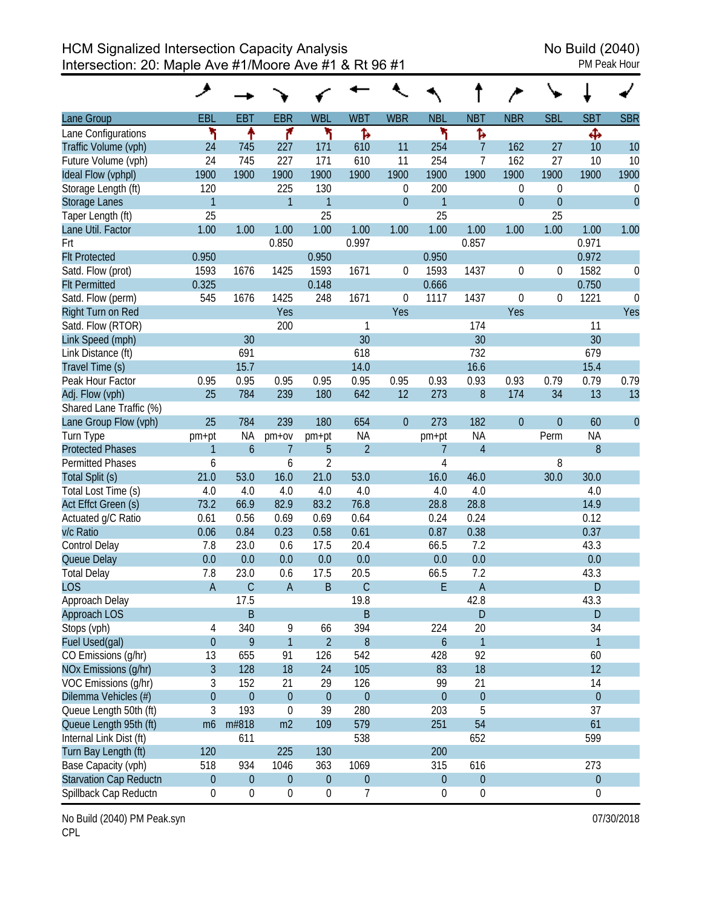|                         | ◢                |                  |                  |                  |                  |                |                  |                  |                  |                  |                  |             |
|-------------------------|------------------|------------------|------------------|------------------|------------------|----------------|------------------|------------------|------------------|------------------|------------------|-------------|
| <b>Lane Group</b>       | <b>EBL</b>       | <b>EBT</b>       | <b>EBR</b>       | <b>WBL</b>       | <b>WBT</b>       | <b>WBR</b>     | <b>NBL</b>       | <b>NBT</b>       | <b>NBR</b>       | <b>SBL</b>       | <b>SBT</b>       | <b>SBR</b>  |
| Lane Configurations     | ۲                | ↟                | ۴                | ۲                | Ъ                |                | ۲                | Ъ                |                  |                  | Ф                |             |
| Traffic Volume (vph)    | 24               | 745              | 227              | 171              | 610              | 11             | 254              | $\overline{7}$   | 162              | 27               | 10               | 10          |
| Future Volume (vph)     | 24               | 745              | 227              | 171              | 610              | 11             | 254              | $\overline{7}$   | 162              | 27               | 10               | 10          |
| Ideal Flow (vphpl)      | 1900             | 1900             | 1900             | 1900             | 1900             | 1900           | 1900             | 1900             | 1900             | 1900             | 1900             | 1900        |
| Storage Length (ft)     | 120              |                  | 225              | 130              |                  | 0              | 200              |                  | 0                | 0                |                  | 0           |
| <b>Storage Lanes</b>    | $\mathbf{1}$     |                  | $\mathbf{1}$     | $\mathbf{1}$     |                  | $\overline{0}$ | $\mathbf{1}$     |                  | $\theta$         | $\boldsymbol{0}$ |                  | $\theta$    |
| Taper Length (ft)       | 25               |                  |                  | 25               |                  |                | 25               |                  |                  | 25               |                  |             |
| Lane Util. Factor       | 1.00             | 1.00             | 1.00             | 1.00             | 1.00             | 1.00           | 1.00             | 1.00             | 1.00             | 1.00             | 1.00             | 1.00        |
| Frt                     |                  |                  | 0.850            |                  | 0.997            |                |                  | 0.857            |                  |                  | 0.971            |             |
| <b>Flt Protected</b>    | 0.950            |                  |                  | 0.950            |                  |                | 0.950            |                  |                  |                  | 0.972            |             |
| Satd. Flow (prot)       | 1593             | 1676             | 1425             | 1593             | 1671             | 0              | 1593             | 1437             | $\boldsymbol{0}$ | 0                | 1582             | 0           |
| <b>Flt Permitted</b>    | 0.325            |                  |                  | 0.148            |                  |                | 0.666            |                  |                  |                  | 0.750            |             |
| Satd. Flow (perm)       | 545              | 1676             | 1425             | 248              | 1671             | 0              | 1117             | 1437             | 0                | 0                | 1221             | $\mathbf 0$ |
| Right Turn on Red       |                  |                  | Yes              |                  |                  | Yes            |                  |                  | Yes              |                  |                  | Yes         |
| Satd. Flow (RTOR)       |                  |                  | 200              |                  | 1                |                |                  | 174              |                  |                  | 11               |             |
| Link Speed (mph)        |                  | 30               |                  |                  | 30               |                |                  | 30               |                  |                  | 30               |             |
| Link Distance (ft)      |                  | 691              |                  |                  | 618              |                |                  | 732              |                  |                  | 679              |             |
| Travel Time (s)         |                  | 15.7             |                  |                  | 14.0             |                |                  | 16.6             |                  |                  | 15.4             |             |
| Peak Hour Factor        | 0.95             | 0.95             | 0.95             | 0.95             | 0.95             | 0.95           | 0.93             | 0.93             | 0.93             | 0.79             | 0.79             | 0.79        |
| Adj. Flow (vph)         | 25               | 784              | 239              | 180              | 642              | 12             | 273              | $8\,$            | 174              | 34               | 13               | 13          |
| Shared Lane Traffic (%) |                  |                  |                  |                  |                  |                |                  |                  |                  |                  |                  |             |
| Lane Group Flow (vph)   | 25               | 784              | 239              | 180              | 654              | $\theta$       | 273              | 182              | $\mathbf{0}$     | 0                | 60               | $\theta$    |
| Turn Type               | pm+pt            | NA               | pm+ov            | pm+pt            | <b>NA</b>        |                | pm+pt            | <b>NA</b>        |                  | Perm             | <b>NA</b>        |             |
| <b>Protected Phases</b> | $\mathbf{1}$     | $\mathfrak b$    | $\overline{7}$   | 5                | $\overline{2}$   |                | 7                | $\overline{4}$   |                  |                  | 8                |             |
| <b>Permitted Phases</b> | 6                |                  | 6                | $\overline{2}$   |                  |                | 4                |                  |                  | 8                |                  |             |
| Total Split (s)         | 21.0             | 53.0             | 16.0             | 21.0             | 53.0             |                | 16.0             | 46.0             |                  | 30.0             | 30.0             |             |
| Total Lost Time (s)     | 4.0              | 4.0              | 4.0              | 4.0              | 4.0              |                | 4.0              | 4.0              |                  |                  | 4.0              |             |
| Act Effct Green (s)     | 73.2             | 66.9             | 82.9             | 83.2             | 76.8             |                | 28.8             | 28.8             |                  |                  | 14.9             |             |
| Actuated g/C Ratio      | 0.61             | 0.56             | 0.69             | 0.69             | 0.64             |                | 0.24             | 0.24             |                  |                  | 0.12             |             |
| v/c Ratio               | 0.06             | 0.84             | 0.23             | 0.58             | 0.61             |                | 0.87             | 0.38             |                  |                  | 0.37             |             |
| Control Delay           | 7.8              | 23.0             | 0.6              | 17.5             | 20.4             |                | 66.5             | 7.2              |                  |                  | 43.3             |             |
| Queue Delay             | 0.0              | 0.0              | 0.0              | 0.0              | 0.0              |                | 0.0              | 0.0              |                  |                  | 0.0              |             |
| <b>Total Delay</b>      | 7.8              | 23.0             | 0.6              | 17.5             | 20.5             |                | 66.5             | 7.2              |                  |                  | 43.3             |             |
| <b>LOS</b>              | $\overline{A}$   | $\mathsf C$      | $\overline{A}$   | B                | $\mathsf{C}$     |                | E                | $\mathsf A$      |                  |                  | D                |             |
| Approach Delay          |                  | 17.5             |                  |                  | 19.8             |                |                  | 42.8             |                  |                  | 43.3             |             |
| Approach LOS            |                  | $\mathsf B$      |                  |                  | $\mathsf B$      |                |                  | D                |                  |                  | D                |             |
| Stops (vph)             | 4                | 340              | 9                | 66               | 394              |                | 224              | 20               |                  |                  | 34               |             |
| Fuel Used(gal)          | $\overline{0}$   | 9                | $\mathbf{1}$     | $\overline{2}$   | $\, 8$           |                | $\boldsymbol{6}$ | $\mathbf{1}$     |                  |                  | $\mathbf{1}$     |             |
| CO Emissions (g/hr)     | 13               | 655              | 91               | 126              | 542              |                | 428              | 92               |                  |                  | 60               |             |
| NOx Emissions (g/hr)    | $\overline{3}$   | 128              | 18               | 24               | 105              |                | 83               | 18               |                  |                  | 12               |             |
| VOC Emissions (g/hr)    | 3                | 152              | 21               | 29               | 126              |                | 99               | 21               |                  |                  | 14               |             |
| Dilemma Vehicles (#)    | $\mathbf 0$      | $\boldsymbol{0}$ | $\boldsymbol{0}$ | $\boldsymbol{0}$ | $\boldsymbol{0}$ |                | $\boldsymbol{0}$ | $\boldsymbol{0}$ |                  |                  | $\boldsymbol{0}$ |             |
| Queue Length 50th (ft)  | 3                | 193              | $\mathbf 0$      | 39               | 280              |                | 203              | 5                |                  |                  | 37               |             |
| Queue Length 95th (ft)  | m <sub>6</sub>   | m#818            | m2               | 109              | 579              |                | 251              | 54               |                  |                  | 61               |             |
| Internal Link Dist (ft) |                  | 611              |                  |                  | 538              |                |                  | 652              |                  |                  | 599              |             |
| Turn Bay Length (ft)    | 120              |                  | 225              | 130              |                  |                | 200              |                  |                  |                  |                  |             |
| Base Capacity (vph)     | 518              | 934              | 1046             | 363              | 1069             |                | 315              | 616              |                  |                  | 273              |             |
| Starvation Cap Reductn  | $\boldsymbol{0}$ | $\theta$         | $\boldsymbol{0}$ | $\boldsymbol{0}$ | $\pmb{0}$        |                | $\boldsymbol{0}$ | $\boldsymbol{0}$ |                  |                  | $\boldsymbol{0}$ |             |
| Spillback Cap Reductn   | 0                | $\boldsymbol{0}$ | 0                | $\boldsymbol{0}$ | $\overline{7}$   |                | 0                | $\boldsymbol{0}$ |                  |                  | 0                |             |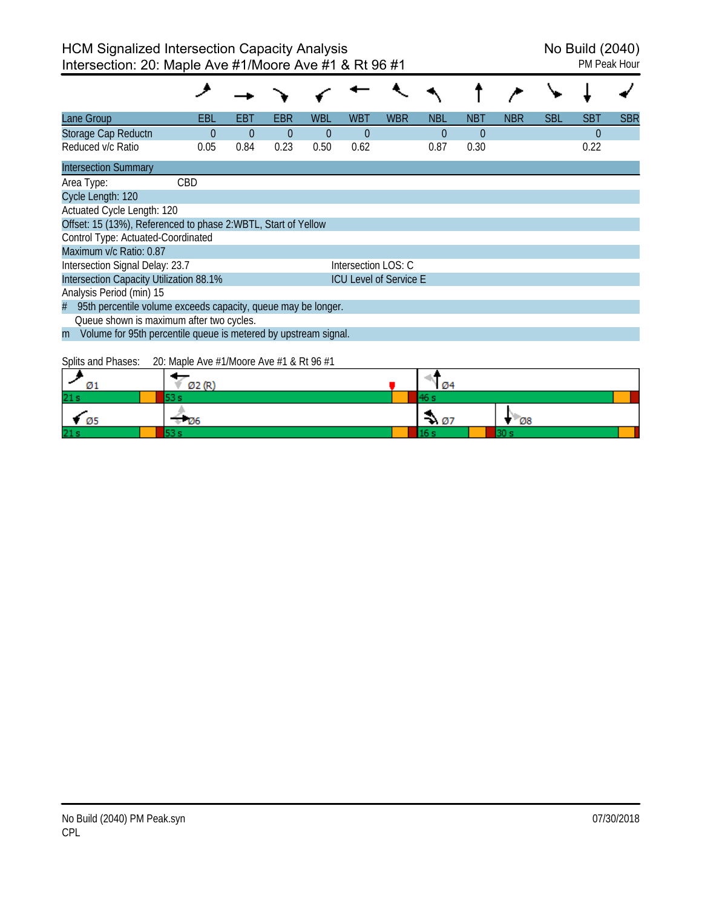| Lane Group                                                           | EBL                                                                                                                                                                                                                                                                                                                                                                                  | EBT      | EBR      | <b>WBL</b> | WBT                 | <b>WBR</b>                    | <b>NBL</b>     | <b>NBT</b>     | <b>NBR</b> | <b>SBL</b> | <b>SBT</b> | <b>SBR</b> |
|----------------------------------------------------------------------|--------------------------------------------------------------------------------------------------------------------------------------------------------------------------------------------------------------------------------------------------------------------------------------------------------------------------------------------------------------------------------------|----------|----------|------------|---------------------|-------------------------------|----------------|----------------|------------|------------|------------|------------|
| Storage Cap Reductn                                                  | $\Omega$                                                                                                                                                                                                                                                                                                                                                                             | $\Omega$ | $\Omega$ | $\Omega$   | $\overline{0}$      |                               | $\overline{0}$ | $\overline{0}$ |            |            | 0          |            |
| Reduced v/c Ratio                                                    | 0.05                                                                                                                                                                                                                                                                                                                                                                                 | 0.84     | 0.23     | 0.50       | 0.62                |                               | 0.87           | 0.30           |            |            | 0.22       |            |
| <b>Intersection Summary</b>                                          |                                                                                                                                                                                                                                                                                                                                                                                      |          |          |            |                     |                               |                |                |            |            |            |            |
| Area Type:                                                           | <b>CBD</b>                                                                                                                                                                                                                                                                                                                                                                           |          |          |            |                     |                               |                |                |            |            |            |            |
| Cycle Length: 120                                                    |                                                                                                                                                                                                                                                                                                                                                                                      |          |          |            |                     |                               |                |                |            |            |            |            |
| Actuated Cycle Length: 120                                           |                                                                                                                                                                                                                                                                                                                                                                                      |          |          |            |                     |                               |                |                |            |            |            |            |
| Offset: 15 (13%), Referenced to phase 2:WBTL, Start of Yellow        |                                                                                                                                                                                                                                                                                                                                                                                      |          |          |            |                     |                               |                |                |            |            |            |            |
| Control Type: Actuated-Coordinated                                   |                                                                                                                                                                                                                                                                                                                                                                                      |          |          |            |                     |                               |                |                |            |            |            |            |
| Maximum v/c Ratio: 0.87                                              |                                                                                                                                                                                                                                                                                                                                                                                      |          |          |            |                     |                               |                |                |            |            |            |            |
| Intersection Signal Delay: 23.7                                      |                                                                                                                                                                                                                                                                                                                                                                                      |          |          |            | Intersection LOS: C |                               |                |                |            |            |            |            |
| Intersection Capacity Utilization 88.1%                              |                                                                                                                                                                                                                                                                                                                                                                                      |          |          |            |                     | <b>ICU Level of Service E</b> |                |                |            |            |            |            |
| Analysis Period (min) 15                                             |                                                                                                                                                                                                                                                                                                                                                                                      |          |          |            |                     |                               |                |                |            |            |            |            |
| 95th percentile volume exceeds capacity, queue may be longer.<br>#   |                                                                                                                                                                                                                                                                                                                                                                                      |          |          |            |                     |                               |                |                |            |            |            |            |
| Queue shown is maximum after two cycles.                             |                                                                                                                                                                                                                                                                                                                                                                                      |          |          |            |                     |                               |                |                |            |            |            |            |
| Volume for 95th percentile queue is metered by upstream signal.<br>m |                                                                                                                                                                                                                                                                                                                                                                                      |          |          |            |                     |                               |                |                |            |            |            |            |
|                                                                      | $\overline{O}$ $\overline{O}$ $\overline{O}$ $\overline{O}$ $\overline{O}$ $\overline{O}$ $\overline{O}$ $\overline{O}$ $\overline{O}$ $\overline{O}$ $\overline{O}$ $\overline{O}$ $\overline{O}$ $\overline{O}$ $\overline{O}$ $\overline{O}$ $\overline{O}$ $\overline{O}$ $\overline{O}$ $\overline{O}$ $\overline{O}$ $\overline{O}$ $\overline{O}$ $\overline{O}$ $\overline{$ |          |          |            |                     |                               |                |                |            |            |            |            |

Splits and Phases: 20: Maple Ave #1/Moore Ave #1 & Rt 96 #1

| Ø1              | Ø2 (R' | Ø4               |       |
|-----------------|--------|------------------|-------|
| 21s             |        |                  |       |
| - Ø5            | ⊬ ⊠6   | $\rightarrow 07$ | $-08$ |
| 21 <sub>s</sub> |        |                  |       |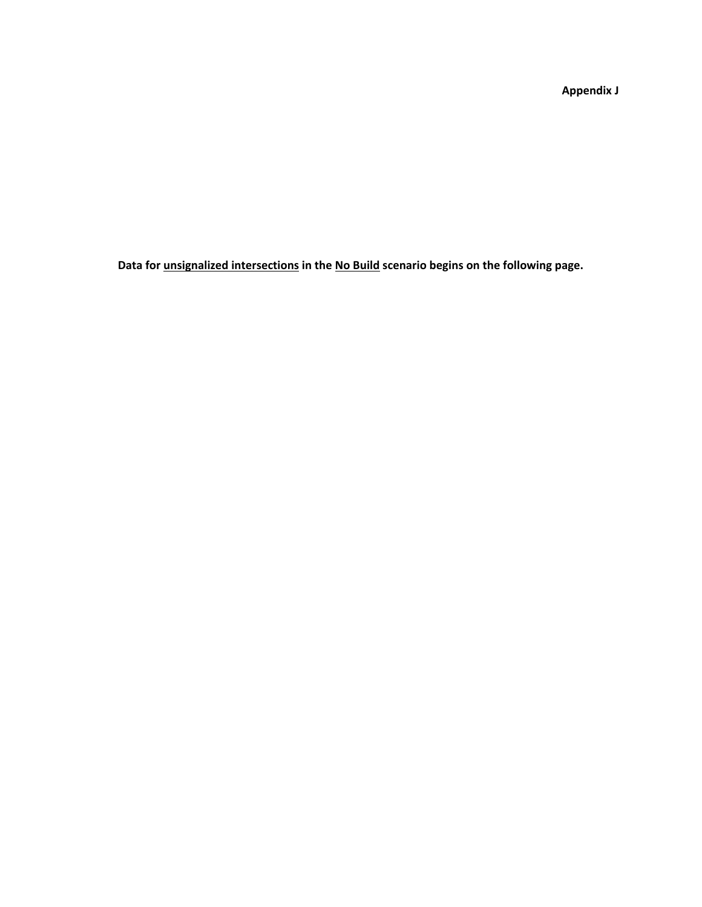**Appendix J**

**Data for unsignalized intersections in the No Build scenario begins on the following page.**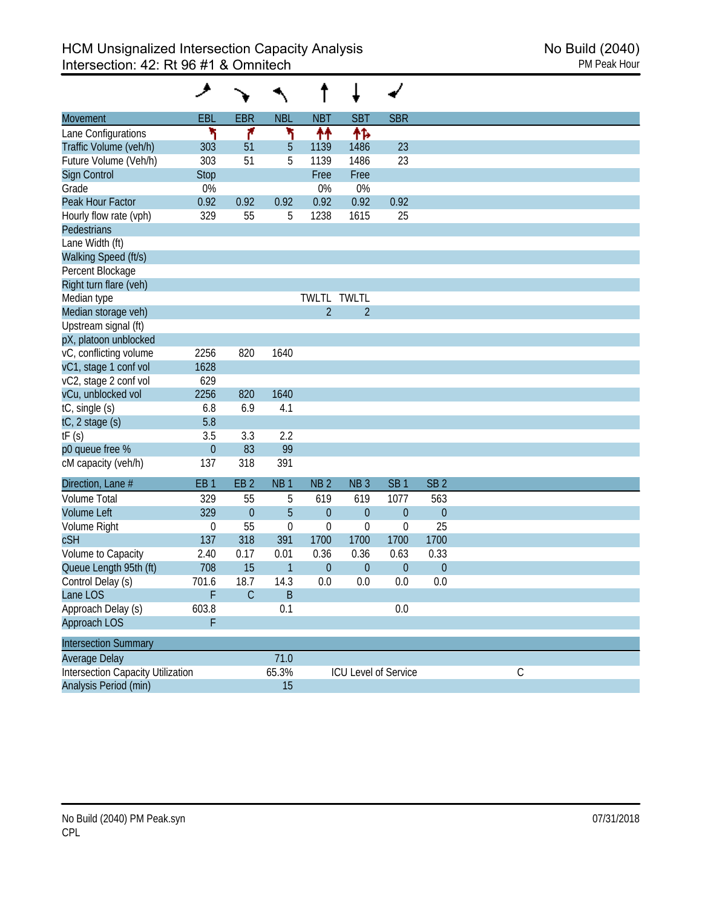| Movement                                 | EBL             | <b>EBR</b>      | <b>NBL</b>       | <b>NBT</b>       | SB <sub>1</sub>      | <b>SBR</b>       |                 |             |  |  |
|------------------------------------------|-----------------|-----------------|------------------|------------------|----------------------|------------------|-----------------|-------------|--|--|
| Lane Configurations                      |                 | ۴               | ۲                | ↟↟               | ተኈ                   |                  |                 |             |  |  |
| Traffic Volume (veh/h)                   | 303             | 51              | 5                | 1139             | 1486                 | 23               |                 |             |  |  |
| Future Volume (Veh/h)                    | 303             | 51              | 5                | 1139             | 1486                 | 23               |                 |             |  |  |
| Sign Control                             | <b>Stop</b>     |                 |                  | Free             | Free                 |                  |                 |             |  |  |
| Grade                                    | 0%              |                 |                  | 0%               | 0%                   |                  |                 |             |  |  |
| Peak Hour Factor                         | 0.92            | 0.92            | 0.92             | 0.92             | 0.92                 | 0.92             |                 |             |  |  |
| Hourly flow rate (vph)                   | 329             | 55              | 5                | 1238             | 1615                 | 25               |                 |             |  |  |
| <b>Pedestrians</b>                       |                 |                 |                  |                  |                      |                  |                 |             |  |  |
| Lane Width (ft)                          |                 |                 |                  |                  |                      |                  |                 |             |  |  |
| Walking Speed (ft/s)                     |                 |                 |                  |                  |                      |                  |                 |             |  |  |
| Percent Blockage                         |                 |                 |                  |                  |                      |                  |                 |             |  |  |
| Right turn flare (veh)                   |                 |                 |                  |                  |                      |                  |                 |             |  |  |
| Median type                              |                 |                 |                  |                  | TWLTL TWLTL          |                  |                 |             |  |  |
| Median storage veh)                      |                 |                 |                  | $\overline{2}$   | $\overline{2}$       |                  |                 |             |  |  |
| Upstream signal (ft)                     |                 |                 |                  |                  |                      |                  |                 |             |  |  |
| pX, platoon unblocked                    |                 |                 |                  |                  |                      |                  |                 |             |  |  |
| vC, conflicting volume                   | 2256            | 820             | 1640             |                  |                      |                  |                 |             |  |  |
| vC1, stage 1 conf vol                    | 1628            |                 |                  |                  |                      |                  |                 |             |  |  |
| vC2, stage 2 conf vol                    | 629             |                 |                  |                  |                      |                  |                 |             |  |  |
| vCu, unblocked vol                       | 2256            | 820             | 1640             |                  |                      |                  |                 |             |  |  |
| tC, single (s)                           | 6.8             | 6.9             | 4.1              |                  |                      |                  |                 |             |  |  |
| $tC$ , 2 stage $(s)$                     | 5.8             |                 |                  |                  |                      |                  |                 |             |  |  |
| tF(s)                                    | 3.5             | 3.3             | 2.2              |                  |                      |                  |                 |             |  |  |
| p0 queue free %                          | $\theta$        | 83              | 99               |                  |                      |                  |                 |             |  |  |
| cM capacity (veh/h)                      | 137             | 318             | 391              |                  |                      |                  |                 |             |  |  |
| Direction, Lane #                        | EB <sub>1</sub> | EB <sub>2</sub> | NB <sub>1</sub>  | NB <sub>2</sub>  | NB <sub>3</sub>      | SB <sub>1</sub>  | SB <sub>2</sub> |             |  |  |
| <b>Volume Total</b>                      | 329             | 55              | 5                | 619              | 619                  | 1077             | 563             |             |  |  |
| <b>Volume Left</b>                       | 329             | $\theta$        | 5                | $\theta$         | $\overline{0}$       | $\boldsymbol{0}$ | $\theta$        |             |  |  |
| Volume Right                             | 0               | 55              | $\boldsymbol{0}$ | 0                | $\boldsymbol{0}$     | 0                | 25              |             |  |  |
| cSH                                      | 137             | 318             | 391              | 1700             | 1700                 | 1700             | 1700            |             |  |  |
| Volume to Capacity                       | 2.40            | 0.17            | 0.01             | 0.36             | 0.36                 | 0.63             | 0.33            |             |  |  |
| Queue Length 95th (ft)                   | 708             | 15              | 1                | $\boldsymbol{0}$ | $\theta$             | $\boldsymbol{0}$ | $\theta$        |             |  |  |
| Control Delay (s)                        | 701.6           | 18.7            | 14.3             | 0.0              | 0.0                  | 0.0              | 0.0             |             |  |  |
| Lane LOS                                 | F               | $\mathsf{C}$    | B                |                  |                      |                  |                 |             |  |  |
| Approach Delay (s)                       | 603.8           |                 | 0.1              |                  |                      | 0.0              |                 |             |  |  |
| Approach LOS                             | F               |                 |                  |                  |                      |                  |                 |             |  |  |
| <b>Intersection Summary</b>              |                 |                 |                  |                  |                      |                  |                 |             |  |  |
| Average Delay                            |                 |                 | 71.0             |                  |                      |                  |                 |             |  |  |
| <b>Intersection Capacity Utilization</b> |                 |                 | 65.3%            |                  | ICU Level of Service |                  |                 | $\mathsf C$ |  |  |
| Analysis Period (min)                    |                 |                 | 15               |                  |                      |                  |                 |             |  |  |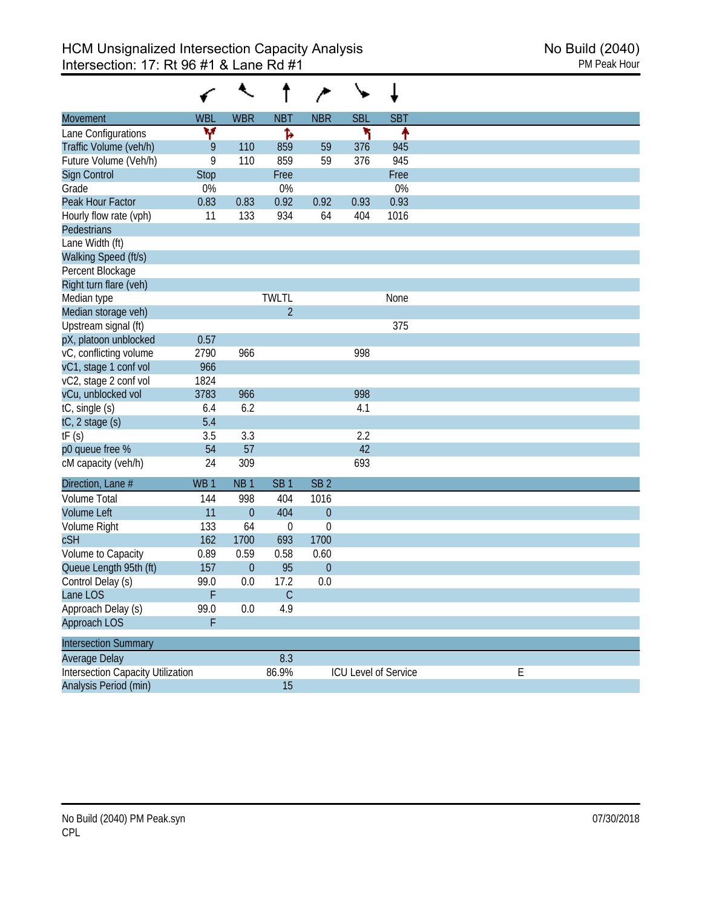|                                          |                 |                  |                  | $\rightarrow$   |            |                      |  |
|------------------------------------------|-----------------|------------------|------------------|-----------------|------------|----------------------|--|
| Movement                                 | <b>WBL</b>      | <b>WBR</b>       | <b>NBT</b>       | <b>NBR</b>      | <b>SBL</b> | <b>SBT</b>           |  |
| Lane Configurations                      | ۷               |                  | Ъ                |                 | ۲          | ↟                    |  |
| Traffic Volume (veh/h)                   | 9               | 110              | 859              | 59              | 376        | 945                  |  |
| Future Volume (Veh/h)                    | 9               | 110              | 859              | 59              | 376        | 945                  |  |
| Sign Control                             | <b>Stop</b>     |                  | Free             |                 |            | Free                 |  |
| Grade                                    | 0%              |                  | 0%               |                 |            | 0%                   |  |
| Peak Hour Factor                         | 0.83            | 0.83             | 0.92             | 0.92            | 0.93       | 0.93                 |  |
| Hourly flow rate (vph)                   | 11              | 133              | 934              | 64              | 404        | 1016                 |  |
| Pedestrians                              |                 |                  |                  |                 |            |                      |  |
| Lane Width (ft)                          |                 |                  |                  |                 |            |                      |  |
| Walking Speed (ft/s)                     |                 |                  |                  |                 |            |                      |  |
| Percent Blockage                         |                 |                  |                  |                 |            |                      |  |
| Right turn flare (veh)                   |                 |                  |                  |                 |            |                      |  |
| Median type                              |                 |                  | <b>TWLTL</b>     |                 |            | None                 |  |
| Median storage veh)                      |                 |                  | $\overline{2}$   |                 |            |                      |  |
| Upstream signal (ft)                     |                 |                  |                  |                 |            | 375                  |  |
| pX, platoon unblocked                    | 0.57            |                  |                  |                 |            |                      |  |
| vC, conflicting volume                   | 2790            | 966              |                  |                 | 998        |                      |  |
| vC1, stage 1 conf vol                    | 966             |                  |                  |                 |            |                      |  |
| vC2, stage 2 conf vol                    | 1824            |                  |                  |                 |            |                      |  |
| vCu, unblocked vol                       | 3783            | 966              |                  |                 | 998        |                      |  |
| tC, single (s)                           | 6.4             | 6.2              |                  |                 | 4.1        |                      |  |
| $tC$ , 2 stage $(s)$                     | 5.4             |                  |                  |                 |            |                      |  |
| tF(s)                                    | 3.5             | 3.3              |                  |                 | 2.2        |                      |  |
| p0 queue free %                          | 54              | 57               |                  |                 | 42         |                      |  |
| cM capacity (veh/h)                      | 24              | 309              |                  |                 | 693        |                      |  |
| Direction, Lane #                        | WB <sub>1</sub> | NB <sub>1</sub>  | SB <sub>1</sub>  | SB <sub>2</sub> |            |                      |  |
| <b>Volume Total</b>                      | 144             | 998              | 404              | 1016            |            |                      |  |
| <b>Volume Left</b>                       | 11              | $\mathbf{0}$     | 404              | $\theta$        |            |                      |  |
| Volume Right                             | 133             | 64               | $\boldsymbol{0}$ | $\mathbf 0$     |            |                      |  |
| <b>cSH</b>                               | 162             | 1700             | 693              | 1700            |            |                      |  |
| Volume to Capacity                       | 0.89            | 0.59             | 0.58             | 0.60            |            |                      |  |
| Queue Length 95th (ft)                   | 157             | $\boldsymbol{0}$ | 95               | $\theta$        |            |                      |  |
| Control Delay (s)                        | 99.0            | 0.0              | 17.2             | 0.0             |            |                      |  |
| Lane LOS                                 | F               |                  | C                |                 |            |                      |  |
| Approach Delay (s)                       | 99.0            | 0.0              | 4.9              |                 |            |                      |  |
| Approach LOS                             | F               |                  |                  |                 |            |                      |  |
| <b>Intersection Summary</b>              |                 |                  |                  |                 |            |                      |  |
| Average Delay                            |                 |                  | 8.3              |                 |            |                      |  |
| <b>Intersection Capacity Utilization</b> |                 |                  | 86.9%            |                 |            | ICU Level of Service |  |
| Analysis Period (min)                    |                 |                  | 15               |                 |            |                      |  |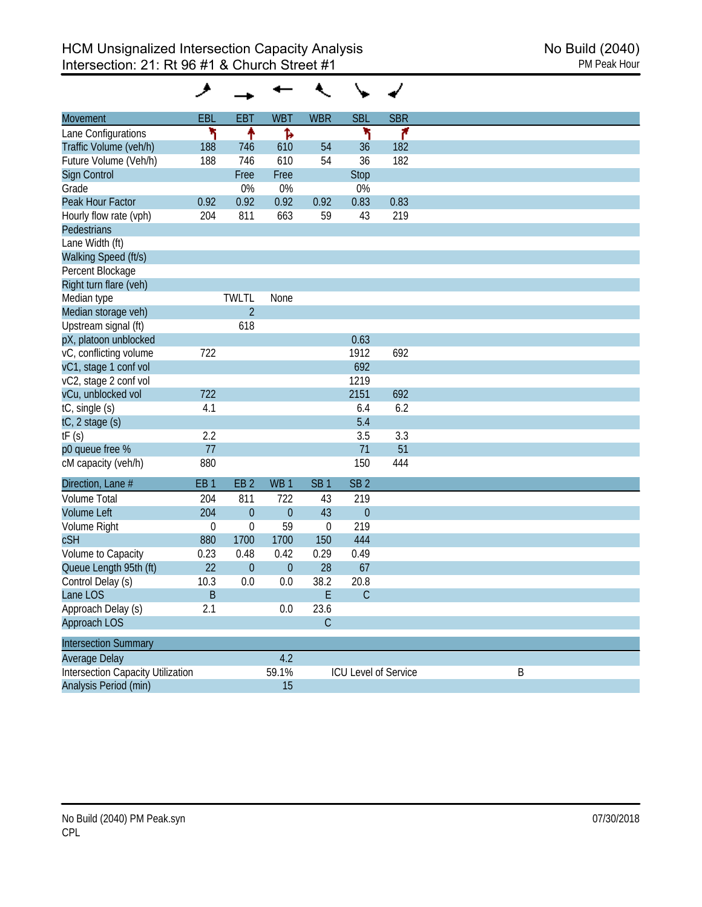| Movement                                 | EBL             | <b>EBT</b>      | <b>WBT</b>       | <b>WBR</b>       | <b>SBL</b>      | <b>SBR</b>           |
|------------------------------------------|-----------------|-----------------|------------------|------------------|-----------------|----------------------|
| Lane Configurations                      | ۲               | ↟               | Ъ                |                  | ۲               | ۴                    |
| Traffic Volume (veh/h)                   | 188             | 746             | 610              | 54               | 36              | 182                  |
| Future Volume (Veh/h)                    | 188             | 746             | 610              | 54               | 36              | 182                  |
| <b>Sign Control</b>                      |                 | Free            | Free             |                  | Stop            |                      |
| Grade                                    |                 | 0%              | 0%               |                  | 0%              |                      |
| Peak Hour Factor                         | 0.92            | 0.92            | 0.92             | 0.92             | 0.83            | 0.83                 |
| Hourly flow rate (vph)                   | 204             | 811             | 663              | 59               | 43              | 219                  |
| <b>Pedestrians</b>                       |                 |                 |                  |                  |                 |                      |
| Lane Width (ft)                          |                 |                 |                  |                  |                 |                      |
| Walking Speed (ft/s)                     |                 |                 |                  |                  |                 |                      |
| Percent Blockage                         |                 |                 |                  |                  |                 |                      |
| Right turn flare (veh)                   |                 |                 |                  |                  |                 |                      |
| Median type                              |                 | <b>TWLTL</b>    | None             |                  |                 |                      |
| Median storage veh)                      |                 | $\overline{2}$  |                  |                  |                 |                      |
| Upstream signal (ft)                     |                 | 618             |                  |                  |                 |                      |
| pX, platoon unblocked                    |                 |                 |                  |                  | 0.63            |                      |
| vC, conflicting volume                   | 722             |                 |                  |                  | 1912            | 692                  |
| vC1, stage 1 conf vol                    |                 |                 |                  |                  | 692             |                      |
| vC2, stage 2 conf vol                    |                 |                 |                  |                  | 1219            |                      |
| vCu, unblocked vol                       | 722             |                 |                  |                  | 2151            | 692                  |
| tC, single (s)                           | 4.1             |                 |                  |                  | 6.4             | 6.2                  |
| tC, 2 stage (s)                          |                 |                 |                  |                  | 5.4             |                      |
| tF(s)                                    | 2.2             |                 |                  |                  | 3.5             | 3.3                  |
| p0 queue free %                          | 77              |                 |                  |                  | 71              | 51                   |
| cM capacity (veh/h)                      | 880             |                 |                  |                  | 150             | 444                  |
| Direction, Lane #                        | EB <sub>1</sub> | EB <sub>2</sub> | WB <sub>1</sub>  | SB <sub>1</sub>  | SB <sub>2</sub> |                      |
| <b>Volume Total</b>                      | 204             | 811             | 722              | 43               | 219             |                      |
| <b>Volume Left</b>                       | 204             | $\mathbf{0}$    | $\overline{0}$   | 43               | $\theta$        |                      |
| Volume Right                             | $\mathbf 0$     | $\mathbf 0$     | 59               | $\boldsymbol{0}$ | 219             |                      |
| cSH                                      | 880             | 1700            | 1700             | 150              | 444             |                      |
| Volume to Capacity                       | 0.23            | 0.48            | 0.42             | 0.29             | 0.49            |                      |
| Queue Length 95th (ft)                   | 22              | $\mathbf{0}$    | $\boldsymbol{0}$ | 28               | 67              |                      |
| Control Delay (s)                        | 10.3            | 0.0             | 0.0              | 38.2             | 20.8            |                      |
| Lane LOS                                 | B               |                 |                  | Ł                | C               |                      |
| Approach Delay (s)                       | 2.1             |                 | 0.0              | 23.6             |                 |                      |
| Approach LOS                             |                 |                 |                  | $\mathsf C$      |                 |                      |
|                                          |                 |                 |                  |                  |                 |                      |
| <b>Intersection Summary</b>              |                 |                 |                  |                  |                 |                      |
| Average Delay                            |                 |                 | 4.2              |                  |                 |                      |
| <b>Intersection Capacity Utilization</b> |                 |                 | 59.1%            |                  |                 | ICU Level of Service |
| Analysis Period (min)                    |                 |                 | 15               |                  |                 |                      |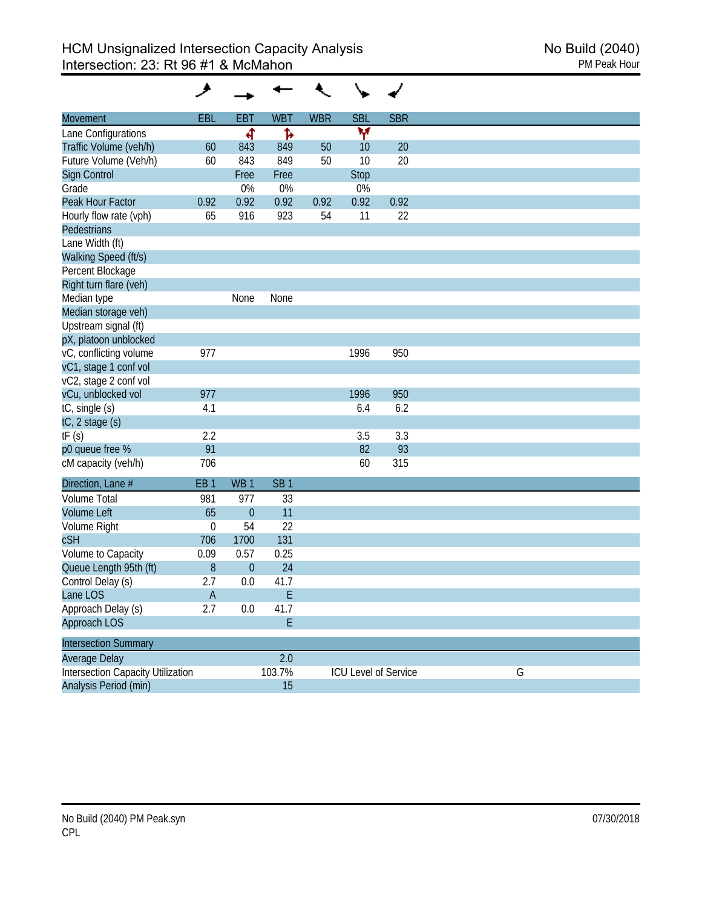| <b>Movement</b>                          | <b>EBL</b>      | <b>EBT</b>      | <b>WBT</b>      | <b>WBR</b> | <b>SBL</b>  | <b>SBR</b>           |   |  |
|------------------------------------------|-----------------|-----------------|-----------------|------------|-------------|----------------------|---|--|
| Lane Configurations                      |                 | ৰ               | Ъ               |            | Y           |                      |   |  |
| Traffic Volume (veh/h)                   | 60              | 843             | 849             | 50         | 10          | 20                   |   |  |
| Future Volume (Veh/h)                    | 60              | 843             | 849             | 50         | 10          | 20                   |   |  |
| Sign Control                             |                 | Free            | Free            |            | <b>Stop</b> |                      |   |  |
| Grade                                    |                 | 0%              | 0%              |            | 0%          |                      |   |  |
| Peak Hour Factor                         | 0.92            | 0.92            | 0.92            | 0.92       | 0.92        | 0.92                 |   |  |
| Hourly flow rate (vph)                   | 65              | 916             | 923             | 54         | 11          | 22                   |   |  |
| Pedestrians                              |                 |                 |                 |            |             |                      |   |  |
| Lane Width (ft)                          |                 |                 |                 |            |             |                      |   |  |
| Walking Speed (ft/s)                     |                 |                 |                 |            |             |                      |   |  |
| Percent Blockage                         |                 |                 |                 |            |             |                      |   |  |
| Right turn flare (veh)                   |                 |                 |                 |            |             |                      |   |  |
| Median type                              |                 | None            | None            |            |             |                      |   |  |
| Median storage veh)                      |                 |                 |                 |            |             |                      |   |  |
| Upstream signal (ft)                     |                 |                 |                 |            |             |                      |   |  |
| pX, platoon unblocked                    |                 |                 |                 |            |             |                      |   |  |
| vC, conflicting volume                   | 977             |                 |                 |            | 1996        | 950                  |   |  |
| vC1, stage 1 conf vol                    |                 |                 |                 |            |             |                      |   |  |
| vC2, stage 2 conf vol                    |                 |                 |                 |            |             |                      |   |  |
| vCu, unblocked vol                       | 977             |                 |                 |            | 1996        | 950                  |   |  |
| tC, single (s)                           | 4.1             |                 |                 |            | 6.4         | 6.2                  |   |  |
| tC, 2 stage (s)                          |                 |                 |                 |            |             |                      |   |  |
| tF(s)                                    | 2.2             |                 |                 |            | 3.5         | 3.3                  |   |  |
| p0 queue free %                          | 91              |                 |                 |            | 82          | 93                   |   |  |
| cM capacity (veh/h)                      | 706             |                 |                 |            | 60          | 315                  |   |  |
| Direction, Lane #                        | EB <sub>1</sub> | WB <sub>1</sub> | SB <sub>1</sub> |            |             |                      |   |  |
| <b>Volume Total</b>                      | 981             | 977             | 33              |            |             |                      |   |  |
| <b>Volume Left</b>                       | 65              | $\theta$        | 11              |            |             |                      |   |  |
| Volume Right                             | $\mathbf 0$     | 54              | 22              |            |             |                      |   |  |
| cSH                                      | 706             | 1700            | 131             |            |             |                      |   |  |
| Volume to Capacity                       | 0.09            | 0.57            | 0.25            |            |             |                      |   |  |
| Queue Length 95th (ft)                   | 8               | $\mathbf{0}$    | 24              |            |             |                      |   |  |
| Control Delay (s)                        | 2.7             | 0.0             | 41.7            |            |             |                      |   |  |
| Lane LOS                                 | A               |                 | E               |            |             |                      |   |  |
| Approach Delay (s)                       | 2.7             | 0.0             | 41.7            |            |             |                      |   |  |
| Approach LOS                             |                 |                 | E               |            |             |                      |   |  |
| <b>Intersection Summary</b>              |                 |                 |                 |            |             |                      |   |  |
| <b>Average Delay</b>                     |                 |                 | 2.0             |            |             |                      |   |  |
| <b>Intersection Capacity Utilization</b> |                 |                 | 103.7%          |            |             | ICU Level of Service | G |  |
| Analysis Period (min)                    |                 |                 | 15              |            |             |                      |   |  |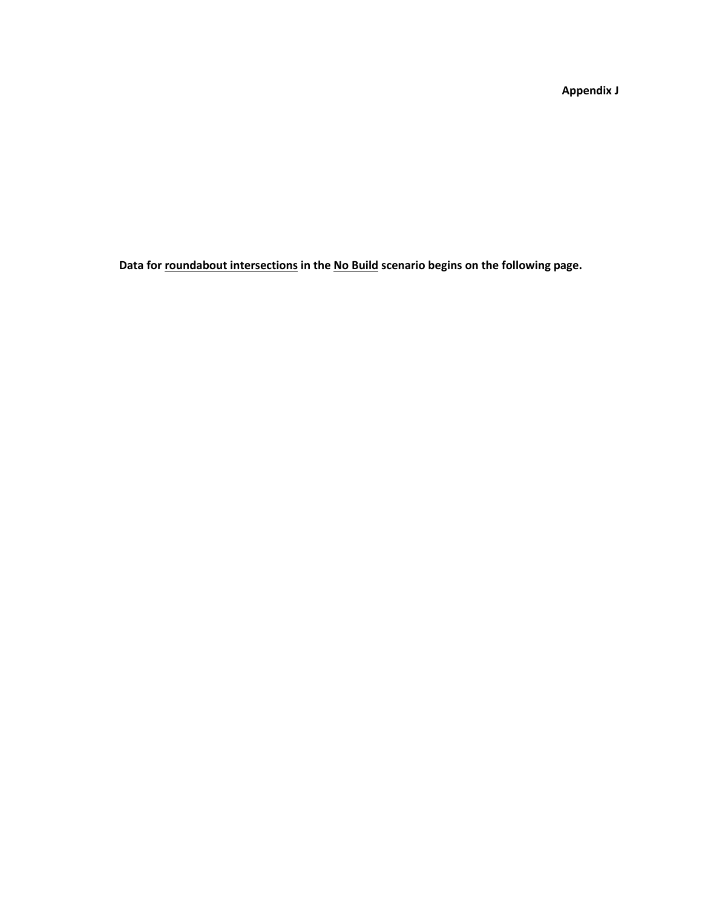**Appendix J**

**Data for roundabout intersections in the No Build scenario begins on the following page.**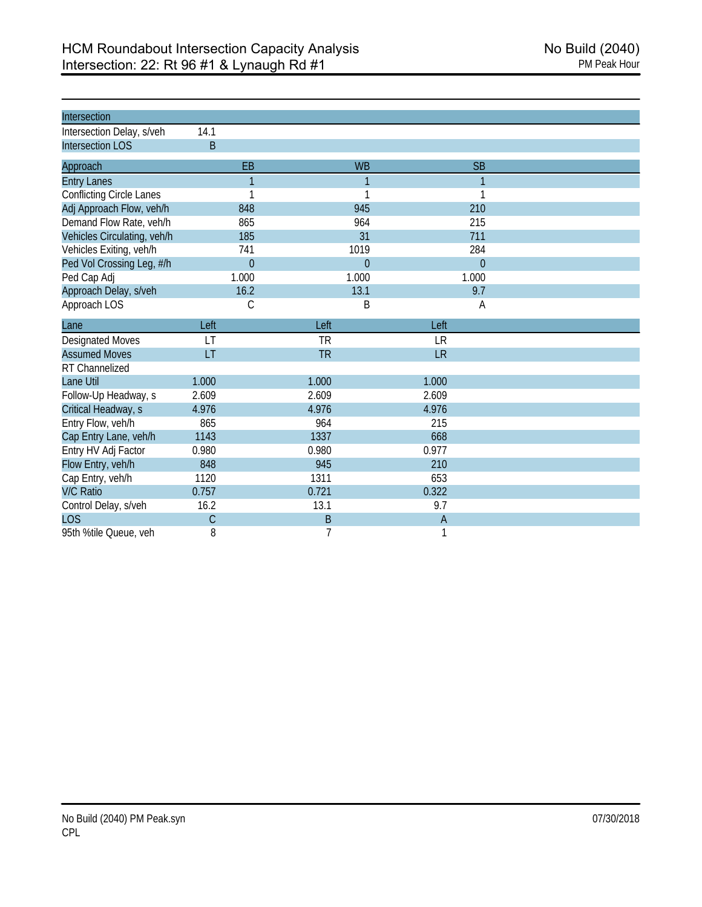| Intersection                    |                |           |                |  |
|---------------------------------|----------------|-----------|----------------|--|
| Intersection Delay, s/veh       | 14.1           |           |                |  |
| <b>Intersection LOS</b>         | B              |           |                |  |
| Approach                        | EB             | <b>WB</b> | <b>SB</b>      |  |
| <b>Entry Lanes</b>              | $\overline{1}$ | 1         | 1              |  |
| <b>Conflicting Circle Lanes</b> | 1              | 1         | 1              |  |
| Adj Approach Flow, veh/h        | 848            | 945       | 210            |  |
| Demand Flow Rate, veh/h         | 865            | 964       | 215            |  |
| Vehicles Circulating, veh/h     | 185            | 31        | 711            |  |
| Vehicles Exiting, veh/h         | 741            | 1019      | 284            |  |
| Ped Vol Crossing Leg, #/h       | $\mathbf{0}$   | $\theta$  | $\overline{0}$ |  |
| Ped Cap Adj                     | 1.000          | 1.000     | 1.000          |  |
| Approach Delay, s/veh           | 16.2           | 13.1      | 9.7            |  |
| Approach LOS                    | C              | B         | A              |  |
| Lane                            | Left           | Left      | Left           |  |
| Designated Moves                | LT             | <b>TR</b> | <b>LR</b>      |  |
| <b>Assumed Moves</b>            | LT             | <b>TR</b> | <b>LR</b>      |  |
| RT Channelized                  |                |           |                |  |
| Lane Util                       | 1.000          | 1.000     | 1.000          |  |
| Follow-Up Headway, s            | 2.609          | 2.609     | 2.609          |  |
| Critical Headway, s             | 4.976          | 4.976     | 4.976          |  |
| Entry Flow, veh/h               | 865            | 964       | 215            |  |
| Cap Entry Lane, veh/h           | 1143           | 1337      | 668            |  |
| Entry HV Adj Factor             | 0.980          | 0.980     | 0.977          |  |
| Flow Entry, veh/h               | 848            | 945       | 210            |  |
| Cap Entry, veh/h                | 1120           | 1311      | 653            |  |
| <b>V/C Ratio</b>                | 0.757          | 0.721     | 0.322          |  |
| Control Delay, s/veh            | 16.2           | 13.1      | 9.7            |  |
| <b>LOS</b>                      | $\mathcal{C}$  | B         | $\overline{A}$ |  |
| 95th %tile Queue, veh           | 8              | 7         | 1              |  |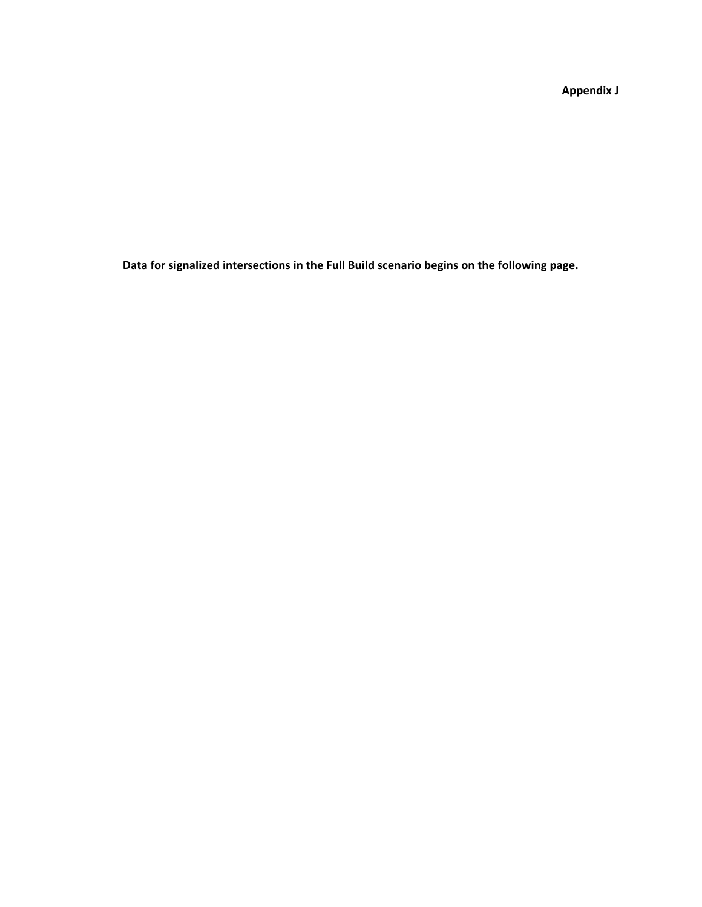**Appendix J**

**Data for signalized intersections in the Full Build scenario begins on the following page.**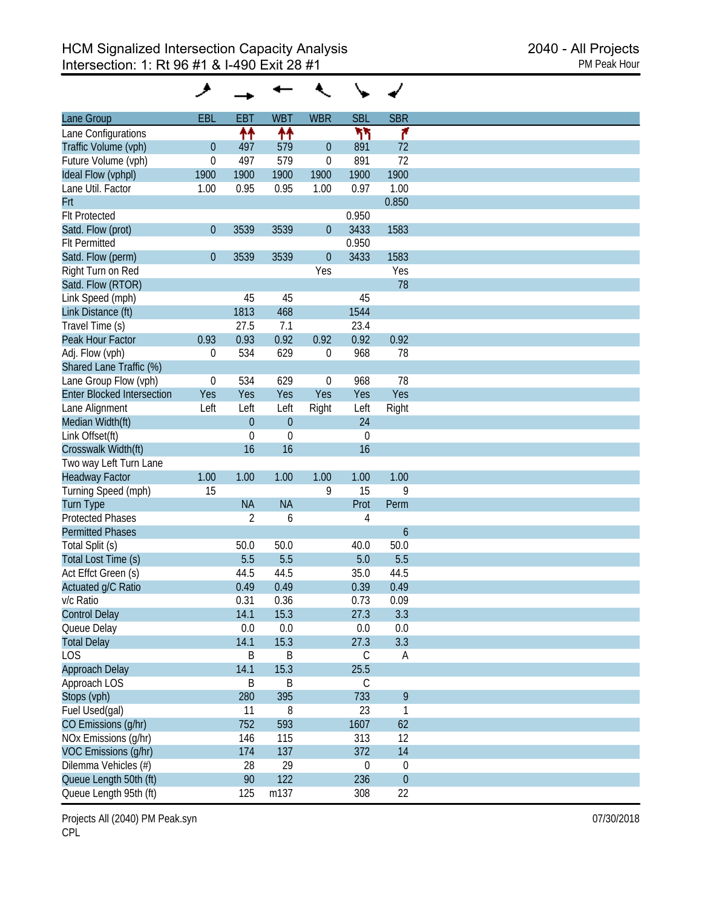| EBL<br><b>EBT</b><br><b>WBT</b><br><b>WBR</b><br><b>SBL</b><br><b>SBR</b><br>Lane Group<br>↟↟<br>ካካ<br>۴<br>↟↟<br>Traffic Volume (vph)<br>$\mathbf{0}$<br>497<br>579<br>$\theta$<br>891<br>72<br>72<br>579<br>891<br>$\boldsymbol{0}$<br>497<br>$\boldsymbol{0}$<br>1900<br>1900<br>1900<br>1900<br>1900<br>1900<br>1.00<br>0.95<br>0.95<br>1.00<br>0.97<br>1.00<br>0.850<br>0.950<br>Satd. Flow (prot)<br>$\boldsymbol{0}$<br>3539<br>3539<br>3433<br>1583<br>$\theta$<br>0.950<br>3433<br>Satd. Flow (perm)<br>$\boldsymbol{0}$<br>3539<br>3539<br>$\theta$<br>1583<br>Right Turn on Red<br>Yes<br>Yes<br>Satd. Flow (RTOR)<br>78<br>45<br>45<br>45<br>468<br>1813<br>1544<br>Travel Time (s)<br>27.5<br>7.1<br>23.4<br>0.92<br>0.93<br>0.93<br>0.92<br>0.92<br>0.92<br>629<br>968<br>78<br>534<br>0<br>0<br>Shared Lane Traffic (%)<br>968<br>78<br>$\boldsymbol{0}$<br>534<br>629<br>$\boldsymbol{0}$<br>Yes<br><b>Enter Blocked Intersection</b><br>Yes<br>Yes<br>Yes<br>Yes<br>Yes<br>Left<br>Left<br>Left<br>Left<br>Right<br>Right<br>$\mathbf{0}$<br>24<br>$\mathbf{0}$<br>$\mathbf 0$<br>$\boldsymbol{0}$<br>$\boldsymbol{0}$<br>16<br>16<br>16<br>Two way Left Turn Lane<br>1.00<br>1.00<br>1.00<br>1.00<br>1.00<br>1.00<br>15<br>15<br>9<br>Turning Speed (mph)<br>9<br><b>NA</b><br>Prot<br><b>NA</b><br><b>Turn Type</b><br>Perm<br>$\overline{2}$<br>6<br>4<br>$\boldsymbol{6}$<br>Total Split (s)<br>50.0<br>50.0<br>50.0<br>40.0<br>5.5<br>5.5<br>5.5<br>Total Lost Time (s)<br>5.0<br>44.5<br>44.5<br>35.0<br>44.5<br>Actuated g/C Ratio<br>0.49<br>0.49<br>0.39<br>0.49<br>0.31<br>0.36<br>0.73<br>0.09<br>15.3<br>27.3<br>14.1<br>3.3<br>0.0<br>0.0<br>0.0<br>0.0<br>14.1<br>15.3<br>3.3<br><b>Total Delay</b><br>27.3<br>Β<br>B<br>$\mathsf C$<br>A<br>15.3<br>25.5<br>Approach Delay<br>14.1<br>$\mathsf B$<br>B<br>$\mathsf C$<br>9<br>395<br>733<br>Stops (vph)<br>280<br>23<br>11<br>8<br>1<br>752<br>593<br>62<br>1607<br>313<br>12<br>146<br>115<br>137<br>372<br>14<br>174 |                      | و |    |    |                  |                  |
|--------------------------------------------------------------------------------------------------------------------------------------------------------------------------------------------------------------------------------------------------------------------------------------------------------------------------------------------------------------------------------------------------------------------------------------------------------------------------------------------------------------------------------------------------------------------------------------------------------------------------------------------------------------------------------------------------------------------------------------------------------------------------------------------------------------------------------------------------------------------------------------------------------------------------------------------------------------------------------------------------------------------------------------------------------------------------------------------------------------------------------------------------------------------------------------------------------------------------------------------------------------------------------------------------------------------------------------------------------------------------------------------------------------------------------------------------------------------------------------------------------------------------------------------------------------------------------------------------------------------------------------------------------------------------------------------------------------------------------------------------------------------------------------------------------------------------------------------------------------------------------------------------------------------------------------------------------------------------------------------------------|----------------------|---|----|----|------------------|------------------|
| Lane Configurations<br>Future Volume (vph)<br>Ideal Flow (vphpl)<br>Lane Util. Factor<br>Frt<br><b>Flt Protected</b><br><b>Flt Permitted</b><br>Link Speed (mph)<br>Link Distance (ft)<br>Peak Hour Factor<br>Adj. Flow (vph)<br>Lane Group Flow (vph)<br>Lane Alignment<br>Median Width(ft)<br>Link Offset(ft)<br>Crosswalk Width(ft)<br><b>Headway Factor</b><br><b>Protected Phases</b><br><b>Permitted Phases</b><br>Act Effct Green (s)<br>v/c Ratio<br><b>Control Delay</b><br>Queue Delay<br><b>LOS</b><br>Approach LOS<br>Fuel Used(gal)<br>CO Emissions (g/hr)<br>NOx Emissions (q/hr)<br>VOC Emissions (g/hr)                                                                                                                                                                                                                                                                                                                                                                                                                                                                                                                                                                                                                                                                                                                                                                                                                                                                                                                                                                                                                                                                                                                                                                                                                                                                                                                                                                                |                      |   |    |    |                  |                  |
|                                                                                                                                                                                                                                                                                                                                                                                                                                                                                                                                                                                                                                                                                                                                                                                                                                                                                                                                                                                                                                                                                                                                                                                                                                                                                                                                                                                                                                                                                                                                                                                                                                                                                                                                                                                                                                                                                                                                                                                                        |                      |   |    |    |                  |                  |
|                                                                                                                                                                                                                                                                                                                                                                                                                                                                                                                                                                                                                                                                                                                                                                                                                                                                                                                                                                                                                                                                                                                                                                                                                                                                                                                                                                                                                                                                                                                                                                                                                                                                                                                                                                                                                                                                                                                                                                                                        |                      |   |    |    |                  |                  |
|                                                                                                                                                                                                                                                                                                                                                                                                                                                                                                                                                                                                                                                                                                                                                                                                                                                                                                                                                                                                                                                                                                                                                                                                                                                                                                                                                                                                                                                                                                                                                                                                                                                                                                                                                                                                                                                                                                                                                                                                        |                      |   |    |    |                  |                  |
|                                                                                                                                                                                                                                                                                                                                                                                                                                                                                                                                                                                                                                                                                                                                                                                                                                                                                                                                                                                                                                                                                                                                                                                                                                                                                                                                                                                                                                                                                                                                                                                                                                                                                                                                                                                                                                                                                                                                                                                                        |                      |   |    |    |                  |                  |
|                                                                                                                                                                                                                                                                                                                                                                                                                                                                                                                                                                                                                                                                                                                                                                                                                                                                                                                                                                                                                                                                                                                                                                                                                                                                                                                                                                                                                                                                                                                                                                                                                                                                                                                                                                                                                                                                                                                                                                                                        |                      |   |    |    |                  |                  |
|                                                                                                                                                                                                                                                                                                                                                                                                                                                                                                                                                                                                                                                                                                                                                                                                                                                                                                                                                                                                                                                                                                                                                                                                                                                                                                                                                                                                                                                                                                                                                                                                                                                                                                                                                                                                                                                                                                                                                                                                        |                      |   |    |    |                  |                  |
|                                                                                                                                                                                                                                                                                                                                                                                                                                                                                                                                                                                                                                                                                                                                                                                                                                                                                                                                                                                                                                                                                                                                                                                                                                                                                                                                                                                                                                                                                                                                                                                                                                                                                                                                                                                                                                                                                                                                                                                                        |                      |   |    |    |                  |                  |
|                                                                                                                                                                                                                                                                                                                                                                                                                                                                                                                                                                                                                                                                                                                                                                                                                                                                                                                                                                                                                                                                                                                                                                                                                                                                                                                                                                                                                                                                                                                                                                                                                                                                                                                                                                                                                                                                                                                                                                                                        |                      |   |    |    |                  |                  |
|                                                                                                                                                                                                                                                                                                                                                                                                                                                                                                                                                                                                                                                                                                                                                                                                                                                                                                                                                                                                                                                                                                                                                                                                                                                                                                                                                                                                                                                                                                                                                                                                                                                                                                                                                                                                                                                                                                                                                                                                        |                      |   |    |    |                  |                  |
|                                                                                                                                                                                                                                                                                                                                                                                                                                                                                                                                                                                                                                                                                                                                                                                                                                                                                                                                                                                                                                                                                                                                                                                                                                                                                                                                                                                                                                                                                                                                                                                                                                                                                                                                                                                                                                                                                                                                                                                                        |                      |   |    |    |                  |                  |
|                                                                                                                                                                                                                                                                                                                                                                                                                                                                                                                                                                                                                                                                                                                                                                                                                                                                                                                                                                                                                                                                                                                                                                                                                                                                                                                                                                                                                                                                                                                                                                                                                                                                                                                                                                                                                                                                                                                                                                                                        |                      |   |    |    |                  |                  |
|                                                                                                                                                                                                                                                                                                                                                                                                                                                                                                                                                                                                                                                                                                                                                                                                                                                                                                                                                                                                                                                                                                                                                                                                                                                                                                                                                                                                                                                                                                                                                                                                                                                                                                                                                                                                                                                                                                                                                                                                        |                      |   |    |    |                  |                  |
|                                                                                                                                                                                                                                                                                                                                                                                                                                                                                                                                                                                                                                                                                                                                                                                                                                                                                                                                                                                                                                                                                                                                                                                                                                                                                                                                                                                                                                                                                                                                                                                                                                                                                                                                                                                                                                                                                                                                                                                                        |                      |   |    |    |                  |                  |
|                                                                                                                                                                                                                                                                                                                                                                                                                                                                                                                                                                                                                                                                                                                                                                                                                                                                                                                                                                                                                                                                                                                                                                                                                                                                                                                                                                                                                                                                                                                                                                                                                                                                                                                                                                                                                                                                                                                                                                                                        |                      |   |    |    |                  |                  |
|                                                                                                                                                                                                                                                                                                                                                                                                                                                                                                                                                                                                                                                                                                                                                                                                                                                                                                                                                                                                                                                                                                                                                                                                                                                                                                                                                                                                                                                                                                                                                                                                                                                                                                                                                                                                                                                                                                                                                                                                        |                      |   |    |    |                  |                  |
|                                                                                                                                                                                                                                                                                                                                                                                                                                                                                                                                                                                                                                                                                                                                                                                                                                                                                                                                                                                                                                                                                                                                                                                                                                                                                                                                                                                                                                                                                                                                                                                                                                                                                                                                                                                                                                                                                                                                                                                                        |                      |   |    |    |                  |                  |
|                                                                                                                                                                                                                                                                                                                                                                                                                                                                                                                                                                                                                                                                                                                                                                                                                                                                                                                                                                                                                                                                                                                                                                                                                                                                                                                                                                                                                                                                                                                                                                                                                                                                                                                                                                                                                                                                                                                                                                                                        |                      |   |    |    |                  |                  |
|                                                                                                                                                                                                                                                                                                                                                                                                                                                                                                                                                                                                                                                                                                                                                                                                                                                                                                                                                                                                                                                                                                                                                                                                                                                                                                                                                                                                                                                                                                                                                                                                                                                                                                                                                                                                                                                                                                                                                                                                        |                      |   |    |    |                  |                  |
|                                                                                                                                                                                                                                                                                                                                                                                                                                                                                                                                                                                                                                                                                                                                                                                                                                                                                                                                                                                                                                                                                                                                                                                                                                                                                                                                                                                                                                                                                                                                                                                                                                                                                                                                                                                                                                                                                                                                                                                                        |                      |   |    |    |                  |                  |
|                                                                                                                                                                                                                                                                                                                                                                                                                                                                                                                                                                                                                                                                                                                                                                                                                                                                                                                                                                                                                                                                                                                                                                                                                                                                                                                                                                                                                                                                                                                                                                                                                                                                                                                                                                                                                                                                                                                                                                                                        |                      |   |    |    |                  |                  |
|                                                                                                                                                                                                                                                                                                                                                                                                                                                                                                                                                                                                                                                                                                                                                                                                                                                                                                                                                                                                                                                                                                                                                                                                                                                                                                                                                                                                                                                                                                                                                                                                                                                                                                                                                                                                                                                                                                                                                                                                        |                      |   |    |    |                  |                  |
|                                                                                                                                                                                                                                                                                                                                                                                                                                                                                                                                                                                                                                                                                                                                                                                                                                                                                                                                                                                                                                                                                                                                                                                                                                                                                                                                                                                                                                                                                                                                                                                                                                                                                                                                                                                                                                                                                                                                                                                                        |                      |   |    |    |                  |                  |
|                                                                                                                                                                                                                                                                                                                                                                                                                                                                                                                                                                                                                                                                                                                                                                                                                                                                                                                                                                                                                                                                                                                                                                                                                                                                                                                                                                                                                                                                                                                                                                                                                                                                                                                                                                                                                                                                                                                                                                                                        |                      |   |    |    |                  |                  |
|                                                                                                                                                                                                                                                                                                                                                                                                                                                                                                                                                                                                                                                                                                                                                                                                                                                                                                                                                                                                                                                                                                                                                                                                                                                                                                                                                                                                                                                                                                                                                                                                                                                                                                                                                                                                                                                                                                                                                                                                        |                      |   |    |    |                  |                  |
|                                                                                                                                                                                                                                                                                                                                                                                                                                                                                                                                                                                                                                                                                                                                                                                                                                                                                                                                                                                                                                                                                                                                                                                                                                                                                                                                                                                                                                                                                                                                                                                                                                                                                                                                                                                                                                                                                                                                                                                                        |                      |   |    |    |                  |                  |
|                                                                                                                                                                                                                                                                                                                                                                                                                                                                                                                                                                                                                                                                                                                                                                                                                                                                                                                                                                                                                                                                                                                                                                                                                                                                                                                                                                                                                                                                                                                                                                                                                                                                                                                                                                                                                                                                                                                                                                                                        |                      |   |    |    |                  |                  |
|                                                                                                                                                                                                                                                                                                                                                                                                                                                                                                                                                                                                                                                                                                                                                                                                                                                                                                                                                                                                                                                                                                                                                                                                                                                                                                                                                                                                                                                                                                                                                                                                                                                                                                                                                                                                                                                                                                                                                                                                        |                      |   |    |    |                  |                  |
|                                                                                                                                                                                                                                                                                                                                                                                                                                                                                                                                                                                                                                                                                                                                                                                                                                                                                                                                                                                                                                                                                                                                                                                                                                                                                                                                                                                                                                                                                                                                                                                                                                                                                                                                                                                                                                                                                                                                                                                                        |                      |   |    |    |                  |                  |
|                                                                                                                                                                                                                                                                                                                                                                                                                                                                                                                                                                                                                                                                                                                                                                                                                                                                                                                                                                                                                                                                                                                                                                                                                                                                                                                                                                                                                                                                                                                                                                                                                                                                                                                                                                                                                                                                                                                                                                                                        |                      |   |    |    |                  |                  |
|                                                                                                                                                                                                                                                                                                                                                                                                                                                                                                                                                                                                                                                                                                                                                                                                                                                                                                                                                                                                                                                                                                                                                                                                                                                                                                                                                                                                                                                                                                                                                                                                                                                                                                                                                                                                                                                                                                                                                                                                        |                      |   |    |    |                  |                  |
|                                                                                                                                                                                                                                                                                                                                                                                                                                                                                                                                                                                                                                                                                                                                                                                                                                                                                                                                                                                                                                                                                                                                                                                                                                                                                                                                                                                                                                                                                                                                                                                                                                                                                                                                                                                                                                                                                                                                                                                                        |                      |   |    |    |                  |                  |
|                                                                                                                                                                                                                                                                                                                                                                                                                                                                                                                                                                                                                                                                                                                                                                                                                                                                                                                                                                                                                                                                                                                                                                                                                                                                                                                                                                                                                                                                                                                                                                                                                                                                                                                                                                                                                                                                                                                                                                                                        |                      |   |    |    |                  |                  |
|                                                                                                                                                                                                                                                                                                                                                                                                                                                                                                                                                                                                                                                                                                                                                                                                                                                                                                                                                                                                                                                                                                                                                                                                                                                                                                                                                                                                                                                                                                                                                                                                                                                                                                                                                                                                                                                                                                                                                                                                        |                      |   |    |    |                  |                  |
|                                                                                                                                                                                                                                                                                                                                                                                                                                                                                                                                                                                                                                                                                                                                                                                                                                                                                                                                                                                                                                                                                                                                                                                                                                                                                                                                                                                                                                                                                                                                                                                                                                                                                                                                                                                                                                                                                                                                                                                                        |                      |   |    |    |                  |                  |
|                                                                                                                                                                                                                                                                                                                                                                                                                                                                                                                                                                                                                                                                                                                                                                                                                                                                                                                                                                                                                                                                                                                                                                                                                                                                                                                                                                                                                                                                                                                                                                                                                                                                                                                                                                                                                                                                                                                                                                                                        |                      |   |    |    |                  |                  |
|                                                                                                                                                                                                                                                                                                                                                                                                                                                                                                                                                                                                                                                                                                                                                                                                                                                                                                                                                                                                                                                                                                                                                                                                                                                                                                                                                                                                                                                                                                                                                                                                                                                                                                                                                                                                                                                                                                                                                                                                        |                      |   |    |    |                  |                  |
|                                                                                                                                                                                                                                                                                                                                                                                                                                                                                                                                                                                                                                                                                                                                                                                                                                                                                                                                                                                                                                                                                                                                                                                                                                                                                                                                                                                                                                                                                                                                                                                                                                                                                                                                                                                                                                                                                                                                                                                                        |                      |   |    |    |                  |                  |
|                                                                                                                                                                                                                                                                                                                                                                                                                                                                                                                                                                                                                                                                                                                                                                                                                                                                                                                                                                                                                                                                                                                                                                                                                                                                                                                                                                                                                                                                                                                                                                                                                                                                                                                                                                                                                                                                                                                                                                                                        |                      |   |    |    |                  |                  |
|                                                                                                                                                                                                                                                                                                                                                                                                                                                                                                                                                                                                                                                                                                                                                                                                                                                                                                                                                                                                                                                                                                                                                                                                                                                                                                                                                                                                                                                                                                                                                                                                                                                                                                                                                                                                                                                                                                                                                                                                        |                      |   |    |    |                  |                  |
|                                                                                                                                                                                                                                                                                                                                                                                                                                                                                                                                                                                                                                                                                                                                                                                                                                                                                                                                                                                                                                                                                                                                                                                                                                                                                                                                                                                                                                                                                                                                                                                                                                                                                                                                                                                                                                                                                                                                                                                                        |                      |   |    |    |                  |                  |
|                                                                                                                                                                                                                                                                                                                                                                                                                                                                                                                                                                                                                                                                                                                                                                                                                                                                                                                                                                                                                                                                                                                                                                                                                                                                                                                                                                                                                                                                                                                                                                                                                                                                                                                                                                                                                                                                                                                                                                                                        |                      |   |    |    |                  |                  |
|                                                                                                                                                                                                                                                                                                                                                                                                                                                                                                                                                                                                                                                                                                                                                                                                                                                                                                                                                                                                                                                                                                                                                                                                                                                                                                                                                                                                                                                                                                                                                                                                                                                                                                                                                                                                                                                                                                                                                                                                        |                      |   |    |    |                  |                  |
|                                                                                                                                                                                                                                                                                                                                                                                                                                                                                                                                                                                                                                                                                                                                                                                                                                                                                                                                                                                                                                                                                                                                                                                                                                                                                                                                                                                                                                                                                                                                                                                                                                                                                                                                                                                                                                                                                                                                                                                                        |                      |   |    |    |                  |                  |
|                                                                                                                                                                                                                                                                                                                                                                                                                                                                                                                                                                                                                                                                                                                                                                                                                                                                                                                                                                                                                                                                                                                                                                                                                                                                                                                                                                                                                                                                                                                                                                                                                                                                                                                                                                                                                                                                                                                                                                                                        |                      |   |    |    |                  |                  |
|                                                                                                                                                                                                                                                                                                                                                                                                                                                                                                                                                                                                                                                                                                                                                                                                                                                                                                                                                                                                                                                                                                                                                                                                                                                                                                                                                                                                                                                                                                                                                                                                                                                                                                                                                                                                                                                                                                                                                                                                        |                      |   |    |    |                  |                  |
|                                                                                                                                                                                                                                                                                                                                                                                                                                                                                                                                                                                                                                                                                                                                                                                                                                                                                                                                                                                                                                                                                                                                                                                                                                                                                                                                                                                                                                                                                                                                                                                                                                                                                                                                                                                                                                                                                                                                                                                                        |                      |   |    |    |                  |                  |
|                                                                                                                                                                                                                                                                                                                                                                                                                                                                                                                                                                                                                                                                                                                                                                                                                                                                                                                                                                                                                                                                                                                                                                                                                                                                                                                                                                                                                                                                                                                                                                                                                                                                                                                                                                                                                                                                                                                                                                                                        |                      |   |    |    |                  |                  |
|                                                                                                                                                                                                                                                                                                                                                                                                                                                                                                                                                                                                                                                                                                                                                                                                                                                                                                                                                                                                                                                                                                                                                                                                                                                                                                                                                                                                                                                                                                                                                                                                                                                                                                                                                                                                                                                                                                                                                                                                        |                      |   |    |    |                  |                  |
|                                                                                                                                                                                                                                                                                                                                                                                                                                                                                                                                                                                                                                                                                                                                                                                                                                                                                                                                                                                                                                                                                                                                                                                                                                                                                                                                                                                                                                                                                                                                                                                                                                                                                                                                                                                                                                                                                                                                                                                                        | Dilemma Vehicles (#) |   | 28 | 29 | $\boldsymbol{0}$ | $\boldsymbol{0}$ |
| Queue Length 50th (ft)<br>90<br>122<br>236<br>$\boldsymbol{0}$                                                                                                                                                                                                                                                                                                                                                                                                                                                                                                                                                                                                                                                                                                                                                                                                                                                                                                                                                                                                                                                                                                                                                                                                                                                                                                                                                                                                                                                                                                                                                                                                                                                                                                                                                                                                                                                                                                                                         |                      |   |    |    |                  |                  |
| 22<br>125<br>m137<br>308<br>Queue Length 95th (ft)                                                                                                                                                                                                                                                                                                                                                                                                                                                                                                                                                                                                                                                                                                                                                                                                                                                                                                                                                                                                                                                                                                                                                                                                                                                                                                                                                                                                                                                                                                                                                                                                                                                                                                                                                                                                                                                                                                                                                     |                      |   |    |    |                  |                  |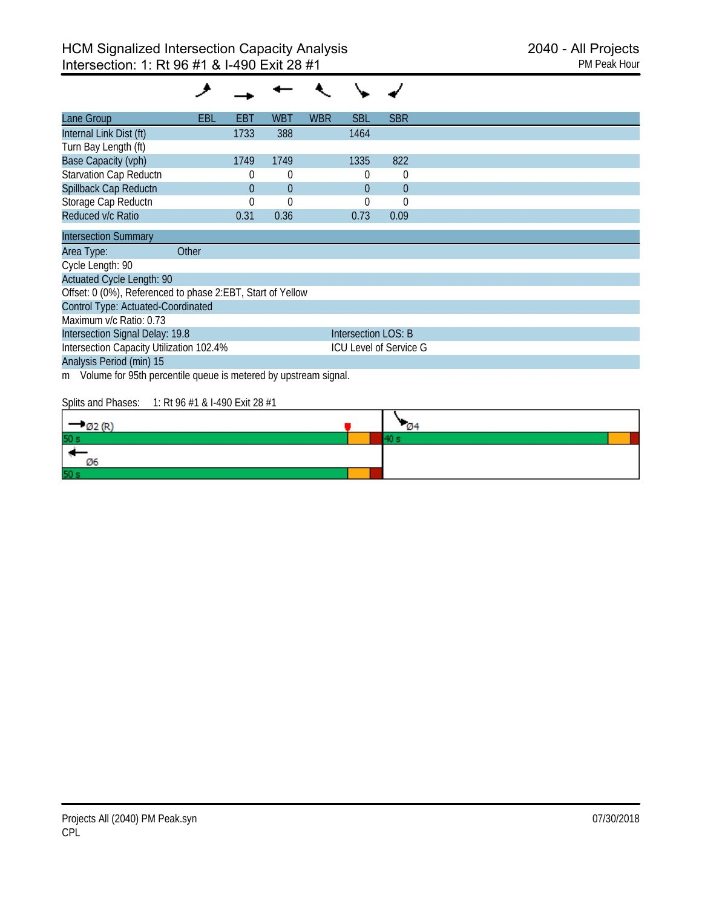| Lane Group                                                           | EBL   | EBT      | WBT            | <b>WBR</b> | <b>SBL</b>          | <b>SBR</b>                    |  |
|----------------------------------------------------------------------|-------|----------|----------------|------------|---------------------|-------------------------------|--|
| Internal Link Dist (ft)                                              |       | 1733     | 388            |            | 1464                |                               |  |
| Turn Bay Length (ft)                                                 |       |          |                |            |                     |                               |  |
| <b>Base Capacity (vph)</b>                                           |       | 1749     | 1749           |            | 1335                | 822                           |  |
| <b>Starvation Cap Reductn</b>                                        |       | 0        | 0              |            | 0                   | 0                             |  |
| Spillback Cap Reductn                                                |       | $\theta$ | $\overline{0}$ |            | $\theta$            | $\overline{0}$                |  |
| Storage Cap Reductn                                                  |       | 0        | $\Omega$       |            | $\Omega$            | 0                             |  |
| Reduced v/c Ratio                                                    |       | 0.31     | 0.36           |            | 0.73                | 0.09                          |  |
| <b>Intersection Summary</b>                                          |       |          |                |            |                     |                               |  |
| Area Type:                                                           | Other |          |                |            |                     |                               |  |
| Cycle Length: 90                                                     |       |          |                |            |                     |                               |  |
| <b>Actuated Cycle Length: 90</b>                                     |       |          |                |            |                     |                               |  |
| Offset: 0 (0%), Referenced to phase 2:EBT, Start of Yellow           |       |          |                |            |                     |                               |  |
| Control Type: Actuated-Coordinated                                   |       |          |                |            |                     |                               |  |
| Maximum v/c Ratio: 0.73                                              |       |          |                |            |                     |                               |  |
| Intersection Signal Delay: 19.8                                      |       |          |                |            | Intersection LOS: B |                               |  |
| Intersection Capacity Utilization 102.4%                             |       |          |                |            |                     | <b>ICU Level of Service G</b> |  |
| Analysis Period (min) 15                                             |       |          |                |            |                     |                               |  |
| Volume for 95th percentile queue is metered by upstream signal.<br>m |       |          |                |            |                     |                               |  |
|                                                                      |       |          |                |            |                     |                               |  |

Splits and Phases: 1: Rt 96 #1 & I-490 Exit 28 #1

| Ø2 (R    | $\mathcal{Q}$ 4 |  |
|----------|-----------------|--|
| 50 s     |                 |  |
| -6<br>Ø6 |                 |  |
| 50 s     |                 |  |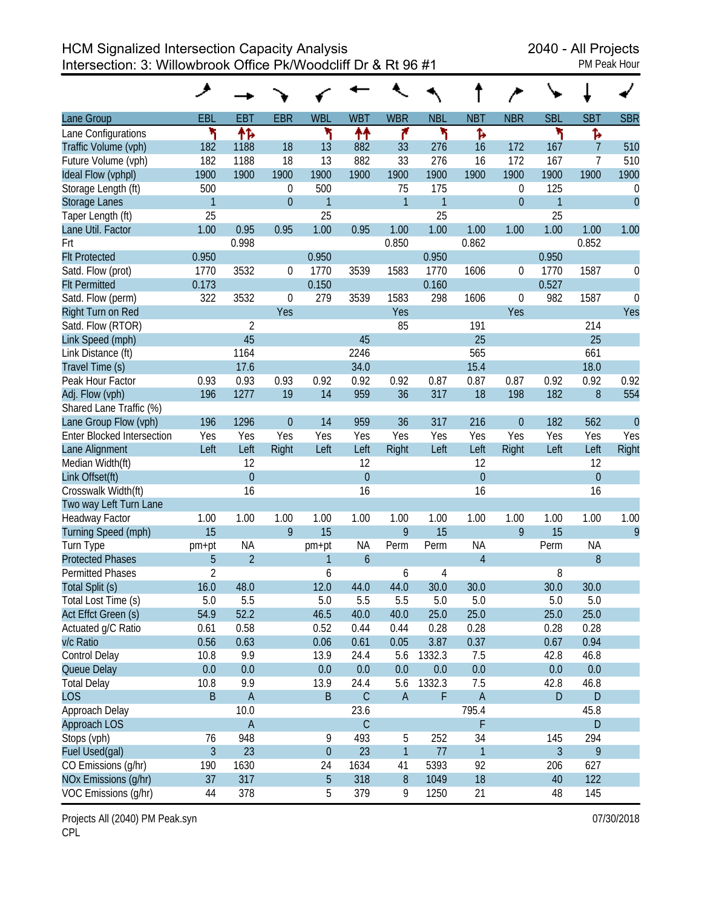HCM Signalized Intersection Capacity Analysis 2040 - All Projects Intersection: 3: Willowbrook Office Pk/Woodcliff Dr & Rt 96 #1 PM Peak Hour

| <b>PM Peak Hour</b> |  |
|---------------------|--|
|                     |  |

|                                   | حر             |                |                |                |                |                |              |                |             |                |                |                |
|-----------------------------------|----------------|----------------|----------------|----------------|----------------|----------------|--------------|----------------|-------------|----------------|----------------|----------------|
| Lane Group                        | <b>EBL</b>     | <b>EBT</b>     | <b>EBR</b>     | <b>WBL</b>     | <b>WBT</b>     | <b>WBR</b>     | <b>NBL</b>   | <b>NBT</b>     | <b>NBR</b>  | <b>SBL</b>     | <b>SBT</b>     | <b>SBR</b>     |
| Lane Configurations               | ۲              | 怍              |                | ۲              | ↟↟             | ۴              | ۲            | Ъ              |             | ۲              | Ъ              |                |
| Traffic Volume (vph)              | 182            | 1188           | 18             | 13             | 882            | 33             | 276          | 16             | 172         | 167            | 7              | 510            |
| Future Volume (vph)               | 182            | 1188           | 18             | 13             | 882            | 33             | 276          | 16             | 172         | 167            | 7              | 510            |
| Ideal Flow (vphpl)                | 1900           | 1900           | 1900           | 1900           | 1900           | 1900           | 1900         | 1900           | 1900        | 1900           | 1900           | 1900           |
| Storage Length (ft)               | 500            |                | $\theta$       | 500            |                | 75             | 175          |                | 0           | 125            |                | 0              |
| <b>Storage Lanes</b>              | $\mathbf{1}$   |                | $\overline{0}$ | 1              |                | $\mathbf{1}$   | $\mathbf{1}$ |                | $\theta$    | $\mathbf{1}$   |                | $\overline{0}$ |
| Taper Length (ft)                 | 25             |                |                | 25             |                |                | 25           |                |             | 25             |                |                |
| Lane Util. Factor                 | 1.00           | 0.95           | 0.95           | 1.00           | 0.95           | 1.00           | 1.00         | 1.00           | 1.00        | 1.00           | 1.00           | 1.00           |
| Frt                               |                | 0.998          |                |                |                | 0.850          |              | 0.862          |             |                | 0.852          |                |
| <b>Flt Protected</b>              | 0.950          |                |                | 0.950          |                |                | 0.950        |                |             | 0.950          |                |                |
| Satd. Flow (prot)                 | 1770           | 3532           | 0              | 1770           | 3539           | 1583           | 1770         | 1606           | 0           | 1770           | 1587           | 0              |
| <b>Flt Permitted</b>              | 0.173          |                |                | 0.150          |                |                | 0.160        |                |             | 0.527          |                |                |
| Satd. Flow (perm)                 | 322            | 3532           | 0              | 279            | 3539           | 1583           | 298          | 1606           | $\mathbf 0$ | 982            | 1587           | $\theta$       |
| Right Turn on Red                 |                |                | Yes            |                |                | Yes            |              |                | Yes         |                |                | Yes            |
| Satd. Flow (RTOR)                 |                | $\overline{2}$ |                |                |                | 85             |              | 191            |             |                | 214            |                |
| Link Speed (mph)                  |                | 45             |                |                | 45             |                |              | 25             |             |                | 25             |                |
| Link Distance (ft)                |                | 1164           |                |                | 2246           |                |              | 565            |             |                | 661            |                |
| Travel Time (s)                   |                | 17.6           |                |                | 34.0           |                |              | 15.4           |             |                | 18.0           |                |
| Peak Hour Factor                  | 0.93           | 0.93           | 0.93           | 0.92           | 0.92           | 0.92           | 0.87         | 0.87           | 0.87        | 0.92           | 0.92           | 0.92           |
| Adj. Flow (vph)                   | 196            | 1277           | 19             | 14             | 959            | 36             | 317          | 18             | 198         | 182            | 8              | 554            |
| Shared Lane Traffic (%)           |                |                |                |                |                |                |              |                |             |                |                |                |
| Lane Group Flow (vph)             | 196            | 1296           | $\overline{0}$ | 14             | 959            | 36             | 317          | 216            | $\theta$    | 182            | 562            | $\overline{0}$ |
| <b>Enter Blocked Intersection</b> | Yes            | Yes            | Yes            | Yes            | Yes            | Yes            | Yes          | Yes            | Yes         | Yes            | Yes            | Yes            |
| Lane Alignment                    | Left           | Left           | Right          | Left           | Left           | Right          | Left         | Left           | Right       | Left           | Left           | Right          |
| Median Width(ft)                  |                | 12             |                |                | 12             |                |              | 12             |             |                | 12             |                |
| Link Offset(ft)                   |                | $\overline{0}$ |                |                | $\overline{0}$ |                |              | $\overline{0}$ |             |                | $\overline{0}$ |                |
| Crosswalk Width(ft)               |                | 16             |                |                | 16             |                |              | 16             |             |                | 16             |                |
| Two way Left Turn Lane            |                |                |                |                |                |                |              |                |             |                |                |                |
| <b>Headway Factor</b>             | 1.00           | 1.00           | 1.00           | 1.00           | 1.00           | 1.00           | 1.00         | 1.00           | 1.00        | 1.00           | 1.00           | 1.00           |
| Turning Speed (mph)               | 15             |                | 9              | 15             |                | 9              | 15           |                | 9           | 15             |                | 9              |
| Turn Type                         | pm+pt          | <b>NA</b>      |                | pm+pt          | <b>NA</b>      | Perm           | Perm         | <b>NA</b>      |             | Perm           | <b>NA</b>      |                |
| <b>Protected Phases</b>           | 5              | $\overline{2}$ |                | 1              | 6              |                |              | $\overline{4}$ |             |                | 8              |                |
| <b>Permitted Phases</b>           | $\overline{2}$ |                |                | 6              |                | 6              | 4            |                |             | 8              |                |                |
| Total Split (s)                   | 16.0           | 48.0           |                | 12.0           | 44.0           | 44.0           | 30.0         | 30.0           |             | 30.0           | 30.0           |                |
| Total Lost Time (s)               | 5.0            | 5.5            |                | 5.0            | 5.5            | 5.5            | 5.0          | 5.0            |             | 5.0            | 5.0            |                |
| Act Effct Green (s)               | 54.9           | 52.2           |                | 46.5           | 40.0           | 40.0           | 25.0         | 25.0           |             | 25.0           | 25.0           |                |
| Actuated g/C Ratio                | 0.61           | 0.58           |                | 0.52           | 0.44           | 0.44           | 0.28         | 0.28           |             | 0.28           | 0.28           |                |
| v/c Ratio                         | 0.56           | 0.63           |                | 0.06           | 0.61           | 0.05           | 3.87         | 0.37           |             | 0.67           | 0.94           |                |
| Control Delay                     | 10.8           | 9.9            |                | 13.9           | 24.4           | 5.6            | 1332.3       | 7.5            |             | 42.8           | 46.8           |                |
| Queue Delay                       | 0.0            | 0.0            |                | 0.0            | 0.0            | 0.0            | 0.0          | 0.0            |             | 0.0            | 0.0            |                |
| <b>Total Delay</b>                | 10.8           | 9.9            |                | 13.9           | 24.4           | 5.6            | 1332.3       | 7.5            |             | 42.8           | 46.8           |                |
| <b>LOS</b>                        | B              | $\mathsf A$    |                | $\sf B$        | $\mathsf C$    | $\overline{A}$ | F            | A              |             | ${\sf D}$      | D              |                |
| Approach Delay                    |                | 10.0           |                |                | 23.6           |                |              | 795.4          |             |                | 45.8           |                |
| Approach LOS                      |                | $\overline{A}$ |                |                | C              |                |              | F              |             |                | D              |                |
| Stops (vph)                       | 76             | 948            |                | 9              | 493            | 5              | 252          | 34             |             | 145            | 294            |                |
| Fuel Used(gal)                    | $\overline{3}$ | 23             |                | $\theta$       | 23             | $\mathbf{1}$   | 77           | $\mathbf{1}$   |             | $\overline{3}$ | 9              |                |
| CO Emissions (g/hr)               | 190            | 1630           |                | 24             | 1634           | 41             | 5393         | 92             |             | 206            | 627            |                |
| NOx Emissions (g/hr)              | 37             | 317            |                | $\overline{5}$ | 318            | $8\,$          | 1049         | 18             |             | 40             | 122            |                |
| VOC Emissions (g/hr)              | 44             | 378            |                | 5              | 379            | 9              | 1250         | 21             |             | 48             | 145            |                |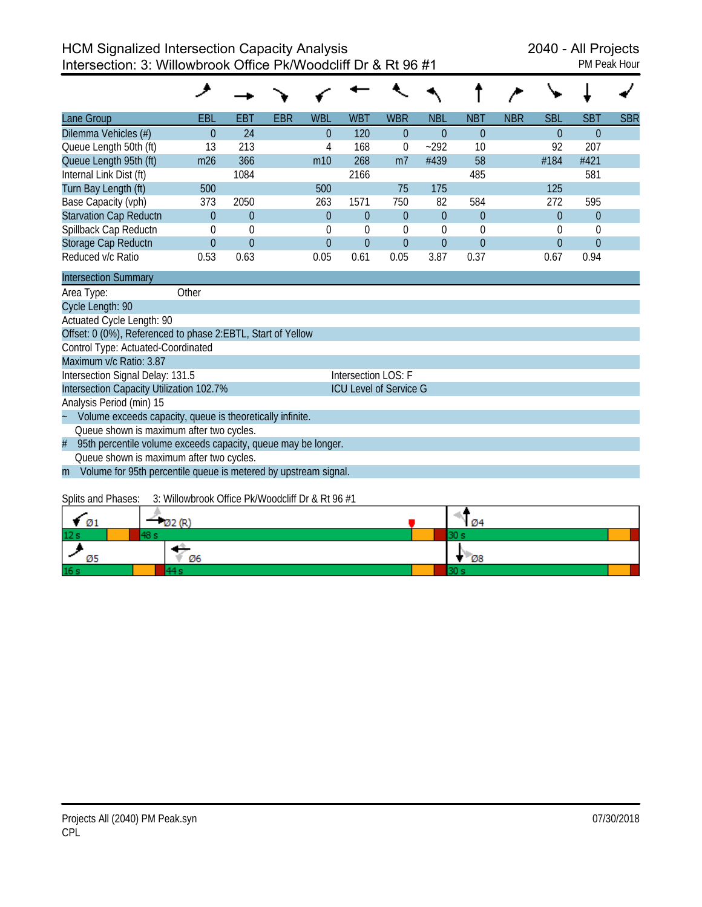| Lane Group                    | <b>EBL</b> | EBT            | <b>EBR</b> | <b>WBL</b>     | <b>WBT</b> | <b>WBR</b>     | <b>NBL</b>     | <b>NBT</b>     | <b>NBR</b> | <b>SBL</b> | <b>SBT</b>     | <b>SBR</b> |
|-------------------------------|------------|----------------|------------|----------------|------------|----------------|----------------|----------------|------------|------------|----------------|------------|
| Dilemma Vehicles (#)          | $\Omega$   | 24             |            | $\theta$       | 120        | $\theta$       | $\Omega$       | $\theta$       |            | $\Omega$   | $\Omega$       |            |
| Queue Length 50th (ft)        | 13         | 213            |            | 4              | 168        | 0              | $-292$         | 10             |            | 92         | 207            |            |
| Queue Length 95th (ft)        | m26        | 366            |            | m10            | 268        | m <sub>7</sub> | #439           | 58             |            | #184       | #421           |            |
| Internal Link Dist (ft)       |            | 1084           |            |                | 2166       |                |                | 485            |            |            | 581            |            |
| Turn Bay Length (ft)          | 500        |                |            | 500            |            | 75             | 175            |                |            | 125        |                |            |
| Base Capacity (vph)           | 373        | 2050           |            | 263            | 1571       | 750            | 82             | 584            |            | 272        | 595            |            |
| <b>Starvation Cap Reductn</b> | $\Omega$   | $\overline{0}$ |            | $\theta$       | $\Omega$   | $\theta$       | $\Omega$       | $\overline{0}$ |            | $\Omega$   | $\overline{0}$ |            |
| Spillback Cap Reductn         | $\Omega$   | $\theta$       |            | $\theta$       | 0          | $\theta$       | 0              | $\theta$       |            | $\theta$   | $\theta$       |            |
| Storage Cap Reductn           | $\Omega$   | $\theta$       |            | $\overline{0}$ | $\Omega$   | $\overline{0}$ | $\overline{0}$ | $\theta$       |            | $\Omega$   | $\mathbf{0}$   |            |
| Reduced v/c Ratio             | 0.53       | 0.63           |            | 0.05           | 0.61       | 0.05           | 3.87           | 0.37           |            | 0.67       | 0.94           |            |
| <b>Intersection Summary</b>   |            |                |            |                |            |                |                |                |            |            |                |            |

|                      | Other<br>Area Type:                                               |                               |
|----------------------|-------------------------------------------------------------------|-------------------------------|
|                      | Cycle Length: 90                                                  |                               |
|                      | Actuated Cycle Length: 90                                         |                               |
|                      | Offset: 0 (0%), Referenced to phase 2:EBTL, Start of Yellow       |                               |
|                      | Control Type: Actuated-Coordinated                                |                               |
|                      | Maximum v/c Ratio: 3.87                                           |                               |
|                      | Intersection Signal Delay: 131.5                                  | Intersection LOS: F           |
|                      | Intersection Capacity Utilization 102.7%                          | <b>ICU Level of Service G</b> |
|                      | Analysis Period (min) 15                                          |                               |
| $\ddot{\phantom{0}}$ | Volume exceeds capacity, queue is theoretically infinite.         |                               |
|                      | Queue shown is maximum after two cycles.                          |                               |
|                      | # 95th percentile volume exceeds capacity, queue may be longer.   |                               |
|                      | Queue shown is maximum after two cycles.                          |                               |
|                      | m Volume for 95th percentile queue is metered by upstream signal. |                               |

# Splits and Phases: 3: Willowbrook Office Pk/Woodcliff Dr & Rt 96 #1

| Ø1              |    | <b>Ø4</b> |
|-----------------|----|-----------|
| 12 <sub>s</sub> |    |           |
| Ø5              | Ø6 | $-08$     |
| 16 <sub>s</sub> |    |           |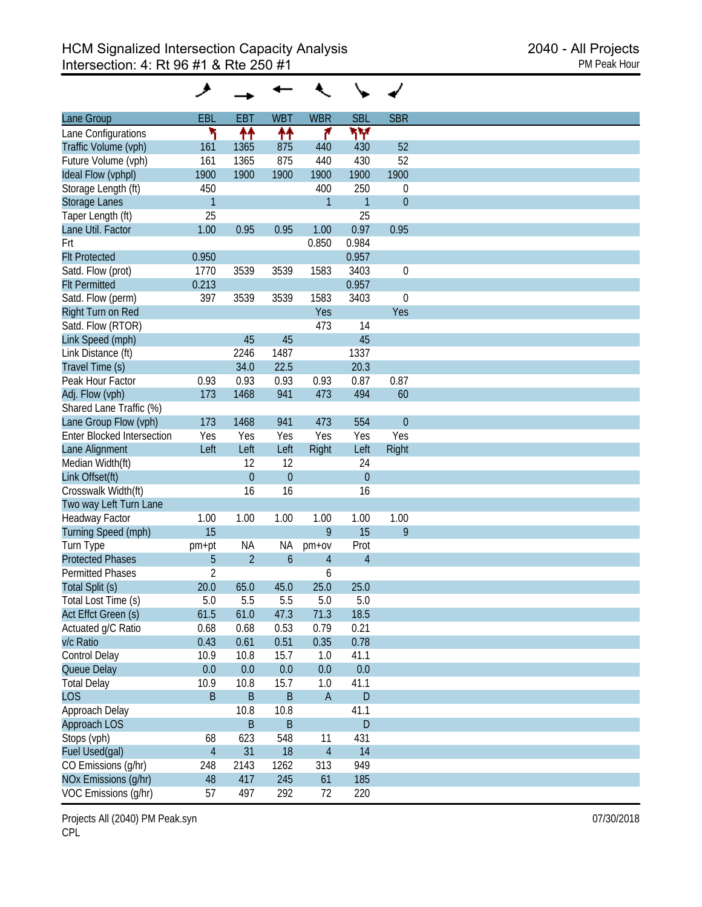| Lane Group                        | <b>EBL</b>     | <b>EBT</b>       | <b>WBT</b>     | <b>WBR</b>     | <b>SBL</b>     | <b>SBR</b>       |
|-----------------------------------|----------------|------------------|----------------|----------------|----------------|------------------|
| Lane Configurations               | ۲              | ↟↟               |                | ۴              | ۳Υ             |                  |
| Traffic Volume (vph)              | 161            | 1365             | ተተ<br>875      | 440            | 430            | 52               |
| Future Volume (vph)               | 161            | 1365             | 875            | 440            | 430            | 52               |
|                                   |                |                  |                |                |                |                  |
| Ideal Flow (vphpl)                | 1900           | 1900             | 1900           | 1900           | 1900           | 1900             |
| Storage Length (ft)               | 450            |                  |                | 400            | 250            | $\boldsymbol{0}$ |
| Storage Lanes                     | $\mathbf{1}$   |                  |                | $\mathbf{1}$   | $\mathbf{1}$   | $\theta$         |
| Taper Length (ft)                 | 25             |                  |                |                | 25             |                  |
| Lane Util. Factor                 | 1.00           | 0.95             | 0.95           | 1.00           | 0.97           | 0.95             |
| Frt                               |                |                  |                | 0.850          | 0.984          |                  |
| <b>Flt Protected</b>              | 0.950          |                  |                |                | 0.957          |                  |
| Satd. Flow (prot)                 | 1770           | 3539             | 3539           | 1583           | 3403           | $\boldsymbol{0}$ |
| <b>Flt Permitted</b>              | 0.213          |                  |                |                | 0.957          |                  |
| Satd. Flow (perm)                 | 397            | 3539             | 3539           | 1583           | 3403           | $\boldsymbol{0}$ |
| Right Turn on Red                 |                |                  |                | Yes            |                | Yes              |
| Satd. Flow (RTOR)                 |                |                  |                | 473            | 14             |                  |
| Link Speed (mph)                  |                | 45               | 45             |                | 45             |                  |
| Link Distance (ft)                |                | 2246             | 1487           |                | 1337           |                  |
|                                   |                |                  |                |                |                |                  |
| Travel Time (s)                   |                | 34.0             | 22.5           |                | 20.3           |                  |
| Peak Hour Factor                  | 0.93           | 0.93             | 0.93           | 0.93           | 0.87           | 0.87             |
| Adj. Flow (vph)                   | 173            | 1468             | 941            | 473            | 494            | 60               |
| Shared Lane Traffic (%)           |                |                  |                |                |                |                  |
| Lane Group Flow (vph)             | 173            | 1468             | 941            | 473            | 554            | $\mathbf{0}$     |
| <b>Enter Blocked Intersection</b> | Yes            | Yes              | Yes            | Yes            | Yes            | Yes              |
| Lane Alignment                    | Left           | Left             | Left           | Right          | Left           | Right            |
| Median Width(ft)                  |                | 12               | 12             |                | 24             |                  |
| Link Offset(ft)                   |                | $\boldsymbol{0}$ | $\overline{0}$ |                | $\overline{0}$ |                  |
| Crosswalk Width(ft)               |                | 16               | 16             |                | 16             |                  |
| Two way Left Turn Lane            |                |                  |                |                |                |                  |
| Headway Factor                    | 1.00           | 1.00             | 1.00           | 1.00           | 1.00           | 1.00             |
| Turning Speed (mph)               | 15             |                  |                | 9              | 15             | 9                |
|                                   |                |                  |                |                |                |                  |
| Turn Type                         | pm+pt          | <b>NA</b>        | ΝA             | $pm+ov$        | Prot           |                  |
| <b>Protected Phases</b>           | 5              | $\overline{2}$   | $\mathfrak b$  | 4              | $\overline{4}$ |                  |
| <b>Permitted Phases</b>           | $\overline{2}$ |                  |                | 6              |                |                  |
| Total Split (s)                   | 20.0           | 65.0             | 45.0           | 25.0           | 25.0           |                  |
| Total Lost Time (s)               | 5.0            | 5.5              | 5.5            | 5.0            | 5.0            |                  |
| Act Effct Green (s)               | 61.5           | 61.0             | 47.3           | 71.3           | 18.5           |                  |
| Actuated g/C Ratio                | 0.68           | 0.68             | 0.53           | 0.79           | 0.21           |                  |
| v/c Ratio                         | 0.43           | 0.61             | 0.51           | 0.35           | 0.78           |                  |
| Control Delay                     | 10.9           | 10.8             | 15.7           | 1.0            | 41.1           |                  |
| Queue Delay                       | 0.0            | 0.0              | 0.0            | 0.0            | 0.0            |                  |
| <b>Total Delay</b>                | 10.9           | 10.8             | 15.7           | 1.0            | 41.1           |                  |
| <b>LOS</b>                        | B              | $\sf B$          | $\sf B$        | $\mathsf{A}$   | $\mathsf D$    |                  |
|                                   |                |                  |                |                |                |                  |
| Approach Delay                    |                | 10.8             | 10.8           |                | 41.1           |                  |
| Approach LOS                      |                | $\sf B$          | $\sf B$        |                | $\mathsf D$    |                  |
| Stops (vph)                       | 68             | 623              | 548            | 11             | 431            |                  |
| Fuel Used(gal)                    | $\overline{4}$ | 31               | 18             | $\overline{4}$ | 14             |                  |
| CO Emissions (g/hr)               | 248            | 2143             | 1262           | 313            | 949            |                  |
| NOx Emissions (g/hr)              | 48             | 417              | 245            | 61             | 185            |                  |
| VOC Emissions (g/hr)              | 57             | 497              | 292            | 72             | 220            |                  |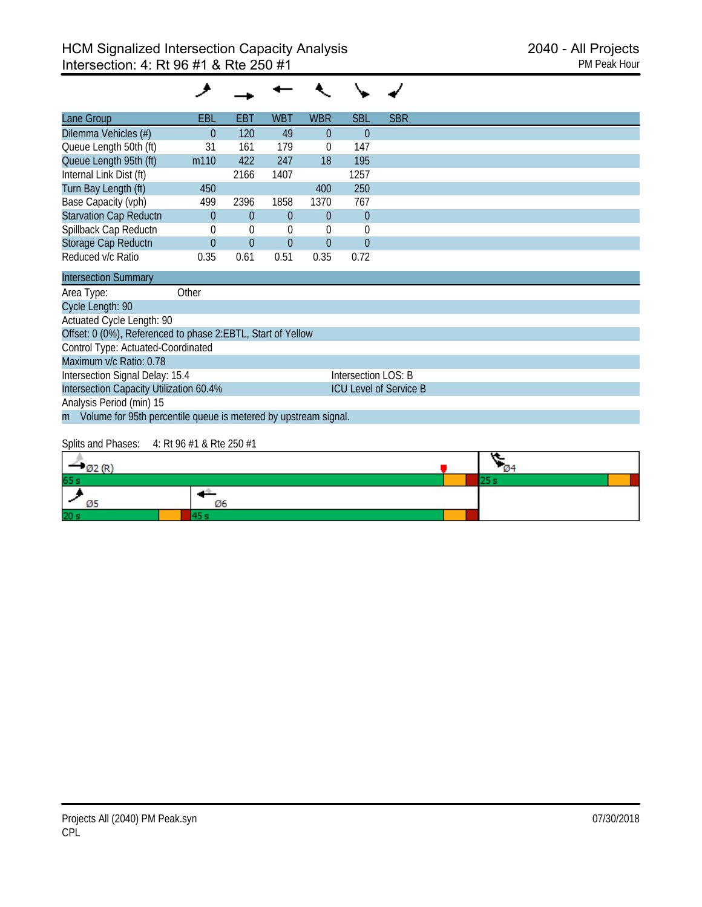#### ◢  $\check{}$  $\ddot{\phantom{0}}$  $\sim$ ✔ ۰

| Lane Group                    | <b>EBL</b>       | EBT      | <b>WBT</b> | <b>WBR</b> | <b>SBL</b> | <b>SBR</b> |  |
|-------------------------------|------------------|----------|------------|------------|------------|------------|--|
| Dilemma Vehicles (#)          | $\Omega$         | 120      | 49         | $\Omega$   | 0          |            |  |
| Queue Length 50th (ft)        | 31               | 161      | 179        | $\theta$   | 147        |            |  |
| Queue Length 95th (ft)        | m <sub>110</sub> | 422      | 247        | 18         | 195        |            |  |
| Internal Link Dist (ft)       |                  | 2166     | 1407       |            | 1257       |            |  |
| Turn Bay Length (ft)          | 450              |          |            | 400        | 250        |            |  |
| Base Capacity (vph)           | 499              | 2396     | 1858       | 1370       | 767        |            |  |
| <b>Starvation Cap Reductn</b> | $\Omega$         | $\theta$ | $\Omega$   | $\Omega$   | $\theta$   |            |  |
| Spillback Cap Reductn         |                  | $\theta$ | 0          | 0          | U          |            |  |
| Storage Cap Reductn           | $\Omega$         | $\theta$ | $\Omega$   | $\Omega$   | $\Omega$   |            |  |
| Reduced v/c Ratio             | 0.35             | 0.61     | 0.51       | 0.35       | 0.72       |            |  |

| <b>Intersection Summary</b>                                       |                               |  |  |  |  |  |  |  |  |
|-------------------------------------------------------------------|-------------------------------|--|--|--|--|--|--|--|--|
| Other<br>Area Type:                                               |                               |  |  |  |  |  |  |  |  |
| Cycle Length: 90                                                  |                               |  |  |  |  |  |  |  |  |
| Actuated Cycle Length: 90                                         |                               |  |  |  |  |  |  |  |  |
| Offset: 0 (0%), Referenced to phase 2:EBTL, Start of Yellow       |                               |  |  |  |  |  |  |  |  |
| Control Type: Actuated-Coordinated                                |                               |  |  |  |  |  |  |  |  |
| Maximum v/c Ratio: 0.78                                           |                               |  |  |  |  |  |  |  |  |
| Intersection Signal Delay: 15.4                                   | Intersection LOS: B           |  |  |  |  |  |  |  |  |
| Intersection Capacity Utilization 60.4%                           | <b>ICU Level of Service B</b> |  |  |  |  |  |  |  |  |
| Analysis Period (min) 15                                          |                               |  |  |  |  |  |  |  |  |
| m Volume for 95th percentile queue is metered by upstream signal. |                               |  |  |  |  |  |  |  |  |

#### Splits and Phases: 4: Rt 96 #1 & Rte 250 #1

| $-$ Ø2 (R)      |    | $\mathcal{Q}_4$ |  |
|-----------------|----|-----------------|--|
| 65 s            |    |                 |  |
|                 | Ø6 |                 |  |
| 20 <sub>s</sub> |    |                 |  |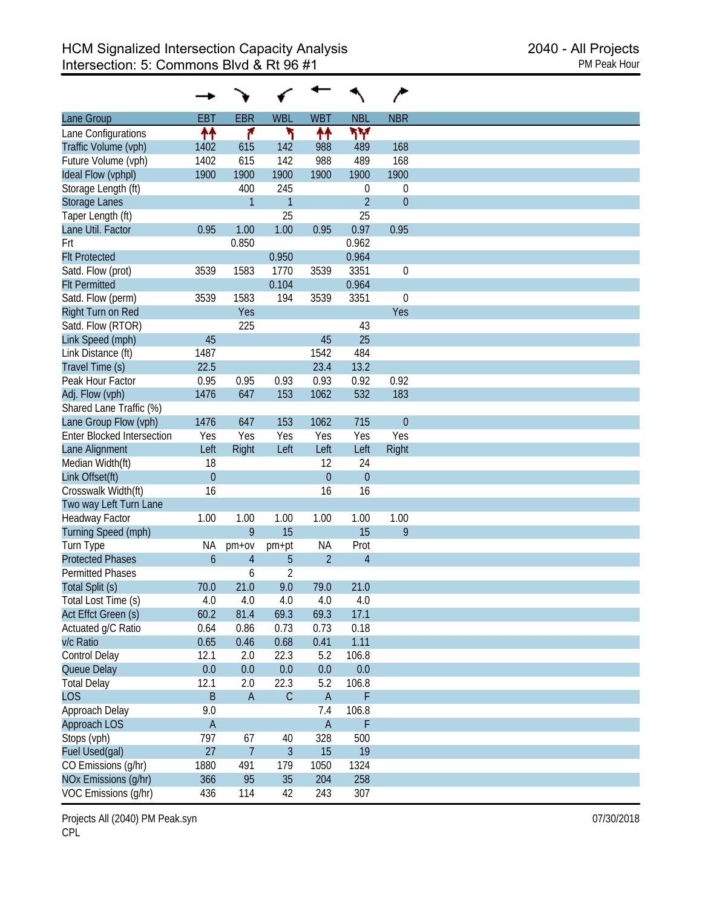|                                   |                |                |                |                |                | ∕                |
|-----------------------------------|----------------|----------------|----------------|----------------|----------------|------------------|
| Lane Group                        | <b>EBT</b>     | <b>EBR</b>     | <b>WBL</b>     | <b>WBT</b>     | <b>NBL</b>     | <b>NBR</b>       |
| Lane Configurations               | ↟↟             | ۴              | ۲              | ቶቶ             | ۳Υ             |                  |
| Traffic Volume (vph)              | 1402           | 615            | 142            | 988            | 489            | 168              |
| Future Volume (vph)               | 1402           | 615            | 142            | 988            | 489            | 168              |
| Ideal Flow (vphpl)                | 1900           | 1900           | 1900           | 1900           | 1900           | 1900             |
| Storage Length (ft)               |                | 400            | 245            |                | 0              | $\boldsymbol{0}$ |
| <b>Storage Lanes</b>              |                | 1              | $\overline{1}$ |                | $\overline{2}$ | $\overline{0}$   |
| Taper Length (ft)                 |                |                | 25             |                | 25             |                  |
| Lane Util. Factor                 | 0.95           | 1.00           | 1.00           | 0.95           | 0.97           | 0.95             |
| Frt                               |                | 0.850          |                |                | 0.962          |                  |
| <b>Flt Protected</b>              |                |                | 0.950          |                | 0.964          |                  |
| Satd. Flow (prot)                 | 3539           | 1583           | 1770           | 3539           | 3351           | $\mathbf 0$      |
| <b>Flt Permitted</b>              |                |                | 0.104          |                | 0.964          |                  |
| Satd. Flow (perm)                 | 3539           | 1583           | 194            | 3539           | 3351           | $\mathbf 0$      |
| Right Turn on Red                 |                | Yes            |                |                |                | Yes              |
| Satd. Flow (RTOR)                 |                | 225            |                |                | 43             |                  |
| Link Speed (mph)                  | 45             |                |                | 45             | 25             |                  |
| Link Distance (ft)                | 1487           |                |                | 1542           | 484            |                  |
| Travel Time (s)                   |                |                |                |                |                |                  |
|                                   | 22.5           |                |                | 23.4           | 13.2           |                  |
| Peak Hour Factor                  | 0.95           | 0.95           | 0.93           | 0.93           | 0.92           | 0.92             |
| Adj. Flow (vph)                   | 1476           | 647            | 153            | 1062           | 532            | 183              |
| Shared Lane Traffic (%)           |                |                |                |                |                |                  |
| Lane Group Flow (vph)             | 1476           | 647            | 153            | 1062           | 715            | $\overline{0}$   |
| <b>Enter Blocked Intersection</b> | Yes            | Yes            | Yes            | Yes            | Yes            | Yes              |
| Lane Alignment                    | Left           | Right          | Left           | Left           | Left           | Right            |
| Median Width(ft)                  | 18             |                |                | 12             | 24             |                  |
| Link Offset(ft)                   | $\overline{0}$ |                |                | $\overline{0}$ | $\overline{0}$ |                  |
| Crosswalk Width(ft)               | 16             |                |                | 16             | 16             |                  |
| Two way Left Turn Lane            |                |                |                |                |                |                  |
| Headway Factor                    | 1.00           | 1.00           | 1.00           | 1.00           | 1.00           | 1.00             |
| Turning Speed (mph)               |                | 9              | 15             |                | 15             | 9                |
| Turn Type                         | <b>NA</b>      | $pm+ov$        | pm+pt          | NA             | Prot           |                  |
| <b>Protected Phases</b>           | $\overline{6}$ | $\overline{4}$ | 5              | $\overline{2}$ | $\overline{4}$ |                  |
| <b>Permitted Phases</b>           |                | 6              | $\overline{2}$ |                |                |                  |
| Total Split (s)                   | 70.0           | 21.0           | 9.0            | 79.0           | 21.0           |                  |
| Total Lost Time (s)               | 4.0            | 4.0            | 4.0            | 4.0            | 4.0            |                  |
| Act Effct Green (s)               | 60.2           | 81.4           | 69.3           | 69.3           | 17.1           |                  |
| Actuated g/C Ratio                | 0.64           | 0.86           | 0.73           | 0.73           | 0.18           |                  |
| v/c Ratio                         | 0.65           | 0.46           | 0.68           | 0.41           | 1.11           |                  |
| Control Delay                     | 12.1           | 2.0            | 22.3           | 5.2            | 106.8          |                  |
| Queue Delay                       | 0.0            | 0.0            | 0.0            | 0.0            | 0.0            |                  |
| <b>Total Delay</b>                | 12.1           | 2.0            | 22.3           | 5.2            | 106.8          |                  |
| <b>LOS</b>                        | B              | $\mathsf A$    | $\mathsf C$    | $\overline{A}$ | F              |                  |
| Approach Delay                    | 9.0            |                |                | 7.4            | 106.8          |                  |
| Approach LOS                      | $\mathsf A$    |                |                | $\overline{A}$ | F              |                  |
|                                   | 797            | 67             | 40             | 328            | 500            |                  |
| Stops (vph)                       | 27             | $\overline{7}$ | $\overline{3}$ |                | 19             |                  |
| Fuel Used(gal)                    |                |                |                | 15             |                |                  |
| CO Emissions (g/hr)               | 1880           | 491            | 179            | 1050           | 1324           |                  |
| NOx Emissions (g/hr)              | 366            | 95             | 35             | 204            | 258            |                  |
| VOC Emissions (g/hr)              | 436            | 114            | 42             | 243            | 307            |                  |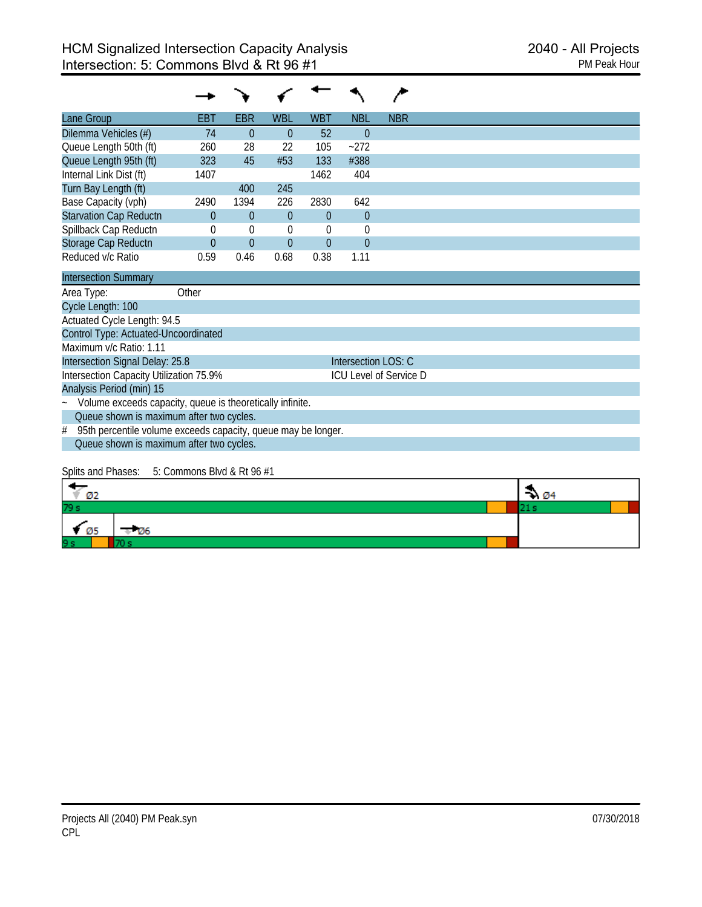| Lane Group                              | <b>EBT</b> | <b>EBR</b>  | <b>WBL</b>     | <b>WBT</b> | <b>NBL</b>          | <b>NBR</b>                    |
|-----------------------------------------|------------|-------------|----------------|------------|---------------------|-------------------------------|
| Dilemma Vehicles (#)                    | 74         | $\theta$    | $\Omega$       | 52         | $\theta$            |                               |
| Queue Length 50th (ft)                  | 260        | 28          | 22             | 105        | $-272$              |                               |
| Queue Length 95th (ft)                  | 323        | 45          | #53            | 133        | #388                |                               |
| Internal Link Dist (ft)                 | 1407       |             |                | 1462       | 404                 |                               |
| Turn Bay Length (ft)                    |            | 400         | 245            |            |                     |                               |
| Base Capacity (vph)                     | 2490       | 1394        | 226            | 2830       | 642                 |                               |
| <b>Starvation Cap Reductn</b>           | $\Omega$   | $\theta$    | $\Omega$       | $\theta$   | $\overline{0}$      |                               |
| Spillback Cap Reductn                   | 0          | $\mathbf 0$ | $\overline{0}$ | 0          | $\mathbf 0$         |                               |
| Storage Cap Reductn                     | $\Omega$   | $\theta$    | $\theta$       | $\theta$   | $\Omega$            |                               |
| Reduced v/c Ratio                       | 0.59       | 0.46        | 0.68           | 0.38       | 1.11                |                               |
| <b>Intersection Summary</b>             |            |             |                |            |                     |                               |
| Area Type:                              | Other      |             |                |            |                     |                               |
| Cycle Length: 100                       |            |             |                |            |                     |                               |
| Actuated Cycle Length: 94.5             |            |             |                |            |                     |                               |
| Control Type: Actuated-Uncoordinated    |            |             |                |            |                     |                               |
| Maximum v/c Ratio: 1.11                 |            |             |                |            |                     |                               |
| Intersection Signal Delay: 25.8         |            |             |                |            | Intersection LOS: C |                               |
| Intersection Capacity Utilization 75.9% |            |             |                |            |                     | <b>ICU Level of Service D</b> |
| Analysis Period (min) 15                |            |             |                |            |                     |                               |

~ Volume exceeds capacity, queue is theoretically infinite.

Queue shown is maximum after two cycles.

# 95th percentile volume exceeds capacity, queue may be longer. Queue shown is maximum after two cycles.

#### Splits and Phases: 5: Commons Blvd & Rt 96 #1

| Ø2           |       | ₩ Ø4 |  |
|--------------|-------|------|--|
| 79 s         |       |      |  |
| $\bullet$ 05 | - 126 |      |  |
| 9 s          |       |      |  |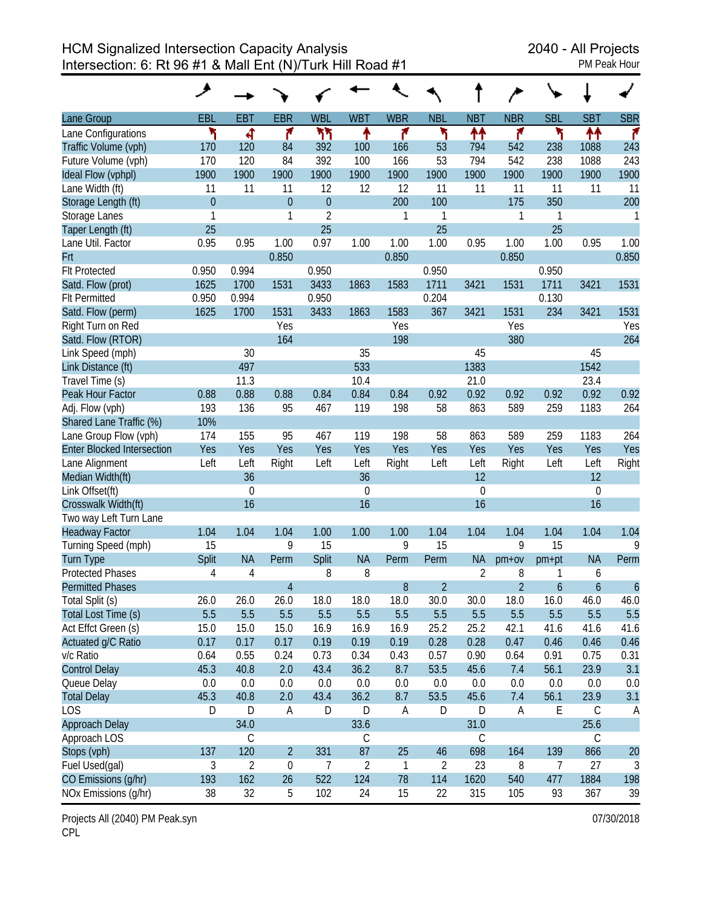HCM Signalized Intersection Capacity Analysis<br>Intersection: 6: Rt 96 #1 & Mall Ent (N)/Turk Hill Road #1 Intersection: 6: Rt 96 #1 & Mall  $Ent(N)/T$ urk Hill Road #1

|                                   | ◢              |             |                |                  |                |             |                |                |                |            |             |                  |
|-----------------------------------|----------------|-------------|----------------|------------------|----------------|-------------|----------------|----------------|----------------|------------|-------------|------------------|
| Lane Group                        | <b>EBL</b>     | <b>EBT</b>  | <b>EBR</b>     | <b>WBL</b>       | <b>WBT</b>     | <b>WBR</b>  | <b>NBL</b>     | <b>NBT</b>     | <b>NBR</b>     | <b>SBL</b> | <b>SBT</b>  | <b>SBR</b>       |
| Lane Configurations               | ۲              | ৰ           | ۴              | ካኘ               | ↟              | ۴           | ۲              | ቶቶ             | ۴              | ۲          | ↟↟          | ۴                |
| Traffic Volume (vph)              | 170            | 120         | 84             | 392              | 100            | 166         | 53             | 794            | 542            | 238        | 1088        | 243              |
| Future Volume (vph)               | 170            | 120         | 84             | 392              | 100            | 166         | 53             | 794            | 542            | 238        | 1088        | 243              |
| Ideal Flow (vphpl)                | 1900           | 1900        | 1900           | 1900             | 1900           | 1900        | 1900           | 1900           | 1900           | 1900       | 1900        | 1900             |
| Lane Width (ft)                   | 11             | 11          | 11             | 12               | 12             | 12          | 11             | 11             | 11             | 11         | 11          | 11               |
| Storage Length (ft)               | $\overline{0}$ |             | $\overline{0}$ | $\boldsymbol{0}$ |                | 200         | 100            |                | 175            | 350        |             | 200              |
| Storage Lanes                     | 1              |             | 1              | $\overline{2}$   |                | 1           | 1              |                | 1              | 1          |             | 1                |
| Taper Length (ft)                 | 25             |             |                | 25               |                |             | 25             |                |                | 25         |             |                  |
| Lane Util. Factor                 | 0.95           | 0.95        | 1.00           | 0.97             | 1.00           | 1.00        | 1.00           | 0.95           | 1.00           | 1.00       | 0.95        | 1.00             |
| Frt                               |                |             | 0.850          |                  |                | 0.850       |                |                | 0.850          |            |             | 0.850            |
| <b>Flt Protected</b>              | 0.950          | 0.994       |                | 0.950            |                |             | 0.950          |                |                | 0.950      |             |                  |
| Satd. Flow (prot)                 | 1625           | 1700        | 1531           | 3433             | 1863           | 1583        | 1711           | 3421           | 1531           | 1711       | 3421        | 1531             |
| <b>Flt Permitted</b>              | 0.950          | 0.994       |                | 0.950            |                |             | 0.204          |                |                | 0.130      |             |                  |
| Satd. Flow (perm)                 | 1625           | 1700        | 1531           | 3433             | 1863           | 1583        | 367            | 3421           | 1531           | 234        | 3421        | 1531             |
| Right Turn on Red                 |                |             | Yes            |                  |                | Yes         |                |                | Yes            |            |             | Yes              |
| Satd. Flow (RTOR)                 |                |             | 164            |                  |                | 198         |                |                | 380            |            |             | 264              |
| Link Speed (mph)                  |                | 30          |                |                  | 35             |             |                | 45             |                |            | 45          |                  |
| Link Distance (ft)                |                | 497         |                |                  | 533            |             |                | 1383           |                |            | 1542        |                  |
| Travel Time (s)                   |                | 11.3        |                |                  | 10.4           |             |                | 21.0           |                |            | 23.4        |                  |
| Peak Hour Factor                  | 0.88           | 0.88        | 0.88           | 0.84             | 0.84           | 0.84        | 0.92           | 0.92           | 0.92           | 0.92       | 0.92        | 0.92             |
| Adj. Flow (vph)                   | 193            | 136         | 95             | 467              | 119            | 198         | 58             | 863            | 589            | 259        | 1183        | 264              |
| Shared Lane Traffic (%)           | 10%            |             |                |                  |                |             |                |                |                |            |             |                  |
| Lane Group Flow (vph)             | 174            | 155         | 95             | 467              | 119            | 198         | 58             | 863            | 589            | 259        | 1183        | 264              |
| <b>Enter Blocked Intersection</b> | Yes            | Yes         | Yes            | Yes              | Yes            | Yes         | Yes            | Yes            | Yes            | Yes        | Yes         | Yes              |
| Lane Alignment                    | Left           | Left        | Right          | Left             | Left           | Right       | Left           | Left           | Right          | Left       | Left        | Right            |
| Median Width(ft)                  |                | 36          |                |                  | 36             |             |                | 12             |                |            | 12          |                  |
| Link Offset(ft)                   |                | $\mathbf 0$ |                |                  | $\mathbf 0$    |             |                | $\mathbf{0}$   |                |            | 0           |                  |
| Crosswalk Width(ft)               |                | 16          |                |                  | 16             |             |                | 16             |                |            | 16          |                  |
| Two way Left Turn Lane            |                |             |                |                  |                |             |                |                |                |            |             |                  |
| <b>Headway Factor</b>             | 1.04           | 1.04        | 1.04           | 1.00             | 1.00           | 1.00        | 1.04           | 1.04           | 1.04           | 1.04       | 1.04        | 1.04             |
| Turning Speed (mph)               | 15             |             | 9              | 15               |                | 9           | 15             |                | 9              | 15         |             | 9                |
| <b>Turn Type</b>                  | Split          | <b>NA</b>   | Perm           | Split            | <b>NA</b>      | Perm        | Perm           | <b>NA</b>      | $pm+ov$        | pm+pt      | <b>NA</b>   | Perm             |
| <b>Protected Phases</b>           | 4              | 4           |                | 8                | 8              |             |                | $\overline{2}$ | 8              | 1          | 6           |                  |
| <b>Permitted Phases</b>           |                |             | $\overline{4}$ |                  |                | 8           | $\overline{2}$ |                | $\overline{2}$ | 6          | 6           | $\boldsymbol{6}$ |
| Total Split (s)                   | 26.0           | 26.0        | 26.0           | 18.0             | 18.0           | 18.0        | 30.0           | 30.0           | 18.0           | 16.0       | 46.0        | 46.0             |
| Total Lost Time (s)               | 5.5            | 5.5         | 5.5            | 5.5              | 5.5            | 5.5         | 5.5            | 5.5            | 5.5            | 5.5        | 5.5         | 5.5              |
| Act Effct Green (s)               | 15.0           | 15.0        | 15.0           | 16.9             | 16.9           | 16.9        | 25.2           | 25.2           | 42.1           | 41.6       | 41.6        | 41.6             |
| Actuated g/C Ratio                | 0.17           | 0.17        | 0.17           | 0.19             | 0.19           | 0.19        | 0.28           | 0.28           | 0.47           | 0.46       | 0.46        | 0.46             |
| v/c Ratio                         | 0.64           | 0.55        | 0.24           | 0.73             | 0.34           | 0.43        | 0.57           | 0.90           | 0.64           | 0.91       | 0.75        | 0.31             |
| <b>Control Delay</b>              | 45.3           | 40.8        | 2.0            | 43.4             | 36.2           | 8.7         | 53.5           | 45.6           | 7.4            | 56.1       | 23.9        | 3.1              |
| Queue Delay                       | 0.0            | 0.0         | 0.0            | 0.0              | 0.0            | 0.0         | 0.0            | 0.0            | 0.0            | 0.0        | 0.0         | 0.0              |
| <b>Total Delay</b>                | 45.3           | 40.8        | 2.0            | 43.4             | 36.2           | 8.7         | 53.5           | 45.6           | 7.4            | 56.1       | 23.9        | 3.1              |
| <b>LOS</b>                        | D              | D           | А              | D                | D              | A           | D              | D              | A              | Ε          | $\mathsf C$ | A                |
| <b>Approach Delay</b>             |                | 34.0        |                |                  | 33.6           |             |                | 31.0           |                |            | 25.6        |                  |
| Approach LOS                      |                | С           |                |                  | $\mathsf C$    |             |                | $\mathsf C$    |                |            | $\mathsf C$ |                  |
| Stops (vph)                       | 137            | 120         | $\overline{2}$ | 331              | 87             | 25          | 46             | 698            | 164            | 139        | 866         | 20               |
| Fuel Used(gal)                    | $\sqrt{3}$     | 2           | $\mathbf{0}$   | $\overline{7}$   | $\overline{2}$ | $\mathbf 1$ | $\overline{2}$ | 23             | 8              | 7          | 27          | 3                |
| CO Emissions (g/hr)               | 193            | 162         | 26             | 522              | 124            | 78          | 114            | 1620           | 540            | 477        | 1884        | 198              |
| NOx Emissions (g/hr)              | 38             | 32          | 5              | 102              | 24             | 15          | 22             | 315            | 105            | 93         | 367         | 39               |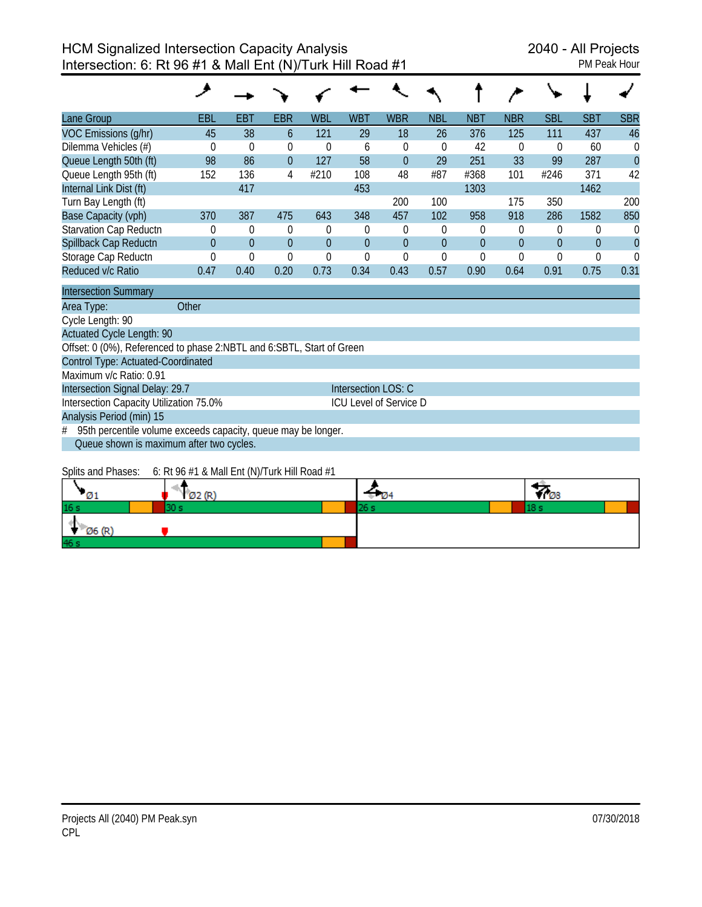| Lane Group                  | <b>EBL</b>     | EBT      | <b>EBR</b>     | <b>WBL</b>     | <b>WBT</b>     | <b>WBR</b> | <b>NBL</b>     | <b>NBT</b> | <b>NBR</b>     | <b>SBL</b>     | <b>SBT</b> | <b>SBR</b>     |
|-----------------------------|----------------|----------|----------------|----------------|----------------|------------|----------------|------------|----------------|----------------|------------|----------------|
| VOC Emissions (q/hr)        | 45             | 38       | 6              | 121            | 29             | 18         | 26             | 376        | 125            | 111            | 437        | 46             |
| Dilemma Vehicles (#)        | $\Omega$       | $\Omega$ | 0              | $\theta$       | 6              | $\Omega$   | $\Omega$       | 42         | $\Omega$       | $\Omega$       | 60         | $\Omega$       |
| Queue Length 50th (ft)      | 98             | 86       | $\overline{0}$ | 127            | 58             | $\theta$   | 29             | 251        | 33             | 99             | 287        | $\overline{0}$ |
| Queue Length 95th (ft)      | 152            | 136      | 4              | #210           | 108            | 48         | #87            | #368       | 101            | #246           | 371        | 42             |
| Internal Link Dist (ft)     |                | 417      |                |                | 453            |            |                | 1303       |                |                | 1462       |                |
| Turn Bay Length (ft)        |                |          |                |                |                | 200        | 100            |            | 175            | 350            |            | 200            |
| Base Capacity (vph)         | 370            | 387      | 475            | 643            | 348            | 457        | 102            | 958        | 918            | 286            | 1582       | 850            |
| Starvation Cap Reductn      | $\Omega$       | $\theta$ | $\Omega$       | $\theta$       | $\Omega$       | $\Omega$   | $\Omega$       | $\theta$   | $\Omega$       | 0              | 0          | 0              |
| Spillback Cap Reductn       | $\overline{0}$ | $\theta$ | $\Omega$       | $\overline{0}$ | $\overline{0}$ | $\theta$   | $\overline{0}$ | $\theta$   | $\overline{0}$ | $\overline{0}$ | 0          |                |
| Storage Cap Reductn         | $\Omega$       | $\Omega$ | 0              | $\theta$       | $\Omega$       | $\Omega$   | 0              | $\theta$   | 0              | 0              | 0          |                |
| Reduced v/c Ratio           | 0.47           | 0.40     | 0.20           | 0.73           | 0.34           | 0.43       | 0.57           | 0.90       | 0.64           | 0.91           | 0.75       | 0.31           |
| <b>Intersection Summary</b> |                |          |                |                |                |            |                |            |                |                |            |                |

Area Type: **Other** 

Cycle Length: 90

Actuated Cycle Length: 90

Offset: 0 (0%), Referenced to phase 2:NBTL and 6:SBTL, Start of Green

Control Type: Actuated-Coordinated

Maximum v/c Ratio: 0.91

Intersection Signal Delay: 29.7 Intersection LOS: C Intersection Capacity Utilization 75.0% ICU Level of Service D

Analysis Period (min) 15

 $#$  95th percentile volume exceeds capacity, queue may be longer. Queue shown is maximum after two cycles.

Splits and Phases: 6: Rt 96 #1 & Mall Ent (N)/Turk Hill Road #1

|                 | Q2(R)<br>1 W Z | v- | VI 08 |
|-----------------|----------------|----|-------|
| 16 <sub>s</sub> |                |    |       |
| Ø6 (R)          |                |    |       |
| 46 s            |                |    |       |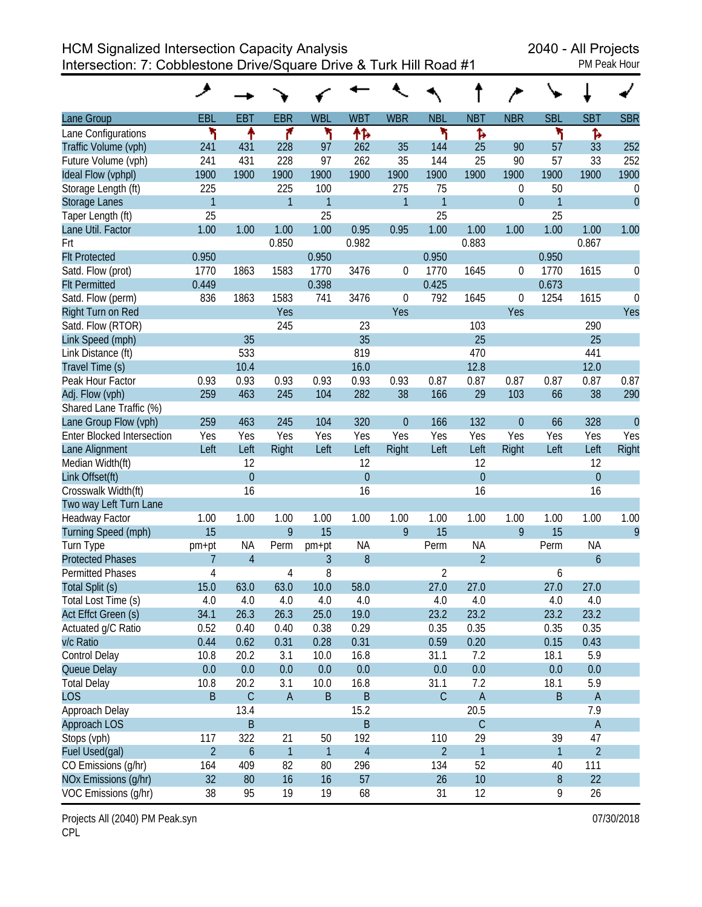HCM Signalized Intersection Capacity Analysis 2040 - All Projects Intersection: 7: Cobblestone Drive/Square Drive & Turk Hill Road #1 PM Peak Hour

| PM Peak Hour |  |
|--------------|--|

|                                   | حر             |                |                         |              |                |             |                |                |                |            |                |                  |
|-----------------------------------|----------------|----------------|-------------------------|--------------|----------------|-------------|----------------|----------------|----------------|------------|----------------|------------------|
| Lane Group                        | EBL            | <b>EBT</b>     | <b>EBR</b>              | <b>WBL</b>   | <b>WBT</b>     | <b>WBR</b>  | <b>NBL</b>     | <b>NBT</b>     | <b>NBR</b>     | <b>SBL</b> | <b>SBT</b>     | <b>SBR</b>       |
| Lane Configurations               | ۲              | ↟              | ۴                       | ۲            | ተኈ             |             | ۲              | Ъ              |                | ۲          | Ъ              |                  |
| Traffic Volume (vph)              | 241            | 431            | 228                     | 97           | 262            | 35          | 144            | 25             | 90             | 57         | 33             | 252              |
| Future Volume (vph)               | 241            | 431            | 228                     | 97           | 262            | 35          | 144            | 25             | 90             | 57         | 33             | 252              |
| Ideal Flow (vphpl)                | 1900           | 1900           | 1900                    | 1900         | 1900           | 1900        | 1900           | 1900           | 1900           | 1900       | 1900           | 1900             |
| Storage Length (ft)               | 225            |                | 225                     | 100          |                | 275         | 75             |                | 0              | 50         |                | $\boldsymbol{0}$ |
| <b>Storage Lanes</b>              | $\mathbf{1}$   |                | 1                       | 1            |                | 1           | 1              |                | $\mathbf 0$    | 1          |                | $\overline{0}$   |
| Taper Length (ft)                 | 25             |                |                         | 25           |                |             | 25             |                |                | 25         |                |                  |
| Lane Util. Factor                 | 1.00           | 1.00           | 1.00                    | 1.00         | 0.95           | 0.95        | 1.00           | 1.00           | 1.00           | 1.00       | 1.00           | 1.00             |
| Frt                               |                |                | 0.850                   |              | 0.982          |             |                | 0.883          |                |            | 0.867          |                  |
| <b>Flt Protected</b>              | 0.950          |                |                         | 0.950        |                |             | 0.950          |                |                | 0.950      |                |                  |
| Satd. Flow (prot)                 | 1770           | 1863           | 1583                    | 1770         | 3476           | 0           | 1770           | 1645           | 0              | 1770       | 1615           | 0                |
| <b>Flt Permitted</b>              | 0.449          |                |                         | 0.398        |                |             | 0.425          |                |                | 0.673      |                |                  |
| Satd. Flow (perm)                 | 836            | 1863           | 1583                    | 741          | 3476           | 0           | 792            | 1645           | 0              | 1254       | 1615           | $\mathbf 0$      |
| Right Turn on Red                 |                |                | Yes                     |              |                | Yes         |                |                | Yes            |            |                | Yes              |
| Satd. Flow (RTOR)                 |                |                | 245                     |              | 23             |             |                | 103            |                |            | 290            |                  |
| Link Speed (mph)                  |                | 35             |                         |              | 35             |             |                | 25             |                |            | 25             |                  |
| Link Distance (ft)                |                | 533            |                         |              | 819            |             |                | 470            |                |            | 441            |                  |
| Travel Time (s)                   |                | 10.4           |                         |              | 16.0           |             |                | 12.8           |                |            | 12.0           |                  |
| Peak Hour Factor                  | 0.93           | 0.93           | 0.93                    | 0.93         | 0.93           | 0.93        | 0.87           | 0.87           | 0.87           | 0.87       | 0.87           | 0.87             |
| Adj. Flow (vph)                   | 259            | 463            | 245                     | 104          | 282            | 38          | 166            | 29             | 103            | 66         | 38             | 290              |
| Shared Lane Traffic (%)           |                |                |                         |              |                |             |                |                |                |            |                |                  |
| Lane Group Flow (vph)             | 259            | 463            | 245                     | 104          | 320            | $\mathbf 0$ | 166            | 132            | $\overline{0}$ | 66         | 328            | $\overline{0}$   |
| <b>Enter Blocked Intersection</b> | Yes            | Yes            | Yes                     | Yes          | Yes            | Yes         | Yes            | Yes            | Yes            | Yes        | Yes            | Yes              |
| Lane Alignment                    | Left           | Left           | Right                   | Left         | Left           | Right       | Left           | Left           | Right          | Left       | Left           | Right            |
| Median Width(ft)                  |                | 12             |                         |              | 12             |             |                | 12             |                |            | 12             |                  |
| Link Offset(ft)                   |                | $\mathbf{0}$   |                         |              | $\overline{0}$ |             |                | $\theta$       |                |            | $\overline{0}$ |                  |
| Crosswalk Width(ft)               |                | 16             |                         |              | 16             |             |                | 16             |                |            | 16             |                  |
| Two way Left Turn Lane            |                |                |                         |              |                |             |                |                |                |            |                |                  |
| <b>Headway Factor</b>             | 1.00           | 1.00           | 1.00                    | 1.00         | 1.00           | 1.00        | 1.00           | 1.00           | 1.00           | 1.00       | 1.00           | 1.00             |
| Turning Speed (mph)               | 15             |                | 9                       | 15           |                | 9           | 15             |                | 9              | 15         |                | 9                |
| Turn Type                         | pm+pt          | ΝA             | Perm                    | pm+pt        | <b>NA</b>      |             | Perm           | ΝA             |                | Perm       | <b>NA</b>      |                  |
| <b>Protected Phases</b>           | 7              | $\overline{4}$ |                         | 3            | 8              |             |                | $\overline{2}$ |                |            | 6              |                  |
| <b>Permitted Phases</b>           | 4              |                | 4                       | 8            |                |             | 2              |                |                | 6          |                |                  |
| Total Split (s)                   | 15.0           | 63.0           | 63.0                    | 10.0         | 58.0           |             | 27.0           | 27.0           |                | 27.0       | 27.0           |                  |
| Total Lost Time (s)               | 4.0            | 4.0            | 4.0                     | 4.0          | 4.0            |             | 4.0            | 4.0            |                | 4.0        | 4.0            |                  |
| Act Effct Green (s)               | 34.1           | 26.3           | 26.3                    | 25.0         | 19.0           |             | 23.2           | 23.2           |                | 23.2       | 23.2           |                  |
| Actuated g/C Ratio                | 0.52           | 0.40           | 0.40                    | 0.38         | 0.29           |             | 0.35           | 0.35           |                | 0.35       | 0.35           |                  |
| v/c Ratio                         | 0.44           | 0.62           | 0.31                    | 0.28         | 0.31           |             | 0.59           | 0.20           |                | 0.15       | 0.43           |                  |
| Control Delay                     | 10.8           | 20.2           | 3.1                     | 10.0         | 16.8           |             | 31.1           | 7.2            |                | 18.1       | 5.9            |                  |
| Queue Delay                       | 0.0            | 0.0            | 0.0                     | 0.0          | 0.0            |             | 0.0            | $0.0\,$        |                | 0.0        | 0.0            |                  |
| <b>Total Delay</b>                | 10.8           | 20.2           | 3.1                     | 10.0         | 16.8           |             | 31.1           | 7.2            |                | 18.1       | 5.9            |                  |
| <b>LOS</b>                        | B              | $\mathsf C$    | $\mathsf A$             | $\sf B$      | $\sf B$        |             | $\mathsf C$    | $\mathsf A$    |                | B          | $\mathsf{A}$   |                  |
| Approach Delay                    |                | 13.4           |                         |              | 15.2           |             |                | 20.5           |                |            | 7.9            |                  |
| Approach LOS                      |                | $\sf B$        |                         |              | B              |             |                | $\mathsf C$    |                |            | $\mathsf A$    |                  |
| Stops (vph)                       | 117            | 322            | 21                      | 50           | 192            |             | 110            | 29             |                | 39         | 47             |                  |
| Fuel Used(gal)                    | $\overline{2}$ | 6              | $\overline{\mathbf{1}}$ | $\mathbf{1}$ | $\overline{4}$ |             | $\overline{2}$ | 1              |                | 1          | $\overline{2}$ |                  |
| CO Emissions (g/hr)               | 164            | 409            | 82                      | 80           | 296            |             | 134            | 52             |                | 40         | 111            |                  |
| NOx Emissions (g/hr)              | 32             | 80             | 16                      | 16           | 57             |             | 26             | 10             |                | $\, 8$     | 22             |                  |
| VOC Emissions (g/hr)              | 38             | 95             | 19                      | 19           | 68             |             | 31             | 12             |                | 9          | 26             |                  |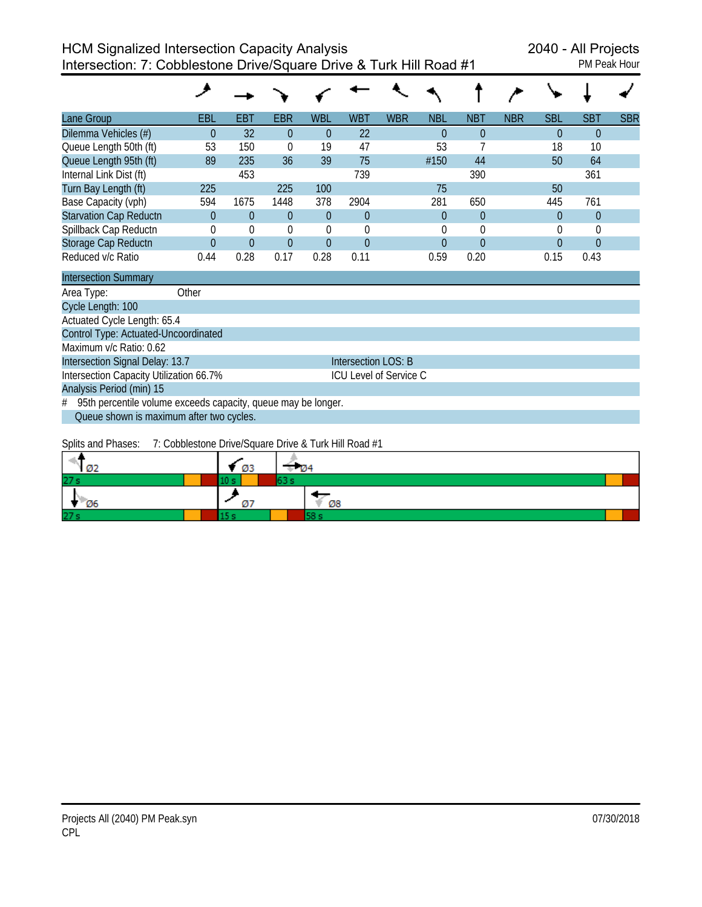| <b>PM Peak Hour</b> |  |
|---------------------|--|
|                     |  |

| Lane Group                    | <b>EBL</b> | <b>EBT</b> | <b>EBR</b> | <b>WBL</b> | <b>WBT</b>   | <b>WBR</b> | <b>NBL</b> | <b>NBT</b>     | <b>NBR</b> | <b>SBL</b> | <b>SBT</b>     | <b>SBR</b> |
|-------------------------------|------------|------------|------------|------------|--------------|------------|------------|----------------|------------|------------|----------------|------------|
| Dilemma Vehicles (#)          | 0          | 32         | $\Omega$   | $\theta$   | 22           |            |            | $\Omega$       |            | $\Omega$   | $\overline{0}$ |            |
| Queue Length 50th (ft)        | 53         | 150        | 0          | 19         | 47           |            | 53         |                |            | 18         | 10             |            |
| Queue Length 95th (ft)        | 89         | 235        | 36         | 39         | 75           |            | #150       | 44             |            | 50         | 64             |            |
| Internal Link Dist (ft)       |            | 453        |            |            | 739          |            |            | 390            |            |            | 361            |            |
| Turn Bay Length (ft)          | 225        |            | 225        | 100        |              |            | 75         |                |            | 50         |                |            |
| Base Capacity (vph)           | 594        | 1675       | 1448       | 378        | 2904         |            | 281        | 650            |            | 445        | 761            |            |
| <b>Starvation Cap Reductn</b> | 0          | $\Omega$   | $\Omega$   | $\theta$   | $\Omega$     |            | 0          | $\overline{0}$ |            | $\theta$   | $\theta$       |            |
| Spillback Cap Reductn         | 0          | 0          | $\Omega$   | $\Omega$   | <sup>0</sup> |            |            | $\Omega$       |            | $\Omega$   | $\Omega$       |            |
| Storage Cap Reductn           | 0          | $\Omega$   | $\Omega$   | $\Omega$   | $\Omega$     |            | 0          | $\Omega$       |            | $\Omega$   | $\Omega$       |            |
| Reduced v/c Ratio             | 0.44       | 0.28       | 0.17       | 0.28       | 0.11         |            | 0.59       | 0.20           |            | 0.15       | 0.43           |            |

| <b>Intersection Summary</b>                                     |                        |  |  |  |  |  |  |
|-----------------------------------------------------------------|------------------------|--|--|--|--|--|--|
| Other<br>Area Type:                                             |                        |  |  |  |  |  |  |
| Cycle Length: 100                                               |                        |  |  |  |  |  |  |
| Actuated Cycle Length: 65.4                                     |                        |  |  |  |  |  |  |
| Control Type: Actuated-Uncoordinated                            |                        |  |  |  |  |  |  |
| Maximum v/c Ratio: 0.62                                         |                        |  |  |  |  |  |  |
| Intersection Signal Delay: 13.7                                 | Intersection LOS: B    |  |  |  |  |  |  |
| Intersection Capacity Utilization 66.7%                         | ICU Level of Service C |  |  |  |  |  |  |
| Analysis Period (min) 15                                        |                        |  |  |  |  |  |  |
| # 95th percentile volume exceeds capacity, queue may be longer. |                        |  |  |  |  |  |  |
| Queue shown is maximum after two cycles.                        |                        |  |  |  |  |  |  |

Splits and Phases: 7: Cobblestone Drive/Square Drive & Turk Hill Road #1

| Ø2              | F 03 | - 104 |  |
|-----------------|------|-------|--|
| 27 <sub>s</sub> |      |       |  |
| Ø6              |      | Ø8    |  |
| 27 <sub>s</sub> |      |       |  |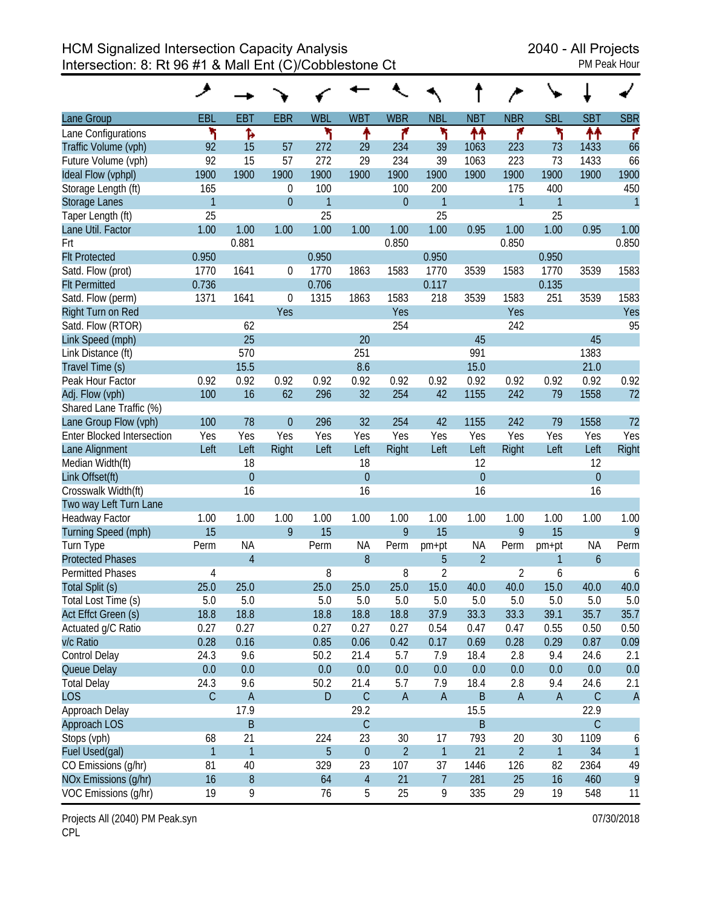|                                   | مر             |                |                |              |                |                |                |                |                |              |                  |                |
|-----------------------------------|----------------|----------------|----------------|--------------|----------------|----------------|----------------|----------------|----------------|--------------|------------------|----------------|
| Lane Group                        | EBL            | <b>EBT</b>     | <b>EBR</b>     | <b>WBL</b>   | <b>WBT</b>     | <b>WBR</b>     | <b>NBL</b>     | <b>NBT</b>     | <b>NBR</b>     | <b>SBL</b>   | <b>SBT</b>       | <b>SBR</b>     |
| Lane Configurations               | ۲              | Ъ              |                | ۲            | ↟              | ۴              | ኻ              | ተተ             | ۴              | ኻ            | ↟↟               | ۴              |
| Traffic Volume (vph)              | 92             | 15             | 57             | 272          | 29             | 234            | 39             | 1063           | 223            | 73           | 1433             | 66             |
| Future Volume (vph)               | 92             | 15             | 57             | 272          | 29             | 234            | 39             | 1063           | 223            | 73           | 1433             | 66             |
| Ideal Flow (vphpl)                | 1900           | 1900           | 1900           | 1900         | 1900           | 1900           | 1900           | 1900           | 1900           | 1900         | 1900             | 1900           |
| Storage Length (ft)               | 165            |                | $\theta$       | 100          |                | 100            | 200            |                | 175            | 400          |                  | 450            |
| <b>Storage Lanes</b>              | $\mathbf{1}$   |                | $\overline{0}$ | $\mathbf{1}$ |                | $\overline{0}$ | $\mathbf{1}$   |                | 1              | 1            |                  | $\mathbf{1}$   |
| Taper Length (ft)                 | 25             |                |                | 25           |                |                | 25             |                |                | 25           |                  |                |
| Lane Util. Factor                 | 1.00           | 1.00           | 1.00           | 1.00         | 1.00           | 1.00           | 1.00           | 0.95           | 1.00           | 1.00         | 0.95             | 1.00           |
| Frt                               |                | 0.881          |                |              |                | 0.850          |                |                | 0.850          |              |                  | 0.850          |
| <b>Flt Protected</b>              | 0.950          |                |                | 0.950        |                |                | 0.950          |                |                | 0.950        |                  |                |
| Satd. Flow (prot)                 | 1770           | 1641           | 0              | 1770         | 1863           | 1583           | 1770           | 3539           | 1583           | 1770         | 3539             | 1583           |
| <b>Flt Permitted</b>              | 0.736          |                |                | 0.706        |                |                | 0.117          |                |                | 0.135        |                  |                |
| Satd. Flow (perm)                 | 1371           | 1641           | $\overline{0}$ | 1315         | 1863           | 1583           | 218            | 3539           | 1583           | 251          | 3539             | 1583           |
| Right Turn on Red                 |                |                | Yes            |              |                | Yes            |                |                | Yes            |              |                  | Yes            |
| Satd. Flow (RTOR)                 |                | 62             |                |              |                | 254            |                |                | 242            |              |                  | 95             |
| Link Speed (mph)                  |                | 25             |                |              | 20             |                |                | 45             |                |              | 45               |                |
| Link Distance (ft)                |                | 570            |                |              | 251            |                |                | 991            |                |              | 1383             |                |
| Travel Time (s)                   |                | 15.5           |                |              | 8.6            |                |                | 15.0           |                |              | 21.0             |                |
| Peak Hour Factor                  | 0.92           | 0.92           | 0.92           | 0.92         | 0.92           | 0.92           | 0.92           | 0.92           | 0.92           | 0.92         | 0.92             | 0.92           |
| Adj. Flow (vph)                   | 100            | 16             | 62             | 296          | 32             | 254            | 42             | 1155           | 242            | 79           | 1558             | 72             |
| Shared Lane Traffic (%)           |                |                |                |              |                |                |                |                |                |              |                  |                |
| Lane Group Flow (vph)             | 100            | 78             | $\overline{0}$ | 296          | 32             | 254            | 42             | 1155           | 242            | 79           | 1558             | 72             |
| <b>Enter Blocked Intersection</b> | Yes            | Yes            | Yes            | Yes          | Yes            | Yes            | Yes            | Yes            | Yes            | Yes          | Yes              | Yes            |
| Lane Alignment                    | Left           | Left           | Right          | Left         | Left           | Right          | Left           | Left           | Right          | Left         | Left             | Right          |
| Median Width(ft)                  |                | 18             |                |              | 18             |                |                | 12             |                |              | 12               |                |
| Link Offset(ft)                   |                | $\overline{0}$ |                |              | $\overline{0}$ |                |                | $\overline{0}$ |                |              | $\boldsymbol{0}$ |                |
| Crosswalk Width(ft)               |                | 16             |                |              | 16             |                |                | 16             |                |              | 16               |                |
| Two way Left Turn Lane            |                |                |                |              |                |                |                |                |                |              |                  |                |
| <b>Headway Factor</b>             | 1.00           | 1.00           | 1.00           | 1.00         | 1.00           | 1.00           | 1.00           | 1.00           | 1.00           | 1.00         | 1.00             | 1.00           |
| Turning Speed (mph)               | 15             |                | 9              | 15           |                | 9              | 15             |                | 9              | 15           |                  | 9              |
| Turn Type                         | Perm           | <b>NA</b>      |                | Perm         | <b>NA</b>      | Perm           | pm+pt          | <b>NA</b>      | Perm           | pm+pt        | <b>NA</b>        | Perm           |
| <b>Protected Phases</b>           |                | $\overline{4}$ |                |              | 8              |                | 5              | $\overline{2}$ |                | 1            | $\boldsymbol{6}$ |                |
| <b>Permitted Phases</b>           | 4              |                |                | 8            |                | 8              | $\overline{2}$ |                | 2              | 6            |                  | 6              |
| Total Split (s)                   | 25.0           | 25.0           |                | 25.0         | 25.0           | 25.0           | 15.0           | 40.0           | 40.0           | 15.0         | 40.0             | 40.0           |
| Total Lost Time (s)               | 5.0            | 5.0            |                | 5.0          | 5.0            | 5.0            | 5.0            | 5.0            | 5.0            | 5.0          | 5.0              | 5.0            |
| Act Effct Green (s)               | 18.8           | 18.8           |                | 18.8         | 18.8           | 18.8           | 37.9           | 33.3           | 33.3           | 39.1         | 35.7             | 35.7           |
| Actuated g/C Ratio                | 0.27           | 0.27           |                | 0.27         | 0.27           | 0.27           | 0.54           | 0.47           | 0.47           | 0.55         | 0.50             | 0.50           |
| v/c Ratio                         | 0.28           | 0.16           |                | 0.85         | 0.06           | 0.42           | 0.17           | 0.69           | 0.28           | 0.29         | 0.87             | 0.09           |
| Control Delay                     | 24.3           | 9.6            |                | 50.2         | 21.4           | 5.7            | 7.9            | 18.4           | 2.8            | 9.4          | 24.6             | 2.1            |
| Queue Delay                       | 0.0            | 0.0            |                | 0.0          | 0.0            | 0.0            | 0.0            | 0.0            | 0.0            | 0.0          | 0.0              | 0.0            |
| <b>Total Delay</b>                | 24.3           | 9.6            |                | 50.2         | 21.4           | 5.7            | 7.9            | 18.4           | 2.8            | 9.4          | 24.6             | 2.1            |
| <b>LOS</b>                        | $\mathsf C$    | $\mathsf{A}$   |                | ${\sf D}$    | $\mathsf C$    | $\mathsf A$    | $\mathsf A$    | $\mathsf B$    | $\mathsf A$    | $\mathsf A$  | $\mathsf C$      | $\overline{A}$ |
| Approach Delay                    |                | 17.9           |                |              | 29.2           |                |                | 15.5           |                |              | 22.9             |                |
| <b>Approach LOS</b>               |                | B              |                |              | $\mathsf C$    |                |                | B              |                |              | $\mathsf C$      |                |
| Stops (vph)                       | 68             | 21             |                | 224          | 23             | 30             | 17             | 793            | 20             | 30           | 1109             | 6              |
| Fuel Used(gal)                    | $\overline{1}$ | $\mathbf{1}$   |                | 5            | $\theta$       | $\overline{2}$ | $\mathbf{1}$   | 21             | $\overline{2}$ | $\mathbf{1}$ | 34               | $\mathbf{1}$   |
| CO Emissions (g/hr)               | 81             | 40             |                | 329          | 23             | 107            | 37             | 1446           | 126            | 82           | 2364             | 49             |
| NOx Emissions (g/hr)              | 16             | $\, 8$         |                | 64           | $\sqrt{4}$     | 21             | $\overline{7}$ | 281            | 25             | 16           | 460              | 9              |
| VOC Emissions (g/hr)              | 19             | 9              |                | 76           | 5              | 25             | 9              | 335            | 29             | 19           | 548              | 11             |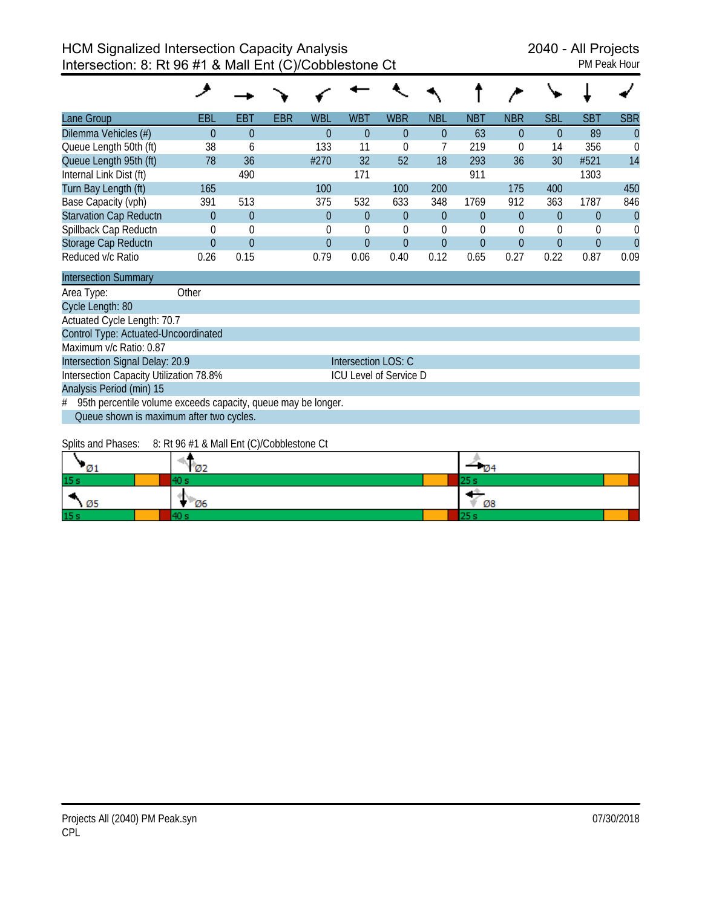| Lane Group                    | <b>EBL</b> | <b>EBT</b> | <b>EBR</b> | <b>WBL</b> | <b>WBT</b> | <b>WBR</b> | <b>NBL</b> | <b>NBT</b> | <b>NBR</b> | <b>SBL</b> | <b>SBT</b> | <b>SBR</b>     |
|-------------------------------|------------|------------|------------|------------|------------|------------|------------|------------|------------|------------|------------|----------------|
| Dilemma Vehicles (#)          | 0          | $\Omega$   |            | $\Omega$   | 0          | $\Omega$   | $\Omega$   | 63         |            | $\Omega$   | 89         | $\overline{0}$ |
| Queue Length 50th (ft)        | 38         | 6          |            | 133        | 11         | $\Omega$   |            | 219        | 0          | 14         | 356        | $\Omega$       |
| Queue Length 95th (ft)        | 78         | 36         |            | #270       | 32         | 52         | 18         | 293        | 36         | 30         | #521       | 14             |
| Internal Link Dist (ft)       |            | 490        |            |            | 171        |            |            | 911        |            |            | 1303       |                |
| Turn Bay Length (ft)          | 165        |            |            | 100        |            | 100        | 200        |            | 175        | 400        |            | 450            |
| Base Capacity (vph)           | 391        | 513        |            | 375        | 532        | 633        | 348        | 1769       | 912        | 363        | 1787       | 846            |
| <b>Starvation Cap Reductn</b> | 0          | $\theta$   |            | $\theta$   | $\Omega$   | $\Omega$   | $\Omega$   | $\theta$   | 0          | 0          | $\Omega$   | $\theta$       |
| Spillback Cap Reductn         | 0          | $\theta$   |            | $\Omega$   |            | $\Omega$   |            | $\Omega$   |            | 0          |            | 0              |
| Storage Cap Reductn           | 0          | $\theta$   |            | $\Omega$   | $\Omega$   | $\Omega$   | $\Omega$   | $\Omega$   | 0          | $\Omega$   | 0          |                |
| Reduced v/c Ratio             | 0.26       | 0.15       |            | 0.79       | 0.06       | 0.40       | 0.12       | 0.65       | 0.27       | 0.22       | 0.87       | 0.09           |

| <b>Intersection Summary</b>                                     |                               |  |  |  |  |  |  |
|-----------------------------------------------------------------|-------------------------------|--|--|--|--|--|--|
| Other<br>Area Type:                                             |                               |  |  |  |  |  |  |
| Cycle Length: 80                                                |                               |  |  |  |  |  |  |
| Actuated Cycle Length: 70.7                                     |                               |  |  |  |  |  |  |
| Control Type: Actuated-Uncoordinated                            |                               |  |  |  |  |  |  |
| Maximum v/c Ratio: 0.87                                         |                               |  |  |  |  |  |  |
| Intersection Signal Delay: 20.9                                 | Intersection LOS: C           |  |  |  |  |  |  |
| Intersection Capacity Utilization 78.8%                         | <b>ICU Level of Service D</b> |  |  |  |  |  |  |
| Analysis Period (min) 15                                        |                               |  |  |  |  |  |  |
| # 95th percentile volume exceeds capacity, queue may be longer. |                               |  |  |  |  |  |  |
| Queue shown is maximum after two cycles.                        |                               |  |  |  |  |  |  |

Splits and Phases: 8: Rt 96 #1 & Mall Ent (C)/Cobblestone Ct

| -01             | $\sigma$ of the respective of the solution of the results of $\sigma$<br>Ø2 | - 104 |
|-----------------|-----------------------------------------------------------------------------|-------|
| 15 <sub>s</sub> |                                                                             | . .   |
| - Ø5            | Ø6                                                                          | Ø8    |
| 15 <sub>s</sub> |                                                                             | . .   |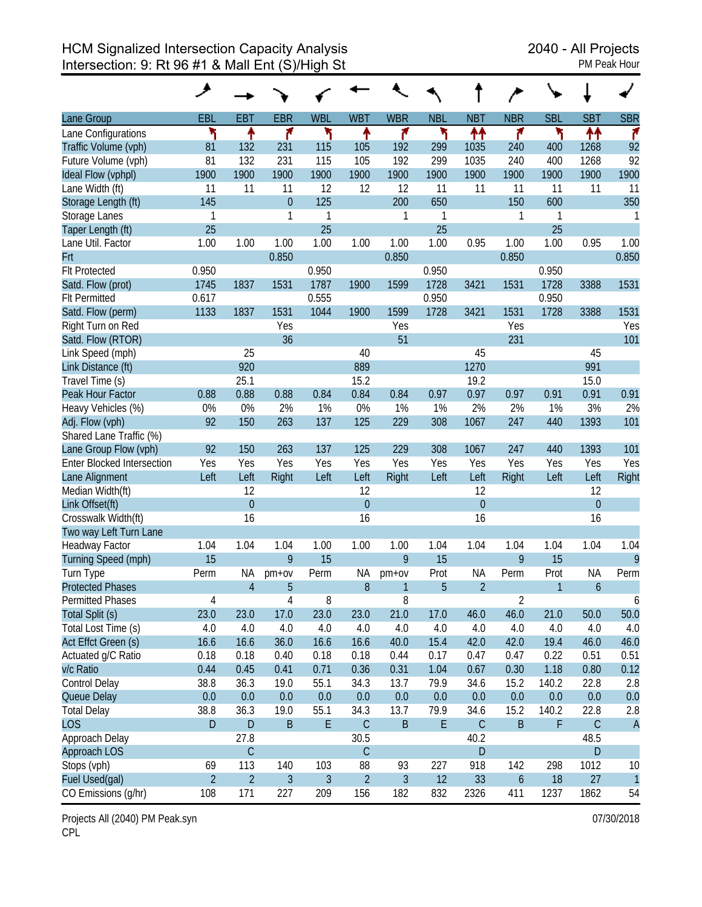|                                   | مر             |                |                |                |                |                |             |                  |                  |            |                  |                |
|-----------------------------------|----------------|----------------|----------------|----------------|----------------|----------------|-------------|------------------|------------------|------------|------------------|----------------|
| Lane Group                        | EBL            | <b>EBT</b>     | <b>EBR</b>     | <b>WBL</b>     | <b>WBT</b>     | <b>WBR</b>     | <b>NBL</b>  | <b>NBT</b>       | <b>NBR</b>       | <b>SBL</b> | <b>SBT</b>       | <b>SBR</b>     |
| Lane Configurations               | ۲              | ↟              | ۴              | ۲              | ↟              | ۴              | ۲           | ↟↟               | ۴                | ۲          | ቶቶ               | ۴              |
| Traffic Volume (vph)              | 81             | 132            | 231            | 115            | 105            | 192            | 299         | 1035             | 240              | 400        | 1268             | 92             |
| Future Volume (vph)               | 81             | 132            | 231            | 115            | 105            | 192            | 299         | 1035             | 240              | 400        | 1268             | 92             |
| Ideal Flow (vphpl)                | 1900           | 1900           | 1900           | 1900           | 1900           | 1900           | 1900        | 1900             | 1900             | 1900       | 1900             | 1900           |
| Lane Width (ft)                   | 11             | 11             | 11             | 12             | 12             | 12             | 11          | 11               | 11               | 11         | 11               | 11             |
| Storage Length (ft)               | 145            |                | $\theta$       | 125            |                | 200            | 650         |                  | 150              | 600        |                  | 350            |
| Storage Lanes                     | 1              |                | 1              | 1              |                | 1              | 1           |                  | 1                | 1          |                  | 1              |
| Taper Length (ft)                 | 25             |                |                | 25             |                |                | 25          |                  |                  | 25         |                  |                |
| Lane Util. Factor                 | 1.00           | 1.00           | 1.00           | 1.00           | 1.00           | 1.00           | 1.00        | 0.95             | 1.00             | 1.00       | 0.95             | 1.00           |
| Frt                               |                |                | 0.850          |                |                | 0.850          |             |                  | 0.850            |            |                  | 0.850          |
| <b>Flt Protected</b>              | 0.950          |                |                | 0.950          |                |                | 0.950       |                  |                  | 0.950      |                  |                |
| Satd. Flow (prot)                 | 1745           | 1837           | 1531           | 1787           | 1900           | 1599           | 1728        | 3421             | 1531             | 1728       | 3388             | 1531           |
| <b>Flt Permitted</b>              | 0.617          |                |                | 0.555          |                |                | 0.950       |                  |                  | 0.950      |                  |                |
| Satd. Flow (perm)                 | 1133           | 1837           | 1531           | 1044           | 1900           | 1599           | 1728        | 3421             | 1531             | 1728       | 3388             | 1531           |
| Right Turn on Red                 |                |                | Yes            |                |                | Yes            |             |                  | Yes              |            |                  | Yes            |
| Satd. Flow (RTOR)                 |                |                | 36             |                |                | 51             |             |                  | 231              |            |                  | 101            |
| Link Speed (mph)                  |                | 25             |                |                | 40             |                |             | 45               |                  |            | 45               |                |
| Link Distance (ft)                |                | 920            |                |                | 889            |                |             | 1270             |                  |            | 991              |                |
| Travel Time (s)                   |                | 25.1           |                |                | 15.2           |                |             | 19.2             |                  |            | 15.0             |                |
| Peak Hour Factor                  | 0.88           | 0.88           | 0.88           | 0.84           | 0.84           | 0.84           | 0.97        | 0.97             | 0.97             | 0.91       | 0.91             | 0.91           |
| Heavy Vehicles (%)                | 0%             | 0%             | 2%             | 1%             | 0%             | 1%             | 1%          | 2%               | 2%               | 1%         | 3%               | 2%             |
| Adj. Flow (vph)                   | 92             | 150            | 263            | 137            | 125            | 229            | 308         | 1067             | 247              | 440        | 1393             | 101            |
| Shared Lane Traffic (%)           |                |                |                |                |                |                |             |                  |                  |            |                  |                |
| Lane Group Flow (vph)             | 92             | 150            | 263            | 137            | 125            | 229            | 308         | 1067             | 247              | 440        | 1393             | 101            |
| <b>Enter Blocked Intersection</b> | Yes            | Yes            | Yes            | Yes            | Yes            | Yes            | Yes         | Yes              | Yes              | Yes        | Yes              | Yes            |
| Lane Alignment                    | Left           | Left           | Right          | Left           | Left           | Right          | Left        | Left             | Right            | Left       | Left             | Right          |
| Median Width(ft)                  |                | 12             |                |                | 12             |                |             | 12               |                  |            | 12               |                |
| Link Offset(ft)                   |                | $\mathbf{0}$   |                |                | $\overline{0}$ |                |             | $\boldsymbol{0}$ |                  |            | $\boldsymbol{0}$ |                |
| Crosswalk Width(ft)               |                | 16             |                |                | 16             |                |             | 16               |                  |            | 16               |                |
| Two way Left Turn Lane            |                |                |                |                |                |                |             |                  |                  |            |                  |                |
| Headway Factor                    | 1.04           | 1.04           | 1.04           | 1.00           | 1.00           | 1.00           | 1.04        | 1.04             | 1.04             | 1.04       | 1.04             | 1.04           |
| Turning Speed (mph)               | 15             |                | 9              | 15             |                | 9              | 15          |                  | 9                | 15         |                  | 9              |
| Turn Type                         | Perm           | ΝA             | $pm+ov$        | Perm           | NA             | $pm+ov$        | Prot        | <b>NA</b>        | Perm             | Prot       | <b>NA</b>        | Perm           |
| <b>Protected Phases</b>           |                | $\overline{4}$ | 5              |                | 8              | 1              | 5           | $\overline{2}$   |                  | 1          | $\boldsymbol{6}$ |                |
| Permitted Phases                  | $\sqrt{4}$     |                | 4              | 8              |                | 8              |             |                  | $\overline{2}$   |            |                  | 6              |
| Total Split (s)                   | 23.0           | 23.0           | 17.0           | 23.0           | 23.0           | 21.0           | 17.0        | 46.0             | 46.0             | 21.0       | 50.0             | 50.0           |
| Total Lost Time (s)               | 4.0            | 4.0            | 4.0            | 4.0            | 4.0            | 4.0            | 4.0         | 4.0              | 4.0              | 4.0        | 4.0              | 4.0            |
| Act Effct Green (s)               | 16.6           | 16.6           | 36.0           | 16.6           | 16.6           | 40.0           | 15.4        | 42.0             | 42.0             | 19.4       | 46.0             | 46.0           |
| Actuated g/C Ratio                | 0.18           | 0.18           | 0.40           | 0.18           | 0.18           | 0.44           | 0.17        | 0.47             | 0.47             | 0.22       | 0.51             | 0.51           |
| v/c Ratio                         | 0.44           | 0.45           | 0.41           | 0.71           | 0.36           | 0.31           | 1.04        | 0.67             | 0.30             | 1.18       | 0.80             | 0.12           |
| Control Delay                     | 38.8           | 36.3           | 19.0           | 55.1           | 34.3           | 13.7           | 79.9        | 34.6             | 15.2             | 140.2      | 22.8             | 2.8            |
| Queue Delay                       | 0.0            | 0.0            | 0.0            | 0.0            | 0.0            | 0.0            | 0.0         | 0.0              | 0.0              | $0.0\,$    | 0.0              | 0.0            |
| <b>Total Delay</b>                | 38.8           | 36.3           | 19.0           | 55.1           | 34.3           | 13.7           | 79.9        | 34.6             | 15.2             | 140.2      | 22.8             | 2.8            |
| <b>LOS</b>                        | $\mathsf D$    | $\mathsf D$    | $\sf B$        | E              | $\mathsf C$    | $\sf B$        | $\mathsf E$ | $\mathsf C$      | $\sf B$          | F          | $\mathsf C$      | $\overline{A}$ |
| Approach Delay                    |                | 27.8           |                |                | 30.5           |                |             | 40.2             |                  |            | 48.5             |                |
| Approach LOS                      |                | $\mathsf C$    |                |                | $\mathsf C$    |                |             | ${\sf D}$        |                  |            | D                |                |
| Stops (vph)                       | 69             | 113            | 140            | 103            | 88             | 93             | 227         | 918              | 142              | 298        | 1012             | 10             |
| Fuel Used(gal)                    | $\overline{2}$ | $\overline{2}$ | $\mathfrak{Z}$ | $\mathfrak{Z}$ | $\overline{2}$ | $\mathfrak{Z}$ | 12          | 33               | $\boldsymbol{6}$ | 18         | 27               | $\overline{1}$ |
| CO Emissions (g/hr)               | 108            | 171            | 227            | 209            | 156            | 182            | 832         | 2326             | 411              | 1237       | 1862             | 54             |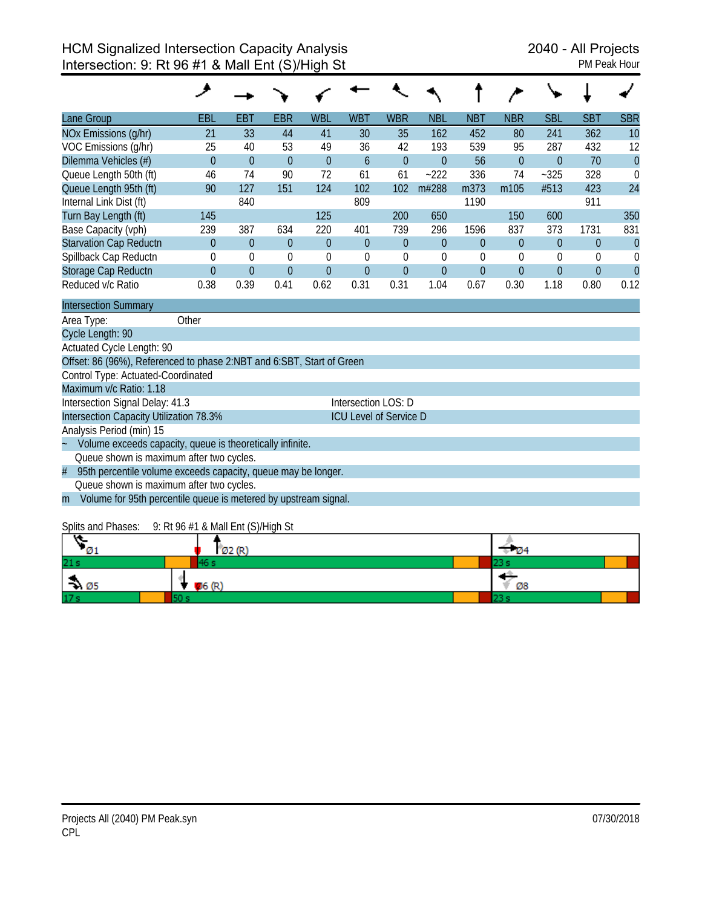| Lane Group                                                            | <b>EBL</b>                                                      | <b>EBT</b>     | <b>EBR</b>  | <b>WBL</b>   | <b>WBT</b>                    | <b>WBR</b>       | <b>NBL</b>       | <b>NBT</b>     | <b>NBR</b>       | <b>SBL</b>     | <b>SBT</b>   | <b>SBR</b>     |
|-----------------------------------------------------------------------|-----------------------------------------------------------------|----------------|-------------|--------------|-------------------------------|------------------|------------------|----------------|------------------|----------------|--------------|----------------|
| NOx Emissions (g/hr)                                                  | 21                                                              | 33             | 44          | 41           | 30                            | 35               | 162              | 452            | 80               | 241            | 362          | 10             |
| VOC Emissions (g/hr)                                                  | 25                                                              | 40             | 53          | 49           | 36                            | 42               | 193              | 539            | 95               | 287            | 432          | 12             |
| Dilemma Vehicles (#)                                                  | $\Omega$                                                        | $\theta$       | $\theta$    | $\mathbf{0}$ | 6                             | $\overline{0}$   | $\theta$         | 56             | $\overline{0}$   | $\overline{0}$ | 70           | $\overline{0}$ |
| Queue Length 50th (ft)                                                | 46                                                              | 74             | 90          | 72           | 61                            | 61               | $-222$           | 336            | 74               | $-325$         | 328          | $\mathbf 0$    |
| Queue Length 95th (ft)                                                | 90                                                              | 127            | 151         | 124          | 102                           | 102              | m#288            | m373           | m105             | #513           | 423          | 24             |
| Internal Link Dist (ft)                                               |                                                                 | 840            |             |              | 809                           |                  |                  | 1190           |                  |                | 911          |                |
| Turn Bay Length (ft)                                                  | 145                                                             |                |             | 125          |                               | 200              | 650              |                | 150              | 600            |              | 350            |
| Base Capacity (vph)                                                   | 239                                                             | 387            | 634         | 220          | 401                           | 739              | 296              | 1596           | 837              | 373            | 1731         | 831            |
| <b>Starvation Cap Reductn</b>                                         | $\theta$                                                        | $\theta$       | $\theta$    | $\theta$     | $\overline{0}$                | $\theta$         | $\boldsymbol{0}$ | $\theta$       | $\boldsymbol{0}$ | $\theta$       | $\mathbf{0}$ | $\mathbf{0}$   |
| Spillback Cap Reductn                                                 | $\theta$                                                        | $\mathbf 0$    | $\mathbf 0$ | $\mathbf 0$  | $\theta$                      | $\boldsymbol{0}$ | $\mathbf 0$      | 0              | 0                | 0              | $\theta$     | $\mathbf 0$    |
| Storage Cap Reductn                                                   | $\Omega$                                                        | $\overline{0}$ | $\Omega$    | $\mathbf{0}$ | $\Omega$                      | $\mathbf{0}$     | $\theta$         | $\overline{0}$ | $\overline{0}$   | $\Omega$       | $\Omega$     | $\overline{0}$ |
| Reduced v/c Ratio                                                     | 0.38                                                            | 0.39           | 0.41        | 0.62         | 0.31                          | 0.31             | 1.04             | 0.67           | 0.30             | 1.18           | 0.80         | 0.12           |
| <b>Intersection Summary</b>                                           |                                                                 |                |             |              |                               |                  |                  |                |                  |                |              |                |
| Area Type:                                                            | Other                                                           |                |             |              |                               |                  |                  |                |                  |                |              |                |
| Cycle Length: 90                                                      |                                                                 |                |             |              |                               |                  |                  |                |                  |                |              |                |
| Actuated Cycle Length: 90                                             |                                                                 |                |             |              |                               |                  |                  |                |                  |                |              |                |
| Offset: 86 (96%), Referenced to phase 2:NBT and 6:SBT, Start of Green |                                                                 |                |             |              |                               |                  |                  |                |                  |                |              |                |
| Control Type: Actuated-Coordinated                                    |                                                                 |                |             |              |                               |                  |                  |                |                  |                |              |                |
| Maximum v/c Ratio: 1.18                                               |                                                                 |                |             |              |                               |                  |                  |                |                  |                |              |                |
| Intersection Signal Delay: 41.3                                       |                                                                 |                |             |              | Intersection LOS: D           |                  |                  |                |                  |                |              |                |
| Intersection Capacity Utilization 78.3%                               |                                                                 |                |             |              | <b>ICU Level of Service D</b> |                  |                  |                |                  |                |              |                |
| Analysis Period (min) 15                                              |                                                                 |                |             |              |                               |                  |                  |                |                  |                |              |                |
| Volume exceeds capacity, queue is theoretically infinite.             |                                                                 |                |             |              |                               |                  |                  |                |                  |                |              |                |
| Queue shown is maximum after two cycles.                              |                                                                 |                |             |              |                               |                  |                  |                |                  |                |              |                |
| #<br>95th percentile volume exceeds capacity, queue may be longer.    |                                                                 |                |             |              |                               |                  |                  |                |                  |                |              |                |
| Queue shown is maximum after two cycles.                              |                                                                 |                |             |              |                               |                  |                  |                |                  |                |              |                |
| m                                                                     | Volume for 95th percentile queue is metered by upstream signal. |                |             |              |                               |                  |                  |                |                  |                |              |                |

#### Splits and Phases: 9: Rt 96 #1 & Mall Ent (S)/High St

|                  | Ø2(R)  |    |
|------------------|--------|----|
| 21s              |        |    |
| $\rightarrow 05$ | 06 (R) | Ø8 |
| 17 <sub>5</sub>  |        |    |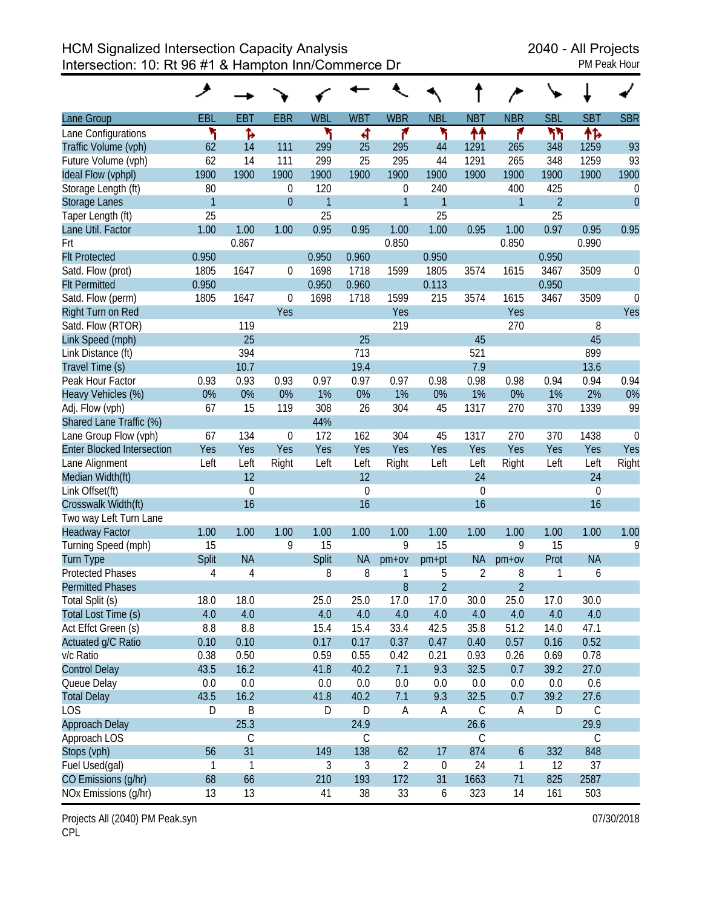HCM Signalized Intersection Capacity Analysis 2040 - All Projects Intersection: 10: Rt 96 #1 & Hampton Inn/Commerce Dr

| Lane Group                        | EBL          | <b>EBT</b>     | <b>EBR</b>     | <b>WBL</b>   | <b>WBT</b>  | <b>WBR</b>       | <b>NBL</b>     | <b>NBT</b>     | <b>NBR</b>       | <b>SBL</b>     | <b>SBT</b>  | <b>SBR</b>  |
|-----------------------------------|--------------|----------------|----------------|--------------|-------------|------------------|----------------|----------------|------------------|----------------|-------------|-------------|
| Lane Configurations               | ۲            | Ъ              |                | ۲            | 4           | ۴                | ۲              | ₩              | ۴                | ካካ             | 怍           |             |
| Traffic Volume (vph)              | 62           | 14             | 111            | 299          | 25          | 295              | 44             | 1291           | 265              | 348            | 1259        | 93          |
| Future Volume (vph)               | 62           | 14             | 111            | 299          | 25          | 295              | 44             | 1291           | 265              | 348            | 1259        | 93          |
| Ideal Flow (vphpl)                | 1900         | 1900           | 1900           | 1900         | 1900        | 1900             | 1900           | 1900           | 1900             | 1900           | 1900        | 1900        |
| Storage Length (ft)               | 80           |                | $\mathbf 0$    | 120          |             | $\boldsymbol{0}$ | 240            |                | 400              | 425            |             | 0           |
| <b>Storage Lanes</b>              | $\mathbf{1}$ |                | $\overline{0}$ | $\mathbf{1}$ |             | $\mathbf{1}$     | $\mathbf{1}$   |                | $\mathbf{1}$     | $\overline{2}$ |             | $\theta$    |
| Taper Length (ft)                 | 25           |                |                | 25           |             |                  | 25             |                |                  | 25             |             |             |
| Lane Util. Factor                 | 1.00         | 1.00           | 1.00           | 0.95         | 0.95        | 1.00             | 1.00           | 0.95           | 1.00             | 0.97           | 0.95        | 0.95        |
| Frt                               |              | 0.867          |                |              |             | 0.850            |                |                | 0.850            |                | 0.990       |             |
| <b>Flt Protected</b>              | 0.950        |                |                | 0.950        | 0.960       |                  | 0.950          |                |                  | 0.950          |             |             |
| Satd. Flow (prot)                 | 1805         | 1647           | 0              | 1698         | 1718        | 1599             | 1805           | 3574           | 1615             | 3467           | 3509        | 0           |
| <b>Flt Permitted</b>              | 0.950        |                |                | 0.950        | 0.960       |                  | 0.113          |                |                  | 0.950          |             |             |
| Satd. Flow (perm)                 | 1805         | 1647           | $\mathbf 0$    | 1698         | 1718        | 1599             | 215            | 3574           | 1615             | 3467           | 3509        | $\mathbf 0$ |
| Right Turn on Red                 |              |                | Yes            |              |             | Yes              |                |                | Yes              |                |             | Yes         |
| Satd. Flow (RTOR)                 |              | 119            |                |              |             | 219              |                |                | 270              |                | 8           |             |
| Link Speed (mph)                  |              | 25             |                |              | 25          |                  |                | 45             |                  |                | 45          |             |
| Link Distance (ft)                |              | 394            |                |              | 713         |                  |                | 521            |                  |                | 899         |             |
| Travel Time (s)                   |              | 10.7           |                |              | 19.4        |                  |                | 7.9            |                  |                | 13.6        |             |
| Peak Hour Factor                  | 0.93         | 0.93           | 0.93           | 0.97         | 0.97        | 0.97             | 0.98           | 0.98           | 0.98             | 0.94           | 0.94        | 0.94        |
| Heavy Vehicles (%)                | 0%           | 0%             | 0%             | 1%           | 0%          | 1%               | 0%             | 1%             | 0%               | 1%             | 2%          | 0%          |
| Adj. Flow (vph)                   | 67           | 15             | 119            | 308          | 26          | 304              | 45             | 1317           | 270              | 370            | 1339        | 99          |
| Shared Lane Traffic (%)           |              |                |                | 44%          |             |                  |                |                |                  |                |             |             |
| Lane Group Flow (vph)             | 67           | 134            | $\mathbf 0$    | 172          | 162         | 304              | 45             | 1317           | 270              | 370            | 1438        | $\mathbf 0$ |
| <b>Enter Blocked Intersection</b> | Yes          | Yes            | Yes            | Yes          | Yes         | Yes              | Yes            | Yes            | Yes              | Yes            | Yes         | Yes         |
| Lane Alignment                    | Left         | Left           | Right          | Left         | Left        | Right            | Left           | Left           | Right            | Left           | Left        | Right       |
| Median Width(ft)                  |              | 12             |                |              | 12          |                  |                | 24             |                  |                | 24          |             |
| Link Offset(ft)                   |              | $\mathbf 0$    |                |              | $\mathbf 0$ |                  |                | $\mathbf 0$    |                  |                | $\mathbf 0$ |             |
| Crosswalk Width(ft)               |              | 16             |                |              | 16          |                  |                | 16             |                  |                | 16          |             |
| Two way Left Turn Lane            |              |                |                |              |             |                  |                |                |                  |                |             |             |
| <b>Headway Factor</b>             | 1.00         | 1.00           | 1.00           | 1.00         | 1.00        | 1.00             | 1.00           | 1.00           | 1.00             | 1.00           | 1.00        | 1.00        |
| Turning Speed (mph)               | 15           |                | 9              | 15           |             | 9                | 15             |                | 9                | 15             |             | 9           |
| <b>Turn Type</b>                  | Split        | <b>NA</b>      |                | Split        | <b>NA</b>   | $pm+ov$          | $pm+pt$        | <b>NA</b>      | $pm+ov$          | Prot           | <b>NA</b>   |             |
| <b>Protected Phases</b>           | 4            | 4              |                | 8            | 8           | 1                | 5              | $\overline{2}$ | 8                | 1              | 6           |             |
| <b>Permitted Phases</b>           |              |                |                |              |             | 8                | $\overline{2}$ |                | $\overline{2}$   |                |             |             |
| Total Split (s)                   | 18.0         | 18.0           |                | 25.0         | 25.0        | 17.0             | 17.0           | 30.0           | 25.0             | 17.0           | 30.0        |             |
| Total Lost Time (s)               | 4.0          | 4.0            |                | 4.0          | 4.0         | 4.0              | 4.0            | 4.0            | 4.0              | 4.0            | 4.0         |             |
| Act Effct Green (s)               | 8.8          | 8.8            |                | 15.4         | 15.4        | 33.4             | 42.5           | 35.8           | 51.2             | 14.0           | 47.1        |             |
| Actuated g/C Ratio                | 0.10         | 0.10           |                | 0.17         | 0.17        | 0.37             | 0.47           | 0.40           | 0.57             | 0.16           | 0.52        |             |
| v/c Ratio                         | 0.38         | 0.50           |                | 0.59         | 0.55        | 0.42             | 0.21           | 0.93           | 0.26             | 0.69           | 0.78        |             |
| <b>Control Delay</b>              | 43.5         | 16.2           |                | 41.8         | 40.2        | 7.1              | 9.3            | 32.5           | 0.7              | 39.2           | 27.0        |             |
| Queue Delay                       | 0.0          | 0.0            |                | 0.0          | 0.0         | 0.0              | 0.0            | 0.0            | 0.0              | 0.0            | 0.6         |             |
| <b>Total Delay</b>                | 43.5         | 16.2           |                | 41.8         | 40.2        | 7.1              | 9.3            | 32.5           | 0.7              | 39.2           | 27.6        |             |
| <b>LOS</b>                        | D            | $\sf B$        |                | D            | D           | A                | A              | $\mathsf C$    | А                | D              | $\mathsf C$ |             |
| <b>Approach Delay</b>             |              | 25.3           |                |              | 24.9        |                  |                | 26.6           |                  |                | 29.9        |             |
| Approach LOS                      |              | $\mathsf C$    |                |              | $\mathsf C$ |                  |                | $\mathsf C$    |                  |                | $\mathsf C$ |             |
| Stops (vph)                       | 56           | 31             |                | 149          | 138         | 62               | 17             | 874            | $\boldsymbol{6}$ | 332            | 848         |             |
| Fuel Used(gal)                    | $\mathbf{1}$ | $\overline{1}$ |                | 3            | 3           | 2                | $\mathbf 0$    | 24             | 1                | 12             | 37          |             |
| CO Emissions (g/hr)               | 68           | 66             |                | 210          | 193         | 172              | 31             | 1663           | 71               | 825            | 2587        |             |
| NOx Emissions (g/hr)              | 13           | 13             |                | 41           | 38          | 33               | 6              | 323            | 14               | 161            | 503         |             |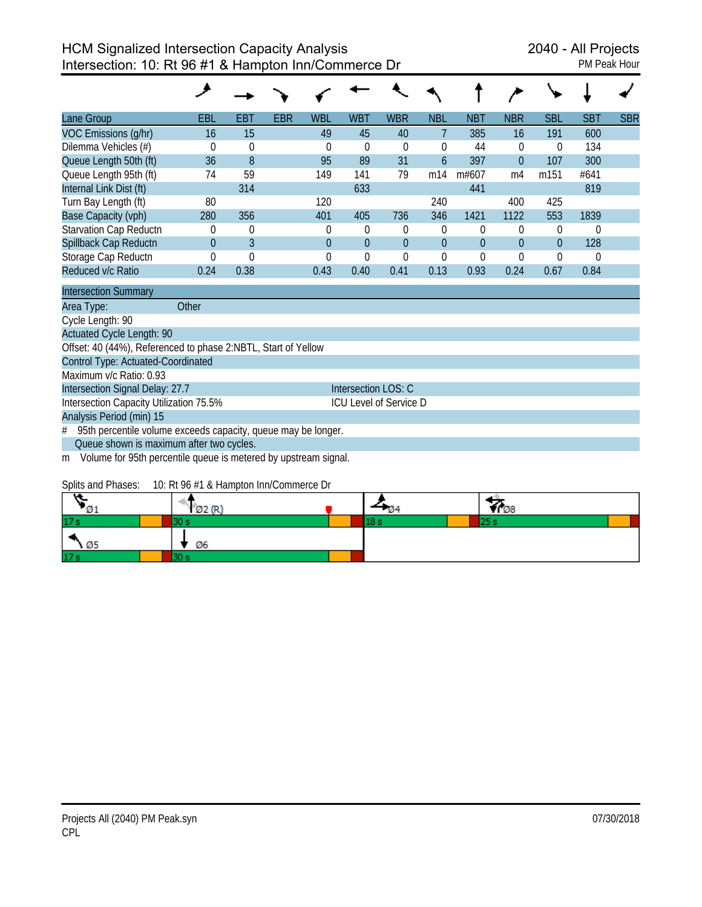| Lane Group                    | <b>EBL</b> | <b>EBT</b>  | <b>EBR</b> | <b>WBL</b> | <b>WBT</b> | <b>WBR</b> | <b>NBL</b>    | <b>NBT</b>     | <b>NBR</b> | <b>SBL</b>     | <b>SBT</b> | <b>SBR</b> |
|-------------------------------|------------|-------------|------------|------------|------------|------------|---------------|----------------|------------|----------------|------------|------------|
| VOC Emissions (g/hr)          | 16         | 15          |            | 49         | 45         | 40         |               | 385            | 16         | 191            | 600        |            |
| Dilemma Vehicles (#)          | 0          | $\mathbf 0$ |            | $\theta$   | 0          | 0          | $\Omega$      | 44             | 0          | $\theta$       | 134        |            |
| Queue Length 50th (ft)        | 36         | 8           |            | 95         | 89         | 31         | $\mathfrak b$ | 397            | $\theta$   | 107            | 300        |            |
| Queue Length 95th (ft)        | 74         | 59          |            | 149        | 141        | 79         | m14           | m#607          | m4         | m151           | #641       |            |
| Internal Link Dist (ft)       |            | 314         |            |            | 633        |            |               | 441            |            |                | 819        |            |
| Turn Bay Length (ft)          | 80         |             |            | 120        |            |            | 240           |                | 400        | 425            |            |            |
| Base Capacity (vph)           | 280        | 356         |            | 401        | 405        | 736        | 346           | 1421           | 1122       | 553            | 1839       |            |
| <b>Starvation Cap Reductn</b> | 0          | $\mathbf 0$ |            | 0          | 0          | $\Omega$   | $\Omega$      | $\theta$       | $\theta$   | 0              | 0          |            |
| Spillback Cap Reductn         | $\Omega$   | 3           |            | $\Omega$   | $\Omega$   | $\theta$   | $\Omega$      | $\overline{0}$ | $\theta$   | $\overline{0}$ | 128        |            |
| Storage Cap Reductn           | 0          | $\Omega$    |            | $\theta$   |            | 0          |               | $\theta$       | $\theta$   | $\Omega$       | 0          |            |
| Reduced v/c Ratio             | 0.24       | 0.38        |            | 0.43       | 0.40       | 0.41       | 0.13          | 0.93           | 0.24       | 0.67           | 0.84       |            |
| <b>Intersection Summary</b>   |            |             |            |            |            |            |               |                |            |                |            |            |

| Area Type:                              | Other                                    |                                                                   |  |
|-----------------------------------------|------------------------------------------|-------------------------------------------------------------------|--|
| Cycle Length: 90                        |                                          |                                                                   |  |
| Actuated Cycle Length: 90               |                                          |                                                                   |  |
|                                         |                                          | Offset: 40 (44%), Referenced to phase 2:NBTL, Start of Yellow     |  |
| Control Type: Actuated-Coordinated      |                                          |                                                                   |  |
| Maximum v/c Ratio: 0.93                 |                                          |                                                                   |  |
| Intersection Signal Delay: 27.7         |                                          | Intersection LOS: C                                               |  |
| Intersection Capacity Utilization 75.5% |                                          | <b>ICU Level of Service D</b>                                     |  |
| Analysis Period (min) 15                |                                          |                                                                   |  |
|                                         |                                          | # 95th percentile volume exceeds capacity, queue may be longer.   |  |
|                                         | Queue shown is maximum after two cycles. |                                                                   |  |
|                                         |                                          | m Volume for 95th percentile queue is metered by upstream signal. |  |
|                                         |                                          |                                                                   |  |

#### Splits and Phases: 10: Rt 96 #1 & Hampton Inn/Commerce Dr

| Ø1              | Ø2 (F |  | YI 08 |
|-----------------|-------|--|-------|
| 17 <sub>s</sub> |       |  |       |
| $\sqrt{25}$     | Ø6    |  |       |
| 17 <sub>s</sub> |       |  |       |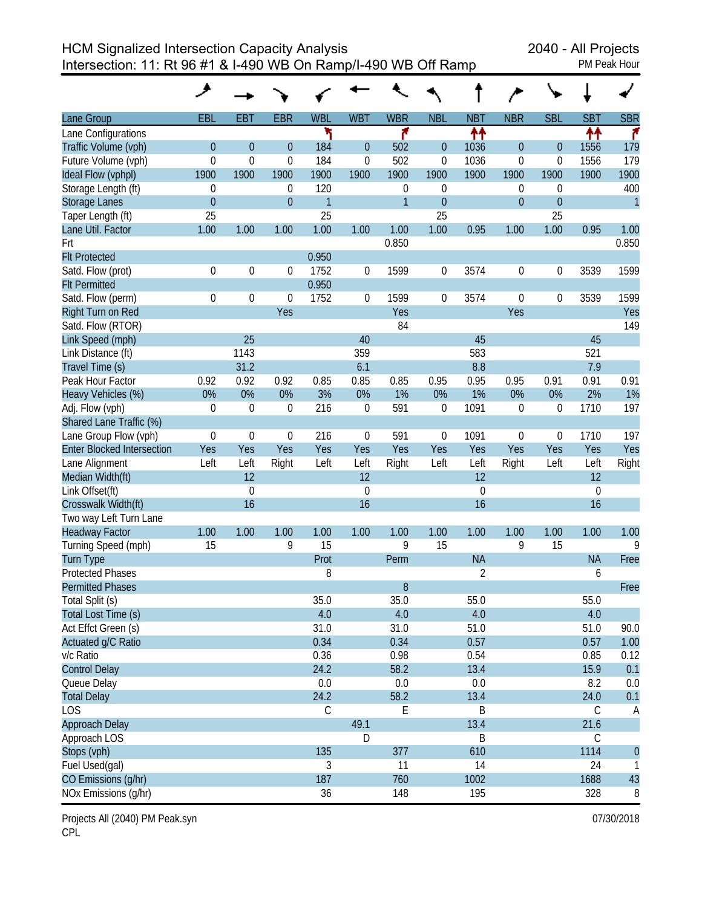HCM Signalized Intersection Capacity Analysis<br>Intersection: 11: Rt 96 #1 & I-490 WB On Ramp/I-490 WB Off Ramp Intersection: 11: Rt 96 #1 & I-490 WB On Ramp/I-490 WB Off Ramp

|                                   | حر             |              |                  |              |                  |              |                  |                |                  |                  |                  |              |
|-----------------------------------|----------------|--------------|------------------|--------------|------------------|--------------|------------------|----------------|------------------|------------------|------------------|--------------|
| Lane Group                        | EBL            | <b>EBT</b>   | <b>EBR</b>       | <b>WBL</b>   | <b>WBT</b>       | <b>WBR</b>   | <b>NBL</b>       | <b>NBT</b>     | <b>NBR</b>       | <b>SBL</b>       | <b>SBT</b>       | <b>SBR</b>   |
| Lane Configurations               |                |              |                  | ۲            |                  | ۴            |                  | ↟↟             |                  |                  | ↟↟               | ۴            |
| Traffic Volume (vph)              | $\mathbf{0}$   | $\mathbf{0}$ | $\theta$         | 184          | $\overline{0}$   | 502          | $\theta$         | 1036           | $\mathbf{0}$     | $\overline{0}$   | 1556             | 179          |
| Future Volume (vph)               | $\mathbf 0$    | 0            | $\mathbf 0$      | 184          | $\mathbf 0$      | 502          | 0                | 1036           | 0                | 0                | 1556             | 179          |
| Ideal Flow (vphpl)                | 1900           | 1900         | 1900             | 1900         | 1900             | 1900         | 1900             | 1900           | 1900             | 1900             | 1900             | 1900         |
| Storage Length (ft)               | $\theta$       |              | $\theta$         | 120          |                  | 0            | $\mathbf 0$      |                | 0                | 0                |                  | 400          |
| <b>Storage Lanes</b>              | $\overline{0}$ |              | $\overline{0}$   | $\mathbf{1}$ |                  | $\mathbf{1}$ | $\theta$         |                | $\mathbf{0}$     | $\boldsymbol{0}$ |                  | $\mathbf{1}$ |
| Taper Length (ft)                 | 25             |              |                  | 25           |                  |              | 25               |                |                  | 25               |                  |              |
| Lane Util. Factor                 | 1.00           | 1.00         | 1.00             | 1.00         | 1.00             | 1.00         | 1.00             | 0.95           | 1.00             | 1.00             | 0.95             | 1.00         |
| Frt                               |                |              |                  |              |                  | 0.850        |                  |                |                  |                  |                  | 0.850        |
| <b>FIt Protected</b>              |                |              |                  | 0.950        |                  |              |                  |                |                  |                  |                  |              |
| Satd. Flow (prot)                 | $\mathbf 0$    | 0            | $\boldsymbol{0}$ | 1752         | 0                | 1599         | $\boldsymbol{0}$ | 3574           | 0                | 0                | 3539             | 1599         |
| <b>Flt Permitted</b>              |                |              |                  | 0.950        |                  |              |                  |                |                  |                  |                  |              |
| Satd. Flow (perm)                 | $\theta$       | 0            | $\Omega$         | 1752         | 0                | 1599         | 0                | 3574           | 0                | 0                | 3539             | 1599         |
| Right Turn on Red                 |                |              | Yes              |              |                  | Yes          |                  |                | Yes              |                  |                  | Yes          |
| Satd. Flow (RTOR)                 |                |              |                  |              |                  | 84           |                  |                |                  |                  |                  | 149          |
| Link Speed (mph)                  |                | 25           |                  |              | 40               |              |                  | 45             |                  |                  | 45               |              |
| Link Distance (ft)                |                | 1143         |                  |              | 359              |              |                  | 583            |                  |                  | 521              |              |
| Travel Time (s)                   |                | 31.2         |                  |              | 6.1              |              |                  | 8.8            |                  |                  | 7.9              |              |
| Peak Hour Factor                  | 0.92           | 0.92         | 0.92             | 0.85         | 0.85             | 0.85         | 0.95             | 0.95           | 0.95             | 0.91             | 0.91             | 0.91         |
| Heavy Vehicles (%)                | 0%             | 0%           | 0%               | 3%           | 0%               | 1%           | 0%               | 1%             | 0%               | 0%               | 2%               | 1%           |
| Adj. Flow (vph)                   | $\mathbf 0$    | $\mathbf 0$  | 0                | 216          | $\boldsymbol{0}$ | 591          | $\mathbf 0$      | 1091           | $\boldsymbol{0}$ | 0                | 1710             | 197          |
| Shared Lane Traffic (%)           |                |              |                  |              |                  |              |                  |                |                  |                  |                  |              |
| Lane Group Flow (vph)             | $\mathbf 0$    | $\mathbf 0$  | $\mathbf 0$      | 216          | 0                | 591          | 0                | 1091           | 0                | 0                | 1710             | 197          |
| <b>Enter Blocked Intersection</b> | Yes            | Yes          | Yes              | Yes          | Yes              | Yes          | Yes              | Yes            | Yes              | Yes              | Yes              | Yes          |
| Lane Alignment                    | Left           | Left         | Right            | Left         | Left             | Right        | Left             | Left           | Right            | Left             | Left             | Right        |
| Median Width(ft)                  |                | 12           |                  |              | 12               |              |                  | 12             |                  |                  | 12               |              |
| Link Offset(ft)                   |                | $\mathbf 0$  |                  |              | $\mathbf 0$      |              |                  | $\mathbf 0$    |                  |                  | $\boldsymbol{0}$ |              |
| Crosswalk Width(ft)               |                | 16           |                  |              | 16               |              |                  | 16             |                  |                  | 16               |              |
| Two way Left Turn Lane            |                |              |                  |              |                  |              |                  |                |                  |                  |                  |              |
| <b>Headway Factor</b>             | 1.00           | 1.00         | 1.00             | 1.00         | 1.00             | 1.00         | 1.00             | 1.00           | 1.00             | 1.00             | 1.00             | 1.00         |
| Turning Speed (mph)               | 15             |              | 9                | 15           |                  | 9            | 15               |                | 9                | 15               |                  | 9            |
| Turn Type                         |                |              |                  | Prot         |                  | Perm         |                  | <b>NA</b>      |                  |                  | <b>NA</b>        | Free         |
| <b>Protected Phases</b>           |                |              |                  | 8            |                  |              |                  | $\overline{2}$ |                  |                  | 6                |              |
| <b>Permitted Phases</b>           |                |              |                  |              |                  | 8            |                  |                |                  |                  |                  | Free         |
| Total Split (s)                   |                |              |                  | 35.0         |                  | 35.0         |                  | 55.0           |                  |                  | 55.0             |              |
| Total Lost Time (s)               |                |              |                  | 4.0          |                  | 4.0          |                  | 4.0            |                  |                  | 4.0              |              |
| Act Effct Green (s)               |                |              |                  | 31.0         |                  | 31.0         |                  | 51.0           |                  |                  | 51.0             | 90.0         |
| Actuated g/C Ratio                |                |              |                  | 0.34         |                  | 0.34         |                  | 0.57           |                  |                  | 0.57             | 1.00         |
| v/c Ratio                         |                |              |                  | 0.36         |                  | 0.98         |                  | 0.54           |                  |                  | 0.85             | 0.12         |
| <b>Control Delay</b>              |                |              |                  | 24.2         |                  | 58.2         |                  | 13.4           |                  |                  | 15.9             | 0.1          |
| Queue Delay                       |                |              |                  | 0.0          |                  | 0.0          |                  | 0.0            |                  |                  | 8.2              | 0.0          |
| <b>Total Delay</b>                |                |              |                  | 24.2         |                  | 58.2         |                  | 13.4           |                  |                  | 24.0             | 0.1          |
| <b>LOS</b>                        |                |              |                  | C            |                  | E            |                  | Β              |                  |                  | C                | A            |
| <b>Approach Delay</b>             |                |              |                  |              | 49.1             |              |                  | 13.4           |                  |                  | 21.6             |              |
| Approach LOS                      |                |              |                  |              | D                |              |                  | Β              |                  |                  | $\mathsf C$      |              |
| Stops (vph)                       |                |              |                  | 135          |                  | 377          |                  | 610            |                  |                  | 1114             | $\theta$     |
| Fuel Used(gal)                    |                |              |                  | 3            |                  | 11           |                  | 14             |                  |                  | 24               | $\mathbf{1}$ |
| CO Emissions (g/hr)               |                |              |                  | 187          |                  | 760          |                  | 1002           |                  |                  | 1688             | 43           |
| NOx Emissions (g/hr)              |                |              |                  | 36           |                  | 148          |                  | 195            |                  |                  | 328              | 8            |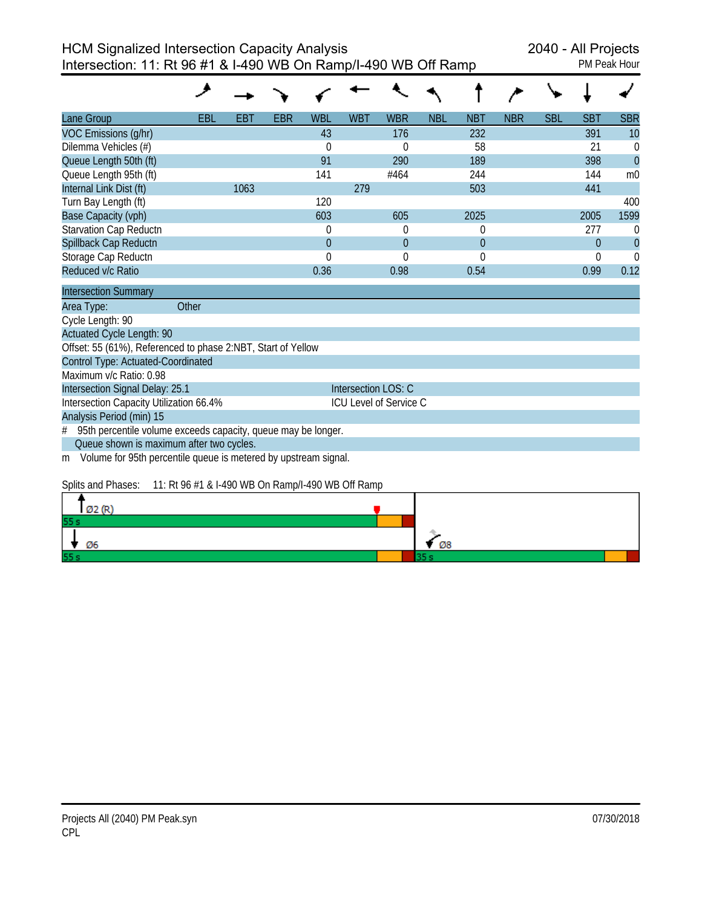| Lane Group                                                   | EBL   | EBT  | EBR | WBL          | <b>WBT</b> | <b>WBR</b>             | <b>NBL</b> | NBT            | <b>NBR</b> | <b>SBL</b> | <b>SBT</b> | <b>SBR</b>     |
|--------------------------------------------------------------|-------|------|-----|--------------|------------|------------------------|------------|----------------|------------|------------|------------|----------------|
| VOC Emissions (g/hr)                                         |       |      |     | 43           |            | 176                    |            | 232            |            |            | 391        | 10             |
| Dilemma Vehicles (#)                                         |       |      |     | $\mathbf 0$  |            | $\Omega$               |            | 58             |            |            | 21         | $\Omega$       |
| Queue Length 50th (ft)                                       |       |      |     | 91           |            | 290                    |            | 189            |            |            | 398        | $\overline{0}$ |
| Queue Length 95th (ft)                                       |       |      |     | 141          |            | #464                   |            | 244            |            |            | 144        | m <sub>0</sub> |
| Internal Link Dist (ft)                                      |       | 1063 |     |              | 279        |                        |            | 503            |            |            | 441        |                |
| Turn Bay Length (ft)                                         |       |      |     | 120          |            |                        |            |                |            |            |            | 400            |
| Base Capacity (vph)                                          |       |      |     | 603          |            | 605                    |            | 2025           |            |            | 2005       | 1599           |
| <b>Starvation Cap Reductn</b>                                |       |      |     | 0            |            | 0                      |            | $\overline{0}$ |            |            | 277        |                |
| Spillback Cap Reductn                                        |       |      |     | $\mathbf{0}$ |            | $\boldsymbol{0}$       |            | $\mathbf{0}$   |            |            | 0          | $\overline{0}$ |
| Storage Cap Reductn                                          |       |      |     | $\mathbf{0}$ |            | $\mathbf 0$            |            | $\overline{0}$ |            |            |            |                |
| Reduced v/c Ratio                                            |       |      |     | 0.36         |            | 0.98                   |            | 0.54           |            |            | 0.99       | 0.12           |
| <b>Intersection Summary</b>                                  |       |      |     |              |            |                        |            |                |            |            |            |                |
| Area Type:                                                   | Other |      |     |              |            |                        |            |                |            |            |            |                |
| Cycle Length: 90                                             |       |      |     |              |            |                        |            |                |            |            |            |                |
| <b>Actuated Cycle Length: 90</b>                             |       |      |     |              |            |                        |            |                |            |            |            |                |
| Offset: 55 (61%), Referenced to phase 2:NBT, Start of Yellow |       |      |     |              |            |                        |            |                |            |            |            |                |
| Control Type: Actuated-Coordinated                           |       |      |     |              |            |                        |            |                |            |            |            |                |
| Maximum v/c Ratio: 0.98                                      |       |      |     |              |            |                        |            |                |            |            |            |                |
| Intersection Signal Delay: 25.1                              |       |      |     |              |            | Intersection LOS: C    |            |                |            |            |            |                |
| Intersection Capacity Utilization 66.4%                      |       |      |     |              |            | ICU Level of Service C |            |                |            |            |            |                |

Analysis Period (min) 15

# 95th percentile volume exceeds capacity, queue may be longer.

Queue shown is maximum after two cycles.

m Volume for 95th percentile queue is metered by upstream signal.

## Splits and Phases: 11: Rt 96 #1 & I-490 WB On Ramp/I-490 WB Off Ramp

| Ø2 (R) |    |
|--------|----|
| 55s    |    |
| Ø6     | Ø8 |
| 55 s   |    |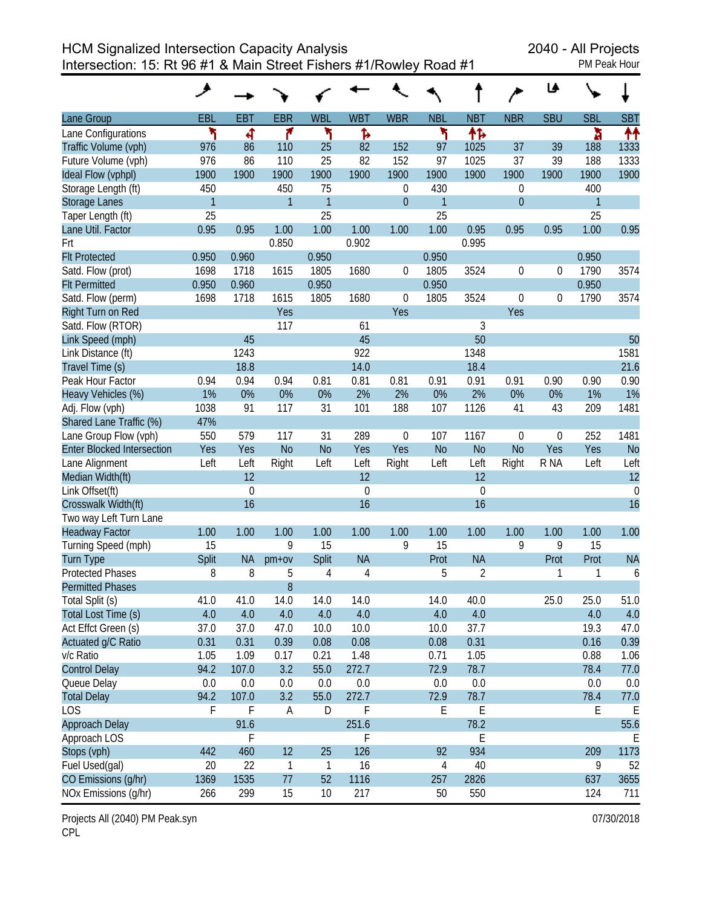|                                   | ᢣ            |             |              |                |             |                  |              |                |                | ♦ا               |              |             |
|-----------------------------------|--------------|-------------|--------------|----------------|-------------|------------------|--------------|----------------|----------------|------------------|--------------|-------------|
| Lane Group                        | EBL          | <b>EBT</b>  | <b>EBR</b>   | <b>WBL</b>     | <b>WBT</b>  | <b>WBR</b>       | <b>NBL</b>   | <b>NBT</b>     | <b>NBR</b>     | <b>SBU</b>       | <b>SBL</b>   | <b>SBT</b>  |
| Lane Configurations               | ۲            | ৰ           | ۴            | ۲              | Ъ           |                  | ኻ            | 怍              |                |                  | à            | 11          |
| Traffic Volume (vph)              | 976          | 86          | 110          | 25             | 82          | 152              | 97           | 1025           | 37             | 39               | 188          | 1333        |
| Future Volume (vph)               | 976          | 86          | 110          | 25             | 82          | 152              | 97           | 1025           | 37             | 39               | 188          | 1333        |
| Ideal Flow (vphpl)                | 1900         | 1900        | 1900         | 1900           | 1900        | 1900             | 1900         | 1900           | 1900           | 1900             | 1900         | 1900        |
| Storage Length (ft)               | 450          |             | 450          | 75             |             | 0                | 430          |                | 0              |                  | 400          |             |
| Storage Lanes                     | $\mathbf{1}$ |             | $\mathbf{1}$ | $\mathbf{1}$   |             | $\boldsymbol{0}$ | $\mathbf{1}$ |                | $\mathbf{0}$   |                  | $\mathbf{1}$ |             |
| Taper Length (ft)                 | 25           |             |              | 25             |             |                  | 25           |                |                |                  | 25           |             |
| Lane Util. Factor                 | 0.95         | 0.95        | 1.00         | 1.00           | 1.00        | 1.00             | 1.00         | 0.95           | 0.95           | 0.95             | 1.00         | 0.95        |
| Frt                               |              |             | 0.850        |                | 0.902       |                  |              | 0.995          |                |                  |              |             |
| <b>Flt Protected</b>              | 0.950        | 0.960       |              | 0.950          |             |                  | 0.950        |                |                |                  | 0.950        |             |
| Satd. Flow (prot)                 | 1698         | 1718        | 1615         | 1805           | 1680        | 0                | 1805         | 3524           | $\mathbf 0$    | $\boldsymbol{0}$ | 1790         | 3574        |
| <b>Flt Permitted</b>              | 0.950        | 0.960       |              | 0.950          |             |                  | 0.950        |                |                |                  | 0.950        |             |
| Satd. Flow (perm)                 | 1698         | 1718        | 1615         | 1805           | 1680        | $\mathbf 0$      | 1805         | 3524           | $\mathbf 0$    | $\boldsymbol{0}$ | 1790         | 3574        |
| Right Turn on Red                 |              |             | Yes          |                |             | Yes              |              |                | Yes            |                  |              |             |
| Satd. Flow (RTOR)                 |              |             | 117          |                | 61          |                  |              | 3              |                |                  |              |             |
| Link Speed (mph)                  |              | 45          |              |                | 45          |                  |              | 50             |                |                  |              | 50          |
| Link Distance (ft)                |              | 1243        |              |                | 922         |                  |              | 1348           |                |                  |              | 1581        |
| Travel Time (s)                   |              | 18.8        |              |                | 14.0        |                  |              | 18.4           |                |                  |              | 21.6        |
| Peak Hour Factor                  | 0.94         | 0.94        | 0.94         | 0.81           | 0.81        | 0.81             | 0.91         | 0.91           | 0.91           | 0.90             | 0.90         | 0.90        |
| Heavy Vehicles (%)                | 1%           | 0%          | 0%           | 0%             | 2%          | 2%               | 0%           | 2%             | 0%             | 0%               | 1%           | 1%          |
| Adj. Flow (vph)                   | 1038         | 91          | 117          | 31             | 101         | 188              | 107          | 1126           | 41             | 43               | 209          | 1481        |
| Shared Lane Traffic (%)           | 47%          |             |              |                |             |                  |              |                |                |                  |              |             |
| Lane Group Flow (vph)             | 550          | 579         | 117          | 31             | 289         | $\mathbf 0$      | 107          | 1167           | $\mathbf 0$    | $\boldsymbol{0}$ | 252          | 1481        |
| <b>Enter Blocked Intersection</b> | Yes          | Yes         | <b>No</b>    | N <sub>o</sub> | Yes         | Yes              | <b>No</b>    | N <sub>o</sub> | N <sub>o</sub> | Yes              | Yes          | <b>No</b>   |
| Lane Alignment                    | Left         | Left        | Right        | Left           | Left        | Right            | Left         | Left           | Right          | R NA             | Left         | Left        |
| Median Width(ft)                  |              | 12          |              |                | 12          |                  |              | 12             |                |                  |              | 12          |
| Link Offset(ft)                   |              | $\mathbf 0$ |              |                | $\mathbf 0$ |                  |              | $\mathbf 0$    |                |                  |              | $\mathbf 0$ |
| Crosswalk Width(ft)               |              | 16          |              |                | 16          |                  |              | 16             |                |                  |              | 16          |
| Two way Left Turn Lane            |              |             |              |                |             |                  |              |                |                |                  |              |             |
| <b>Headway Factor</b>             | 1.00         | 1.00        | 1.00         | 1.00           | 1.00        | 1.00             | 1.00         | 1.00           | 1.00           | 1.00             | 1.00         | 1.00        |
| Turning Speed (mph)               | 15           |             | 9            | 15             |             | 9                | 15           |                | 9              | 9                | 15           |             |
| <b>Turn Type</b>                  | Split        | <b>NA</b>   | $pm+ov$      | Split          | <b>NA</b>   |                  | Prot         | <b>NA</b>      |                | Prot             | Prot         | <b>NA</b>   |
| <b>Protected Phases</b>           | 8            | 8           | 5            | 4              | 4           |                  | 5            | 2              |                | 1                | 1            | 6           |
| <b>Permitted Phases</b>           |              |             | 8            |                |             |                  |              |                |                |                  |              |             |
| Total Split (s)                   | 41.0         | 41.0        | 14.0         | 14.0           | 14.0        |                  | 14.0         | 40.0           |                | 25.0             | 25.0         | 51.0        |
| Total Lost Time (s)               | 4.0          | 4.0         | 4.0          | 4.0            | 4.0         |                  | 4.0          | 4.0            |                |                  | 4.0          | 4.0         |
| Act Effct Green (s)               | 37.0         | 37.0        | 47.0         | 10.0           | 10.0        |                  | 10.0         | 37.7           |                |                  | 19.3         | 47.0        |
| Actuated g/C Ratio                | 0.31         | 0.31        | 0.39         | 0.08           | 0.08        |                  | 0.08         | 0.31           |                |                  | 0.16         | 0.39        |
| v/c Ratio                         | 1.05         | 1.09        | 0.17         | 0.21           | 1.48        |                  | 0.71         | 1.05           |                |                  | 0.88         | 1.06        |
| <b>Control Delay</b>              | 94.2         | 107.0       | 3.2          | 55.0           | 272.7       |                  | 72.9         | 78.7           |                |                  | 78.4         | 77.0        |
| Queue Delay                       | 0.0          | 0.0         | 0.0          | 0.0            | 0.0         |                  | 0.0          | 0.0            |                |                  | 0.0          | 0.0         |
| <b>Total Delay</b>                | 94.2         | 107.0       | 3.2          | 55.0           | 272.7       |                  | 72.9         | 78.7           |                |                  | 78.4         | 77.0        |
| <b>LOS</b>                        | F            | F           | Α            | D              | F           |                  | Ε            | E              |                |                  | Е            | Е           |
| Approach Delay                    |              | 91.6        |              |                | 251.6       |                  |              | 78.2           |                |                  |              | 55.6        |
| Approach LOS                      |              | F           |              |                | F           |                  |              | E              |                |                  |              | Ε           |
| Stops (vph)                       | 442          | 460         | 12           | 25             | 126         |                  | 92           | 934            |                |                  | 209          | 1173        |
| Fuel Used(gal)                    | 20           | 22          | $\mathbf{1}$ | $\mathbf{1}$   | 16          |                  | 4            | 40             |                |                  | 9            | 52          |
| CO Emissions (g/hr)               | 1369         | 1535        | 77           | 52             | 1116        |                  | 257          | 2826           |                |                  | 637          | 3655        |
| NOx Emissions (g/hr)              | 266          | 299         | 15           | 10             | 217         |                  | 50           | 550            |                |                  | 124          | 711         |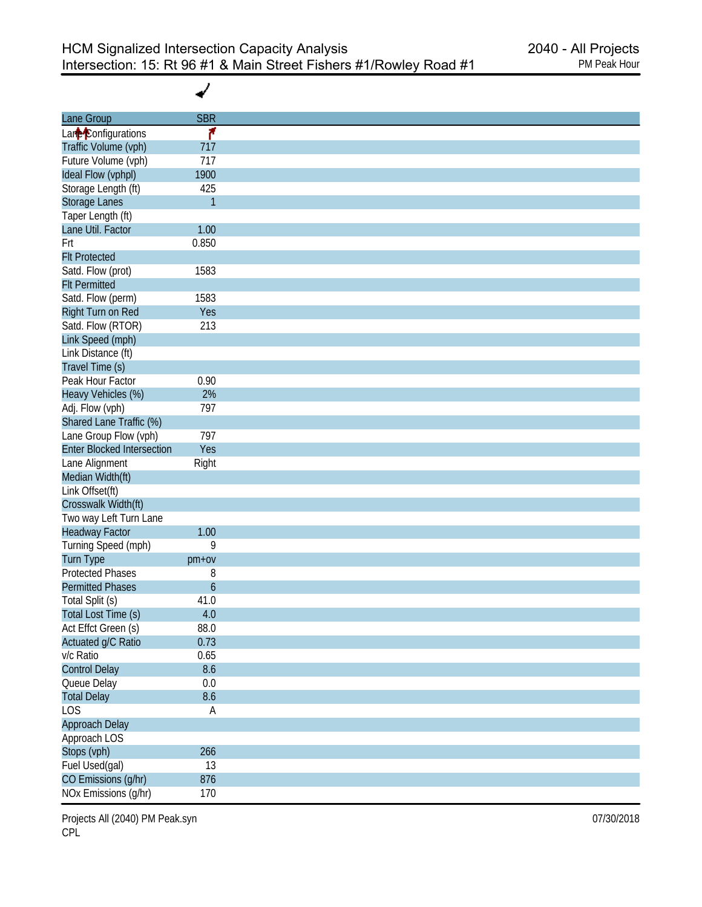✔

| Lane Group                        | <b>SBR</b>   |
|-----------------------------------|--------------|
| Lane <sup>2</sup> Configurations  | ۴            |
| Traffic Volume (vph)              | 717          |
| Future Volume (vph)               | 717          |
| Ideal Flow (vphpl)                | 1900         |
| Storage Length (ft)               | 425          |
| Storage Lanes                     | $\mathbf{1}$ |
| Taper Length (ft)                 |              |
| Lane Util. Factor                 | 1.00         |
| Frt                               | 0.850        |
| <b>Flt Protected</b>              |              |
| Satd. Flow (prot)                 | 1583         |
| <b>Flt Permitted</b>              |              |
| Satd. Flow (perm)                 | 1583         |
| Right Turn on Red                 | Yes          |
| Satd. Flow (RTOR)                 | 213          |
| Link Speed (mph)                  |              |
| Link Distance (ft)                |              |
| Travel Time (s)                   |              |
| Peak Hour Factor                  | 0.90         |
|                                   |              |
| Heavy Vehicles (%)                | 2%           |
| Adj. Flow (vph)                   | 797          |
| Shared Lane Traffic (%)           |              |
| Lane Group Flow (vph)             | 797          |
| <b>Enter Blocked Intersection</b> | Yes          |
| Lane Alignment                    | Right        |
| Median Width(ft)                  |              |
| Link Offset(ft)                   |              |
| Crosswalk Width(ft)               |              |
| Two way Left Turn Lane            |              |
| <b>Headway Factor</b>             | 1.00         |
| Turning Speed (mph)               | 9            |
| Turn Type                         | $pm+ov$      |
| <b>Protected Phases</b>           | 8            |
| <b>Permitted Phases</b>           | 6            |
| Total Split (s)                   | 41.0         |
| Total Lost Time (s)               | $4.0\,$      |
| Act Effct Green (s)               | 88.0         |
| Actuated g/C Ratio                | 0.73         |
| v/c Ratio                         | 0.65         |
| <b>Control Delay</b>              | 8.6          |
| Queue Delay                       | $0.0\,$      |
| <b>Total Delay</b>                | 8.6          |
| <b>LOS</b>                        | A            |
| Approach Delay                    |              |
| Approach LOS                      |              |
| Stops (vph)                       | 266          |
| Fuel Used(gal)                    | 13           |
| CO Emissions (g/hr)               | 876          |
| NOx Emissions (g/hr)              | 170          |
|                                   |              |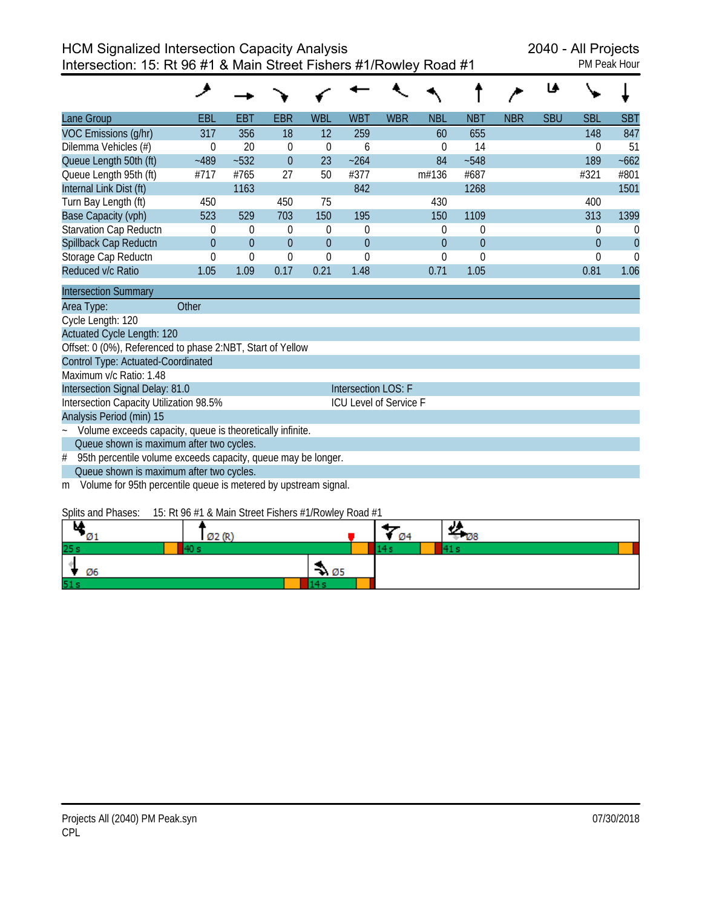|                               |          |          |            |                 |            |            |            |            |            | Le         |            |             |
|-------------------------------|----------|----------|------------|-----------------|------------|------------|------------|------------|------------|------------|------------|-------------|
| Lane Group                    | EBL      | EBT      | <b>EBR</b> | <b>WBL</b>      | <b>WBT</b> | <b>WBR</b> | <b>NBL</b> | <b>NBT</b> | <b>NBR</b> | <b>SBU</b> | <b>SBL</b> | <b>SBT</b>  |
| VOC Emissions (g/hr)          | 317      | 356      | 18         | 12 <sup>1</sup> | 259        |            | 60         | 655        |            |            | 148        | 847         |
| Dilemma Vehicles (#)          |          | 20       | 0          | $\theta$        | b          |            |            | 14         |            |            |            | 51          |
| Queue Length 50th (ft)        | $-489$   | $-532$   | $\Omega$   | 23              | ~264       |            | 84         | $-548$     |            |            | 189        | $-662$      |
| Queue Length 95th (ft)        | #717     | #765     | 27         | 50              | #377       |            | m#136      | #687       |            |            | #321       | #801        |
| Internal Link Dist (ft)       |          | 1163     |            |                 | 842        |            |            | 1268       |            |            |            | 1501        |
| Turn Bay Length (ft)          | 450      |          | 450        | 75              |            |            | 430        |            |            |            | 400        |             |
| Base Capacity (vph)           | 523      | 529      | 703        | 150             | 195        |            | 150        | 1109       |            |            | 313        | 1399        |
| <b>Starvation Cap Reductn</b> | 0        | $\theta$ | 0          | $\theta$        | $\theta$   |            | 0          | $\theta$   |            |            | 0          | 0           |
| Spillback Cap Reductn         | $\Omega$ | $\Omega$ | $\Omega$   | $\Omega$        | $\Omega$   |            | $\Omega$   | $\Omega$   |            |            | $\Omega$   | $\mathbf 0$ |
| Storage Cap Reductn           |          | $\Omega$ | 0          | $\theta$        | O          |            |            | $\Omega$   |            |            |            | 0           |
| Reduced v/c Ratio             | 1.05     | 1.09     | 0.17       | 0.21            | 1.48       |            | 0.71       | 1.05       |            |            | 0.81       | 1.06        |
|                               |          |          |            |                 |            |            |            |            |            |            |            |             |

| <b>Intersection Summary</b>                                       |                               |
|-------------------------------------------------------------------|-------------------------------|
| Area Type:<br>Other                                               |                               |
| Cycle Length: 120                                                 |                               |
| <b>Actuated Cycle Length: 120</b>                                 |                               |
| Offset: 0 (0%), Referenced to phase 2:NBT, Start of Yellow        |                               |
| Control Type: Actuated-Coordinated                                |                               |
| Maximum v/c Ratio: 1.48                                           |                               |
| Intersection Signal Delay: 81.0                                   | Intersection LOS: F           |
| Intersection Capacity Utilization 98.5%                           | <b>ICU Level of Service F</b> |
| Analysis Period (min) 15                                          |                               |
| ~ Volume exceeds capacity, queue is theoretically infinite.       |                               |
| Queue shown is maximum after two cycles.                          |                               |
| # 95th percentile volume exceeds capacity, queue may be longer.   |                               |
| Queue shown is maximum after two cycles.                          |                               |
| m Volume for 95th percentile queue is metered by upstream signal. |                               |

#### Splits and Phases: 15: Rt 96 #1 & Main Street Fishers #1/Rowley Road #1

| . .<br>м<br>נ ש | Ø2 (R) |                  | Ø4 | г и8 |
|-----------------|--------|------------------|----|------|
| 25 s            |        |                  |    |      |
| Ø6              |        | $\rightarrow 05$ |    |      |
| 51s             |        |                  |    |      |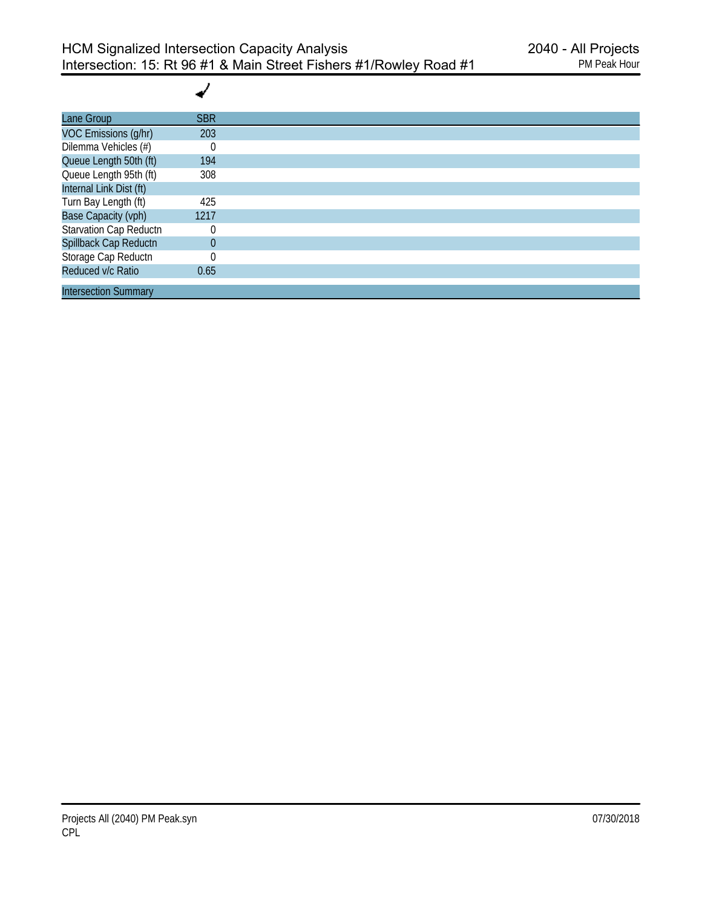┙

| Lane Group                  | <b>SBR</b> |
|-----------------------------|------------|
| VOC Emissions (g/hr)        | 203        |
| Dilemma Vehicles (#)        |            |
| Queue Length 50th (ft)      | 194        |
| Queue Length 95th (ft)      | 308        |
| Internal Link Dist (ft)     |            |
| Turn Bay Length (ft)        | 425        |
| <b>Base Capacity (vph)</b>  | 1217       |
| Starvation Cap Reductn      |            |
| Spillback Cap Reductn       | 0          |
| Storage Cap Reductn         |            |
| Reduced v/c Ratio           | 0.65       |
| <b>Intersection Summary</b> |            |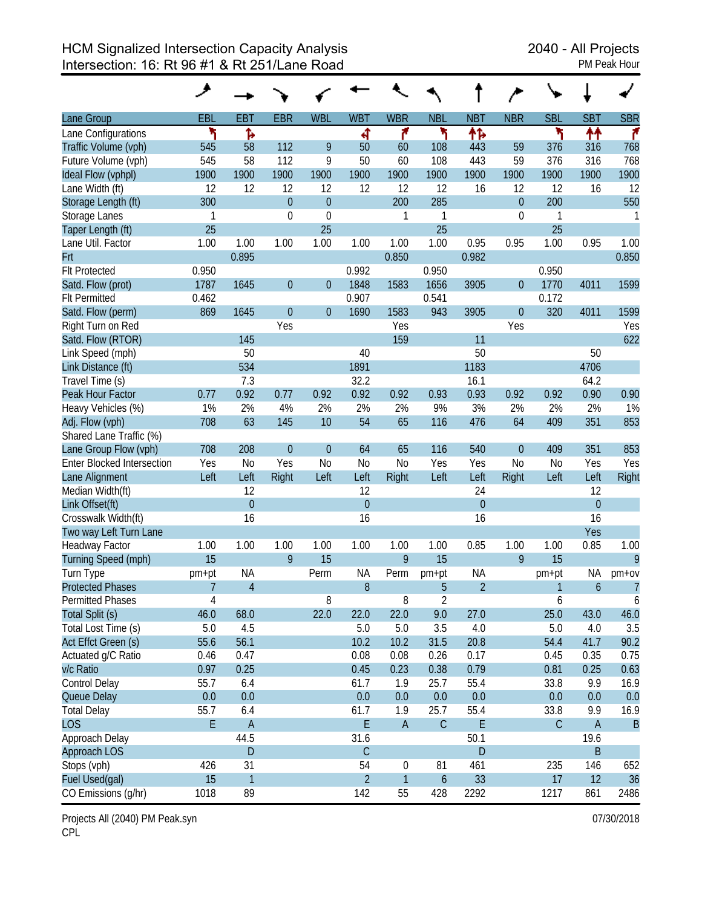| Lane Group                        | <b>EBL</b>     | <b>EBT</b>     | <b>EBR</b>     | <b>WBL</b>     | <b>WBT</b>     | <b>WBR</b>     | <b>NBL</b>       | <b>NBT</b>     | <b>NBR</b>       | <b>SBL</b>   | <b>SBT</b>       | <b>SBR</b>       |
|-----------------------------------|----------------|----------------|----------------|----------------|----------------|----------------|------------------|----------------|------------------|--------------|------------------|------------------|
| Lane Configurations               | ۲              | Ъ              |                |                | ৰ              | ۴              | ۲                | ተኈ             |                  | ۲            | ↟↟               | ۴                |
| Traffic Volume (vph)              | 545            | 58             | 112            | 9              | 50             | 60             | 108              | 443            | 59               | 376          | 316              | 768              |
| Future Volume (vph)               | 545            | 58             | 112            | 9              | 50             | 60             | 108              | 443            | 59               | 376          | 316              | 768              |
| Ideal Flow (vphpl)                | 1900           | 1900           | 1900           | 1900           | 1900           | 1900           | 1900             | 1900           | 1900             | 1900         | 1900             | 1900             |
| Lane Width (ft)                   | 12             | 12             | 12             | 12             | 12             | 12             | 12               | 16             | 12               | 12           | 16               | 12               |
| Storage Length (ft)               | 300            |                | $\mathbf 0$    | $\theta$       |                | 200            | 285              |                | $\boldsymbol{0}$ | 200          |                  | 550              |
| Storage Lanes                     | 1              |                | 0              | $\mathbf 0$    |                | 1              | 1                |                | $\boldsymbol{0}$ | 1            |                  | 1                |
| Taper Length (ft)                 | 25             |                |                | 25             |                |                | 25               |                |                  | 25           |                  |                  |
| Lane Util. Factor                 | 1.00           | 1.00           | 1.00           | 1.00           | 1.00           | 1.00           | 1.00             | 0.95           | 0.95             | 1.00         | 0.95             | 1.00             |
| Frt                               |                | 0.895          |                |                |                | 0.850          |                  | 0.982          |                  |              |                  | 0.850            |
| <b>Flt Protected</b>              | 0.950          |                |                |                | 0.992          |                | 0.950            |                |                  | 0.950        |                  |                  |
| Satd. Flow (prot)                 | 1787           | 1645           | $\mathbf 0$    | $\theta$       | 1848           | 1583           | 1656             | 3905           | $\boldsymbol{0}$ | 1770         | 4011             | 1599             |
| <b>Flt Permitted</b>              | 0.462          |                |                |                | 0.907          |                | 0.541            |                |                  | 0.172        |                  |                  |
| Satd. Flow (perm)                 | 869            | 1645           | $\mathbf{0}$   | $\theta$       | 1690           | 1583           | 943              | 3905           | $\boldsymbol{0}$ | 320          | 4011             | 1599             |
| Right Turn on Red                 |                |                | Yes            |                |                | Yes            |                  |                | Yes              |              |                  | Yes              |
| Satd. Flow (RTOR)                 |                | 145            |                |                |                | 159            |                  | 11             |                  |              |                  | 622              |
| Link Speed (mph)                  |                | 50             |                |                | 40             |                |                  | 50             |                  |              | 50               |                  |
| Link Distance (ft)                |                | 534            |                |                | 1891           |                |                  | 1183           |                  |              | 4706             |                  |
| Travel Time (s)                   |                | 7.3            |                |                | 32.2           |                |                  | 16.1           |                  |              | 64.2             |                  |
| Peak Hour Factor                  | 0.77           | 0.92           | 0.77           | 0.92           | 0.92           | 0.92           | 0.93             | 0.93           | 0.92             | 0.92         | 0.90             | 0.90             |
| Heavy Vehicles (%)                | 1%             | 2%             | 4%             | 2%             | 2%             | 2%             | 9%               | 3%             | 2%               | 2%           | 2%               | 1%               |
| Adj. Flow (vph)                   | 708            | 63             | 145            | 10             | 54             | 65             | 116              | 476            | 64               | 409          | 351              | 853              |
| Shared Lane Traffic (%)           |                |                |                |                |                |                |                  |                |                  |              |                  |                  |
| Lane Group Flow (vph)             | 708            | 208            | $\overline{0}$ | $\theta$       | 64             | 65             | 116              | 540            | $\theta$         | 409          | 351              | 853              |
| <b>Enter Blocked Intersection</b> | Yes            | N <sub>0</sub> | Yes            | N <sub>o</sub> | N <sub>0</sub> | N <sub>o</sub> | Yes              | Yes            | N <sub>o</sub>   | <b>No</b>    | Yes              | Yes              |
| Lane Alignment                    | Left           | Left           | Right          | Left           | Left           | Right          | Left             | Left           | Right            | Left         | Left             | Right            |
| Median Width(ft)                  |                | 12             |                |                | 12             |                |                  | 24             |                  |              | 12               |                  |
| Link Offset(ft)                   |                | $\mathbf 0$    |                |                | $\overline{0}$ |                |                  | $\mathbf 0$    |                  |              | $\overline{0}$   |                  |
| Crosswalk Width(ft)               |                | 16             |                |                | 16             |                |                  | 16             |                  |              | 16               |                  |
| Two way Left Turn Lane            |                |                |                |                |                |                |                  |                |                  |              | Yes              |                  |
| <b>Headway Factor</b>             | 1.00           | 1.00           | 1.00           | 1.00           | 1.00           | 1.00           | 1.00             | 0.85           | 1.00             | 1.00         | 0.85             | 1.00             |
| Turning Speed (mph)               | 15             |                | 9              | 15             |                | 9              | 15               |                | 9                | 15           |                  | 9                |
| Turn Type                         | pm+pt          | <b>NA</b>      |                | Perm           | <b>NA</b>      | Perm           | pm+pt            | <b>NA</b>      |                  | pm+pt        | <b>NA</b>        | $pm+ov$          |
| <b>Protected Phases</b>           | 7              | $\overline{4}$ |                |                | 8              |                | 5                | $\overline{2}$ |                  | $\mathbf{1}$ | $\boldsymbol{6}$ | $\overline{7}$   |
| <b>Permitted Phases</b>           | $\overline{4}$ |                |                | 8              |                | 8              | $\overline{2}$   |                |                  | 6            |                  | $\boldsymbol{6}$ |
| Total Split (s)                   | 46.0           | 68.0           |                | 22.0           | 22.0           | 22.0           | 9.0              | 27.0           |                  | 25.0         | 43.0             | 46.0             |
| Total Lost Time (s)               | 5.0            | 4.5            |                |                | 5.0            | 5.0            | 3.5              | 4.0            |                  | 5.0          | 4.0              | 3.5              |
| Act Effct Green (s)               | 55.6           | 56.1           |                |                | 10.2           | 10.2           | 31.5             | 20.8           |                  | 54.4         | 41.7             | 90.2             |
| Actuated g/C Ratio                | 0.46           | 0.47           |                |                | 0.08           | 0.08           | 0.26             | 0.17           |                  | 0.45         | 0.35             | 0.75             |
| v/c Ratio                         | 0.97           | 0.25           |                |                | 0.45           | 0.23           | 0.38             | 0.79           |                  | 0.81         | 0.25             | 0.63             |
| Control Delay                     | 55.7           | 6.4            |                |                | 61.7           | 1.9            | 25.7             | 55.4           |                  | 33.8         | 9.9              | 16.9             |
| Queue Delay                       | $0.0\,$        | 0.0            |                |                | 0.0            | 0.0            | 0.0              | 0.0            |                  | 0.0          | 0.0              | 0.0              |
| <b>Total Delay</b>                | 55.7           | 6.4            |                |                | 61.7           | 1.9            | 25.7             | 55.4           |                  | 33.8         | 9.9              | 16.9             |
| <b>LOS</b>                        | E              | $\mathsf A$    |                |                | E              | $\mathsf A$    | $\mathcal{C}$    | E              |                  | $\mathsf C$  | $\mathsf A$      | $\overline{B}$   |
| Approach Delay                    |                | 44.5           |                |                | 31.6           |                |                  | 50.1           |                  |              | 19.6             |                  |
| Approach LOS                      |                | $\mathsf D$    |                |                | $\mathsf C$    |                |                  | D              |                  |              | $\sf B$          |                  |
| Stops (vph)                       | 426            | 31             |                |                | 54             | $\mathbf 0$    | 81               | 461            |                  | 235          | 146              | 652              |
| Fuel Used(gal)                    | 15             | $\overline{1}$ |                |                | $\overline{2}$ | $\mathbf{1}$   | $\boldsymbol{6}$ | 33             |                  | 17           | 12               | 36               |
| CO Emissions (g/hr)               | 1018           | 89             |                |                | 142            | 55             | 428              | 2292           |                  | 1217         | 861              | 2486             |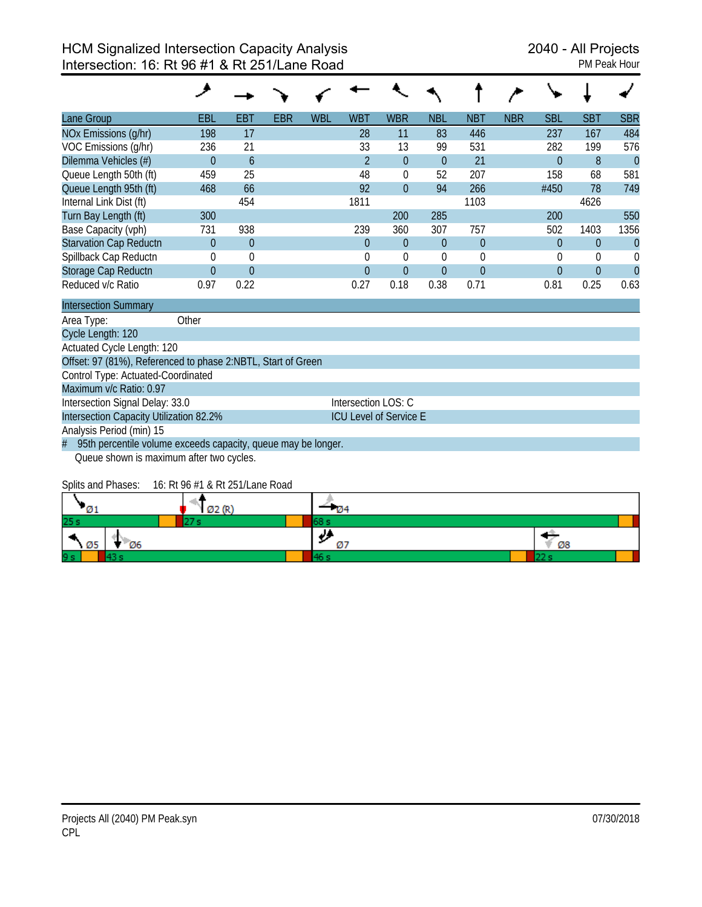| Lane Group                                                         | EBL            | EBT                 | EBR | <b>WBL</b> | <b>WBT</b>                    | <b>WBR</b>   | <b>NBL</b>     | <b>NBT</b>  | <b>NBR</b> | SBL            | <b>SBT</b>     | <b>SBR</b>     |
|--------------------------------------------------------------------|----------------|---------------------|-----|------------|-------------------------------|--------------|----------------|-------------|------------|----------------|----------------|----------------|
| NOx Emissions (g/hr)                                               | 198            | 17                  |     |            | 28                            | 11           | 83             | 446         |            | 237            | 167            | 484            |
| VOC Emissions (g/hr)                                               | 236            | 21                  |     |            | 33                            | 13           | 99             | 531         |            | 282            | 199            | 576            |
| Dilemma Vehicles (#)                                               | $\overline{0}$ | 6                   |     |            | $\overline{2}$                | $\theta$     | $\theta$       | 21          |            | $\overline{0}$ | 8              | $\overline{0}$ |
| Queue Length 50th (ft)                                             | 459            | 25                  |     |            | 48                            | $\theta$     | 52             | 207         |            | 158            | 68             | 581            |
| Queue Length 95th (ft)                                             | 468            | 66                  |     |            | 92                            | $\theta$     | 94             | 266         |            | #450           | 78             | 749            |
| Internal Link Dist (ft)                                            |                | 454                 |     |            | 1811                          |              |                | 1103        |            |                | 4626           |                |
| Turn Bay Length (ft)                                               | 300            |                     |     |            |                               | 200          | 285            |             |            | 200            |                | 550            |
| Base Capacity (vph)                                                | 731            | 938                 |     |            | 239                           | 360          | 307            | 757         |            | 502            | 1403           | 1356           |
| <b>Starvation Cap Reductn</b>                                      | $\mathbf{0}$   | $\mathbf{0}$        |     |            | $\overline{0}$                | $\theta$     | $\theta$       | $\theta$    |            | $\overline{0}$ | $\mathbf{0}$   | $\overline{0}$ |
| Spillback Cap Reductn                                              | $\theta$       | $\mathbf 0$         |     |            | $\theta$                      | $\theta$     | $\theta$       | $\mathbf 0$ |            | $\theta$       | $\theta$       | $\theta$       |
| Storage Cap Reductn                                                | $\Omega$       | $\overline{0}$      |     |            | $\Omega$                      | $\mathbf{0}$ | $\overline{0}$ | $\Omega$    |            | $\overline{0}$ | $\overline{0}$ | $\Omega$       |
| Reduced v/c Ratio                                                  | 0.97           | 0.22                |     |            | 0.27                          | 0.18         | 0.38           | 0.71        |            | 0.81           | 0.25           | 0.63           |
| <b>Intersection Summary</b>                                        |                |                     |     |            |                               |              |                |             |            |                |                |                |
| Area Type:                                                         | Other          |                     |     |            |                               |              |                |             |            |                |                |                |
| Cycle Length: 120                                                  |                |                     |     |            |                               |              |                |             |            |                |                |                |
| Actuated Cycle Length: 120                                         |                |                     |     |            |                               |              |                |             |            |                |                |                |
| Offset: 97 (81%), Referenced to phase 2:NBTL, Start of Green       |                |                     |     |            |                               |              |                |             |            |                |                |                |
| Control Type: Actuated-Coordinated                                 |                |                     |     |            |                               |              |                |             |            |                |                |                |
| Maximum v/c Ratio: 0.97                                            |                |                     |     |            |                               |              |                |             |            |                |                |                |
| Intersection Signal Delay: 33.0                                    |                | Intersection LOS: C |     |            |                               |              |                |             |            |                |                |                |
| Intersection Capacity Utilization 82.2%                            |                |                     |     |            | <b>ICU Level of Service E</b> |              |                |             |            |                |                |                |
| Analysis Period (min) 15                                           |                |                     |     |            |                               |              |                |             |            |                |                |                |
| 95th percentile volume exceeds capacity, queue may be longer.<br># |                |                     |     |            |                               |              |                |             |            |                |                |                |
| Queue shown is maximum after two cycles.                           |                |                     |     |            |                               |              |                |             |            |                |                |                |

Splits and Phases: 16: Rt 96 #1 & Rt 251/Lane Road

| - 01       |    |    |
|------------|----|----|
| 25s        |    |    |
| Ø6<br>- Ø5 | Ø7 | Ø8 |
| 9 s        |    |    |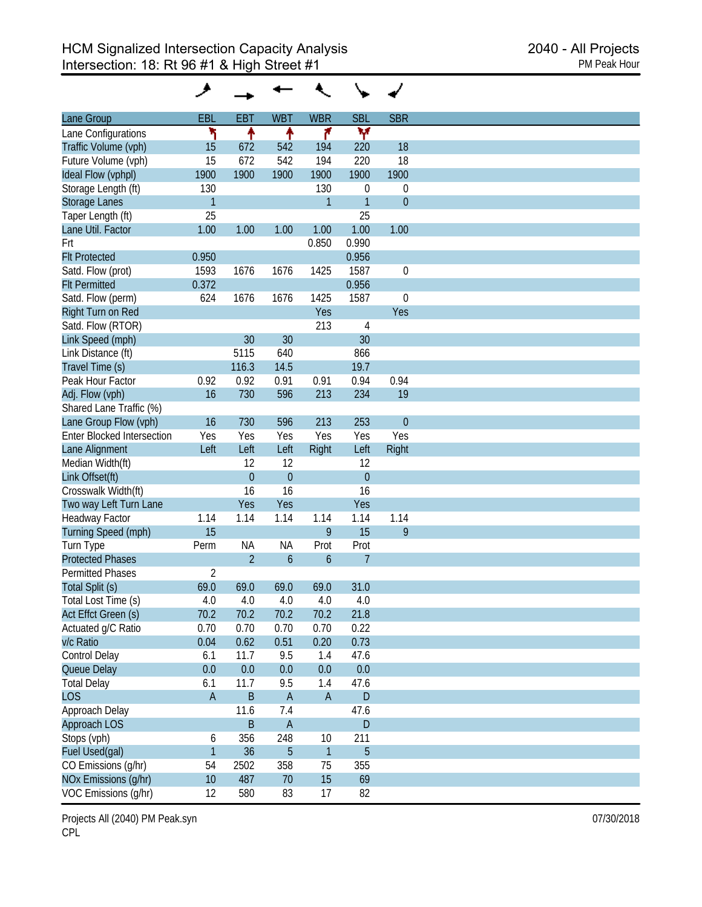| Lane Group                        | EBL            | <b>EBT</b>     | <b>WBT</b>       | <b>WBR</b>       | <b>SBL</b>     | <b>SBR</b>       |
|-----------------------------------|----------------|----------------|------------------|------------------|----------------|------------------|
| Lane Configurations               | ٦              | ٠              | ↟                | ۴                | W              |                  |
| Traffic Volume (vph)              | 15             | 672            | 542              | 194              | 220            | 18               |
| Future Volume (vph)               | 15             | 672            | 542              | 194              | 220            | 18               |
| Ideal Flow (vphpl)                | 1900           | 1900           | 1900             | 1900             | 1900           | 1900             |
| Storage Length (ft)               | 130            |                |                  | 130              | $\mathbf 0$    | $\mathbf 0$      |
| Storage Lanes                     | $\mathbf{1}$   |                |                  | 1                | $\overline{1}$ | $\theta$         |
| Taper Length (ft)                 | 25             |                |                  |                  | 25             |                  |
| Lane Util. Factor                 | 1.00           | 1.00           | 1.00             | 1.00             | 1.00           | 1.00             |
| Frt                               |                |                |                  | 0.850            | 0.990          |                  |
| <b>Flt Protected</b>              | 0.950          |                |                  |                  | 0.956          |                  |
|                                   | 1593           | 1676           | 1676             | 1425             | 1587           | $\mathbf 0$      |
| Satd. Flow (prot)                 |                |                |                  |                  |                |                  |
| <b>Flt Permitted</b>              | 0.372          |                |                  |                  | 0.956          |                  |
| Satd. Flow (perm)                 | 624            | 1676           | 1676             | 1425             | 1587           | $\boldsymbol{0}$ |
| Right Turn on Red                 |                |                |                  | Yes              |                | Yes              |
| Satd. Flow (RTOR)                 |                |                |                  | 213              | $\overline{4}$ |                  |
| Link Speed (mph)                  |                | 30             | 30               |                  | 30             |                  |
| Link Distance (ft)                |                | 5115           | 640              |                  | 866            |                  |
| Travel Time (s)                   |                | 116.3          | 14.5             |                  | 19.7           |                  |
| Peak Hour Factor                  | 0.92           | 0.92           | 0.91             | 0.91             | 0.94           | 0.94             |
| Adj. Flow (vph)                   | 16             | 730            | 596              | 213              | 234            | 19               |
| Shared Lane Traffic (%)           |                |                |                  |                  |                |                  |
| Lane Group Flow (vph)             | 16             | 730            | 596              | 213              | 253            | $\overline{0}$   |
| <b>Enter Blocked Intersection</b> | Yes            | Yes            | Yes              | Yes              | Yes            | Yes              |
| Lane Alignment                    | Left           | Left           | Left             | Right            | Left           | Right            |
| Median Width(ft)                  |                | 12             | 12               |                  | 12             |                  |
| Link Offset(ft)                   |                | $\overline{0}$ | $\overline{0}$   |                  | $\overline{0}$ |                  |
| Crosswalk Width(ft)               |                | 16             | 16               |                  | 16             |                  |
| Two way Left Turn Lane            |                | Yes            | Yes              |                  | Yes            |                  |
| Headway Factor                    | 1.14           | 1.14           | 1.14             | 1.14             | 1.14           | 1.14             |
| Turning Speed (mph)               | 15             |                |                  | 9                | 15             | 9                |
| Turn Type                         | Perm           | <b>NA</b>      | <b>NA</b>        | Prot             | Prot           |                  |
| <b>Protected Phases</b>           |                | $\overline{2}$ | $\boldsymbol{6}$ | $\boldsymbol{6}$ | $\overline{7}$ |                  |
| <b>Permitted Phases</b>           | $\overline{2}$ |                |                  |                  |                |                  |
| Total Split (s)                   | 69.0           | 69.0           | 69.0             | 69.0             | 31.0           |                  |
| Total Lost Time (s)               | 4.0            | 4.0            | 4.0              | 4.0              | 4.0            |                  |
| Act Effct Green (s)               | 70.2           | 70.2           | 70.2             | 70.2             | 21.8           |                  |
| Actuated g/C Ratio                | 0.70           | 0.70           | 0.70             | 0.70             | 0.22           |                  |
| v/c Ratio                         | 0.04           | 0.62           | 0.51             | 0.20             | 0.73           |                  |
| Control Delay                     | 6.1            | 11.7           | 9.5              | 1.4              |                |                  |
|                                   | 0.0            | 0.0            | 0.0              |                  | 47.6<br>0.0    |                  |
| Queue Delay                       |                |                |                  | 0.0              |                |                  |
| <b>Total Delay</b>                | 6.1            | 11.7           | 9.5              | 1.4              | 47.6           |                  |
| <b>LOS</b>                        | $\mathsf A$    | B              | $\overline{A}$   | $\mathsf{A}$     | $\mathsf D$    |                  |
| Approach Delay                    |                | 11.6           | 7.4              |                  | 47.6           |                  |
| Approach LOS                      |                | B              | $\mathsf A$      |                  | D              |                  |
| Stops (vph)                       | 6              | 356            | 248              | 10               | 211            |                  |
| Fuel Used(gal)                    | $\mathbf{1}$   | 36             | 5                | $\mathbf{1}$     | $\overline{5}$ |                  |
| CO Emissions (g/hr)               | 54             | 2502           | 358              | 75               | 355            |                  |
| NOx Emissions (g/hr)              | 10             | 487            | 70               | 15               | 69             |                  |
| VOC Emissions (g/hr)              | 12             | 580            | 83               | 17               | 82             |                  |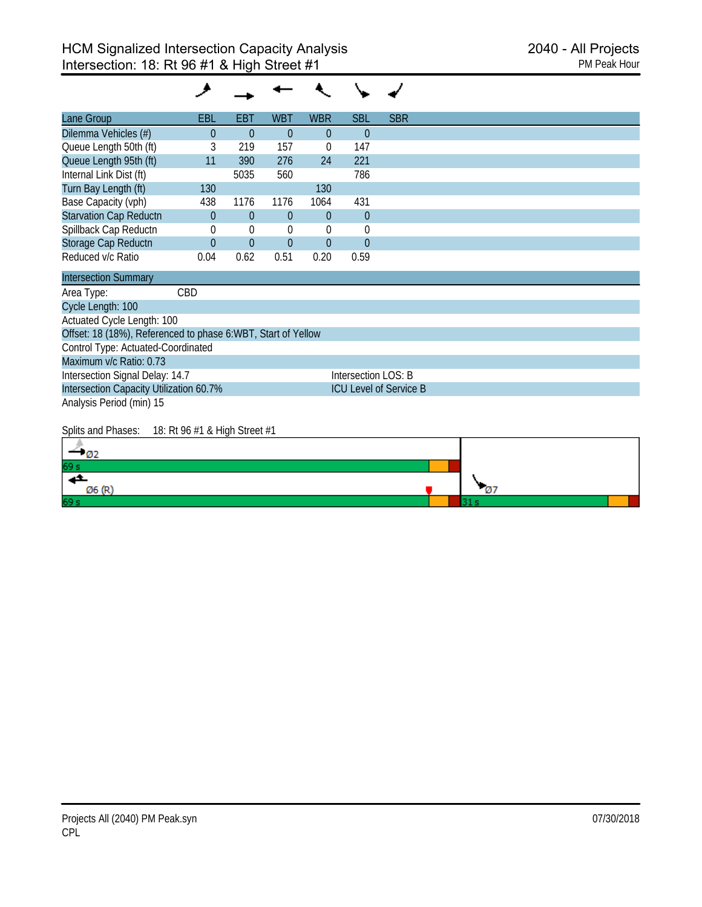#### ◢ ╰  $\ddot{\phantom{0}}$ ✔

| Lane Group                    | EBL      | EBT            | <b>WBT</b> | <b>WBR</b>     | <b>SBL</b> | <b>SBR</b> |  |  |  |
|-------------------------------|----------|----------------|------------|----------------|------------|------------|--|--|--|
| Dilemma Vehicles (#)          | $\Omega$ | $\Omega$       | $\Omega$   | $\Omega$       | $\theta$   |            |  |  |  |
| Queue Length 50th (ft)        |          | 219            | 157        | 0              | 147        |            |  |  |  |
| Queue Length 95th (ft)        | 11       | 390            | 276        | 24             | 221        |            |  |  |  |
| Internal Link Dist (ft)       |          | 5035           | 560        |                | 786        |            |  |  |  |
| Turn Bay Length (ft)          | 130      |                |            | 130            |            |            |  |  |  |
| Base Capacity (vph)           | 438      | 1176           | 1176       | 1064           | 431        |            |  |  |  |
| <b>Starvation Cap Reductn</b> | $\theta$ | $\overline{0}$ | $\Omega$   | $\overline{0}$ | $\theta$   |            |  |  |  |
| Spillback Cap Reductn         |          | $\Omega$       | 0          | 0              | U          |            |  |  |  |
| Storage Cap Reductn           | $\Omega$ | $\theta$       | $\Omega$   | $\theta$       | $\Omega$   |            |  |  |  |
| Reduced v/c Ratio             | 0.04     | 0.62           | 0.51       | 0.20           | 0.59       |            |  |  |  |

| <b>Intersection Summary</b>                                  |                               |  |  |  |  |  |  |  |
|--------------------------------------------------------------|-------------------------------|--|--|--|--|--|--|--|
| Area Type:<br>CBD                                            |                               |  |  |  |  |  |  |  |
| Cycle Length: 100                                            |                               |  |  |  |  |  |  |  |
| Actuated Cycle Length: 100                                   |                               |  |  |  |  |  |  |  |
| Offset: 18 (18%), Referenced to phase 6:WBT, Start of Yellow |                               |  |  |  |  |  |  |  |
| Control Type: Actuated-Coordinated                           |                               |  |  |  |  |  |  |  |
| Maximum v/c Ratio: 0.73                                      |                               |  |  |  |  |  |  |  |
| Intersection Signal Delay: 14.7                              | Intersection LOS: B           |  |  |  |  |  |  |  |
| Intersection Capacity Utilization 60.7%                      | <b>ICU Level of Service B</b> |  |  |  |  |  |  |  |
| Analysis Period (min) 15                                     |                               |  |  |  |  |  |  |  |

Splits and Phases: 18: Rt 96 #1 & High Street #1

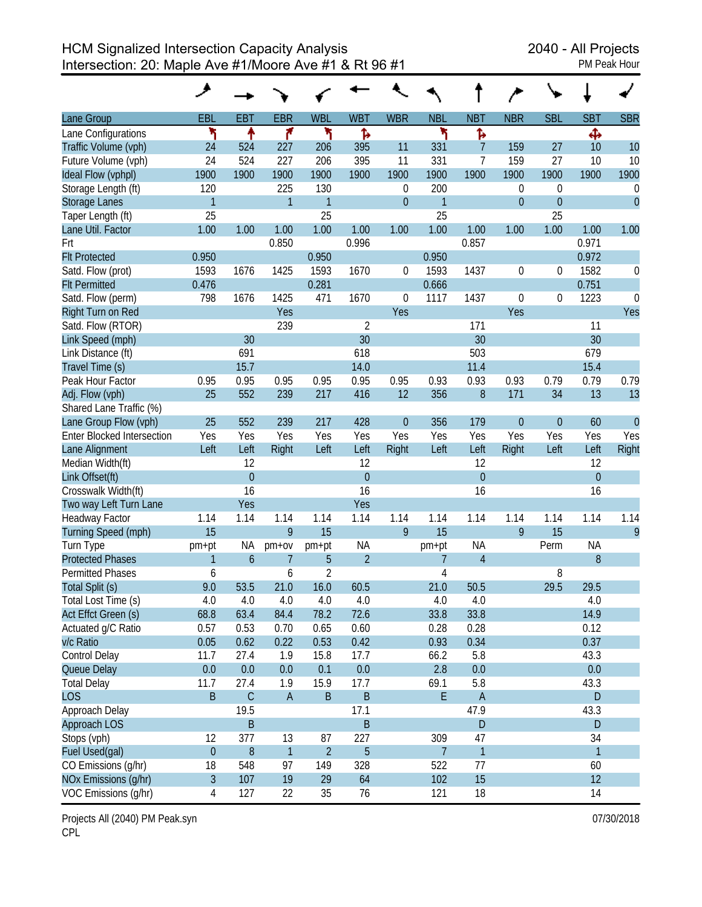| <b>PM Peak Hour</b> |  |
|---------------------|--|

|                                   | ۶              |                |                |                |                |                |                |                |            |                  |                |                  |
|-----------------------------------|----------------|----------------|----------------|----------------|----------------|----------------|----------------|----------------|------------|------------------|----------------|------------------|
| Lane Group                        | EBL            | <b>EBT</b>     | <b>EBR</b>     | <b>WBL</b>     | <b>WBT</b>     | <b>WBR</b>     | <b>NBL</b>     | <b>NBT</b>     | <b>NBR</b> | <b>SBL</b>       | <b>SBT</b>     | <b>SBR</b>       |
| Lane Configurations               | ۲              | ↟              | ۴              | ۲              | Ъ              |                | ۲              | Ъ              |            |                  | Ф              |                  |
| Traffic Volume (vph)              | 24             | 524            | 227            | 206            | 395            | 11             | 331            | 7              | 159        | 27               | 10             | 10               |
| Future Volume (vph)               | 24             | 524            | 227            | 206            | 395            | 11             | 331            | 7              | 159        | 27               | 10             | 10               |
| Ideal Flow (vphpl)                | 1900           | 1900           | 1900           | 1900           | 1900           | 1900           | 1900           | 1900           | 1900       | 1900             | 1900           | 1900             |
| Storage Length (ft)               | 120            |                | 225            | 130            |                | 0              | 200            |                | 0          | $\boldsymbol{0}$ |                | $\boldsymbol{0}$ |
| <b>Storage Lanes</b>              | $\overline{1}$ |                | $\mathbf{1}$   | $\mathbf{1}$   |                | $\overline{0}$ | 1              |                | $\theta$   | $\theta$         |                | $\overline{0}$   |
| Taper Length (ft)                 | 25             |                |                | 25             |                |                | 25             |                |            | 25               |                |                  |
| Lane Util. Factor                 | 1.00           | 1.00           | 1.00           | 1.00           | 1.00           | 1.00           | 1.00           | 1.00           | 1.00       | 1.00             | 1.00           | 1.00             |
| Frt                               |                |                | 0.850          |                | 0.996          |                |                | 0.857          |            |                  | 0.971          |                  |
| <b>Flt Protected</b>              | 0.950          |                |                | 0.950          |                |                | 0.950          |                |            |                  | 0.972          |                  |
| Satd. Flow (prot)                 | 1593           | 1676           | 1425           | 1593           | 1670           | 0              | 1593           | 1437           | 0          | 0                | 1582           | 0                |
| <b>Flt Permitted</b>              | 0.476          |                |                | 0.281          |                |                | 0.666          |                |            |                  | 0.751          |                  |
| Satd. Flow (perm)                 | 798            | 1676           | 1425           | 471            | 1670           | 0              | 1117           | 1437           | 0          | $\boldsymbol{0}$ | 1223           | 0                |
| Right Turn on Red                 |                |                | Yes            |                |                | Yes            |                |                | Yes        |                  |                | Yes              |
| Satd. Flow (RTOR)                 |                |                | 239            |                | 2              |                |                | 171            |            |                  | 11             |                  |
| Link Speed (mph)                  |                | 30             |                |                | 30             |                |                | 30             |            |                  | 30             |                  |
| Link Distance (ft)                |                | 691            |                |                | 618            |                |                | 503            |            |                  | 679            |                  |
| Travel Time (s)                   |                | 15.7           |                |                | 14.0           |                |                | 11.4           |            |                  | 15.4           |                  |
| Peak Hour Factor                  | 0.95           | 0.95           | 0.95           | 0.95           | 0.95           | 0.95           | 0.93           | 0.93           | 0.93       | 0.79             | 0.79           | 0.79             |
| Adj. Flow (vph)                   | 25             | 552            | 239            | 217            | 416            | 12             | 356            | 8              | 171        | 34               | 13             | 13               |
| Shared Lane Traffic (%)           |                |                |                |                |                |                |                |                |            |                  |                |                  |
| Lane Group Flow (vph)             | 25             | 552            | 239            | 217            | 428            | $\theta$       | 356            | 179            | $\theta$   | $\boldsymbol{0}$ | 60             | $\theta$         |
| <b>Enter Blocked Intersection</b> | Yes            | Yes            | Yes            | Yes            | Yes            | Yes            | Yes            | Yes            | Yes        | Yes              | Yes            | Yes              |
| Lane Alignment                    | Left           | Left           | Right          | Left           | Left           | Right          | Left           | Left           | Right      | Left             | Left           | Right            |
| Median Width(ft)                  |                | 12             |                |                | 12             |                |                | 12             |            |                  | 12             |                  |
| Link Offset(ft)                   |                | $\overline{0}$ |                |                | $\overline{0}$ |                |                | $\overline{0}$ |            |                  | $\overline{0}$ |                  |
| Crosswalk Width(ft)               |                | 16             |                |                | 16             |                |                | 16             |            |                  | 16             |                  |
| Two way Left Turn Lane            |                | Yes            |                |                | Yes            |                |                |                |            |                  |                |                  |
| Headway Factor                    | 1.14           | 1.14           | 1.14           | 1.14           | 1.14           | 1.14           | 1.14           | 1.14           | 1.14       | 1.14             | 1.14           | 1.14             |
| Turning Speed (mph)               | 15             |                | 9              | 15             |                | 9              | 15             |                | 9          | 15               |                | 9                |
| Turn Type                         | pm+pt          | <b>NA</b>      | $pm+ov$        | pm+pt          | <b>NA</b>      |                | pm+pt          | <b>NA</b>      |            | Perm             | <b>NA</b>      |                  |
| <b>Protected Phases</b>           | $\mathbf{1}$   | 6              | $\overline{7}$ | 5              | $\overline{2}$ |                | 7              | $\overline{4}$ |            |                  | 8              |                  |
| <b>Permitted Phases</b>           | 6              |                | 6              | 2              |                |                | 4              |                |            | 8                |                |                  |
| Total Split (s)                   | 9.0            | 53.5           | 21.0           | 16.0           | 60.5           |                | 21.0           | 50.5           |            | 29.5             | 29.5           |                  |
| Total Lost Time (s)               | 4.0            | 4.0            | 4.0            | 4.0            | 4.0            |                | 4.0            | 4.0            |            |                  | 4.0            |                  |
| Act Effct Green (s)               | 68.8           | 63.4           | 84.4           | 78.2           | 72.6           |                | 33.8           | 33.8           |            |                  | 14.9           |                  |
| Actuated g/C Ratio                | 0.57           | 0.53           | 0.70           | 0.65           | 0.60           |                | 0.28           | 0.28           |            |                  | 0.12           |                  |
| v/c Ratio                         | 0.05           | 0.62           | 0.22           | 0.53           | 0.42           |                | 0.93           | 0.34           |            |                  | 0.37           |                  |
| Control Delay                     | 11.7           | 27.4           | 1.9            | 15.8           | 17.7           |                | 66.2           | 5.8            |            |                  | 43.3           |                  |
| Queue Delay                       | 0.0            | 0.0            | 0.0            | 0.1            | 0.0            |                | 2.8            | 0.0            |            |                  | 0.0            |                  |
| <b>Total Delay</b>                | 11.7           | 27.4           | 1.9            | 15.9           | 17.7           |                | 69.1           | 5.8            |            |                  | 43.3           |                  |
| <b>LOS</b>                        | B              | $\mathsf C$    | $\overline{A}$ | $\sf B$        | $\sf B$        |                | E              | $\overline{A}$ |            |                  | D              |                  |
| Approach Delay                    |                | 19.5           |                |                | 17.1           |                |                | 47.9           |            |                  | 43.3           |                  |
| Approach LOS                      |                | B              |                |                | $\sf B$        |                |                | $\mathsf{D}$   |            |                  | D              |                  |
| Stops (vph)                       | 12             | 377            | 13             | 87             | 227            |                | 309            | 47             |            |                  | 34             |                  |
| Fuel Used(gal)                    | $\theta$       | 8              | $\overline{1}$ | $\overline{2}$ | $\overline{5}$ |                | $\overline{7}$ | 1              |            |                  | $\mathbf{1}$   |                  |
| CO Emissions (g/hr)               | 18             | 548            | 97             | 149            | 328            |                | 522            | 77             |            |                  | 60             |                  |
| NOx Emissions (g/hr)              | $\overline{3}$ | 107            | 19             | 29             | 64             |                | 102            | 15             |            |                  | 12             |                  |
| VOC Emissions (g/hr)              | 4              | 127            | 22             | 35             | 76             |                | 121            | 18             |            |                  | 14             |                  |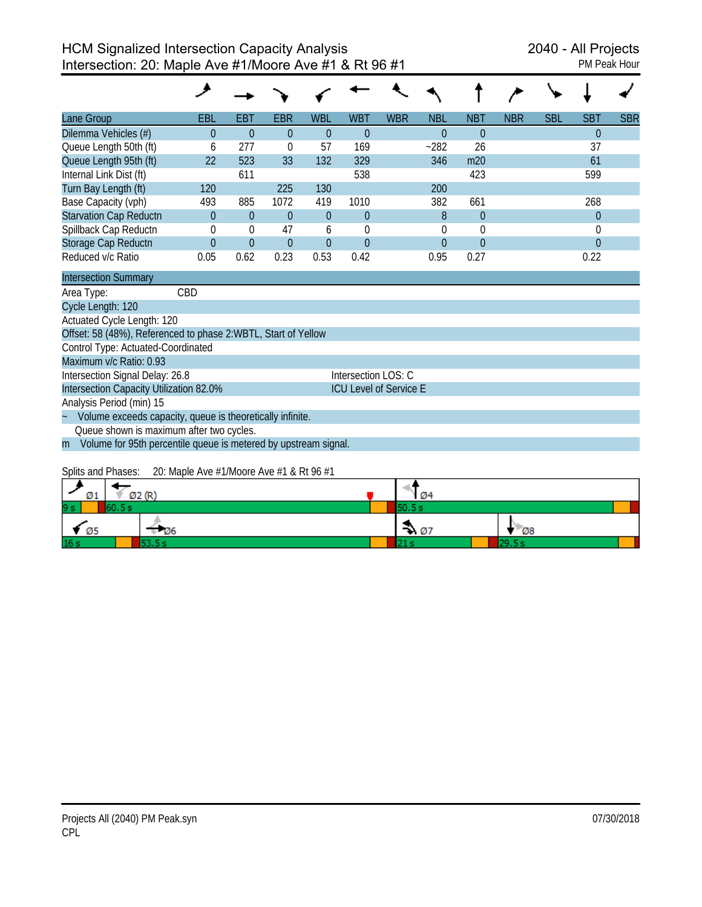| Lane Group                    | <b>EBL</b> | <b>EBT</b> | <b>EBR</b> | <b>WBL</b>     | <b>WBT</b> | <b>WBR</b> | <b>NBL</b> | <b>NBT</b> | <b>NBR</b> | <b>SBL</b> | <b>SBT</b> | <b>SBR</b> |
|-------------------------------|------------|------------|------------|----------------|------------|------------|------------|------------|------------|------------|------------|------------|
| Dilemma Vehicles (#)          | 0          | $\Omega$   | $\Omega$   | $\theta$       | $\Omega$   |            | $\Omega$   | $\Omega$   |            |            | $\theta$   |            |
| Queue Length 50th (ft)        | 6          | 277        | $\theta$   | 57             | 169        |            | $-282$     | 26         |            |            | 37         |            |
| Queue Length 95th (ft)        | 22         | 523        | 33         | 132            | 329        |            | 346        | m20        |            |            | 61         |            |
| Internal Link Dist (ft)       |            | 611        |            |                | 538        |            |            | 423        |            |            | 599        |            |
| Turn Bay Length (ft)          | 120        |            | 225        | 130            |            |            | 200        |            |            |            |            |            |
| Base Capacity (vph)           | 493        | 885        | 1072       | 419            | 1010       |            | 382        | 661        |            |            | 268        |            |
| <b>Starvation Cap Reductn</b> | 0          | $\theta$   | $\Omega$   | $\overline{0}$ | $\Omega$   |            | 8          | $\Omega$   |            |            | $\theta$   |            |
| Spillback Cap Reductn         | 0          | $\theta$   | 47         | 6              |            |            |            | $\Omega$   |            |            | 0          |            |
| Storage Cap Reductn           | $\Omega$   | $\theta$   | $\theta$   | $\overline{0}$ | $\Omega$   |            | 0          | $\Omega$   |            |            | $\theta$   |            |
| Reduced v/c Ratio             | 0.05       | 0.62       | 0.23       | 0.53           | 0.42       |            | 0.95       | 0.27       |            |            | 0.22       |            |
| <b>Intersection Summary</b>   |            |            |            |                |            |            |            |            |            |            |            |            |
| Area Type:                    | CBD        |            |            |                |            |            |            |            |            |            |            |            |

| Cycle Length: 120                                                   |                                                                   |  |  |  |  |  |  |
|---------------------------------------------------------------------|-------------------------------------------------------------------|--|--|--|--|--|--|
| Actuated Cycle Length: 120                                          |                                                                   |  |  |  |  |  |  |
| Offset: 58 (48%), Referenced to phase 2:WBTL, Start of Yellow       |                                                                   |  |  |  |  |  |  |
| Control Type: Actuated-Coordinated                                  |                                                                   |  |  |  |  |  |  |
| Maximum v/c Ratio: 0.93                                             |                                                                   |  |  |  |  |  |  |
| Intersection Signal Delay: 26.8                                     | Intersection LOS: C                                               |  |  |  |  |  |  |
| Intersection Capacity Utilization 82.0%                             | <b>ICU Level of Service E</b>                                     |  |  |  |  |  |  |
| Analysis Period (min) 15                                            |                                                                   |  |  |  |  |  |  |
| Volume exceeds capacity, queue is theoretically infinite.<br>$\sim$ |                                                                   |  |  |  |  |  |  |
| Queue shown is maximum after two cycles.                            |                                                                   |  |  |  |  |  |  |
|                                                                     | m Volume for 95th percentile queue is metered by upstream signal. |  |  |  |  |  |  |
|                                                                     |                                                                   |  |  |  |  |  |  |

## Splits and Phases: 20: Maple Ave #1/Moore Ave #1 & Rt 96 #1

| Ø1             | Ø2 (R) | 1 Ø4             |             |  |  |  |  |
|----------------|--------|------------------|-------------|--|--|--|--|
| 9 <sub>s</sub> | 60.5 s | 50.5 s           |             |  |  |  |  |
| - Ø5           | ≑ Ø6   | $\rightarrow 07$ | $\sqrt{28}$ |  |  |  |  |
| 16s            | no ni  |                  | 29.5 s      |  |  |  |  |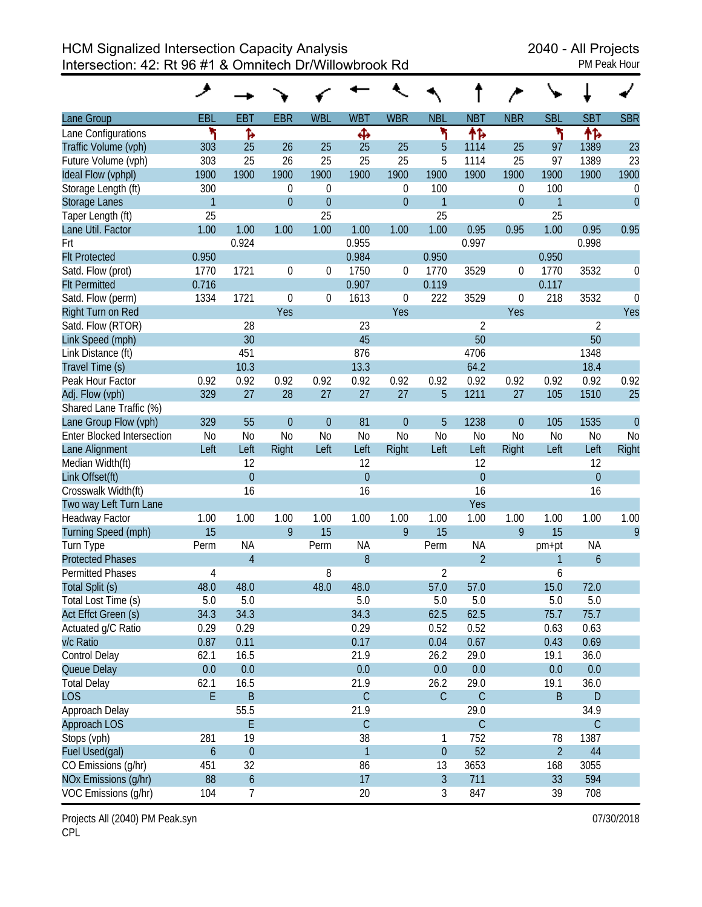HCM Signalized Intersection Capacity Analysis<br>Intersection: 42: Rt 96 #1 & Omnitech Dr/Willowbrook Rd PM Peak Hour Intersection: 42: Rt 96 #1 & Omnitech Dr/Willowbrook Rd

|                                   | عر               |                  |                |                  |                |                  |                |                |                |                |                |                |
|-----------------------------------|------------------|------------------|----------------|------------------|----------------|------------------|----------------|----------------|----------------|----------------|----------------|----------------|
| Lane Group                        | EBL              | EBT              | <b>EBR</b>     | <b>WBL</b>       | <b>WBT</b>     | <b>WBR</b>       | <b>NBL</b>     | <b>NBT</b>     | <b>NBR</b>     | <b>SBL</b>     | <b>SBT</b>     | <b>SBR</b>     |
| Lane Configurations               | ۲                | ħ                |                |                  | Ф              |                  | ۲              | 怍              |                | ۲              | 怍              |                |
| Traffic Volume (vph)              | 303              | 25               | 26             | 25               | 25             | 25               | 5              | 1114           | 25             | 97             | 1389           | 23             |
| Future Volume (vph)               | 303              | 25               | 26             | 25               | 25             | 25               | 5              | 1114           | 25             | 97             | 1389           | 23             |
| Ideal Flow (vphpl)                | 1900             | 1900             | 1900           | 1900             | 1900           | 1900             | 1900           | 1900           | 1900           | 1900           | 1900           | 1900           |
| Storage Length (ft)               | 300              |                  | 0              | $\theta$         |                | 0                | 100            |                | $\theta$       | 100            |                | 0              |
| <b>Storage Lanes</b>              | $\overline{1}$   |                  | $\overline{0}$ | $\overline{0}$   |                | $\overline{0}$   | $\mathbf{1}$   |                | $\overline{0}$ | $\mathbf{1}$   |                | $\mathbf{0}$   |
| Taper Length (ft)                 | 25               |                  |                | 25               |                |                  | 25             |                |                | 25             |                |                |
| Lane Util. Factor                 | 1.00             | 1.00             | 1.00           | 1.00             | 1.00           | 1.00             | 1.00           | 0.95           | 0.95           | 1.00           | 0.95           | 0.95           |
| Frt                               |                  | 0.924            |                |                  | 0.955          |                  |                | 0.997          |                |                | 0.998          |                |
| <b>Flt Protected</b>              | 0.950            |                  |                |                  | 0.984          |                  | 0.950          |                |                | 0.950          |                |                |
| Satd. Flow (prot)                 | 1770             | 1721             | 0              | $\theta$         | 1750           | 0                | 1770           | 3529           | $\mathbf 0$    | 1770           | 3532           | 0              |
| <b>Flt Permitted</b>              | 0.716            |                  |                |                  | 0.907          |                  | 0.119          |                |                | 0.117          |                |                |
| Satd. Flow (perm)                 | 1334             | 1721             | $\mathbf 0$    | $\boldsymbol{0}$ | 1613           | $\boldsymbol{0}$ | 222            | 3529           | $\mathbf 0$    | 218            | 3532           | $\mathbf 0$    |
| Right Turn on Red                 |                  |                  | Yes            |                  |                | Yes              |                |                | Yes            |                |                | Yes            |
| Satd. Flow (RTOR)                 |                  | 28               |                |                  | 23             |                  |                | $\overline{2}$ |                |                | $\overline{2}$ |                |
| Link Speed (mph)                  |                  | 30               |                |                  | 45             |                  |                | 50             |                |                | 50             |                |
| Link Distance (ft)                |                  | 451              |                |                  | 876            |                  |                | 4706           |                |                | 1348           |                |
| Travel Time (s)                   |                  | 10.3             |                |                  | 13.3           |                  |                | 64.2           |                |                | 18.4           |                |
| Peak Hour Factor                  | 0.92             | 0.92             | 0.92           | 0.92             | 0.92           | 0.92             | 0.92           | 0.92           | 0.92           | 0.92           | 0.92           | 0.92           |
| Adj. Flow (vph)                   | 329              | 27               | 28             | 27               | 27             | 27               | 5              | 1211           | 27             | 105            | 1510           | 25             |
| Shared Lane Traffic (%)           |                  |                  |                |                  |                |                  |                |                |                |                |                |                |
| Lane Group Flow (vph)             | 329              | 55               | $\overline{0}$ | $\theta$         | 81             | $\overline{0}$   | 5              | 1238           | $\overline{0}$ | 105            | 1535           | $\overline{0}$ |
| <b>Enter Blocked Intersection</b> | <b>No</b>        | N <sub>0</sub>   | N <sub>0</sub> | N <sub>o</sub>   | N <sub>0</sub> | N <sub>0</sub>   | <b>No</b>      | No             | N <sub>0</sub> | <b>No</b>      | N <sub>0</sub> | N <sub>0</sub> |
| Lane Alignment                    | Left             | Left             | Right          | Left             | Left           | Right            | Left           | Left           | Right          | Left           | Left           | Right          |
| Median Width(ft)                  |                  | 12               |                |                  | 12             |                  |                | 12             |                |                | 12             |                |
| Link Offset(ft)                   |                  | $\overline{0}$   |                |                  | $\overline{0}$ |                  |                | $\overline{0}$ |                |                | $\overline{0}$ |                |
| Crosswalk Width(ft)               |                  | 16               |                |                  | 16             |                  |                | 16             |                |                | 16             |                |
| Two way Left Turn Lane            |                  |                  |                |                  |                |                  |                | Yes            |                |                |                |                |
| Headway Factor                    | 1.00             | 1.00             | 1.00           | 1.00             | 1.00           | 1.00             | 1.00           | 1.00           | 1.00           | 1.00           | 1.00           | 1.00           |
| Turning Speed (mph)               | 15               |                  | 9              | 15               |                | 9                | 15             |                | 9              | 15             |                | 9              |
| Turn Type                         | Perm             | <b>NA</b>        |                | Perm             | <b>NA</b>      |                  | Perm           | <b>NA</b>      |                | pm+pt          | <b>NA</b>      |                |
| <b>Protected Phases</b>           |                  | $\overline{4}$   |                |                  | 8              |                  |                | $\overline{2}$ |                | 1              | 6              |                |
| <b>Permitted Phases</b>           | 4                |                  |                | 8                |                |                  | $\overline{2}$ |                |                | 6              |                |                |
| Total Split (s)                   | 48.0             | 48.0             |                | 48.0             | 48.0           |                  | 57.0           | 57.0           |                | 15.0           | 72.0           |                |
| Total Lost Time (s)               | 5.0              | 5.0              |                |                  | 5.0            |                  | 5.0            | 5.0            |                | 5.0            | 5.0            |                |
| Act Effct Green (s)               | 34.3             | 34.3             |                |                  | 34.3           |                  | 62.5           | 62.5           |                | 75.7           | 75.7           |                |
| Actuated g/C Ratio                | 0.29             | 0.29             |                |                  | 0.29           |                  | 0.52           | 0.52           |                | 0.63           | 0.63           |                |
| v/c Ratio                         | 0.87             | 0.11             |                |                  | 0.17           |                  | 0.04           | 0.67           |                | 0.43           | 0.69           |                |
| Control Delay                     | 62.1             | 16.5             |                |                  | 21.9           |                  | 26.2           | 29.0           |                | 19.1           | 36.0           |                |
| Queue Delay                       | 0.0              | 0.0              |                |                  | 0.0            |                  | 0.0            | 0.0            |                | 0.0            | 0.0            |                |
| <b>Total Delay</b>                | 62.1             | 16.5             |                |                  | 21.9           |                  | 26.2           | 29.0           |                | 19.1           | 36.0           |                |
| <b>LOS</b>                        | E.               | $\sf B$          |                |                  | $\mathsf C$    |                  | $\mathsf{C}$   | $\mathsf C$    |                | B              | D              |                |
| Approach Delay                    |                  | 55.5             |                |                  | 21.9           |                  |                | 29.0           |                |                | 34.9           |                |
| Approach LOS                      |                  | E                |                |                  | $\mathsf C$    |                  |                | $\mathsf C$    |                |                | $\mathsf C$    |                |
| Stops (vph)                       | 281              | 19               |                |                  | 38             |                  | 1              | 752            |                | 78             | 1387           |                |
| Fuel Used(gal)                    | $\boldsymbol{6}$ | $\boldsymbol{0}$ |                |                  | $\mathbf{1}$   |                  | $\mathbf 0$    | 52             |                | $\overline{2}$ | 44             |                |
| CO Emissions (g/hr)               | 451              | 32               |                |                  | 86             |                  | 13             | 3653           |                | 168            | 3055           |                |
| NOx Emissions (g/hr)              | 88               | $\boldsymbol{6}$ |                |                  | 17             |                  | $\overline{3}$ | 711            |                | 33             | 594            |                |
| VOC Emissions (g/hr)              | 104              | 7                |                |                  | 20             |                  | 3              | 847            |                | 39             | 708            |                |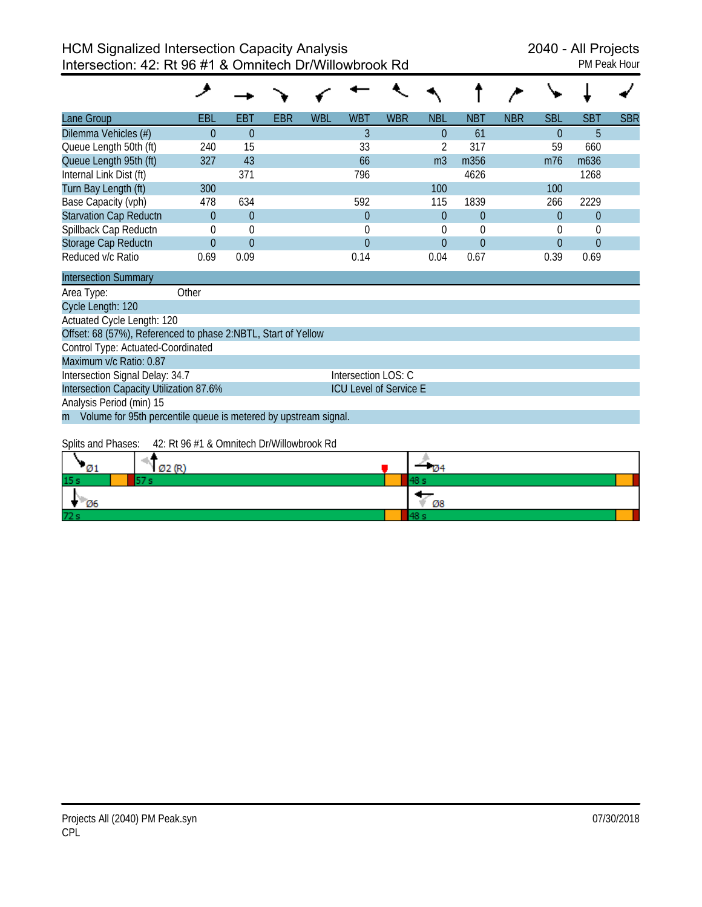| PM Peak Hour |  |
|--------------|--|
|              |  |

| Lane Group                                         | <b>EBL</b> | EBT            | <b>EBR</b> | <b>WBL</b> | <b>WBT</b> | <b>WBR</b> | <b>NBL</b>     | <b>NBT</b> | <b>NBR</b> | <b>SBL</b> | <b>SBT</b>       | <b>SBR</b> |
|----------------------------------------------------|------------|----------------|------------|------------|------------|------------|----------------|------------|------------|------------|------------------|------------|
| Dilemma Vehicles (#)                               |            | $\theta$       |            |            |            |            | 0              | 61         |            | $\theta$   | 5                |            |
| Queue Length 50th (ft)                             | 240        | 15             |            |            | 33         |            |                | 317        |            | 59         | 660              |            |
| Queue Length 95th (ft)                             | 327        | 43             |            |            | 66         |            | m <sub>3</sub> | m356       |            | m76        | m <sub>636</sub> |            |
| Internal Link Dist (ft)                            |            | 371            |            |            | 796        |            |                | 4626       |            |            | 1268             |            |
| Turn Bay Length (ft)                               | 300        |                |            |            |            |            | 100            |            |            | 100        |                  |            |
| Base Capacity (vph)                                | 478        | 634            |            |            | 592        |            | 115            | 1839       |            | 266        | 2229             |            |
| <b>Starvation Cap Reductn</b>                      | 0          | $\overline{0}$ |            |            | 0          |            | $\Omega$       | $\Omega$   |            | $\Omega$   | $\theta$         |            |
| Spillback Cap Reductn                              | $\Omega$   | $\mathbf 0$    |            |            |            |            |                | $\Omega$   |            | $\Omega$   | $\Omega$         |            |
| Storage Cap Reductn                                | $\Omega$   | $\theta$       |            |            | $\Omega$   |            | $\Omega$       | $\Omega$   |            | $\theta$   | $\theta$         |            |
| Reduced v/c Ratio<br>the control of the control of | 0.69       | 0.09           |            |            | 0.14       |            | 0.04           | 0.67       |            | 0.39       | 0.69             |            |

| <b>Intersection Summary</b>                                       |                               |
|-------------------------------------------------------------------|-------------------------------|
| Area Type:<br>Other                                               |                               |
| Cycle Length: 120                                                 |                               |
| Actuated Cycle Length: 120                                        |                               |
| Offset: 68 (57%), Referenced to phase 2:NBTL, Start of Yellow     |                               |
| Control Type: Actuated-Coordinated                                |                               |
| Maximum v/c Ratio: 0.87                                           |                               |
| Intersection Signal Delay: 34.7                                   | Intersection LOS: C           |
| Intersection Capacity Utilization 87.6%                           | <b>ICU Level of Service E</b> |
| Analysis Period (min) 15                                          |                               |
| m Volume for 95th percentile queue is metered by upstream signal. |                               |

## Splits and Phases: 42: Rt 96 #1 & Omnitech Dr/Willowbrook Rd

| Ø1              | Ø2(R) | - 174 |  |
|-----------------|-------|-------|--|
| 15 <sub>s</sub> | --    |       |  |
| Ø6              |       | Ø8    |  |
| 72s             |       |       |  |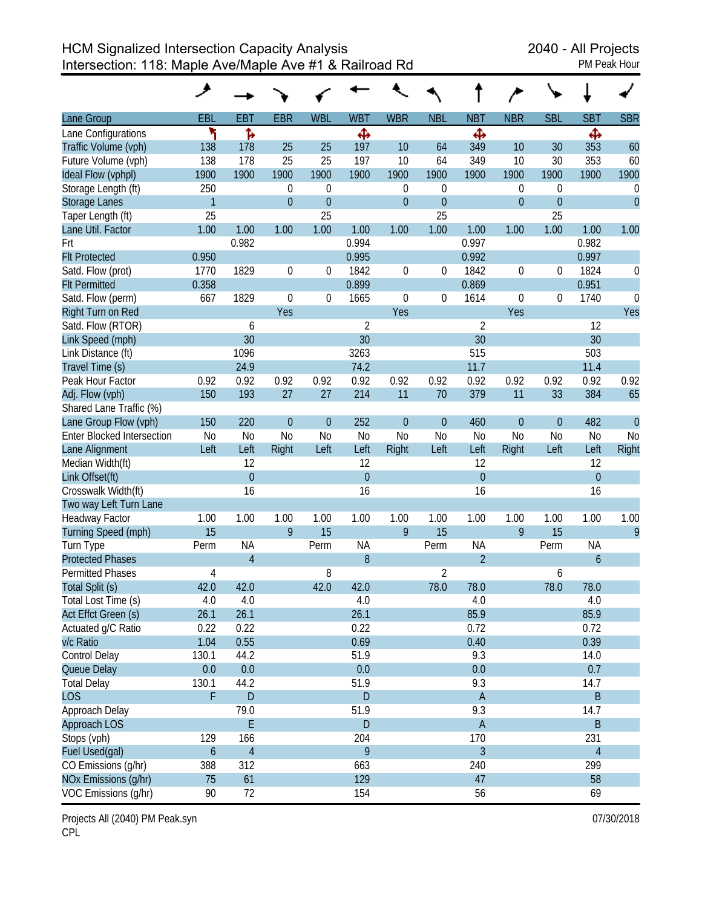HCM Signalized Intersection Capacity Analysis<br>Intersection: 118: Maple Ave/Maple Ave #1 & Railroad Rd PM Peak Hour Intersection: 118: Maple Ave/Maple Ave #1 & Railroad Rd

| Lane Group                        | EBL            | <b>EBT</b>     | <b>EBR</b>       | <b>WBL</b>       | <b>WBT</b>     | <b>WBR</b>       | <b>NBL</b>     | <b>NBT</b>       | <b>NBR</b>       | <b>SBL</b>       | <b>SBT</b>       | <b>SBR</b>     |
|-----------------------------------|----------------|----------------|------------------|------------------|----------------|------------------|----------------|------------------|------------------|------------------|------------------|----------------|
| Lane Configurations               | ٦              | Ъ              |                  |                  | Ф              |                  |                | Ф                |                  |                  | Ф                |                |
| Traffic Volume (vph)              | 138            | 178            | 25               | 25               | 197            | 10               | 64             | 349              | 10               | 30               | 353              | 60             |
| Future Volume (vph)               | 138            | 178            | 25               | 25               | 197            | 10               | 64             | 349              | 10               | 30               | 353              | 60             |
| Ideal Flow (vphpl)                | 1900           | 1900           | 1900             | 1900             | 1900           | 1900             | 1900           | 1900             | 1900             | 1900             | 1900             | 1900           |
| Storage Length (ft)               | 250            |                | $\boldsymbol{0}$ | $\mathbf 0$      |                | $\mathbf 0$      | 0              |                  | 0                | 0                |                  | 0              |
| <b>Storage Lanes</b>              | $\mathbf{1}$   |                | $\overline{0}$   | $\theta$         |                | $\mathbf{0}$     | $\mathbf{0}$   |                  | $\overline{0}$   | $\overline{0}$   |                  | $\overline{0}$ |
| Taper Length (ft)                 | 25             |                |                  | 25               |                |                  | 25             |                  |                  | 25               |                  |                |
| Lane Util. Factor                 | 1.00           | 1.00           | 1.00             | 1.00             | 1.00           | 1.00             | 1.00           | 1.00             | 1.00             | 1.00             | 1.00             | 1.00           |
| Frt                               |                | 0.982          |                  |                  | 0.994          |                  |                | 0.997            |                  |                  | 0.982            |                |
| <b>Flt Protected</b>              | 0.950          |                |                  |                  | 0.995          |                  |                | 0.992            |                  |                  | 0.997            |                |
| Satd. Flow (prot)                 | 1770           | 1829           | $\boldsymbol{0}$ | 0                | 1842           | $\boldsymbol{0}$ | 0              | 1842             | $\boldsymbol{0}$ | 0                | 1824             | 0              |
| <b>Flt Permitted</b>              | 0.358          |                |                  |                  | 0.899          |                  |                | 0.869            |                  |                  | 0.951            |                |
| Satd. Flow (perm)                 | 667            | 1829           | $\mathbf 0$      | $\boldsymbol{0}$ | 1665           | $\mathbf 0$      | 0              | 1614             | $\boldsymbol{0}$ | 0                | 1740             | $\mathbf 0$    |
| Right Turn on Red                 |                |                | Yes              |                  |                | Yes              |                |                  | Yes              |                  |                  | Yes            |
| Satd. Flow (RTOR)                 |                | 6              |                  |                  | 2              |                  |                | $\overline{2}$   |                  |                  | 12               |                |
| Link Speed (mph)                  |                | 30             |                  |                  | 30             |                  |                | 30               |                  |                  | 30               |                |
| Link Distance (ft)                |                | 1096           |                  |                  | 3263           |                  |                | 515              |                  |                  | 503              |                |
| Travel Time (s)                   |                | 24.9           |                  |                  | 74.2           |                  |                | 11.7             |                  |                  | 11.4             |                |
| Peak Hour Factor                  | 0.92           | 0.92           | 0.92             | 0.92             | 0.92           | 0.92             | 0.92           | 0.92             | 0.92             | 0.92             | 0.92             | 0.92           |
| Adj. Flow (vph)                   | 150            | 193            | 27               | 27               | 214            | 11               | 70             | 379              | 11               | 33               | 384              | 65             |
| Shared Lane Traffic (%)           |                |                |                  |                  |                |                  |                |                  |                  |                  |                  |                |
| Lane Group Flow (vph)             | 150            | 220            | $\overline{0}$   | $\boldsymbol{0}$ | 252            | $\mathbf{0}$     | $\mathbf{0}$   | 460              | $\overline{0}$   | $\boldsymbol{0}$ | 482              | $\theta$       |
| <b>Enter Blocked Intersection</b> | N <sub>0</sub> | N <sub>0</sub> | N <sub>0</sub>   | N <sub>o</sub>   | N <sub>0</sub> | N <sub>0</sub>   | N <sub>0</sub> | N <sub>0</sub>   | N <sub>0</sub>   | N <sub>0</sub>   | N <sub>0</sub>   | N <sub>0</sub> |
| Lane Alignment                    | Left           | Left           | Right            | Left             | Left           | Right            | Left           | Left             | Right            | Left             | Left             | Right          |
| Median Width(ft)                  |                | 12             |                  |                  | 12             |                  |                | 12               |                  |                  | 12               |                |
| Link Offset(ft)                   |                | $\mathbf 0$    |                  |                  | $\overline{0}$ |                  |                | $\boldsymbol{0}$ |                  |                  | $\boldsymbol{0}$ |                |
| Crosswalk Width(ft)               |                | 16             |                  |                  | 16             |                  |                | 16               |                  |                  | 16               |                |
| Two way Left Turn Lane            |                |                |                  |                  |                |                  |                |                  |                  |                  |                  |                |
| Headway Factor                    | 1.00           | 1.00           | 1.00             | 1.00             | 1.00           | 1.00             | 1.00           | 1.00             | 1.00             | 1.00             | 1.00             | 1.00           |
| Turning Speed (mph)               | 15             |                | 9                | 15               |                | 9                | 15             |                  | 9                | 15               |                  | 9              |
| Turn Type                         | Perm           | <b>NA</b>      |                  | Perm             | <b>NA</b>      |                  | Perm           | <b>NA</b>        |                  | Perm             | <b>NA</b>        |                |
| <b>Protected Phases</b>           |                | $\overline{4}$ |                  |                  | 8              |                  |                | $\overline{2}$   |                  |                  | $\boldsymbol{6}$ |                |
| <b>Permitted Phases</b>           | 4              |                |                  | 8                |                |                  | $\overline{2}$ |                  |                  | 6                |                  |                |
| Total Split (s)                   | 42.0           | 42.0           |                  | 42.0             | 42.0           |                  | 78.0           | 78.0             |                  | 78.0             | 78.0             |                |
| Total Lost Time (s)               | 4.0            | 4.0            |                  |                  | 4.0            |                  |                | 4.0              |                  |                  | 4.0              |                |
| Act Effct Green (s)               | 26.1           | 26.1           |                  |                  | 26.1           |                  |                | 85.9             |                  |                  | 85.9             |                |
| Actuated g/C Ratio                | 0.22           | 0.22           |                  |                  | 0.22           |                  |                | 0.72             |                  |                  | 0.72             |                |
| v/c Ratio                         | 1.04           | 0.55           |                  |                  | 0.69           |                  |                | 0.40             |                  |                  | 0.39             |                |
| Control Delay                     | 130.1          | 44.2           |                  |                  | 51.9           |                  |                | 9.3              |                  |                  | 14.0             |                |
| Queue Delay                       | 0.0            | 0.0            |                  |                  | 0.0            |                  |                | 0.0              |                  |                  | 0.7              |                |
| <b>Total Delay</b>                | 130.1          | 44.2           |                  |                  | 51.9           |                  |                | 9.3              |                  |                  | 14.7             |                |
| <b>LOS</b>                        | F              | $\mathsf D$    |                  |                  | $\mathsf D$    |                  |                | $\mathsf A$      |                  |                  | $\sf B$          |                |
| Approach Delay                    |                | 79.0           |                  |                  | 51.9           |                  |                | 9.3              |                  |                  | 14.7             |                |
| Approach LOS                      |                | E              |                  |                  | $\mathsf{D}$   |                  |                | $\mathsf A$      |                  |                  | $\sf B$          |                |
| Stops (vph)                       | 129            | 166            |                  |                  | 204            |                  |                | 170              |                  |                  | 231              |                |
| Fuel Used(gal)                    | $\mathfrak b$  | $\overline{4}$ |                  |                  | 9              |                  |                | $\overline{3}$   |                  |                  | $\overline{4}$   |                |
| CO Emissions (g/hr)               | 388            | 312            |                  |                  | 663            |                  |                | 240              |                  |                  | 299              |                |
| NOx Emissions (g/hr)              | 75             | 61             |                  |                  | 129            |                  |                | 47               |                  |                  | 58               |                |
| VOC Emissions (g/hr)              | 90             | 72             |                  |                  | 154            |                  |                | 56               |                  |                  | 69               |                |

Projects All (2040) PM Peak.syn 07/30/2018 CPL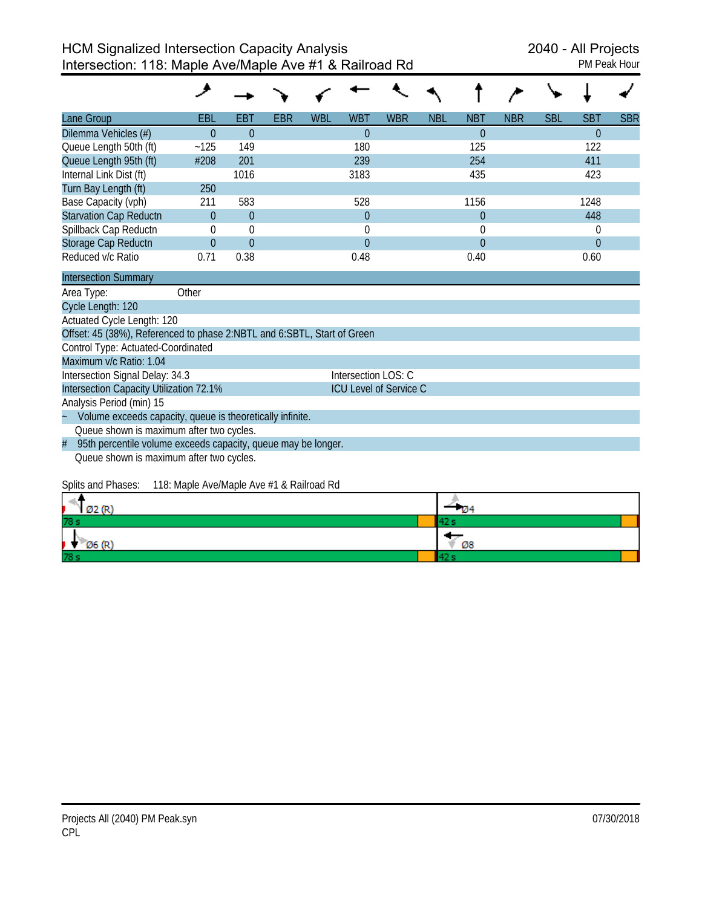| <b>PM Peak Hour</b> |  |
|---------------------|--|
|                     |  |

| Lane Group                                                              | EBL            | <b>EBT</b>     | <b>EBR</b> | <b>WBL</b> | <b>WBT</b>             | <b>WBR</b> | <b>NBL</b> | <b>NBT</b>     | <b>NBR</b> | <b>SBL</b> | <b>SBT</b>     | <b>SBR</b> |
|-------------------------------------------------------------------------|----------------|----------------|------------|------------|------------------------|------------|------------|----------------|------------|------------|----------------|------------|
| Dilemma Vehicles (#)                                                    | $\theta$       | $\theta$       |            |            | $\Omega$               |            |            | $\theta$       |            |            | $\theta$       |            |
| Queue Length 50th (ft)                                                  | ~125           | 149            |            |            | 180                    |            |            | 125            |            |            | 122            |            |
| Queue Length 95th (ft)                                                  | #208           | 201            |            |            | 239                    |            |            | 254            |            |            | 411            |            |
| Internal Link Dist (ft)                                                 |                | 1016           |            |            | 3183                   |            |            | 435            |            |            | 423            |            |
| Turn Bay Length (ft)                                                    | 250            |                |            |            |                        |            |            |                |            |            |                |            |
| Base Capacity (vph)                                                     | 211            | 583            |            |            | 528                    |            |            | 1156           |            |            | 1248           |            |
| <b>Starvation Cap Reductn</b>                                           | $\theta$       | $\overline{0}$ |            |            | $\overline{0}$         |            |            | $\overline{0}$ |            |            | 448            |            |
| Spillback Cap Reductn                                                   | 0              | $\mathbf 0$    |            |            | 0                      |            |            | 0              |            |            | 0              |            |
| Storage Cap Reductn                                                     | $\overline{0}$ | $\overline{0}$ |            |            | $\Omega$               |            |            | $\overline{0}$ |            |            | $\overline{0}$ |            |
| Reduced v/c Ratio                                                       | 0.71           | 0.38           |            |            | 0.48                   |            |            | 0.40           |            |            | 0.60           |            |
| <b>Intersection Summary</b>                                             |                |                |            |            |                        |            |            |                |            |            |                |            |
| Area Type:                                                              | Other          |                |            |            |                        |            |            |                |            |            |                |            |
| Cycle Length: 120                                                       |                |                |            |            |                        |            |            |                |            |            |                |            |
| Actuated Cycle Length: 120                                              |                |                |            |            |                        |            |            |                |            |            |                |            |
| Offset: 45 (38%), Referenced to phase 2:NBTL and 6:SBTL, Start of Green |                |                |            |            |                        |            |            |                |            |            |                |            |
| Control Type: Actuated-Coordinated                                      |                |                |            |            |                        |            |            |                |            |            |                |            |
| Maximum v/c Ratio: 1.04                                                 |                |                |            |            |                        |            |            |                |            |            |                |            |
| Intersection Signal Delay: 34.3                                         |                |                |            |            | Intersection LOS: C    |            |            |                |            |            |                |            |
| Intersection Capacity Utilization 72.1%                                 |                |                |            |            | ICU Level of Service C |            |            |                |            |            |                |            |
| Analysis Period (min) 15                                                |                |                |            |            |                        |            |            |                |            |            |                |            |
| Volume exceeds capacity, queue is theoretically infinite.               |                |                |            |            |                        |            |            |                |            |            |                |            |
| Queue shown is maximum after two cycles.                                |                |                |            |            |                        |            |            |                |            |            |                |            |
| 95th percentile volume exceeds capacity, queue may be longer.<br>#      |                |                |            |            |                        |            |            |                |            |            |                |            |
| Queue shown is maximum after two cycles.                                |                |                |            |            |                        |            |            |                |            |            |                |            |

## Splits and Phases: 118: Maple Ave/Maple Ave #1 & Railroad Rd

| Ø2 (R)              | - 04 |
|---------------------|------|
| 78 s                |      |
| $\varnothing$ 6 (R) | Ø8   |
| 78 s                |      |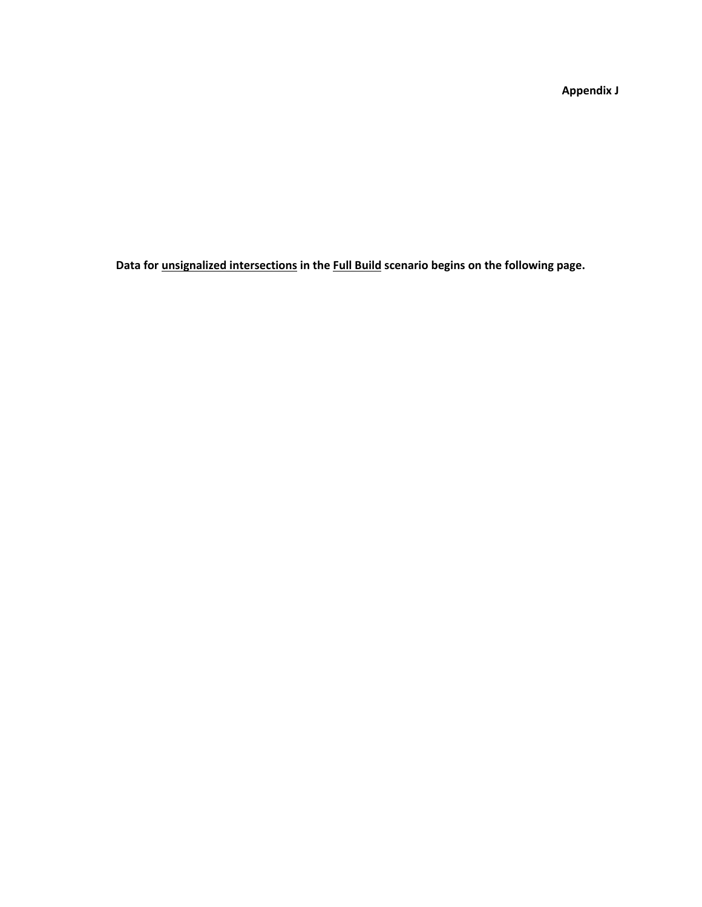**Appendix J**

**Data for unsignalized intersections in the Full Build scenario begins on the following page.**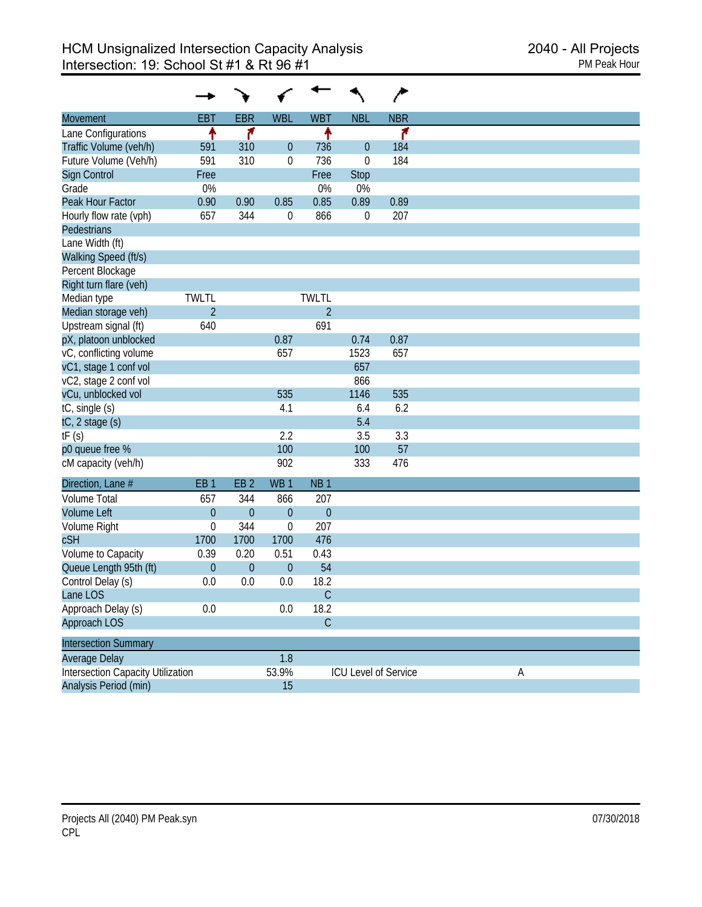|                                          |                 |                 |                 |                 |             | ∕                    |
|------------------------------------------|-----------------|-----------------|-----------------|-----------------|-------------|----------------------|
| Movement                                 | <b>EBT</b>      | <b>EBR</b>      | <b>WBL</b>      | <b>WBT</b>      | <b>NBL</b>  | <b>NBR</b>           |
| Lane Configurations                      | ł               | ۴               |                 | ↟               |             | ۴                    |
| Traffic Volume (veh/h)                   | 591             | 310             | 0               | 736             | $\theta$    | 184                  |
| Future Volume (Veh/h)                    | 591             | 310             | 0               | 736             | $\mathbf 0$ | 184                  |
| Sign Control                             | Free            |                 |                 | Free            | <b>Stop</b> |                      |
| Grade                                    | 0%              |                 |                 | 0%              | 0%          |                      |
| Peak Hour Factor                         | 0.90            | 0.90            | 0.85            | 0.85            | 0.89        | 0.89                 |
| Hourly flow rate (vph)                   | 657             | 344             | 0               | 866             | $\mathbf 0$ | 207                  |
| Pedestrians                              |                 |                 |                 |                 |             |                      |
| Lane Width (ft)                          |                 |                 |                 |                 |             |                      |
| Walking Speed (ft/s)                     |                 |                 |                 |                 |             |                      |
| Percent Blockage                         |                 |                 |                 |                 |             |                      |
| Right turn flare (veh)                   |                 |                 |                 |                 |             |                      |
| Median type                              | <b>TWLTL</b>    |                 |                 | <b>TWLTL</b>    |             |                      |
| Median storage veh)                      | $\overline{2}$  |                 |                 | $\overline{2}$  |             |                      |
| Upstream signal (ft)                     | 640             |                 |                 | 691             |             |                      |
| pX, platoon unblocked                    |                 |                 | 0.87            |                 | 0.74        | 0.87                 |
| vC, conflicting volume                   |                 |                 | 657             |                 | 1523        | 657                  |
| vC1, stage 1 conf vol                    |                 |                 |                 |                 | 657         |                      |
| vC2, stage 2 conf vol                    |                 |                 |                 |                 | 866         |                      |
| vCu, unblocked vol                       |                 |                 | 535             |                 | 1146        | 535                  |
| tC, single (s)                           |                 |                 | 4.1             |                 | 6.4         | 6.2                  |
| tC, 2 stage (s)                          |                 |                 |                 |                 | 5.4         |                      |
| tF(s)                                    |                 |                 | 2.2             |                 | 3.5         | 3.3                  |
| p0 queue free %                          |                 |                 | 100             |                 | 100         | 57                   |
| cM capacity (veh/h)                      |                 |                 | 902             |                 | 333         | 476                  |
| Direction, Lane #                        | EB <sub>1</sub> | EB <sub>2</sub> | WB <sub>1</sub> | NB <sub>1</sub> |             |                      |
| <b>Volume Total</b>                      | 657             | 344             | 866             | 207             |             |                      |
| <b>Volume Left</b>                       | $\mathbf{0}$    | $\overline{0}$  | $\overline{0}$  | $\theta$        |             |                      |
| Volume Right                             | $\mathbf 0$     | 344             | 0               | 207             |             |                      |
| cSH                                      | 1700            | 1700            | 1700            | 476             |             |                      |
| Volume to Capacity                       | 0.39            | 0.20            | 0.51            | 0.43            |             |                      |
| Queue Length 95th (ft)                   | $\theta$        | $\overline{0}$  | $\mathbf{0}$    | 54              |             |                      |
| Control Delay (s)                        | 0.0             | 0.0             | 0.0             | 18.2            |             |                      |
| Lane LOS                                 |                 |                 |                 | $\mathsf C$     |             |                      |
| Approach Delay (s)                       | 0.0             |                 | 0.0             | 18.2            |             |                      |
| Approach LOS                             |                 |                 |                 | $\mathsf C$     |             |                      |
|                                          |                 |                 |                 |                 |             |                      |
| <b>Intersection Summary</b>              |                 |                 |                 |                 |             |                      |
| Average Delay                            |                 |                 | 1.8             |                 |             |                      |
| <b>Intersection Capacity Utilization</b> |                 |                 | 53.9%           |                 |             | ICU Level of Service |
| Analysis Period (min)                    |                 |                 | 15              |                 |             |                      |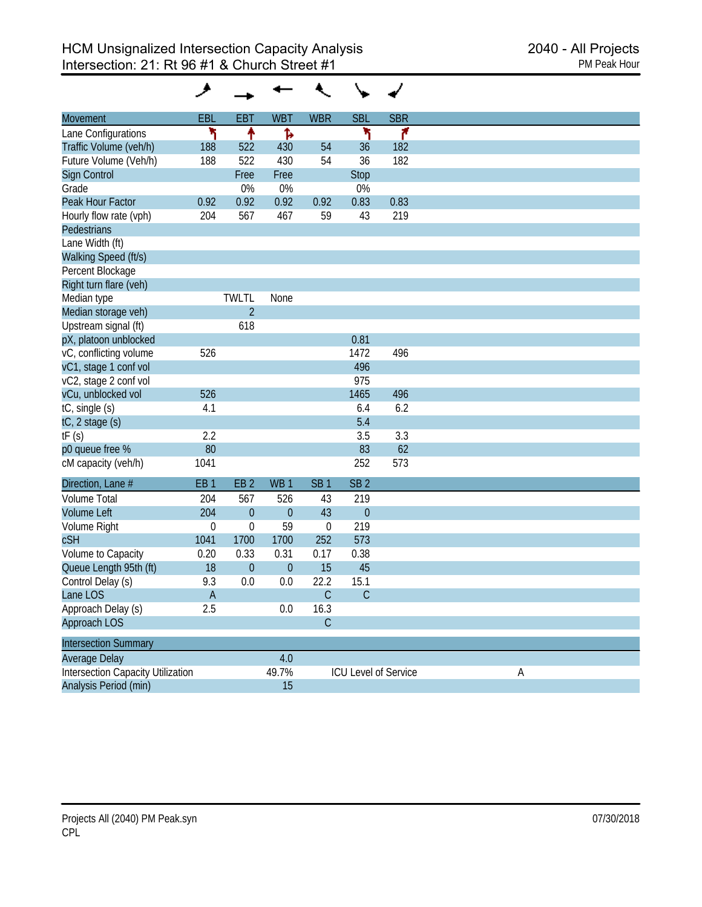| <b>Movement</b>                          | EBL              | <b>EBT</b>       | <b>WBT</b>      | <b>WBR</b>      | <b>SBL</b>           | <b>SBR</b> |
|------------------------------------------|------------------|------------------|-----------------|-----------------|----------------------|------------|
| Lane Configurations                      | ۱                | ↟                | Ъ               |                 | ۲                    | ۴          |
| Traffic Volume (veh/h)                   | 188              | 522              | 430             | 54              | 36                   | 182        |
| Future Volume (Veh/h)                    | 188              | 522              | 430             | 54              | 36                   | 182        |
| <b>Sign Control</b>                      |                  | Free             | Free            |                 | <b>Stop</b>          |            |
| Grade                                    |                  | 0%               | 0%              |                 | 0%                   |            |
| Peak Hour Factor                         | 0.92             | 0.92             | 0.92            | 0.92            | 0.83                 | 0.83       |
| Hourly flow rate (vph)                   | 204              | 567              | 467             | 59              | 43                   | 219        |
| <b>Pedestrians</b>                       |                  |                  |                 |                 |                      |            |
| Lane Width (ft)                          |                  |                  |                 |                 |                      |            |
| Walking Speed (ft/s)                     |                  |                  |                 |                 |                      |            |
| Percent Blockage                         |                  |                  |                 |                 |                      |            |
| Right turn flare (veh)                   |                  |                  |                 |                 |                      |            |
| Median type                              |                  | <b>TWLTL</b>     | None            |                 |                      |            |
| Median storage veh)                      |                  | $\overline{2}$   |                 |                 |                      |            |
| Upstream signal (ft)                     |                  | 618              |                 |                 |                      |            |
| pX, platoon unblocked                    |                  |                  |                 |                 | 0.81                 |            |
| vC, conflicting volume                   | 526              |                  |                 |                 | 1472                 | 496        |
| vC1, stage 1 conf vol                    |                  |                  |                 |                 | 496                  |            |
| vC2, stage 2 conf vol                    |                  |                  |                 |                 | 975                  |            |
| vCu, unblocked vol                       | 526              |                  |                 |                 | 1465                 | 496        |
| tC, single (s)                           | 4.1              |                  |                 |                 | 6.4                  | 6.2        |
| tC, 2 stage (s)                          |                  |                  |                 |                 | 5.4                  |            |
| tF(s)                                    | 2.2              |                  |                 |                 | 3.5                  | 3.3        |
| p0 queue free %                          | 80               |                  |                 |                 | 83                   | 62         |
| cM capacity (veh/h)                      | 1041             |                  |                 |                 | 252                  | 573        |
| Direction, Lane #                        | EB <sub>1</sub>  | EB <sub>2</sub>  | WB <sub>1</sub> | SB <sub>1</sub> | SB <sub>2</sub>      |            |
| <b>Volume Total</b>                      | 204              | 567              | 526             | 43              | 219                  |            |
| <b>Volume Left</b>                       | 204              | $\boldsymbol{0}$ | $\overline{0}$  | 43              | $\theta$             |            |
| Volume Right                             | $\boldsymbol{0}$ | 0                | 59              | $\mathbf 0$     | 219                  |            |
| cSH                                      | 1041             | 1700             | 1700            | 252             | 573                  |            |
| Volume to Capacity                       | 0.20             | 0.33             | 0.31            | 0.17            | 0.38                 |            |
| Queue Length 95th (ft)                   | 18               | $\boldsymbol{0}$ | $\theta$        | 15              | 45                   |            |
| Control Delay (s)                        | 9.3              | 0.0              | 0.0             | 22.2            | 15.1                 |            |
| Lane LOS                                 | A                |                  |                 | C               | $\mathsf{C}$         |            |
| Approach Delay (s)                       | 2.5              |                  | 0.0             | 16.3            |                      |            |
| Approach LOS                             |                  |                  |                 | $\mathsf C$     |                      |            |
| <b>Intersection Summary</b>              |                  |                  |                 |                 |                      |            |
| Average Delay                            |                  |                  | 4.0             |                 |                      |            |
| <b>Intersection Capacity Utilization</b> |                  |                  | 49.7%           |                 | ICU Level of Service |            |
| Analysis Period (min)                    |                  |                  | 15              |                 |                      |            |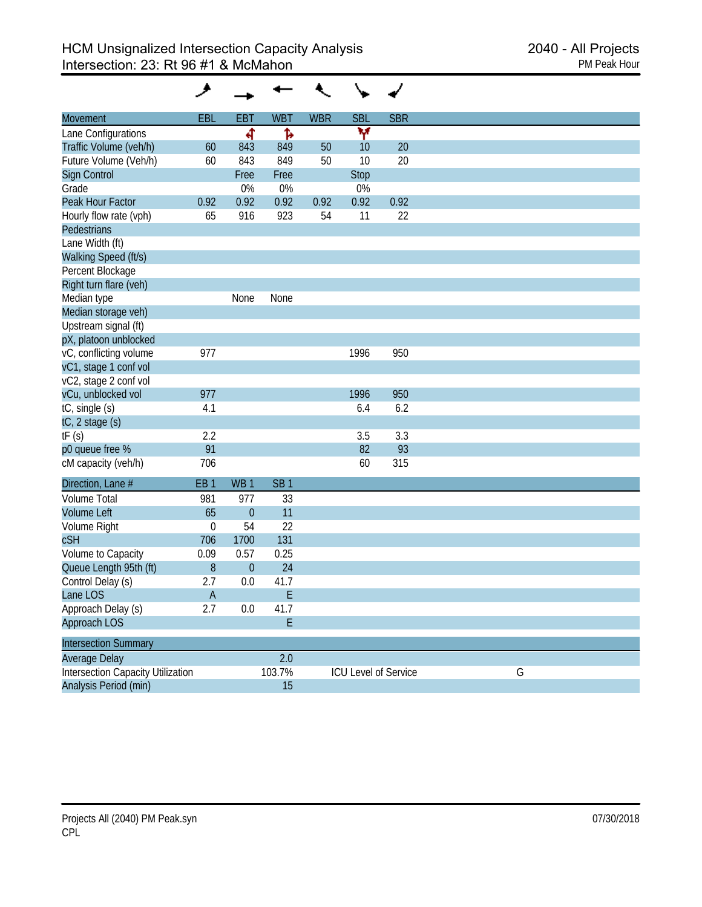| <b>Movement</b>                          | <b>EBL</b>      | <b>EBT</b>       | <b>WBT</b>      | <b>WBR</b> | <b>SBL</b>           | <b>SBR</b> |   |
|------------------------------------------|-----------------|------------------|-----------------|------------|----------------------|------------|---|
| Lane Configurations                      |                 | ৰ                | Ъ               |            | ۷                    |            |   |
| Traffic Volume (veh/h)                   | 60              | 843              | 849             | 50         | 10                   | 20         |   |
| Future Volume (Veh/h)                    | 60              | 843              | 849             | 50         | 10                   | 20         |   |
| Sign Control                             |                 | Free             | Free            |            | Stop                 |            |   |
| Grade                                    |                 | 0%               | 0%              |            | 0%                   |            |   |
| Peak Hour Factor                         | 0.92            | 0.92             | 0.92            | 0.92       | 0.92                 | 0.92       |   |
| Hourly flow rate (vph)                   | 65              | 916              | 923             | 54         | 11                   | 22         |   |
| <b>Pedestrians</b>                       |                 |                  |                 |            |                      |            |   |
| Lane Width (ft)                          |                 |                  |                 |            |                      |            |   |
| Walking Speed (ft/s)                     |                 |                  |                 |            |                      |            |   |
| Percent Blockage                         |                 |                  |                 |            |                      |            |   |
| Right turn flare (veh)                   |                 |                  |                 |            |                      |            |   |
| Median type                              |                 | None             | None            |            |                      |            |   |
| Median storage veh)                      |                 |                  |                 |            |                      |            |   |
| Upstream signal (ft)                     |                 |                  |                 |            |                      |            |   |
| pX, platoon unblocked                    |                 |                  |                 |            |                      |            |   |
| vC, conflicting volume                   | 977             |                  |                 |            | 1996                 | 950        |   |
| vC1, stage 1 conf vol                    |                 |                  |                 |            |                      |            |   |
| vC2, stage 2 conf vol                    |                 |                  |                 |            |                      |            |   |
| vCu, unblocked vol                       | 977             |                  |                 |            | 1996                 | 950        |   |
| tC, single (s)                           | 4.1             |                  |                 |            | 6.4                  | 6.2        |   |
| tC, 2 stage (s)                          |                 |                  |                 |            |                      |            |   |
| tF(s)                                    | 2.2             |                  |                 |            | 3.5                  | 3.3        |   |
| p0 queue free %                          | 91              |                  |                 |            | 82                   | 93         |   |
| cM capacity (veh/h)                      | 706             |                  |                 |            | 60                   | 315        |   |
| Direction, Lane #                        | EB <sub>1</sub> | WB <sub>1</sub>  | SB <sub>1</sub> |            |                      |            |   |
| <b>Volume Total</b>                      | 981             | 977              | 33              |            |                      |            |   |
| <b>Volume Left</b>                       | 65              | $\theta$         | 11              |            |                      |            |   |
| Volume Right                             | $\mathbf 0$     | 54               | 22              |            |                      |            |   |
| cSH                                      | 706             | 1700             | 131             |            |                      |            |   |
| Volume to Capacity                       | 0.09            | 0.57             | 0.25            |            |                      |            |   |
| Queue Length 95th (ft)                   | 8               | $\boldsymbol{0}$ | 24              |            |                      |            |   |
| Control Delay (s)                        | 2.7             | 0.0              | 41.7            |            |                      |            |   |
| Lane LOS                                 | A               |                  | Ε               |            |                      |            |   |
| Approach Delay (s)                       | 2.7             | 0.0              | 41.7            |            |                      |            |   |
| Approach LOS                             |                 |                  | E               |            |                      |            |   |
| <b>Intersection Summary</b>              |                 |                  |                 |            |                      |            |   |
| Average Delay                            |                 |                  | 2.0             |            |                      |            |   |
| <b>Intersection Capacity Utilization</b> |                 |                  | 103.7%          |            | ICU Level of Service |            | G |
| Analysis Period (min)                    |                 |                  | 15              |            |                      |            |   |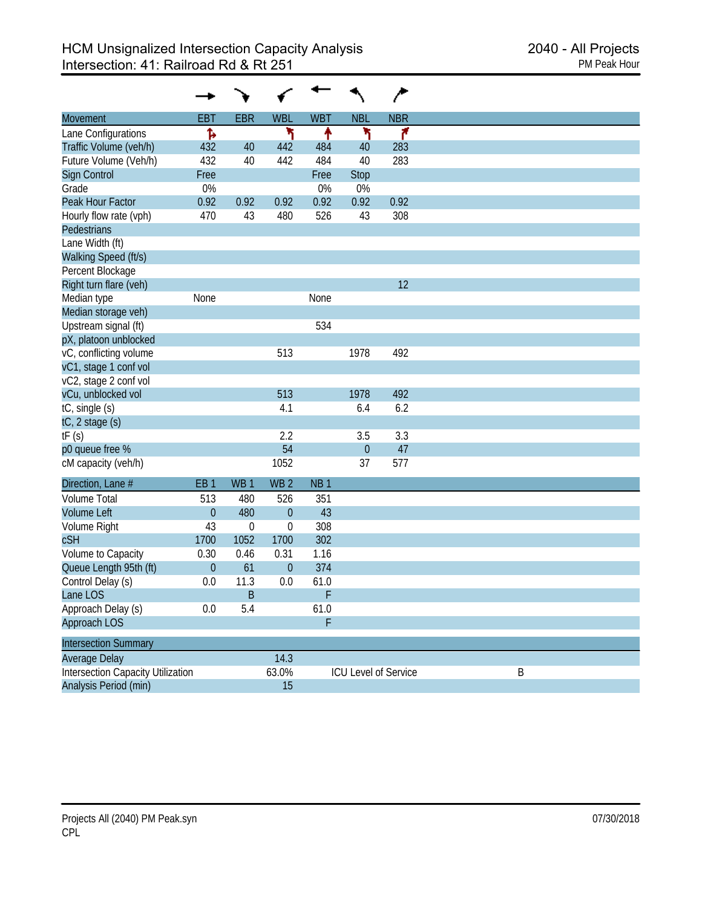|                                          |                 |                 |                  |                 |                | ∕                    |  |
|------------------------------------------|-----------------|-----------------|------------------|-----------------|----------------|----------------------|--|
| Movement                                 | <b>EBT</b>      | <b>EBR</b>      | <b>WBL</b>       | <b>WBT</b>      | <b>NBL</b>     | <b>NBR</b>           |  |
| Lane Configurations                      | Ъ               |                 | ۲                | ↟               | ۲              | ۴                    |  |
| Traffic Volume (veh/h)                   | 432             | 40              | 442              | 484             | 40             | 283                  |  |
| Future Volume (Veh/h)                    | 432             | 40              | 442              | 484             | 40             | 283                  |  |
| <b>Sign Control</b>                      | Free            |                 |                  | Free            | Stop           |                      |  |
| Grade                                    | 0%              |                 |                  | 0%              | 0%             |                      |  |
| Peak Hour Factor                         | 0.92            | 0.92            | 0.92             | 0.92            | 0.92           | 0.92                 |  |
| Hourly flow rate (vph)                   | 470             | 43              | 480              | 526             | 43             | 308                  |  |
| Pedestrians                              |                 |                 |                  |                 |                |                      |  |
| Lane Width (ft)                          |                 |                 |                  |                 |                |                      |  |
| Walking Speed (ft/s)                     |                 |                 |                  |                 |                |                      |  |
| Percent Blockage                         |                 |                 |                  |                 |                |                      |  |
| Right turn flare (veh)                   |                 |                 |                  |                 |                | 12                   |  |
| Median type                              | None            |                 |                  | None            |                |                      |  |
| Median storage veh)                      |                 |                 |                  |                 |                |                      |  |
| Upstream signal (ft)                     |                 |                 |                  | 534             |                |                      |  |
| pX, platoon unblocked                    |                 |                 |                  |                 |                |                      |  |
| vC, conflicting volume                   |                 |                 | 513              |                 | 1978           | 492                  |  |
| vC1, stage 1 conf vol                    |                 |                 |                  |                 |                |                      |  |
| vC2, stage 2 conf vol                    |                 |                 |                  |                 |                |                      |  |
| vCu, unblocked vol                       |                 |                 | 513              |                 | 1978           | 492                  |  |
| tC, single (s)                           |                 |                 | 4.1              |                 | 6.4            | 6.2                  |  |
| tC, 2 stage (s)                          |                 |                 |                  |                 |                |                      |  |
| tF(s)                                    |                 |                 | 2.2              |                 | 3.5            | 3.3                  |  |
| p0 queue free %                          |                 |                 | 54               |                 | $\overline{0}$ | 47                   |  |
| cM capacity (veh/h)                      |                 |                 | 1052             |                 | 37             | 577                  |  |
| Direction, Lane #                        | EB <sub>1</sub> | WB <sub>1</sub> | WB <sub>2</sub>  | NB <sub>1</sub> |                |                      |  |
| <b>Volume Total</b>                      | 513             | 480             | 526              | 351             |                |                      |  |
| <b>Volume Left</b>                       | $\overline{0}$  | 480             | $\overline{0}$   | 43              |                |                      |  |
| Volume Right                             | 43              | $\mathbf 0$     | 0                | 308             |                |                      |  |
| cSH                                      | 1700            | 1052            | 1700             | 302             |                |                      |  |
| Volume to Capacity                       | 0.30            | 0.46            | 0.31             | 1.16            |                |                      |  |
| Queue Length 95th (ft)                   | $\mathbf{0}$    | 61              | $\boldsymbol{0}$ | 374             |                |                      |  |
| Control Delay (s)                        | 0.0             | 11.3            | 0.0              | 61.0            |                |                      |  |
| Lane LOS                                 |                 | B               |                  | F               |                |                      |  |
| Approach Delay (s)                       | 0.0             | 5.4             |                  | 61.0            |                |                      |  |
| Approach LOS                             |                 |                 |                  | F               |                |                      |  |
| <b>Intersection Summary</b>              |                 |                 |                  |                 |                |                      |  |
| Average Delay                            |                 |                 | 14.3             |                 |                |                      |  |
| <b>Intersection Capacity Utilization</b> |                 |                 | 63.0%            |                 |                | ICU Level of Service |  |
| Analysis Period (min)                    |                 |                 | 15               |                 |                |                      |  |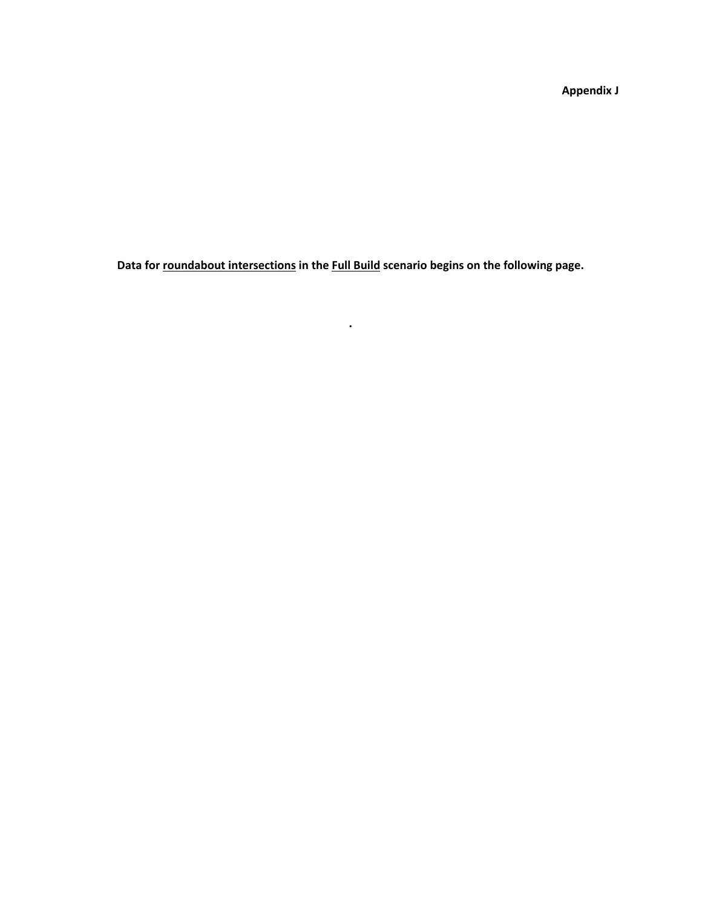**Appendix J**

**Data for roundabout intersections in the Full Build scenario begins on the following page.**

**.**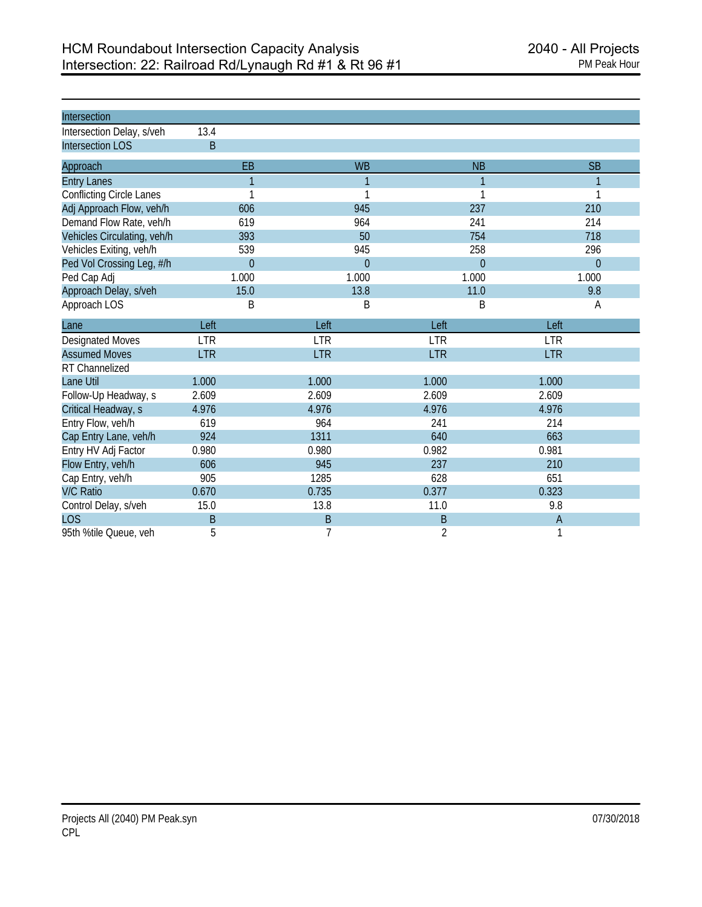| Intersection                    |                |                |                |              |
|---------------------------------|----------------|----------------|----------------|--------------|
| Intersection Delay, s/veh       | 13.4           |                |                |              |
| <b>Intersection LOS</b>         | B              |                |                |              |
| Approach                        | EB             | <b>WB</b>      | <b>NB</b>      | <b>SB</b>    |
| <b>Entry Lanes</b>              | $\mathbf{1}$   | 1              | 1              | $\mathbf{1}$ |
| <b>Conflicting Circle Lanes</b> | 1              |                | 1              |              |
| Adj Approach Flow, veh/h        | 606            | 945            | 237            | 210          |
| Demand Flow Rate, veh/h         | 619            | 964            | 241            | 214          |
| Vehicles Circulating, veh/h     | 393            | 50             | 754            | 718          |
| Vehicles Exiting, veh/h         | 539            | 945            | 258            | 296          |
| Ped Vol Crossing Leg, #/h       | $\overline{0}$ | $\overline{0}$ | $\overline{0}$ | $\theta$     |
| Ped Cap Adj                     | 1.000          | 1.000          | 1.000          | 1.000        |
| Approach Delay, s/veh           | 15.0           | 13.8           | 11.0           | 9.8          |
| Approach LOS                    | B              | B              | B              | Α            |
| Lane                            | Left           | Left           | Left           | Left         |
| <b>Designated Moves</b>         | <b>LTR</b>     | <b>LTR</b>     | <b>LTR</b>     | <b>LTR</b>   |
| <b>Assumed Moves</b>            | <b>LTR</b>     | <b>LTR</b>     | <b>LTR</b>     | <b>LTR</b>   |
| RT Channelized                  |                |                |                |              |
| Lane Util                       | 1.000          | 1.000          | 1.000          | 1.000        |
| Follow-Up Headway, s            | 2.609          | 2.609          | 2.609          | 2.609        |
| Critical Headway, s             | 4.976          | 4.976          | 4.976          | 4.976        |
| Entry Flow, veh/h               | 619            | 964            | 241            | 214          |
| Cap Entry Lane, veh/h           | 924            | 1311           | 640            | 663          |
| Entry HV Adj Factor             | 0.980          | 0.980          | 0.982          | 0.981        |
| Flow Entry, veh/h               | 606            | 945            | 237            | 210          |
| Cap Entry, veh/h                | 905            | 1285           | 628            | 651          |
| <b>V/C Ratio</b>                | 0.670          | 0.735          | 0.377          | 0.323        |
| Control Delay, s/veh            | 15.0           | 13.8           | 11.0           | 9.8          |
| <b>LOS</b>                      | B              | B              | B              | Α            |
| 95th %tile Queue, veh           | 5              | 7              | $\overline{2}$ | 1            |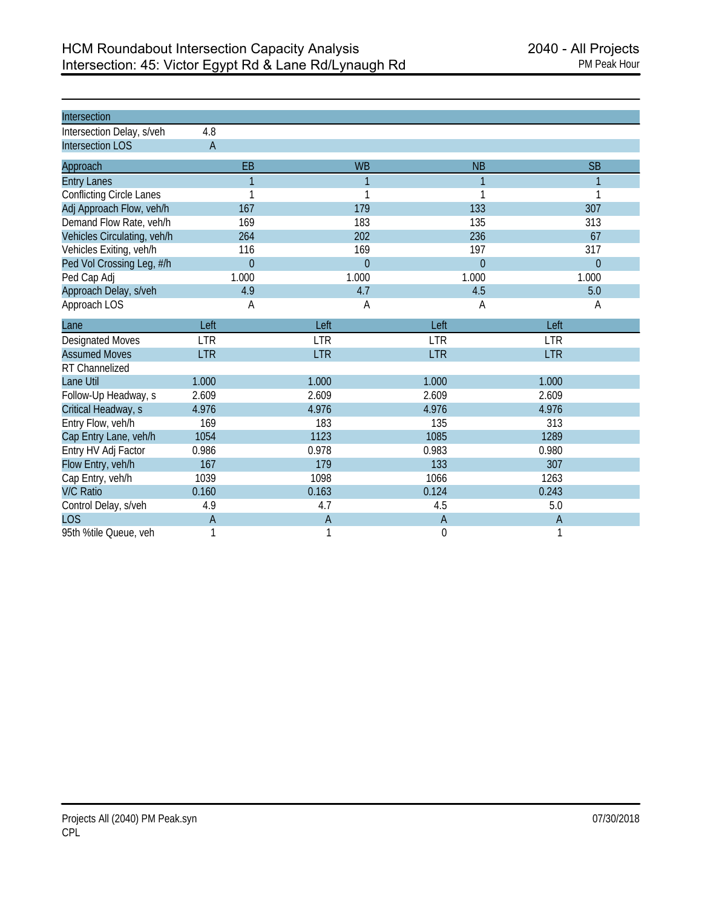| Intersection                    |                |                |                |              |
|---------------------------------|----------------|----------------|----------------|--------------|
| Intersection Delay, s/veh       | 4.8            |                |                |              |
| <b>Intersection LOS</b>         | $\overline{A}$ |                |                |              |
| Approach                        | EB             | <b>WB</b>      | <b>NB</b>      | <b>SB</b>    |
| <b>Entry Lanes</b>              | $\mathbf{1}$   | 1              | 1              |              |
| <b>Conflicting Circle Lanes</b> | 1              | 1              | 1              |              |
| Adj Approach Flow, veh/h        | 167            | 179            | 133            | 307          |
| Demand Flow Rate, veh/h         | 169            | 183            | 135            | 313          |
| Vehicles Circulating, veh/h     | 264            | 202            | 236            | 67           |
| Vehicles Exiting, veh/h         | 116            | 169            | 197            | 317          |
| Ped Vol Crossing Leg, #/h       | $\overline{0}$ | $\overline{0}$ | $\overline{0}$ | $\mathbf{0}$ |
| Ped Cap Adj                     | 1.000          | 1.000          | 1.000          | 1.000        |
| Approach Delay, s/veh           | 4.9            | 4.7            | 4.5            | 5.0          |
| Approach LOS                    | A              | Α              | A              | Α            |
| Lane                            | Left           | Left           | Left           | Left         |
| <b>Designated Moves</b>         | <b>LTR</b>     | <b>LTR</b>     | <b>LTR</b>     | <b>LTR</b>   |
| <b>Assumed Moves</b>            | <b>LTR</b>     | <b>LTR</b>     | <b>LTR</b>     | <b>LTR</b>   |
| RT Channelized                  |                |                |                |              |
| Lane Util                       | 1.000          | 1.000          | 1.000          | 1.000        |
| Follow-Up Headway, s            | 2.609          | 2.609          | 2.609          | 2.609        |
| Critical Headway, s             | 4.976          | 4.976          | 4.976          | 4.976        |
| Entry Flow, veh/h               | 169            | 183            | 135            | 313          |
| Cap Entry Lane, veh/h           | 1054           | 1123           | 1085           | 1289         |
| Entry HV Adj Factor             | 0.986          | 0.978          | 0.983          | 0.980        |
| Flow Entry, veh/h               | 167            | 179            | 133            | 307          |
| Cap Entry, veh/h                | 1039           | 1098           | 1066           | 1263         |
| <b>V/C Ratio</b>                | 0.160          | 0.163          | 0.124          | 0.243        |
| Control Delay, s/veh            | 4.9            | 4.7            | 4.5            | 5.0          |
| <b>LOS</b>                      | $\overline{A}$ | $\overline{A}$ | $\overline{A}$ | Α            |
| 95th %tile Queue, veh           | 1              | 1              | $\mathbf 0$    | 1            |